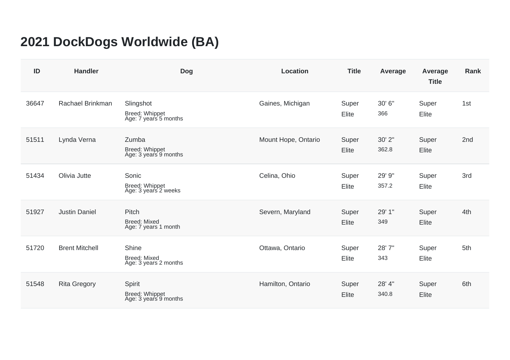## **2021 DockDogs Worldwide (BA)**

| ID    | <b>Handler</b>        | <b>Dog</b>                                              | <b>Location</b>     | <b>Title</b>   | Average         | Average<br><b>Title</b> | <b>Rank</b> |
|-------|-----------------------|---------------------------------------------------------|---------------------|----------------|-----------------|-------------------------|-------------|
| 36647 | Rachael Brinkman      | Slingshot<br>Breed: Whippet<br>Age: 7 years 5 months    | Gaines, Michigan    | Super<br>Elite | 30' 6"<br>366   | Super<br>Elite          | 1st         |
| 51511 | Lynda Verna           | Zumba<br><b>Breed: Whippet</b><br>Age: 3 years 9 months | Mount Hope, Ontario | Super<br>Elite | 30' 2"<br>362.8 | Super<br>Elite          | 2nd         |
| 51434 | Olivia Jutte          | Sonic<br>Breed: Whippet<br>Age: 3 years 2 weeks         | Celina, Ohio        | Super<br>Elite | 29' 9"<br>357.2 | Super<br>Elite          | 3rd         |
| 51927 | <b>Justin Daniel</b>  | Pitch<br><b>Breed: Mixed</b><br>Age: 7 years 1 month    | Severn, Maryland    | Super<br>Elite | 29' 1"<br>349   | Super<br>Elite          | 4th         |
| 51720 | <b>Brent Mitchell</b> | Shine<br><b>Breed: Mixed</b><br>Age: 3 years 2 months   | Ottawa, Ontario     | Super<br>Elite | 28' 7"<br>343   | Super<br>Elite          | 5th         |
| 51548 | <b>Rita Gregory</b>   | Spirit<br>Breed: Whippet<br>Age: 3 years 9 months       | Hamilton, Ontario   | Super<br>Elite | 28' 4"<br>340.8 | Super<br>Elite          | 6th         |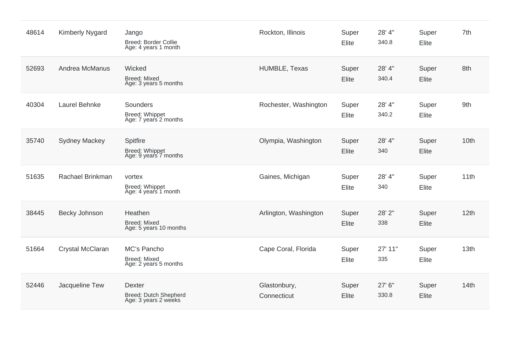| 48614 | <b>Kimberly Nygard</b> | Jango<br><b>Breed: Border Collie</b><br>Age: 4 years 1 month          | Rockton, Illinois           | Super<br>Elite | 28' 4"<br>340.8 | Super<br>Elite        | 7th  |
|-------|------------------------|-----------------------------------------------------------------------|-----------------------------|----------------|-----------------|-----------------------|------|
| 52693 | Andrea McManus         | Wicked<br><b>Breed: Mixed</b><br>Age: 3 years 5 months                | HUMBLE, Texas               | Super<br>Elite | 28' 4"<br>340.4 | Super<br><b>Elite</b> | 8th  |
| 40304 | Laurel Behnke          | <b>Sounders</b><br>Breed: Whippet<br>Age: 7 years 2 months            | Rochester, Washington       | Super<br>Elite | 28' 4"<br>340.2 | Super<br>Elite        | 9th  |
| 35740 | <b>Sydney Mackey</b>   | Spitfire<br>Breed: Whippet<br>Age: 9 years 7 months                   | Olympia, Washington         | Super<br>Elite | 28' 4"<br>340   | Super<br>Elite        | 10th |
| 51635 | Rachael Brinkman       | vortex<br>Breed: Whippet<br>Age: 4 years 1 month                      | Gaines, Michigan            | Super<br>Elite | 28' 4"<br>340   | Super<br>Elite        | 11th |
| 38445 | Becky Johnson          | Heathen<br><b>Breed: Mixed</b><br>Age: 5 years 10 months              | Arlington, Washington       | Super<br>Elite | 28' 2"<br>338   | Super<br><b>Elite</b> | 12th |
| 51664 | Crystal McClaran       | MC's Pancho<br><b>Breed: Mixed</b><br>Age: 2 years 5 months           | Cape Coral, Florida         | Super<br>Elite | 27' 11"<br>335  | Super<br>Elite        | 13th |
| 52446 | Jacqueline Tew         | <b>Dexter</b><br><b>Breed: Dutch Shepherd</b><br>Age: 3 years 2 weeks | Glastonbury,<br>Connecticut | Super<br>Elite | 27' 6"<br>330.8 | Super<br>Elite        | 14th |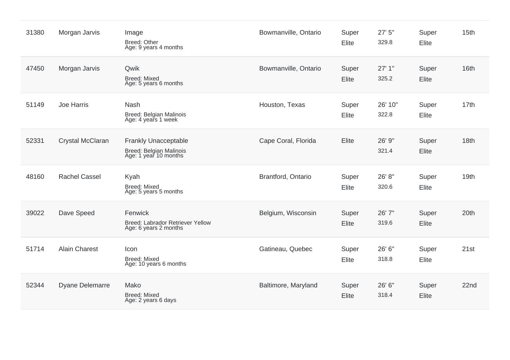| 31380 | Morgan Jarvis          | Image<br><b>Breed: Other</b><br>Age: 9 years 4 months                           | Bowmanville, Ontario | Super<br>Elite | 27' 5"<br>329.8  | Super<br>Elite        | 15th             |
|-------|------------------------|---------------------------------------------------------------------------------|----------------------|----------------|------------------|-----------------------|------------------|
| 47450 | Morgan Jarvis          | Qwik<br><b>Breed: Mixed</b><br>Age: 5 years 6 months                            | Bowmanville, Ontario | Super<br>Elite | 27'1''<br>325.2  | Super<br>Elite        | 16th             |
| 51149 | Joe Harris             | <b>Nash</b><br><b>Breed: Belgian Malinois</b><br>Age: 4 years 1 week            | Houston, Texas       | Super<br>Elite | 26' 10"<br>322.8 | Super<br>Elite        | 17th             |
| 52331 | Crystal McClaran       | <b>Frankly Unacceptable</b><br>Breed: Belgian Malinois<br>Age: 1 year 10 months | Cape Coral, Florida  | Elite          | 26' 9"<br>321.4  | Super<br><b>Elite</b> | 18th             |
| 48160 | <b>Rachel Cassel</b>   | Kyah<br><b>Breed: Mixed</b><br>Age: 5 years 5 months                            | Brantford, Ontario   | Super<br>Elite | 26' 8"<br>320.6  | Super<br><b>Elite</b> | 19th             |
| 39022 | Dave Speed             | Fenwick<br>Breed: Labrador Retriever Yellow<br>Age: 6 years 2 months            | Belgium, Wisconsin   | Super<br>Elite | 26' 7"<br>319.6  | Super<br><b>Elite</b> | 20th             |
| 51714 | <b>Alain Charest</b>   | Icon<br><b>Breed: Mixed</b><br>Age: 10 years 6 months                           | Gatineau, Quebec     | Super<br>Elite | 26' 6"<br>318.8  | Super<br><b>Elite</b> | 21st             |
| 52344 | <b>Dyane Delemarre</b> | Mako<br><b>Breed: Mixed</b><br>Age: 2 years 6 days                              | Baltimore, Maryland  | Super<br>Elite | 26' 6"<br>318.4  | Super<br><b>Elite</b> | 22 <sub>nd</sub> |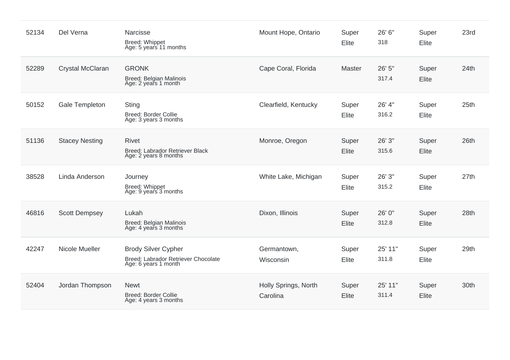| 52134 | Del Verna             | Narcisse<br><b>Breed: Whippet</b><br>Age: 5 years 11 months                               | Mount Hope, Ontario              | Super<br>Elite | 26' 6"<br>318    | Super<br>Elite        | 23rd |
|-------|-----------------------|-------------------------------------------------------------------------------------------|----------------------------------|----------------|------------------|-----------------------|------|
| 52289 | Crystal McClaran      | <b>GRONK</b><br>Breed: Belgian Malinois<br>Age: 2 years 1 month                           | Cape Coral, Florida              | Master         | 26' 5"<br>317.4  | Super<br><b>Elite</b> | 24th |
| 50152 | Gale Templeton        | <b>Sting</b><br>Breed: Border Collie<br>Age: 3 years 3 months                             | Clearfield, Kentucky             | Super<br>Elite | 26' 4"<br>316.2  | Super<br><b>Elite</b> | 25th |
| 51136 | <b>Stacey Nesting</b> | <b>Rivet</b><br>Breed: Labrador Retriever Black<br>Age: 2 years 8 months                  | Monroe, Oregon                   | Super<br>Elite | 26' 3"<br>315.6  | Super<br><b>Elite</b> | 26th |
| 38528 | Linda Anderson        | Journey<br><b>Breed: Whippet</b><br>Age: 9 years 3 months                                 | White Lake, Michigan             | Super<br>Elite | 26' 3"<br>315.2  | Super<br>Elite        | 27th |
| 46816 | <b>Scott Dempsey</b>  | Lukah<br>Breed: Belgian Malinois<br>Age: 4 years 3 months                                 | Dixon, Illinois                  | Super<br>Elite | 26' 0"<br>312.8  | Super<br>Elite        | 28th |
| 42247 | Nicole Mueller        | <b>Brody Silver Cypher</b><br>Breed: Labrador Retriever Chocolate<br>Age: 6 years 1 month | Germantown,<br>Wisconsin         | Super<br>Elite | 25' 11"<br>311.8 | Super<br><b>Elite</b> | 29th |
| 52404 | Jordan Thompson       | <b>Newt</b><br><b>Breed: Border Collie</b><br>Age: 4 years 3 months                       | Holly Springs, North<br>Carolina | Super<br>Elite | 25' 11"<br>311.4 | Super<br><b>Elite</b> | 30th |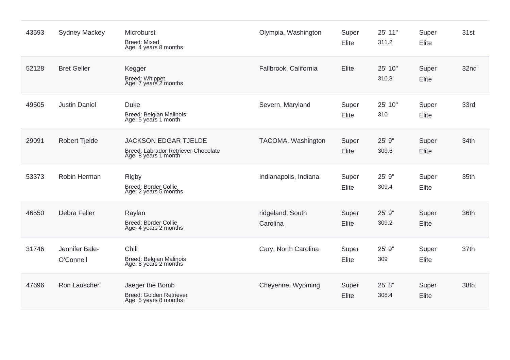| 43593 | <b>Sydney Mackey</b>        | Microburst<br><b>Breed: Mixed</b><br>Age: 4 years 8 months                                 | Olympia, Washington          | Super<br>Elite | 25' 11"<br>311.2 | Super<br>Elite        | 31st |
|-------|-----------------------------|--------------------------------------------------------------------------------------------|------------------------------|----------------|------------------|-----------------------|------|
| 52128 | <b>Bret Geller</b>          | Kegger<br>Breed: Whippet<br>Age: 7 years 2 months                                          | Fallbrook, California        | Elite          | 25' 10"<br>310.8 | Super<br>Elite        | 32nd |
| 49505 | <b>Justin Daniel</b>        | <b>Duke</b><br><b>Breed: Belgian Malinois</b><br>Age: 5 years 1 month                      | Severn, Maryland             | Super<br>Elite | 25' 10"<br>310   | Super<br>Elite        | 33rd |
| 29091 | <b>Robert Tjelde</b>        | <b>JACKSON EDGAR TJELDE</b><br>Breed: Labrador Retriever Chocolate<br>Age: 8 years 1 month | TACOMA, Washington           | Super<br>Elite | 25' 9"<br>309.6  | Super<br><b>Elite</b> | 34th |
| 53373 | Robin Herman                | <b>Rigby</b><br><b>Breed: Border Collie</b><br>Age: 2 years 5 months                       | Indianapolis, Indiana        | Super<br>Elite | 25' 9"<br>309.4  | Super<br>Elite        | 35th |
| 46550 | Debra Feller                | Raylan<br>Breed: Border Collie<br>Age: 4 years 2 months                                    | ridgeland, South<br>Carolina | Super<br>Elite | 25' 9"<br>309.2  | Super<br><b>Elite</b> | 36th |
| 31746 | Jennifer Bale-<br>O'Connell | Chili<br>Breed: Belgian Malinois<br>Age: 8 years 2 months                                  | Cary, North Carolina         | Super<br>Elite | 25' 9"<br>309    | Super<br>Elite        | 37th |
| 47696 | Ron Lauscher                | Jaeger the Bomb<br>Breed: Golden Retriever<br>Age: 5 years 8 months                        | Cheyenne, Wyoming            | Super<br>Elite | 25' 8"<br>308.4  | Super<br><b>Elite</b> | 38th |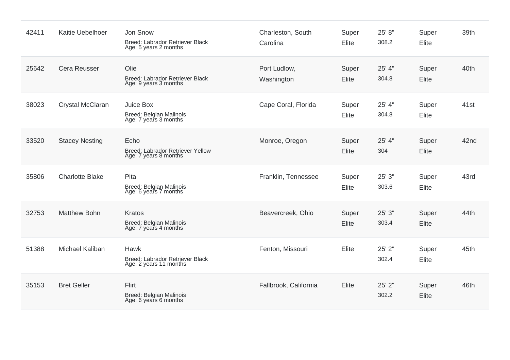| 42411 | Kaitie Uebelhoer       | Jon Snow<br>Breed: Labrador Retriever Black<br>Age: 5 years 2 months | Charleston, South<br>Carolina | Super<br>Elite | 25' 8"<br>308.2 | Super<br>Elite        | 39th |
|-------|------------------------|----------------------------------------------------------------------|-------------------------------|----------------|-----------------|-----------------------|------|
| 25642 | <b>Cera Reusser</b>    | Olie<br>Breed: Labrador Retriever Black<br>Age: 9 years 3 months     | Port Ludlow,<br>Washington    | Super<br>Elite | 25' 4"<br>304.8 | Super<br><b>Elite</b> | 40th |
| 38023 | Crystal McClaran       | Juice Box<br>Breed: Belgian Malinois<br>Age: 7 years 3 months        | Cape Coral, Florida           | Super<br>Elite | 25' 4"<br>304.8 | Super<br><b>Elite</b> | 41st |
| 33520 | <b>Stacey Nesting</b>  | Echo<br>Breed: Labrador Retriever Yellow<br>Age: 7 years 8 months    | Monroe, Oregon                | Super<br>Elite | 25' 4"<br>304   | Super<br><b>Elite</b> | 42nd |
| 35806 | <b>Charlotte Blake</b> | Pita<br>Breed: Belgian Malinois<br>Age: 6 years 7 months             | Franklin, Tennessee           | Super<br>Elite | 25' 3"<br>303.6 | Super<br>Elite        | 43rd |
| 32753 | <b>Matthew Bohn</b>    | <b>Kratos</b><br>Breed: Belgian Malinois<br>Age: 7 years 4 months    | Beavercreek, Ohio             | Super<br>Elite | 25' 3"<br>303.4 | Super<br><b>Elite</b> | 44th |
| 51388 | Michael Kaliban        | Hawk<br>Breed: Labrador Retriever Black<br>Age: 2 years 11 months    | Fenton, Missouri              | Elite          | 25' 2"<br>302.4 | Super<br>Elite        | 45th |
| 35153 | <b>Bret Geller</b>     | Flirt<br>Breed: Belgian Malinois<br>Age: 6 years 6 months            | Fallbrook, California         | Elite          | 25' 2"<br>302.2 | Super<br><b>Elite</b> | 46th |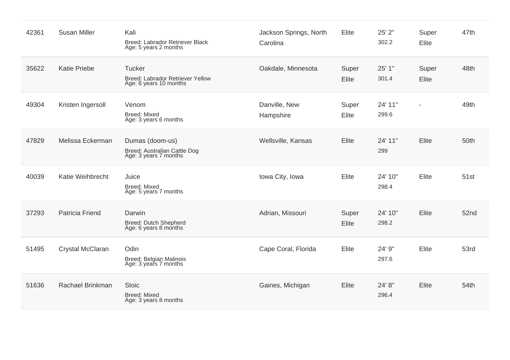| 42361 | <b>Susan Miller</b>    | Kali<br>Breed: Labrador Retriever Black<br>Age: 5 years 2 months            | Jackson Springs, North<br>Carolina | Elite          | 25' 2"<br>302.2  | Super<br>Elite | 47th |
|-------|------------------------|-----------------------------------------------------------------------------|------------------------------------|----------------|------------------|----------------|------|
| 35622 | <b>Katie Priebe</b>    | <b>Tucker</b><br>Breed: Labrador Retriever Yellow<br>Age: 6 years 10 months | Oakdale, Minnesota                 | Super<br>Elite | 25' 1"<br>301.4  | Super<br>Elite | 48th |
| 49304 | Kristen Ingersoll      | Venom<br><b>Breed: Mixed</b><br>Age: 3 years 6 months                       | Danville, New<br>Hampshire         | Super<br>Elite | 24' 11"<br>299.6 | $\overline{a}$ | 49th |
| 47829 | Melissa Eckerman       | Dumas (doom-us)<br>Breed: Australian Cattle Dog<br>Age: 3 years 7 months    | Wellsville, Kansas                 | Elite          | 24' 11"<br>299   | Elite          | 50th |
| 40039 | Katie Weihbrecht       | Juice<br><b>Breed: Mixed</b><br>Age: 5 years 7 months                       | Iowa City, Iowa                    | Elite          | 24' 10"<br>298.4 | Elite          | 51st |
| 37293 | <b>Patricia Friend</b> | Darwin<br>Breed: Dutch Shepherd<br>Age: 6 years 8 months                    | Adrian, Missouri                   | Super<br>Elite | 24' 10"<br>298.2 | Elite          | 52nd |
| 51495 | Crystal McClaran       | Odin<br>Breed: Belgian Malinois<br>Age: 3 years 7 months                    | Cape Coral, Florida                | Elite          | 24' 9"<br>297.6  | Elite          | 53rd |
| 51636 | Rachael Brinkman       | <b>Stoic</b><br><b>Breed: Mixed</b><br>Age: 3 years 8 months                | Gaines, Michigan                   | Elite          | 24' 8"<br>296.4  | Elite          | 54th |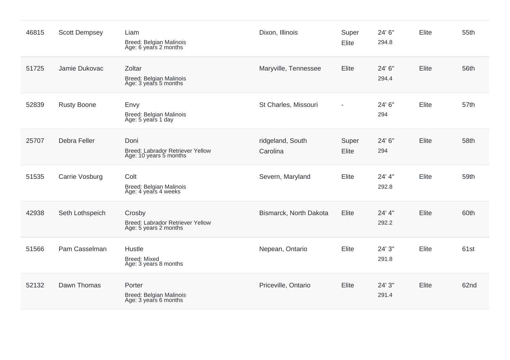| 46815 | <b>Scott Dempsey</b> | Liam<br>Breed: Belgian Malinois<br>Age: 6 years 2 months            | Dixon, Illinois              | Super<br>Elite | 24' 6"<br>294.8 | Elite        | 55th |
|-------|----------------------|---------------------------------------------------------------------|------------------------------|----------------|-----------------|--------------|------|
| 51725 | Jamie Dukovac        | Zoltar<br>Breed: Belgian Malinois<br>Age: 3 years 5 months          | Maryville, Tennessee         | Elite          | 24' 6"<br>294.4 | <b>Elite</b> | 56th |
| 52839 | <b>Rusty Boone</b>   | Envy<br>Breed: Belgian Malinois<br>Age: 5 years 1 day               | St Charles, Missouri         |                | 24' 6"<br>294   | Elite        | 57th |
| 25707 | Debra Feller         | Doni<br>Breed: Labrador Retriever Yellow<br>Age: 10 years 5 months  | ridgeland, South<br>Carolina | Super<br>Elite | 24' 6"<br>294   | Elite        | 58th |
| 51535 | Carrie Vosburg       | Colt<br>Breed: Belgian Malinois<br>Age: 4 years 4 weeks             | Severn, Maryland             | Elite          | 24' 4"<br>292.8 | Elite        | 59th |
| 42938 | Seth Lothspeich      | Crosby<br>Breed: Labrador Retriever Yellow<br>Age: 5 years 2 months | Bismarck, North Dakota       | Elite          | 24' 4"<br>292.2 | <b>Elite</b> | 60th |
| 51566 | Pam Casselman        | Hustle<br><b>Breed: Mixed</b><br>Age: 3 years 8 months              | Nepean, Ontario              | Elite          | 24' 3"<br>291.8 | Elite        | 61st |
| 52132 | Dawn Thomas          | Porter<br>Breed: Belgian Malinois<br>Age: 3 years 6 months          | Priceville, Ontario          | Elite          | 24' 3"<br>291.4 | Elite        | 62nd |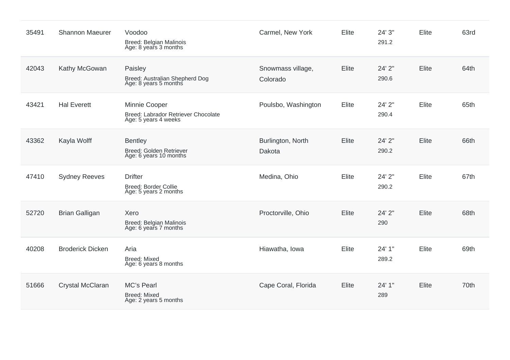| 35491 | <b>Shannon Maeurer</b>  | Voodoo<br>Breed: Belgian Malinois<br>Age: 8 years 3 months                   | Carmel, New York              | Elite | 24' 3"<br>291.2 | Elite | 63rd |
|-------|-------------------------|------------------------------------------------------------------------------|-------------------------------|-------|-----------------|-------|------|
| 42043 | Kathy McGowan           | Paisley<br>Breed: Australian Shepherd Dog<br>Age: 8 years 5 months           | Snowmass village,<br>Colorado | Elite | 24' 2"<br>290.6 | Elite | 64th |
| 43421 | <b>Hal Everett</b>      | Minnie Cooper<br>Breed: Labrador Retriever Chocolate<br>Age: 5 years 4 weeks | Poulsbo, Washington           | Elite | 24' 2"<br>290.4 | Elite | 65th |
| 43362 | Kayla Wolff             | <b>Bentley</b><br>Breed: Golden Retriever<br>Age: 6 years 10 months          | Burlington, North<br>Dakota   | Elite | 24' 2"<br>290.2 | Elite | 66th |
| 47410 | <b>Sydney Reeves</b>    | <b>Drifter</b><br><b>Breed: Border Collie</b><br>Age: 5 years 2 months       | Medina, Ohio                  | Elite | 24' 2"<br>290.2 | Elite | 67th |
| 52720 | <b>Brian Galligan</b>   | Xero<br>Breed: Belgian Malinois<br>Age: 6 years 7 months                     | Proctorville, Ohio            | Elite | 24' 2"<br>290   | Elite | 68th |
| 40208 | <b>Broderick Dicken</b> | Aria<br><b>Breed: Mixed</b><br>Age: 6 years 8 months                         | Hiawatha, Iowa                | Elite | 24' 1"<br>289.2 | Elite | 69th |
| 51666 | Crystal McClaran        | MC's Pearl<br><b>Breed: Mixed</b><br>Age: 2 years 5 months                   | Cape Coral, Florida           | Elite | 24' 1"<br>289   | Elite | 70th |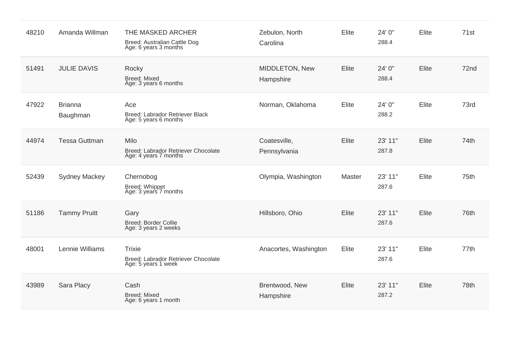| 48210 | Amanda Willman             | THE MASKED ARCHER<br>Breed: Australian Cattle Dog<br>Age: 6 years 3 months  | Zebulon, North<br>Carolina   | Elite  | 24' 0"<br>288.4  | Elite        | 71st |
|-------|----------------------------|-----------------------------------------------------------------------------|------------------------------|--------|------------------|--------------|------|
| 51491 | <b>JULIE DAVIS</b>         | Rocky<br><b>Breed: Mixed</b><br>Age: 3 years 6 months                       | MIDDLETON, New<br>Hampshire  | Elite  | 24' 0"<br>288.4  | <b>Elite</b> | 72nd |
| 47922 | <b>Brianna</b><br>Baughman | Ace<br>Breed: Labrador Retriever Black<br>Age: 5 years 6 months             | Norman, Oklahoma             | Elite  | 24' 0"<br>288.2  | Elite        | 73rd |
| 44974 | <b>Tessa Guttman</b>       | Milo<br>Breed: Labrador Retriever Chocolate<br>Age: 4 years 7 months        | Coatesville,<br>Pennsylvania | Elite  | 23' 11"<br>287.8 | Elite        | 74th |
| 52439 | <b>Sydney Mackey</b>       | Chernobog<br>Breed: Whippet<br>Age: 3 years 7 months                        | Olympia, Washington          | Master | 23' 11"<br>287.6 | <b>Elite</b> | 75th |
| 51186 | <b>Tammy Pruitt</b>        | Gary<br><b>Breed: Border Collie</b><br>Age: 3 years 2 weeks                 | Hillsboro, Ohio              | Elite  | 23' 11"<br>287.6 | <b>Elite</b> | 76th |
| 48001 | Lennie Williams            | <b>Trixie</b><br>Breed: Labrador Retriever Chocolate<br>Age: 5 years 1 week | Anacortes, Washington        | Elite  | 23' 11"<br>287.6 | <b>Elite</b> | 77th |
| 43989 | Sara Placy                 | Cash<br><b>Breed: Mixed</b><br>Age: 6 years 1 month                         | Brentwood, New<br>Hampshire  | Elite  | 23' 11"<br>287.2 | Elite        | 78th |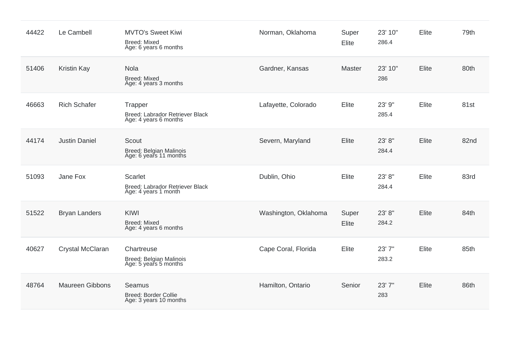| 44422 | Le Cambell             | <b>MVTO's Sweet Kiwi</b><br>Breed: Mixed<br>Age: 6 years 6 months         | Norman, Oklahoma     | Super<br>Elite | 23' 10"<br>286.4 | Elite | 79th |
|-------|------------------------|---------------------------------------------------------------------------|----------------------|----------------|------------------|-------|------|
| 51406 | <b>Kristin Kay</b>     | Nola<br><b>Breed: Mixed</b><br>Age: 4 years 3 months                      | Gardner, Kansas      | Master         | 23' 10"<br>286   | Elite | 80th |
| 46663 | <b>Rich Schafer</b>    | Trapper<br>Breed: Labrador Retriever Black<br>Age: 4 years 6 months       | Lafayette, Colorado  | Elite          | 23' 9"<br>285.4  | Elite | 81st |
| 44174 | <b>Justin Daniel</b>   | Scout<br>Breed: Belgian Malinois<br>Age: 6 years 11 months                | Severn, Maryland     | Elite          | 23' 8"<br>284.4  | Elite | 82nd |
| 51093 | Jane Fox               | <b>Scarlet</b><br>Breed: Labrador Retriever Black<br>Age: 4 years 1 month | Dublin, Ohio         | Elite          | 23' 8"<br>284.4  | Elite | 83rd |
| 51522 | <b>Bryan Landers</b>   | <b>KIWI</b><br><b>Breed: Mixed</b><br>Age: 4 years 6 months               | Washington, Oklahoma | Super<br>Elite | 23' 8"<br>284.2  | Elite | 84th |
| 40627 | Crystal McClaran       | Chartreuse<br>Breed: Belgian Malinois<br>Age: 5 years 5 months            | Cape Coral, Florida  | Elite          | 23' 7"<br>283.2  | Elite | 85th |
| 48764 | <b>Maureen Gibbons</b> | Seamus<br><b>Breed: Border Collie</b><br>Age: 3 years 10 months           | Hamilton, Ontario    | Senior         | 23' 7"<br>283    | Elite | 86th |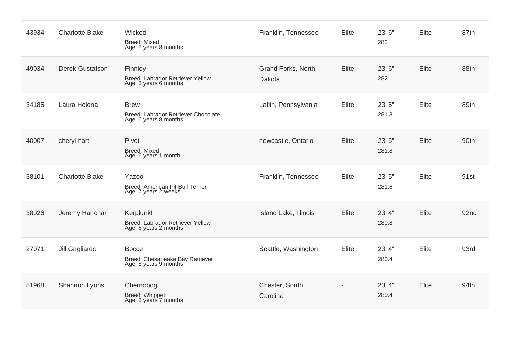| 43934 | <b>Charlotte Blake</b> | Wicked<br><b>Breed: Mixed</b><br>Age: 5 years 8 months                      | Franklin, Tennessee          | Elite | 23' 6"<br>282   | Elite        | 87th |
|-------|------------------------|-----------------------------------------------------------------------------|------------------------------|-------|-----------------|--------------|------|
| 49034 | <b>Derek Gustafson</b> | Finnley<br>Breed: Labrador Retriever Yellow<br>Age: 3 years 6 months        | Grand Forks, North<br>Dakota | Elite | 23' 6"<br>282   | Elite        | 88th |
| 34185 | Laura Holena           | <b>Brew</b><br>Breed: Labrador Retriever Chocolate<br>Age: 6 years 8 months | Laflin, Pennsylvania         | Elite | 23' 5"<br>281.8 | Elite        | 89th |
| 40007 | cheryl hart            | Pivot<br><b>Breed: Mixed</b><br>Age: 6 years 1 month                        | newcastle, Ontario           | Elite | 23' 5"<br>281.8 | Elite        | 90th |
| 38101 | <b>Charlotte Blake</b> | Yazoo<br>Breed: American Pit Bull Terrier<br>Age: 7 years 2 weeks           | Franklin, Tennessee          | Elite | 23' 5"<br>281.6 | Elite        | 91st |
| 38026 | Jeremy Hanchar         | Kerplunk!<br>Breed: Labrador Retriever Yellow<br>Age: 6 years 2 months      | Island Lake, Illinois        | Elite | 23' 4"<br>280.8 | <b>Elite</b> | 92nd |
| 27071 | Jill Gagliardo         | <b>Bocce</b><br>Breed: Chesapeake Bay Retriever<br>Age: 8 years 9 months    | Seattle, Washington          | Elite | 23' 4"<br>280.4 | Elite        | 93rd |
| 51968 | Shannon Lyons          | Chernobog<br>Breed: Whippet<br>Age: 3 years 7 months                        | Chester, South<br>Carolina   |       | 23' 4"<br>280.4 | Elite        | 94th |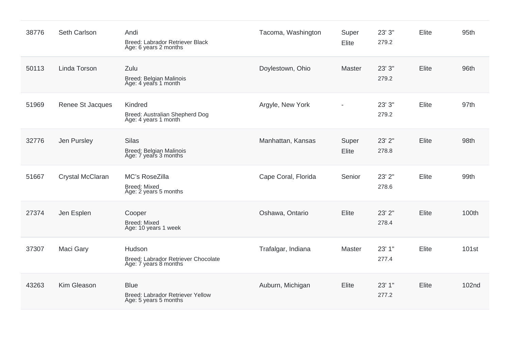| 38776 | Seth Carlson     | Andi<br>Breed: Labrador Retriever Black<br>Age: 6 years 2 months         | Tacoma, Washington  | Super<br>Elite | 23' 3"<br>279.2 | Elite        | 95th              |
|-------|------------------|--------------------------------------------------------------------------|---------------------|----------------|-----------------|--------------|-------------------|
| 50113 | Linda Torson     | Zulu<br>Breed: Belgian Malinois<br>Age: 4 years 1 month                  | Doylestown, Ohio    | Master         | 23' 3"<br>279.2 | <b>Elite</b> | 96th              |
| 51969 | Renee St Jacques | Kindred<br>Breed: Australian Shepherd Dog<br>Age: 4 years 1 month        | Argyle, New York    | $\overline{a}$ | 23' 3"<br>279.2 | <b>Elite</b> | 97th              |
| 32776 | Jen Pursley      | <b>Silas</b><br><b>Breed: Belgian Malinois</b><br>Age: 7 years 3 months  | Manhattan, Kansas   | Super<br>Elite | 23' 2"<br>278.8 | <b>Elite</b> | 98th              |
| 51667 | Crystal McClaran | MC's RoseZilla<br><b>Breed: Mixed</b><br>Age: 2 years 5 months           | Cape Coral, Florida | Senior         | 23' 2"<br>278.6 | Elite        | 99th              |
| 27374 | Jen Esplen       | Cooper<br><b>Breed: Mixed</b><br>Age: 10 years 1 week                    | Oshawa, Ontario     | Elite          | 23' 2"<br>278.4 | Elite        | 100th             |
| 37307 | Maci Gary        | Hudson<br>Breed: Labrador Retriever Chocolate<br>Age: 7 years 8 months   | Trafalgar, Indiana  | Master         | 23' 1"<br>277.4 | Elite        | 101 <sub>st</sub> |
| 43263 | Kim Gleason      | <b>Blue</b><br>Breed: Labrador Retriever Yellow<br>Age: 5 years 5 months | Auburn, Michigan    | Elite          | 23' 1"<br>277.2 | Elite        | 102 <sub>nd</sub> |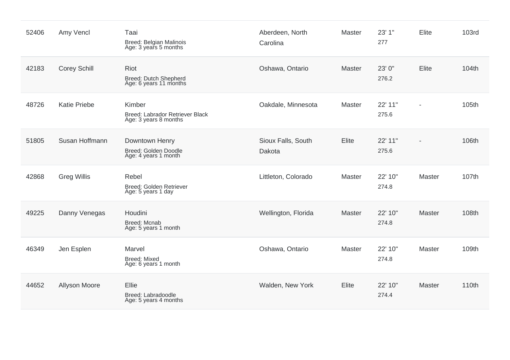| 52406 | Amy Vencl           | Taai<br>Breed: Belgian Malinois<br>Age: 3 years 5 months           | Aberdeen, North<br>Carolina  | Master        | 23' 1"<br>277    | Elite                    | <b>103rd</b> |
|-------|---------------------|--------------------------------------------------------------------|------------------------------|---------------|------------------|--------------------------|--------------|
| 42183 | <b>Corey Schill</b> | Riot<br>Breed: Dutch Shepherd<br>Age: 6 years 11 months            | Oshawa, Ontario              | Master        | 23' 0"<br>276.2  | <b>Elite</b>             | 104th        |
| 48726 | <b>Katie Priebe</b> | Kimber<br>Breed: Labrador Retriever Black<br>Age: 3 years 8 months | Oakdale, Minnesota           | Master        | 22' 11"<br>275.6 | $\blacksquare$           | 105th        |
| 51805 | Susan Hoffmann      | Downtown Henry<br>Breed: Golden Doodle<br>Age: 4 years 1 month     | Sioux Falls, South<br>Dakota | Elite         | 22' 11"<br>275.6 | $\overline{\phantom{0}}$ | 106th        |
| 42868 | <b>Greg Willis</b>  | Rebel<br>Breed: Golden Retriever<br>Age: 5 years 1 day             | Littleton, Colorado          | Master        | 22' 10"<br>274.8 | Master                   | 107th        |
| 49225 | Danny Venegas       | Houdini<br><b>Breed: Mcnab</b><br>Age: 5 years 1 month             | Wellington, Florida          | <b>Master</b> | 22' 10"<br>274.8 | Master                   | 108th        |
| 46349 | Jen Esplen          | Marvel<br><b>Breed: Mixed</b><br>Age: 6 years 1 month              | Oshawa, Ontario              | Master        | 22' 10"<br>274.8 | Master                   | 109th        |
| 44652 | Allyson Moore       | Ellie<br>Breed: Labradoodle<br>Age: 5 years 4 months               | Walden, New York             | Elite         | 22' 10"<br>274.4 | Master                   | 110th        |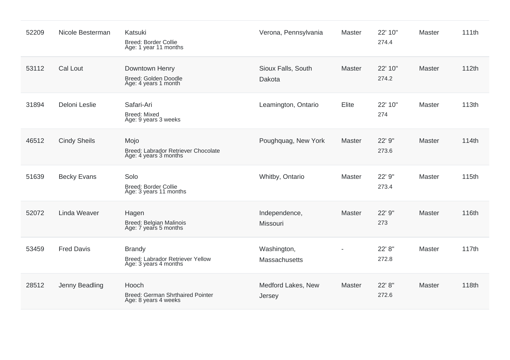| 52209 | Nicole Besterman    | Katsuki<br><b>Breed: Border Collie</b><br>Age: 1 year 11 months            | Verona, Pennsylvania                | Master | 22' 10"<br>274.4 | <b>Master</b> | 111th |
|-------|---------------------|----------------------------------------------------------------------------|-------------------------------------|--------|------------------|---------------|-------|
| 53112 | Cal Lout            | Downtown Henry<br>Breed: Golden Doodle<br>Age: 4 years 1 month             | Sioux Falls, South<br>Dakota        | Master | 22' 10"<br>274.2 | <b>Master</b> | 112th |
| 31894 | Deloni Leslie       | Safari-Ari<br>Breed: Mixed<br>Age: 9 years 3 weeks                         | Leamington, Ontario                 | Elite  | 22' 10"<br>274   | <b>Master</b> | 113th |
| 46512 | <b>Cindy Sheils</b> | Mojo<br>Breed: Labrador Retriever Chocolate<br>Age: 4 years 3 months       | Poughquag, New York                 | Master | 22' 9"<br>273.6  | <b>Master</b> | 114th |
| 51639 | <b>Becky Evans</b>  | Solo<br><b>Breed: Border Collie</b><br>Age: 3 years 11 months              | Whitby, Ontario                     | Master | 22' 9"<br>273.4  | Master        | 115th |
| 52072 | Linda Weaver        | Hagen<br>Breed: Belgian Malinois<br>Age: 7 years 5 months                  | Independence,<br>Missouri           | Master | 22' 9"<br>273    | Master        | 116th |
| 53459 | <b>Fred Davis</b>   | <b>Brandy</b><br>Breed: Labrador Retriever Yellow<br>Age: 3 years 4 months | Washington,<br><b>Massachusetts</b> |        | 22' 8"<br>272.8  | <b>Master</b> | 117th |
| 28512 | Jenny Beadling      | Hooch<br>Breed: German Shrthaired Pointer<br>Age: 8 years 4 weeks          | Medford Lakes, New<br>Jersey        | Master | 22' 8"<br>272.6  | <b>Master</b> | 118th |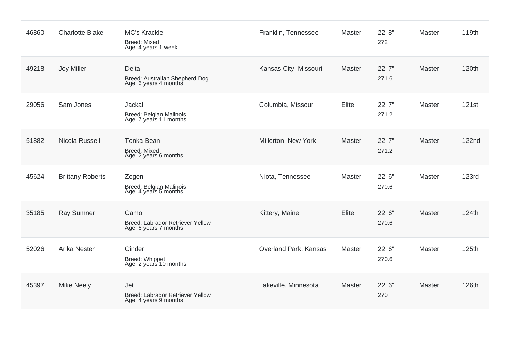| 46860 | <b>Charlotte Blake</b>  | <b>MC's Krackle</b><br><b>Breed: Mixed</b><br>Age: 4 years 1 week | Franklin, Tennessee   | Master        | 22' 8"<br>272   | Master        | 119th        |
|-------|-------------------------|-------------------------------------------------------------------|-----------------------|---------------|-----------------|---------------|--------------|
| 49218 | Joy Miller              | Delta<br>Breed: Australian Shepherd Dog<br>Age: 6 years 4 months  | Kansas City, Missouri | <b>Master</b> | 22' 7"<br>271.6 | <b>Master</b> | 120th        |
| 29056 | Sam Jones               | Jackal<br>Breed: Belgian Malinois<br>Age: 7 years 11 months       | Columbia, Missouri    | Elite         | 22' 7"<br>271.2 | Master        | <b>121st</b> |
| 51882 | Nicola Russell          | <b>Tonka Bean</b><br><b>Breed: Mixed</b><br>Age: 2 years 6 months | Millerton, New York   | Master        | 22' 7"<br>271.2 | Master        | <b>122nd</b> |
| 45624 | <b>Brittany Roberts</b> | Zegen<br><b>Breed: Belgian Malinois</b><br>Age: 4 years 5 months  | Niota, Tennessee      | Master        | 22' 6"<br>270.6 | Master        | <b>123rd</b> |
| 35185 | <b>Ray Sumner</b>       | Camo<br>Breed: Labrador Retriever Yellow<br>Age: 6 years 7 months | Kittery, Maine        | Elite         | 22' 6"<br>270.6 | Master        | 124th        |
| 52026 | <b>Arika Nester</b>     | Cinder<br>Breed: Whippet<br>Age: 2 years 10 months                | Overland Park, Kansas | Master        | 22' 6"<br>270.6 | Master        | 125th        |
| 45397 | <b>Mike Neely</b>       | Jet<br>Breed: Labrador Retriever Yellow<br>Age: 4 years 9 months  | Lakeville, Minnesota  | Master        | 22' 6"<br>270   | Master        | 126th        |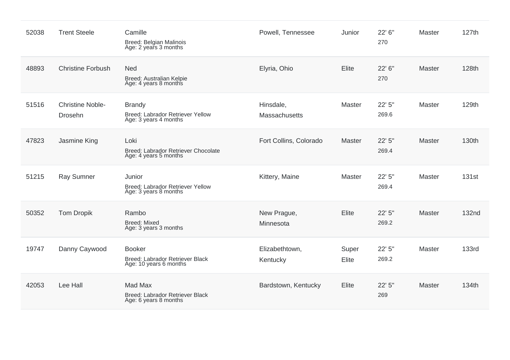| 52038 | <b>Trent Steele</b>                       | Camille<br>Breed: Belgian Malinois<br>Age: 2 years 3 months                | Powell, Tennessee          | Junior         | 22' 6"<br>270   | Master        | 127th        |
|-------|-------------------------------------------|----------------------------------------------------------------------------|----------------------------|----------------|-----------------|---------------|--------------|
| 48893 | <b>Christine Forbush</b>                  | <b>Ned</b><br>Breed: Australian Kelpie<br>Age: 4 years 8 months            | Elyria, Ohio               | Elite          | 22' 6"<br>270   | Master        | 128th        |
| 51516 | <b>Christine Noble-</b><br><b>Drosehn</b> | <b>Brandy</b><br>Breed: Labrador Retriever Yellow<br>Age: 3 years 4 months | Hinsdale,<br>Massachusetts | Master         | 22' 5"<br>269.6 | Master        | 129th        |
| 47823 | Jasmine King                              | Loki<br>Breed: Labrador Retriever Chocolate<br>Age: 4 years 5 months       | Fort Collins, Colorado     | Master         | 22' 5"<br>269.4 | <b>Master</b> | 130th        |
| 51215 | <b>Ray Sumner</b>                         | Junior<br>Breed: Labrador Retriever Yellow<br>Age: 3 years 8 months        | Kittery, Maine             | Master         | 22' 5"<br>269.4 | Master        | <b>131st</b> |
| 50352 | <b>Tom Dropik</b>                         | Rambo<br><b>Breed: Mixed</b><br>Age: 3 years 3 months                      | New Prague,<br>Minnesota   | Elite          | 22' 5"<br>269.2 | Master        | <b>132nd</b> |
| 19747 | Danny Caywood                             | <b>Booker</b><br>Breed: Labrador Retriever Black<br>Age: 10 years 6 months | Elizabethtown,<br>Kentucky | Super<br>Elite | 22' 5"<br>269.2 | Master        | <b>133rd</b> |
| 42053 | Lee Hall                                  | Mad Max<br>Breed: Labrador Retriever Black<br>Age: 6 years 8 months        | Bardstown, Kentucky        | Elite          | 22' 5"<br>269   | Master        | 134th        |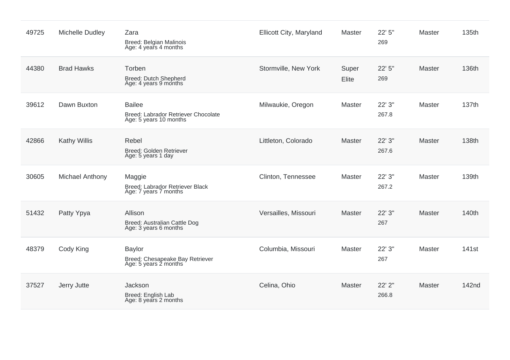| 49725 | <b>Michelle Dudley</b> | Zara<br>Breed: Belgian Malinois<br>Age: 4 years 4 months                       | Ellicott City, Maryland | Master         | 22' 5"<br>269   | <b>Master</b> | 135th             |
|-------|------------------------|--------------------------------------------------------------------------------|-------------------------|----------------|-----------------|---------------|-------------------|
| 44380 | <b>Brad Hawks</b>      | Torben<br>Breed: Dutch Shepherd<br>Age: 4 years 9 months                       | Stormville, New York    | Super<br>Elite | 22' 5"<br>269   | <b>Master</b> | 136th             |
| 39612 | Dawn Buxton            | <b>Bailee</b><br>Breed: Labrador Retriever Chocolate<br>Age: 5 years 10 months | Milwaukie, Oregon       | Master         | 22' 3"<br>267.8 | <b>Master</b> | 137th             |
| 42866 | <b>Kathy Willis</b>    | Rebel<br>Breed: Golden Retriever<br>Age: 5 years 1 day                         | Littleton, Colorado     | Master         | 22' 3"<br>267.6 | Master        | 138th             |
| 30605 | Michael Anthony        | Maggie<br>Breed: Labrador Retriever Black<br>Age: 7 years 7 months             | Clinton, Tennessee      | Master         | 22' 3"<br>267.2 | <b>Master</b> | 139th             |
| 51432 | Patty Ypya             | Allison<br>Breed: Australian Cattle Dog<br>Age: 3 years 6 months               | Versailles, Missouri    | <b>Master</b>  | 22' 3"<br>267   | Master        | 140th             |
| 48379 | Cody King              | <b>Baylor</b><br>Breed: Chesapeake Bay Retriever<br>Age: 5 years 2 months      | Columbia, Missouri      | Master         | 22' 3"<br>267   | <b>Master</b> | 141 <sub>st</sub> |
| 37527 | Jerry Jutte            | Jackson<br>Breed: English Lab<br>Age: 8 years 2 months                         | Celina, Ohio            | Master         | 22' 2"<br>266.8 | <b>Master</b> | 142nd             |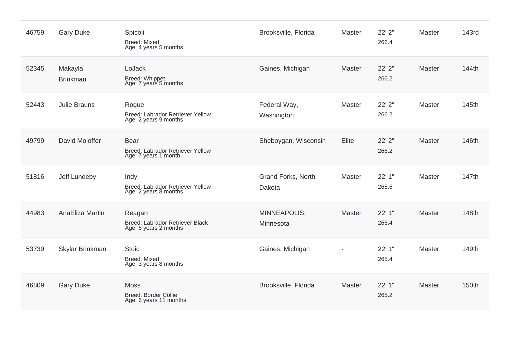| 46759 | <b>Gary Duke</b>           | Spicoli<br>Breed: Mixed<br>Age: 4 years 5 months                        | Brooksville, Florida         | Master        | 22' 2"<br>266.4 | Master        | 143rd |
|-------|----------------------------|-------------------------------------------------------------------------|------------------------------|---------------|-----------------|---------------|-------|
| 52345 | Makayla<br><b>Brinkman</b> | LoJack<br>Breed: Whippet<br>Age: 7 years 5 months                       | Gaines, Michigan             | Master        | 22' 2"<br>266.2 | Master        | 144th |
| 52443 | <b>Julie Brauns</b>        | Rogue<br>Breed: Labrador Retriever Yellow<br>Age: 2 years 9 months      | Federal Way,<br>Washington   | Master        | 22' 2"<br>266.2 | Master        | 145th |
| 49799 | David Moioffer             | <b>Bear</b><br>Breed: Labrador Retriever Yellow<br>Age: 7 years 1 month | Sheboygan, Wisconsin         | Elite         | 22' 2"<br>266.2 | <b>Master</b> | 146th |
| 51816 | Jeff Lundeby               | Indy<br>Breed: Labrador Retriever Yellow<br>Age: 2 years 8 months       | Grand Forks, North<br>Dakota | <b>Master</b> | 22' 1"<br>265.6 | Master        | 147th |
| 44983 | AnaEliza Martin            | Reagan<br>Breed: Labrador Retriever Black<br>Age: 6 years 2 months      | MINNEAPOLIS,<br>Minnesota    | <b>Master</b> | 22' 1"<br>265.4 | <b>Master</b> | 148th |
| 53739 | Skylar Brinkman            | <b>Stoic</b><br>Breed: Mixed<br>Age: 3 years 8 months                   | Gaines, Michigan             |               | 22' 1"<br>265.4 | Master        | 149th |
| 46809 | <b>Gary Duke</b>           | <b>Moss</b><br><b>Breed: Border Collie</b><br>Age: 6 years 11 months    | Brooksville, Florida         | Master        | 22' 1"<br>265.2 | Master        | 150th |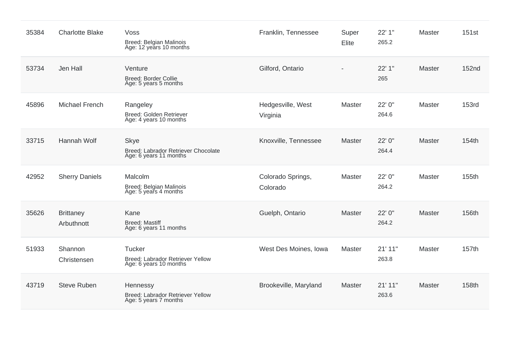| 35384 | <b>Charlotte Blake</b>         | Voss<br>Breed: Belgian Malinois<br>Age: 12 years 10 months                   | Franklin, Tennessee           | Super<br>Elite | 22' 1"<br>265.2  | <b>Master</b> | <b>151st</b> |
|-------|--------------------------------|------------------------------------------------------------------------------|-------------------------------|----------------|------------------|---------------|--------------|
| 53734 | Jen Hall                       | Venture<br><b>Breed: Border Collie</b><br>Age: 5 years 5 months              | Gilford, Ontario              |                | 22' 1"<br>265    | <b>Master</b> | 152nd        |
| 45896 | <b>Michael French</b>          | Rangeley<br>Breed: Golden Retriever<br>Age: 4 years 10 months                | Hedgesville, West<br>Virginia | Master         | 22' 0"<br>264.6  | Master        | <b>153rd</b> |
| 33715 | Hannah Wolf                    | <b>Skye</b><br>Breed: Labrador Retriever Chocolate<br>Age: 6 years 11 months | Knoxville, Tennessee          | Master         | 22' 0"<br>264.4  | <b>Master</b> | 154th        |
| 42952 | <b>Sherry Daniels</b>          | Malcolm<br><b>Breed: Belgian Malinois</b><br>Age: 5 years 4 months           | Colorado Springs,<br>Colorado | Master         | 22' 0"<br>264.2  | Master        | 155th        |
| 35626 | <b>Brittaney</b><br>Arbuthnott | Kane<br><b>Breed: Mastiff</b><br>Age: 6 years 11 months                      | Guelph, Ontario               | <b>Master</b>  | 22' 0"<br>264.2  | <b>Master</b> | 156th        |
| 51933 | Shannon<br>Christensen         | <b>Tucker</b><br>Breed: Labrador Retriever Yellow<br>Age: 6 years 10 months  | West Des Moines, Iowa         | Master         | 21' 11"<br>263.8 | <b>Master</b> | 157th        |
| 43719 | <b>Steve Ruben</b>             | Hennessy<br>Breed: Labrador Retriever Yellow<br>Age: 5 years 7 months        | Brookeville, Maryland         | Master         | 21' 11"<br>263.6 | Master        | 158th        |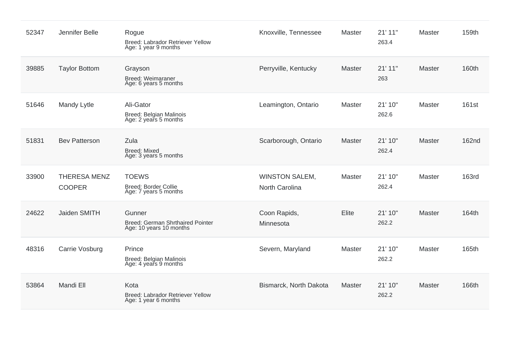| 52347 | Jennifer Belle                       | Rogue<br>Breed: Labrador Retriever Yellow<br>Age: 1 year 9 months     | Knoxville, Tennessee                    | <b>Master</b> | 21' 11"<br>263.4 | Master        | 159th        |
|-------|--------------------------------------|-----------------------------------------------------------------------|-----------------------------------------|---------------|------------------|---------------|--------------|
| 39885 | <b>Taylor Bottom</b>                 | Grayson<br><b>Breed: Weimaraner</b><br>Age: 6 years 5 months          | Perryville, Kentucky                    | <b>Master</b> | 21' 11"<br>263   | <b>Master</b> | 160th        |
| 51646 | Mandy Lytle                          | Ali-Gator<br><b>Breed: Belgian Malinois</b><br>Age: 2 years 5 months  | Leamington, Ontario                     | Master        | 21' 10"<br>262.6 | Master        | <b>161st</b> |
| 51831 | <b>Bev Patterson</b>                 | Zula<br><b>Breed: Mixed</b><br>Age: 3 years 5 months                  | Scarborough, Ontario                    | Master        | 21' 10"<br>262.4 | Master        | <b>162nd</b> |
| 33900 | <b>THERESA MENZ</b><br><b>COOPER</b> | <b>TOEWS</b><br><b>Breed: Border Collie</b><br>Age: 7 years 5 months  | <b>WINSTON SALEM,</b><br>North Carolina | Master        | 21' 10"<br>262.4 | Master        | <b>163rd</b> |
| 24622 | Jaiden SMITH                         | Gunner<br>Breed: German Shrthaired Pointer<br>Age: 10 years 10 months | Coon Rapids,<br>Minnesota               | Elite         | 21' 10"<br>262.2 | <b>Master</b> | 164th        |
| 48316 | Carrie Vosburg                       | Prince<br>Breed: Belgian Malinois<br>Age: 4 years 9 months            | Severn, Maryland                        | Master        | 21' 10"<br>262.2 | Master        | 165th        |
| 53864 | Mandi Ell                            | Kota<br>Breed: Labrador Retriever Yellow<br>Age: 1 year 6 months      | Bismarck, North Dakota                  | Master        | 21' 10"<br>262.2 | Master        | 166th        |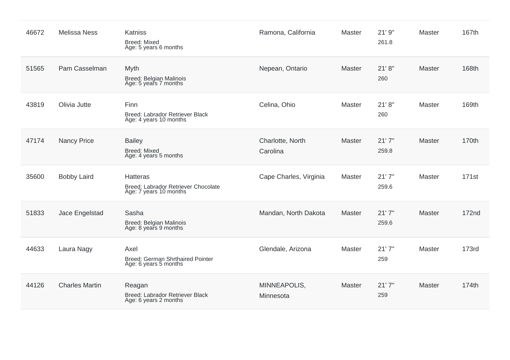| 46672 | <b>Melissa Ness</b>   | Katniss<br><b>Breed: Mixed</b><br>Age: 5 years 6 months                          | Ramona, California           | <b>Master</b> | 21'9''<br>261.8 | Master        | 167th        |
|-------|-----------------------|----------------------------------------------------------------------------------|------------------------------|---------------|-----------------|---------------|--------------|
| 51565 | Pam Casselman         | Myth<br>Breed: Belgian Malinois<br>Age: 5 years 7 months                         | Nepean, Ontario              | Master        | 21' 8''<br>260  | <b>Master</b> | 168th        |
| 43819 | Olivia Jutte          | Finn<br>Breed: Labrador Retriever Black<br>Age: 4 years 10 months                | Celina, Ohio                 | <b>Master</b> | 21' 8''<br>260  | Master        | 169th        |
| 47174 | <b>Nancy Price</b>    | <b>Bailey</b><br><b>Breed: Mixed</b><br>Age: 4 years 5 months                    | Charlotte, North<br>Carolina | Master        | 21'7''<br>259.8 | Master        | 170th        |
| 35600 | <b>Bobby Laird</b>    | <b>Hatteras</b><br>Breed: Labrador Retriever Chocolate<br>Age: 7 years 10 months | Cape Charles, Virginia       | <b>Master</b> | 21'7''<br>259.6 | Master        | 171st        |
| 51833 | Jace Engelstad        | Sasha<br>Breed: Belgian Malinois<br>Age: 8 years 9 months                        | Mandan, North Dakota         | <b>Master</b> | 21'7''<br>259.6 | Master        | <b>172nd</b> |
| 44633 | Laura Nagy            | Axel<br><b>Breed: German Shrthaired Pointer</b><br>Age: 6 years 5 months         | Glendale, Arizona            | Master        | 21'7''<br>259   | <b>Master</b> | <b>173rd</b> |
| 44126 | <b>Charles Martin</b> | Reagan<br>Breed: Labrador Retriever Black<br>Age: 6 years 2 months               | MINNEAPOLIS,<br>Minnesota    | Master        | 21'7''<br>259   | <b>Master</b> | 174th        |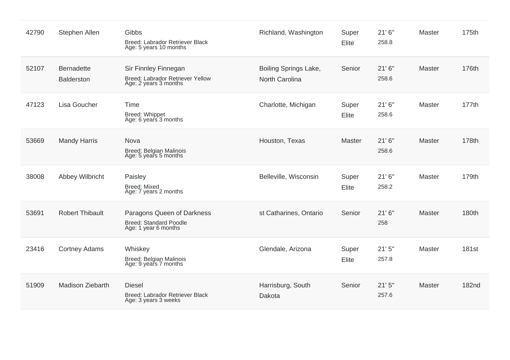| 42790 | Stephen Allen                          | Gibbs<br>Breed: Labrador Retriever Black<br>Age: 5 years 10 months                | Richland, Washington                    | Super<br>Elite | 21'6''<br>258.8 | <b>Master</b> | 175th        |
|-------|----------------------------------------|-----------------------------------------------------------------------------------|-----------------------------------------|----------------|-----------------|---------------|--------------|
| 52107 | <b>Bernadette</b><br><b>Balderston</b> | Sir Finnley Finnegan<br>Breed: Labrador Retriever Yellow<br>Age: 2 years 3 months | Boiling Springs Lake,<br>North Carolina | Senior         | 21'6''<br>258.6 | <b>Master</b> | 176th        |
| 47123 | Lisa Goucher                           | Time<br>Breed: Whippet<br>Age: 6 years 3 months                                   | Charlotte, Michigan                     | Super<br>Elite | 21'6''<br>258.6 | Master        | 177th        |
| 53669 | <b>Mandy Harris</b>                    | Nova<br><b>Breed: Belgian Malinois</b><br>Age: 5 years 5 months                   | Houston, Texas                          | Master         | 21'6''<br>258.6 | <b>Master</b> | 178th        |
| 38008 | Abbey Wilbricht                        | Paisley<br><b>Breed: Mixed</b><br>Age: 7 years 2 months                           | Belleville, Wisconsin                   | Super<br>Elite | 21'6''<br>258.2 | <b>Master</b> | 179th        |
| 53691 | <b>Robert Thibault</b>                 | Paragons Queen of Darkness<br>Breed: Standard Poodle<br>Age: 1 year 6 months      | st Catharines, Ontario                  | Senior         | 21'6''<br>258   | <b>Master</b> | 180th        |
| 23416 | <b>Cortney Adams</b>                   | Whiskey<br>Breed: Belgian Malinois<br>Age: 9 years 7 months                       | Glendale, Arizona                       | Super<br>Elite | 21'5''<br>257.8 | <b>Master</b> | <b>181st</b> |
| 51909 | Madison Ziebarth                       | <b>Diesel</b><br>Breed: Labrador Retriever Black<br>Age: 3 years 3 weeks          | Harrisburg, South<br>Dakota             | Senior         | 21'5''<br>257.6 | Master        | <b>182nd</b> |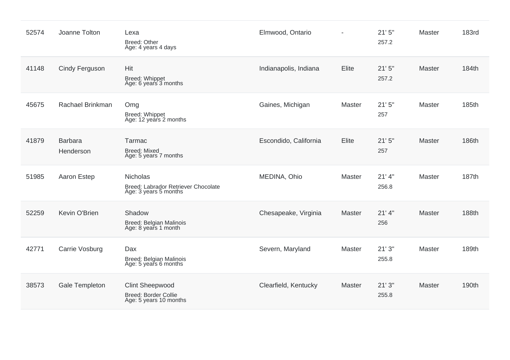| 52574 | Joanne Tolton               | Lexa<br>Breed: Other<br>Age: 4 years 4 days                                     | Elmwood, Ontario      |        | 21'5''<br>257.2   | Master        | <b>183rd</b> |
|-------|-----------------------------|---------------------------------------------------------------------------------|-----------------------|--------|-------------------|---------------|--------------|
| 41148 | Cindy Ferguson              | Hit<br>Breed: Whippet<br>Age: 6 years 3 months                                  | Indianapolis, Indiana | Elite  | 21'5''<br>257.2   | <b>Master</b> | 184th        |
| 45675 | Rachael Brinkman            | Omg<br>Breed: Whippet<br>Age: 12 years 2 months                                 | Gaines, Michigan      | Master | 21'5''<br>257     | Master        | 185th        |
| 41879 | <b>Barbara</b><br>Henderson | Tarmac<br><b>Breed: Mixed</b><br>Age: 5 years 7 months                          | Escondido, California | Elite  | 21'5''<br>257     | Master        | 186th        |
| 51985 | Aaron Estep                 | <b>Nicholas</b><br>Breed: Labrador Retriever Chocolate<br>Age: 3 years 5 months | MEDINA, Ohio          | Master | $21'$ 4"<br>256.8 | Master        | 187th        |
| 52259 | Kevin O'Brien               | Shadow<br>Breed: Belgian Malinois<br>Age: 8 years 1 month                       | Chesapeake, Virginia  | Master | $21'$ 4"<br>256   | Master        | 188th        |
| 42771 | Carrie Vosburg              | Dax<br>Breed: Belgian Malinois<br>Age: 5 years 6 months                         | Severn, Maryland      | Master | 21'3''<br>255.8   | <b>Master</b> | 189th        |
| 38573 | Gale Templeton              | <b>Clint Sheepwood</b><br><b>Breed: Border Collie</b><br>Age: 5 years 10 months | Clearfield, Kentucky  | Master | 21'3''<br>255.8   | <b>Master</b> | 190th        |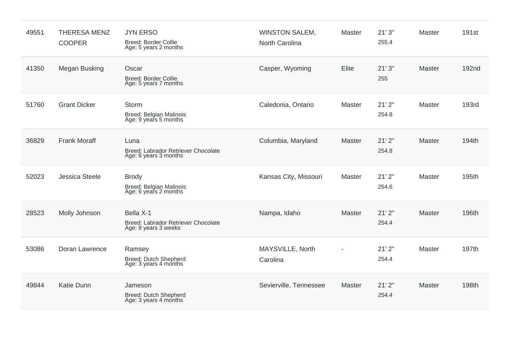| 49551 | <b>THERESA MENZ</b><br><b>COOPER</b> | <b>JYN ERSO</b><br><b>Breed: Border Collie</b><br>Age: 5 years 2 months  | <b>WINSTON SALEM,</b><br>North Carolina | Master | 21'3''<br>255.4 | <b>Master</b> | 191 <sub>st</sub> |
|-------|--------------------------------------|--------------------------------------------------------------------------|-----------------------------------------|--------|-----------------|---------------|-------------------|
| 41350 | Megan Busking                        | Oscar<br><b>Breed: Border Collie</b><br>Age: 5 years 7 months            | Casper, Wyoming                         | Elite  | 21'3''<br>255   | <b>Master</b> | 192 <sub>nd</sub> |
| 51760 | <b>Grant Dicker</b>                  | Storm<br>Breed: Belgian Malinois<br>Age: 9 years 5 months                | Caledonia, Ontario                      | Master | 21'2"<br>254.8  | Master        | 193rd             |
| 36829 | <b>Frank Moraff</b>                  | Luna<br>Breed: Labrador Retriever Chocolate<br>Age: 6 years 3 months     | Columbia, Maryland                      | Master | 21'2"<br>254.8  | Master        | 194th             |
| 52023 | <b>Jessica Steele</b>                | <b>Brody</b><br><b>Breed: Belgian Malinois</b><br>Age: 6 years 2 months  | Kansas City, Missouri                   | Master | 21'2"<br>254.6  | Master        | 195th             |
| 28523 | Molly Johnson                        | Bella X-1<br>Breed: Labrador Retriever Chocolate<br>Age: 8 years 3 weeks | Nampa, Idaho                            | Master | 21'2"<br>254.4  | Master        | 196th             |
| 53086 | Doran Lawrence                       | Ramsey<br>Breed: Dutch Shepherd<br>Age: 3 years 4 months                 | MAYSVILLE, North<br>Carolina            |        | 21'2"<br>254.4  | <b>Master</b> | 197th             |
| 49844 | <b>Katie Dunn</b>                    | Jameson<br>Breed: Dutch Shepherd<br>Age: 3 years 4 months                | Sevierville, Tennessee                  | Master | 21'2"<br>254.4  | Master        | 198th             |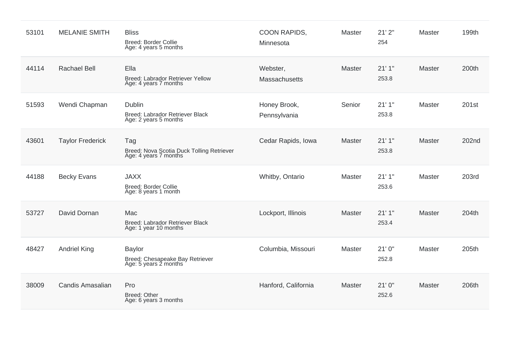| 53101 | <b>MELANIE SMITH</b>    | <b>Bliss</b><br><b>Breed: Border Collie</b><br>Age: 4 years 5 months      | COON RAPIDS,<br>Minnesota    | Master | 21'2"<br>254    | Master        | 199th |
|-------|-------------------------|---------------------------------------------------------------------------|------------------------------|--------|-----------------|---------------|-------|
| 44114 | <b>Rachael Bell</b>     | Ella<br>Breed: Labrador Retriever Yellow<br>Age: 4 years 7 months         | Webster,<br>Massachusetts    | Master | 21'1''<br>253.8 | <b>Master</b> | 200th |
| 51593 | Wendi Chapman           | Dublin<br>Breed: Labrador Retriever Black<br>Age: 2 years 5 months        | Honey Brook,<br>Pennsylvania | Senior | 21'1''<br>253.8 | Master        | 201st |
| 43601 | <b>Taylor Frederick</b> | Tag<br>Breed: Nova Scotia Duck Tolling Retriever<br>Age: 4 years 7 months | Cedar Rapids, Iowa           | Master | 21'1''<br>253.8 | Master        | 202nd |
| 44188 | <b>Becky Evans</b>      | <b>JAXX</b><br><b>Breed: Border Collie</b><br>Age: 8 years 1 month        | Whitby, Ontario              | Master | 21'1''<br>253.6 | Master        | 203rd |
| 53727 | David Dornan            | Mac<br>Breed: Labrador Retriever Black<br>Age: 1 year 10 months           | Lockport, Illinois           | Master | 21'1''<br>253.4 | <b>Master</b> | 204th |
| 48427 | <b>Andriel King</b>     | <b>Baylor</b><br>Breed: Chesapeake Bay Retriever<br>Age: 5 years 2 months | Columbia, Missouri           | Master | 21'0''<br>252.8 | Master        | 205th |
| 38009 | Candis Amasalian        | Pro<br><b>Breed: Other</b><br>Age: 6 years 3 months                       | Hanford, California          | Master | 21'0''<br>252.6 | Master        | 206th |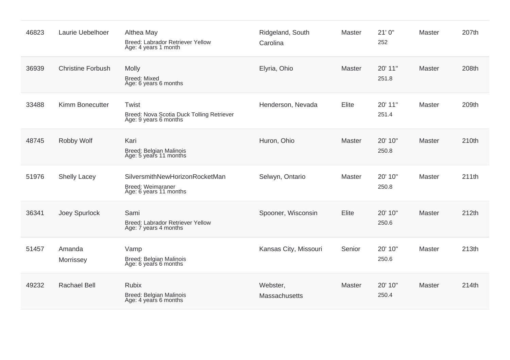| 46823 | Laurie Uebelhoer         | Althea May<br>Breed: Labrador Retriever Yellow<br>Age: 4 years 1 month               | Ridgeland, South<br>Carolina | Master | 21'0''<br>252    | <b>Master</b> | 207th |
|-------|--------------------------|--------------------------------------------------------------------------------------|------------------------------|--------|------------------|---------------|-------|
| 36939 | <b>Christine Forbush</b> | <b>Molly</b><br><b>Breed: Mixed</b><br>Age: 6 years 6 months                         | Elyria, Ohio                 | Master | 20' 11"<br>251.8 | <b>Master</b> | 208th |
| 33488 | Kimm Bonecutter          | Twist<br>Breed: Nova Scotia Duck Tolling Retriever<br>Age: 9 years 6 months          | Henderson, Nevada            | Elite  | 20' 11"<br>251.4 | <b>Master</b> | 209th |
| 48745 | Robby Wolf               | Kari<br>Breed: Belgian Malinois<br>Age: 5 years 11 months                            | Huron, Ohio                  | Master | 20' 10"<br>250.8 | Master        | 210th |
| 51976 | <b>Shelly Lacey</b>      | SilversmithNewHorizonRocketMan<br><b>Breed: Weimaraner</b><br>Age: 6 years 11 months | Selwyn, Ontario              | Master | 20' 10"<br>250.8 | <b>Master</b> | 211th |
| 36341 | Joey Spurlock            | Sami<br>Breed: Labrador Retriever Yellow<br>Age: 7 years 4 months                    | Spooner, Wisconsin           | Elite  | 20' 10"<br>250.6 | Master        | 212th |
| 51457 | Amanda<br>Morrissey      | Vamp<br>Breed: Belgian Malinois<br>Age: 6 years 6 months                             | Kansas City, Missouri        | Senior | 20' 10"<br>250.6 | <b>Master</b> | 213th |
| 49232 | <b>Rachael Bell</b>      | <b>Rubix</b><br><b>Breed: Belgian Malinois</b><br>Age: 4 years 6 months              | Webster,<br>Massachusetts    | Master | 20' 10"<br>250.4 | <b>Master</b> | 214th |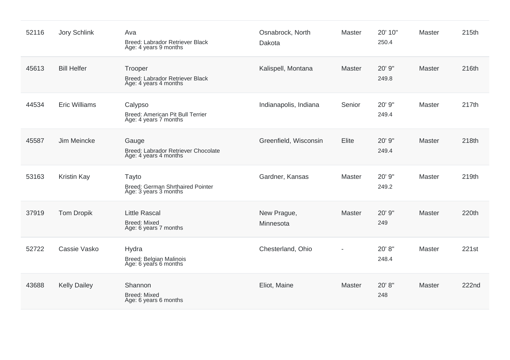| 52116 | <b>Jory Schlink</b>  | Ava<br>Breed: Labrador Retriever Black<br>Age: 4 years 9 months           | Osnabrock, North<br>Dakota | Master        | 20' 10"<br>250.4 | <b>Master</b> | 215th |
|-------|----------------------|---------------------------------------------------------------------------|----------------------------|---------------|------------------|---------------|-------|
| 45613 | <b>Bill Helfer</b>   | Trooper<br>Breed: Labrador Retriever Black<br>Age: 4 years 4 months       | Kalispell, Montana         | <b>Master</b> | 20' 9"<br>249.8  | <b>Master</b> | 216th |
| 44534 | <b>Eric Williams</b> | Calypso<br>Breed: American Pit Bull Terrier<br>Age: 4 years 7 months      | Indianapolis, Indiana      | Senior        | 20' 9"<br>249.4  | <b>Master</b> | 217th |
| 45587 | Jim Meincke          | Gauge<br>Breed: Labrador Retriever Chocolate<br>Age: 4 years 4 months     | Greenfield, Wisconsin      | Elite         | 20' 9"<br>249.4  | Master        | 218th |
| 53163 | <b>Kristin Kay</b>   | Tayto<br><b>Breed: German Shrthaired Pointer</b><br>Age: 3 years 3 months | Gardner, Kansas            | Master        | 20' 9"<br>249.2  | <b>Master</b> | 219th |
| 37919 | <b>Tom Dropik</b>    | <b>Little Rascal</b><br><b>Breed: Mixed</b><br>Age: 6 years 7 months      | New Prague,<br>Minnesota   | Master        | 20' 9"<br>249    | <b>Master</b> | 220th |
| 52722 | Cassie Vasko         | Hydra<br>Breed: Belgian Malinois<br>Age: 6 years 6 months                 | Chesterland, Ohio          |               | 20' 8"<br>248.4  | <b>Master</b> | 221st |
| 43688 | <b>Kelly Dailey</b>  | Shannon<br><b>Breed: Mixed</b><br>Age: 6 years 6 months                   | Eliot, Maine               | <b>Master</b> | 20' 8"<br>248    | <b>Master</b> | 222nd |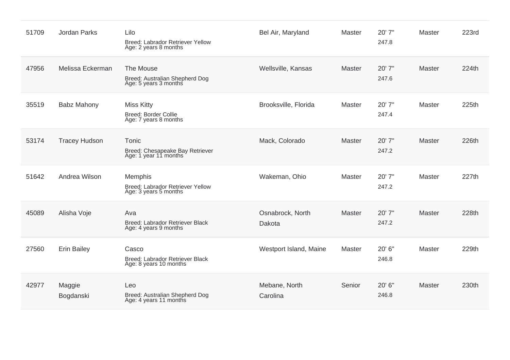| 51709 | <b>Jordan Parks</b>  | Lilo<br>Breed: Labrador Retriever Yellow<br>Age: 2 years 8 months         | Bel Air, Maryland          | Master        | 20' 7"<br>247.8 | <b>Master</b> | 223rd |
|-------|----------------------|---------------------------------------------------------------------------|----------------------------|---------------|-----------------|---------------|-------|
| 47956 | Melissa Eckerman     | The Mouse<br>Breed: Australian Shepherd Dog<br>Age: 5 years 3 months      | Wellsville, Kansas         | Master        | 20' 7"<br>247.6 | <b>Master</b> | 224th |
| 35519 | <b>Babz Mahony</b>   | <b>Miss Kitty</b><br><b>Breed: Border Collie</b><br>Age: 7 years 8 months | Brooksville, Florida       | Master        | 20' 7"<br>247.4 | Master        | 225th |
| 53174 | <b>Tracey Hudson</b> | Tonic<br>Breed: Chesapeake Bay Retriever<br>Age: 1 year 11 months         | Mack, Colorado             | <b>Master</b> | 20' 7"<br>247.2 | Master        | 226th |
| 51642 | Andrea Wilson        | Memphis<br>Breed: Labrador Retriever Yellow<br>Age: 3 years 5 months      | Wakeman, Ohio              | Master        | 20' 7"<br>247.2 | Master        | 227th |
| 45089 | Alisha Voje          | Ava<br>Breed: Labrador Retriever Black<br>Age: 4 years 9 months           | Osnabrock, North<br>Dakota | Master        | 20' 7"<br>247.2 | Master        | 228th |
| 27560 | <b>Erin Bailey</b>   | Casco<br>Breed: Labrador Retriever Black<br>Age: 8 years 10 months        | Westport Island, Maine     | Master        | 20' 6"<br>246.8 | <b>Master</b> | 229th |
| 42977 | Maggie<br>Bogdanski  | Leo<br>Breed: Australian Shepherd Dog<br>Age: 4 years 11 months           | Mebane, North<br>Carolina  | Senior        | 20' 6"<br>246.8 | Master        | 230th |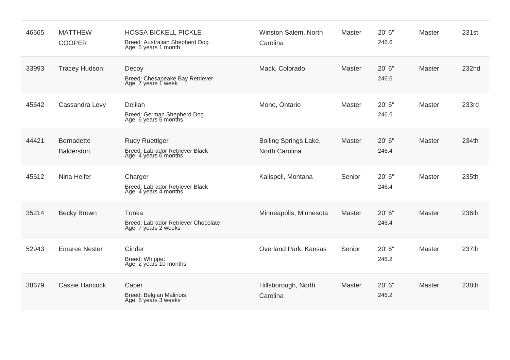| 46665 | <b>MATTHEW</b><br><b>COOPER</b>        | <b>HOSSA BICKELL PICKLE</b><br>Breed: Australian Shepherd Dog<br>Age: 5 years 1 month | Winston Salem, North<br>Carolina               | Master        | 20' 6"<br>246.6 | <b>Master</b> | 231st |
|-------|----------------------------------------|---------------------------------------------------------------------------------------|------------------------------------------------|---------------|-----------------|---------------|-------|
| 33993 | <b>Tracey Hudson</b>                   | Decoy<br>Breed: Chesapeake Bay Retriever<br>Age: 7 years 1 week                       | Mack, Colorado                                 | <b>Master</b> | 20' 6"<br>246.6 | <b>Master</b> | 232nd |
| 45642 | Cassandra Levy                         | Delilah<br>Breed: German Shepherd Dog<br>Age: 6 years 5 months                        | Mono, Ontario                                  | Master        | 20' 6"<br>246.6 | <b>Master</b> | 233rd |
| 44421 | <b>Bernadette</b><br><b>Balderston</b> | <b>Rudy Ruettiger</b><br>Breed: Labrador Retriever Black<br>Age: 4 years 6 months     | Boiling Springs Lake,<br><b>North Carolina</b> | <b>Master</b> | 20' 6"<br>246.4 | Master        | 234th |
| 45612 | Nina Helfer                            | Charger<br>Breed: Labrador Retriever Black<br>Age: 4 years 4 months                   | Kalispell, Montana                             | Senior        | 20' 6"<br>246.4 | <b>Master</b> | 235th |
| 35214 | <b>Becky Brown</b>                     | Tonka<br>Breed: Labrador Retriever Chocolate<br>Age: 7 years 2 weeks                  | Minneapolis, Minnesota                         | <b>Master</b> | 20' 6"<br>246.4 | Master        | 236th |
| 52943 | <b>Emaree Nester</b>                   | Cinder<br>Breed: Whippet<br>Age: 2 years 10 months                                    | Overland Park, Kansas                          | Senior        | 20' 6"<br>246.2 | Master        | 237th |
| 38679 | <b>Cassie Hancock</b>                  | Caper<br><b>Breed: Belgian Malinois</b><br>Age: 8 years 3 weeks                       | Hillsborough, North<br>Carolina                | <b>Master</b> | 20' 6"<br>246.2 | Master        | 238th |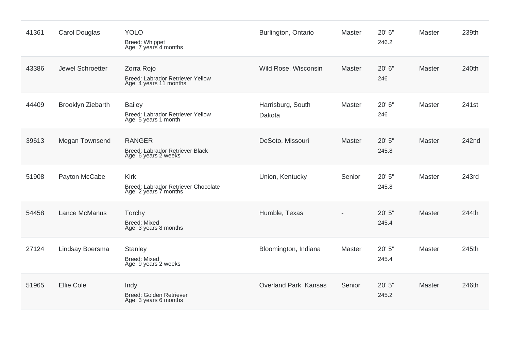| 41361 | <b>Carol Douglas</b> | <b>YOLO</b><br>Breed: Whippet<br>Age: 7 years 4 months                      | Burlington, Ontario         | Master        | 20' 6"<br>246.2 | <b>Master</b> | 239th |
|-------|----------------------|-----------------------------------------------------------------------------|-----------------------------|---------------|-----------------|---------------|-------|
| 43386 | Jewel Schroetter     | Zorra Rojo<br>Breed: Labrador Retriever Yellow<br>Age: 4 years 11 months    | Wild Rose, Wisconsin        | <b>Master</b> | 20' 6"<br>246   | Master        | 240th |
| 44409 | Brooklyn Ziebarth    | <b>Bailey</b><br>Breed: Labrador Retriever Yellow<br>Age: 5 years 1 month   | Harrisburg, South<br>Dakota | Master        | 20' 6"<br>246   | <b>Master</b> | 241st |
| 39613 | Megan Townsend       | <b>RANGER</b><br>Breed: Labrador Retriever Black<br>Age: 6 years 2 weeks    | DeSoto, Missouri            | Master        | 20' 5"<br>245.8 | Master        | 242nd |
| 51908 | Payton McCabe        | <b>Kirk</b><br>Breed: Labrador Retriever Chocolate<br>Age: 2 years 7 months | Union, Kentucky             | Senior        | 20' 5"<br>245.8 | Master        | 243rd |
| 54458 | Lance McManus        | Torchy<br><b>Breed: Mixed</b><br>Age: 3 years 8 months                      | Humble, Texas               |               | 20' 5"<br>245.4 | <b>Master</b> | 244th |
| 27124 | Lindsay Boersma      | <b>Stanley</b><br><b>Breed: Mixed</b><br>Age: 9 years 2 weeks               | Bloomington, Indiana        | Master        | 20' 5"<br>245.4 | <b>Master</b> | 245th |
| 51965 | <b>Ellie Cole</b>    | Indy<br>Breed: Golden Retriever<br>Age: 3 years 6 months                    | Overland Park, Kansas       | Senior        | 20' 5"<br>245.2 | Master        | 246th |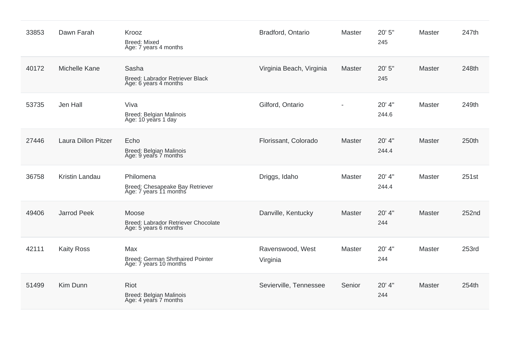| 33853 | Dawn Farah                 | Krooz<br><b>Breed: Mixed</b><br>Age: 7 years 4 months                    | Bradford, Ontario            | <b>Master</b>  | 20' 5"<br>245   | Master        | 247th |
|-------|----------------------------|--------------------------------------------------------------------------|------------------------------|----------------|-----------------|---------------|-------|
| 40172 | Michelle Kane              | Sasha<br>Breed: Labrador Retriever Black<br>Age: 6 years 4 months        | Virginia Beach, Virginia     | <b>Master</b>  | 20' 5"<br>245   | <b>Master</b> | 248th |
| 53735 | Jen Hall                   | Viva<br>Breed: Belgian Malinois<br>Age: 10 years 1 day                   | Gilford, Ontario             | $\blacksquare$ | 20' 4"<br>244.6 | Master        | 249th |
| 27446 | <b>Laura Dillon Pitzer</b> | Echo<br>Breed: Belgian Malinois<br>Age: 9 years 7 months                 | Florissant, Colorado         | Master         | 20' 4"<br>244.4 | Master        | 250th |
| 36758 | Kristin Landau             | Philomena<br>Breed: Chesapeake Bay Retriever<br>Age: 7 years 11 months   | Driggs, Idaho                | <b>Master</b>  | 20' 4"<br>244.4 | Master        | 251st |
| 49406 | <b>Jarrod Peek</b>         | Moose<br>Breed: Labrador Retriever Chocolate<br>Age: 5 years 6 months    | Danville, Kentucky           | Master         | 20' 4"<br>244   | <b>Master</b> | 252nd |
| 42111 | <b>Kaity Ross</b>          | Max<br><b>Breed: German Shrthaired Pointer</b><br>Age: 7 years 10 months | Ravenswood, West<br>Virginia | <b>Master</b>  | 20' 4"<br>244   | Master        | 253rd |
| 51499 | Kim Dunn                   | Riot<br>Breed: Belgian Malinois<br>Age: 4 years 7 months                 | Sevierville, Tennessee       | Senior         | 20' 4"<br>244   | Master        | 254th |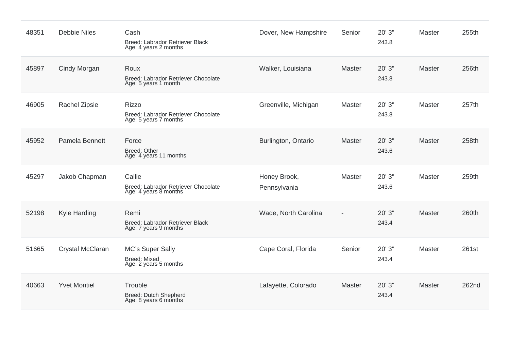| 48351 | <b>Debbie Niles</b>  | Cash<br>Breed: Labrador Retriever Black<br>Age: 4 years 2 months             | Dover, New Hampshire         | Senior | 20' 3"<br>243.8 | <b>Master</b> | 255th |
|-------|----------------------|------------------------------------------------------------------------------|------------------------------|--------|-----------------|---------------|-------|
| 45897 | Cindy Morgan         | Roux<br>Breed: Labrador Retriever Chocolate<br>Age: 5 years 1 month          | Walker, Louisiana            | Master | 20' 3"<br>243.8 | Master        | 256th |
| 46905 | <b>Rachel Zipsie</b> | <b>Rizzo</b><br>Breed: Labrador Retriever Chocolate<br>Age: 5 years 7 months | Greenville, Michigan         | Master | 20' 3"<br>243.8 | <b>Master</b> | 257th |
| 45952 | Pamela Bennett       | Force<br><b>Breed: Other</b><br>Age: 4 years 11 months                       | Burlington, Ontario          | Master | 20' 3"<br>243.6 | Master        | 258th |
| 45297 | Jakob Chapman        | Callie<br>Breed: Labrador Retriever Chocolate<br>Age: 4 years 8 months       | Honey Brook,<br>Pennsylvania | Master | 20' 3"<br>243.6 | Master        | 259th |
| 52198 | Kyle Harding         | Remi<br>Breed: Labrador Retriever Black<br>Age: 7 years 9 months             | Wade, North Carolina         |        | 20' 3"<br>243.4 | <b>Master</b> | 260th |
| 51665 | Crystal McClaran     | <b>MC's Super Sally</b><br><b>Breed: Mixed</b><br>Age: 2 years 5 months      | Cape Coral, Florida          | Senior | 20' 3"<br>243.4 | <b>Master</b> | 261st |
| 40663 | <b>Yvet Montiel</b>  | Trouble<br>Breed: Dutch Shepherd<br>Age: 8 years 6 months                    | Lafayette, Colorado          | Master | 20' 3"<br>243.4 | <b>Master</b> | 262nd |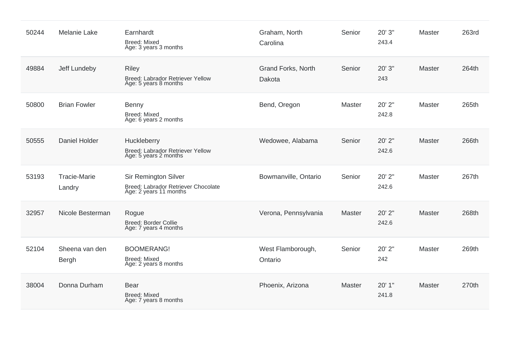| 50244 | <b>Melanie Lake</b>           | Earnhardt<br><b>Breed: Mixed</b><br>Age: 3 years 3 months                                    | Graham, North<br>Carolina    | Senior | 20' 3"<br>243.4 | <b>Master</b> | 263rd |
|-------|-------------------------------|----------------------------------------------------------------------------------------------|------------------------------|--------|-----------------|---------------|-------|
| 49884 | Jeff Lundeby                  | <b>Riley</b><br>Breed: Labrador Retriever Yellow<br>Age: 5 years 8 months                    | Grand Forks, North<br>Dakota | Senior | 20' 3"<br>243   | <b>Master</b> | 264th |
| 50800 | <b>Brian Fowler</b>           | Benny<br>Breed: Mixed<br>Age: 6 years 2 months                                               | Bend, Oregon                 | Master | 20' 2"<br>242.8 | <b>Master</b> | 265th |
| 50555 | Daniel Holder                 | Huckleberry<br>Breed: Labrador Retriever Yellow<br>Age: 5 years 2 months                     | Wedowee, Alabama             | Senior | 20' 2"<br>242.6 | Master        | 266th |
| 53193 | <b>Tracie-Marie</b><br>Landry | <b>Sir Remington Silver</b><br>Breed: Labrador Retriever Chocolate<br>Age: 2 years 11 months | Bowmanville, Ontario         | Senior | 20' 2"<br>242.6 | Master        | 267th |
| 32957 | Nicole Besterman              | Rogue<br>Breed: Border Collie<br>Age: 7 years 4 months                                       | Verona, Pennsylvania         | Master | 20' 2"<br>242.6 | Master        | 268th |
| 52104 | Sheena van den<br>Bergh       | <b>BOOMERANG!</b><br><b>Breed: Mixed</b><br>Age: 2 years 8 months                            | West Flamborough,<br>Ontario | Senior | 20' 2"<br>242   | <b>Master</b> | 269th |
| 38004 | Donna Durham                  | Bear<br><b>Breed: Mixed</b><br>Age: 7 years 8 months                                         | Phoenix, Arizona             | Master | 20' 1"<br>241.8 | Master        | 270th |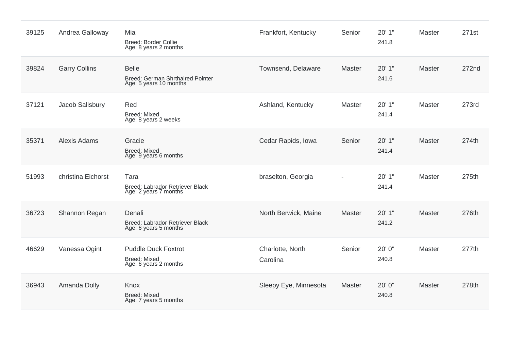| 39125 | Andrea Galloway      | Mia<br>Breed: Border Collie<br>Age: 8 years 2 months                              | Frankfort, Kentucky          | Senior        | 20' 1"<br>241.8 | <b>Master</b> | 271st |
|-------|----------------------|-----------------------------------------------------------------------------------|------------------------------|---------------|-----------------|---------------|-------|
| 39824 | <b>Garry Collins</b> | <b>Belle</b><br><b>Breed: German Shrthaired Pointer</b><br>Age: 5 years 10 months | Townsend, Delaware           | <b>Master</b> | 20' 1"<br>241.6 | Master        | 272nd |
| 37121 | Jacob Salisbury      | Red<br><b>Breed: Mixed</b><br>Age: 8 years 2 weeks                                | Ashland, Kentucky            | Master        | 20' 1"<br>241.4 | <b>Master</b> | 273rd |
| 35371 | <b>Alexis Adams</b>  | Gracie<br><b>Breed: Mixed</b><br>Age: 9 years 6 months                            | Cedar Rapids, Iowa           | Senior        | 20'1"<br>241.4  | Master        | 274th |
| 51993 | christina Eichorst   | Tara<br>Breed: Labrador Retriever Black<br>Age: 2 years 7 months                  | braselton, Georgia           |               | 20' 1"<br>241.4 | <b>Master</b> | 275th |
| 36723 | Shannon Regan        | Denali<br>Breed: Labrador Retriever Black<br>Age: 6 years 5 months                | North Berwick, Maine         | Master        | 20'1"<br>241.2  | <b>Master</b> | 276th |
| 46629 | Vanessa Ogint        | <b>Puddle Duck Foxtrot</b><br><b>Breed: Mixed</b><br>Age: 6 years 2 months        | Charlotte, North<br>Carolina | Senior        | 20' 0"<br>240.8 | <b>Master</b> | 277th |
| 36943 | Amanda Dolly         | Knox<br><b>Breed: Mixed</b><br>Age: 7 years 5 months                              | Sleepy Eye, Minnesota        | Master        | 20' 0"<br>240.8 | Master        | 278th |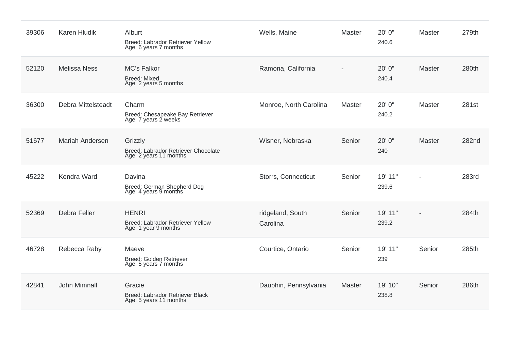| 39306 | <b>Karen Hludik</b>    | Alburt<br>Breed: Labrador Retriever Yellow<br>Age: 6 years 7 months      | Wells, Maine                 | <b>Master</b> | 20' 0"<br>240.6  | Master | 279th |
|-------|------------------------|--------------------------------------------------------------------------|------------------------------|---------------|------------------|--------|-------|
| 52120 | <b>Melissa Ness</b>    | <b>MC's Falkor</b><br><b>Breed: Mixed</b><br>Age: 2 years 5 months       | Ramona, California           |               | 20' 0"<br>240.4  | Master | 280th |
| 36300 | Debra Mittelsteadt     | Charm<br>Breed: Chesapeake Bay Retriever<br>Age: 7 years 2 weeks         | Monroe, North Carolina       | Master        | 20' 0"<br>240.2  | Master | 281st |
| 51677 | <b>Mariah Andersen</b> | Grizzly<br>Breed: Labrador Retriever Chocolate<br>Age: 2 years 11 months | Wisner, Nebraska             | Senior        | 20' 0"<br>240    | Master | 282nd |
| 45222 | Kendra Ward            | Davina<br>Breed: German Shepherd Dog<br>Age: 4 years 9 months            | Storrs, Connecticut          | Senior        | 19' 11"<br>239.6 |        | 283rd |
| 52369 | Debra Feller           | <b>HENRI</b><br>Breed: Labrador Retriever Yellow<br>Age: 1 year 9 months | ridgeland, South<br>Carolina | Senior        | 19' 11"<br>239.2 |        | 284th |
| 46728 | Rebecca Raby           | Maeve<br>Breed: Golden Retriever<br>Age: 5 years 7 months                | Courtice, Ontario            | Senior        | 19' 11"<br>239   | Senior | 285th |
| 42841 | John Mimnall           | Gracie<br>Breed: Labrador Retriever Black<br>Age: 5 years 11 months      | Dauphin, Pennsylvania        | Master        | 19' 10"<br>238.8 | Senior | 286th |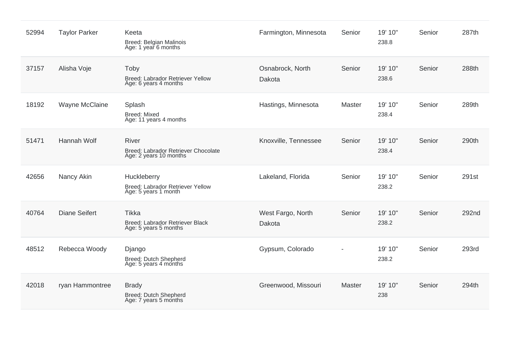| 52994 | <b>Taylor Parker</b> | Keeta<br><b>Breed: Belgian Malinois</b><br>Age: 1 year 6 months               | Farmington, Minnesota       | Senior        | 19' 10"<br>238.8 | Senior | 287th |
|-------|----------------------|-------------------------------------------------------------------------------|-----------------------------|---------------|------------------|--------|-------|
| 37157 | Alisha Voje          | Toby<br>Breed: Labrador Retriever Yellow<br>Age: 6 years 4 months             | Osnabrock, North<br>Dakota  | Senior        | 19' 10"<br>238.6 | Senior | 288th |
| 18192 | Wayne McClaine       | Splash<br>Breed: Mixed<br>Age: 11 years 4 months                              | Hastings, Minnesota         | <b>Master</b> | 19' 10"<br>238.4 | Senior | 289th |
| 51471 | Hannah Wolf          | <b>River</b><br>Breed: Labrador Retriever Chocolate<br>Age: 2 years 10 months | Knoxville, Tennessee        | Senior        | 19' 10"<br>238.4 | Senior | 290th |
| 42656 | Nancy Akin           | Huckleberry<br>Breed: Labrador Retriever Yellow<br>Age: 5 years 1 month       | Lakeland, Florida           | Senior        | 19' 10"<br>238.2 | Senior | 291st |
| 40764 | <b>Diane Seifert</b> | <b>Tikka</b><br>Breed: Labrador Retriever Black<br>Age: 5 years 5 months      | West Fargo, North<br>Dakota | Senior        | 19' 10"<br>238.2 | Senior | 292nd |
| 48512 | Rebecca Woody        | Django<br>Breed: Dutch Shepherd<br>Age: 5 years 4 months                      | Gypsum, Colorado            |               | 19' 10"<br>238.2 | Senior | 293rd |
| 42018 | ryan Hammontree      | <b>Brady</b><br>Breed: Dutch Shepherd<br>Age: 7 years 5 months                | Greenwood, Missouri         | Master        | 19' 10"<br>238   | Senior | 294th |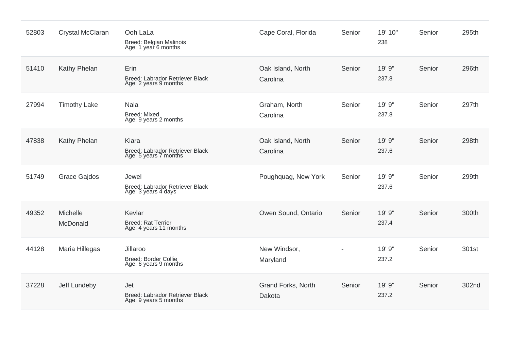| 52803 | Crystal McClaran     | Ooh LaLa<br><b>Breed: Belgian Malinois</b><br>Age: 1 year 6 months | Cape Coral, Florida           | Senior | 19' 10"<br>238  | Senior | 295th |
|-------|----------------------|--------------------------------------------------------------------|-------------------------------|--------|-----------------|--------|-------|
| 51410 | Kathy Phelan         | Erin<br>Breed: Labrador Retriever Black<br>Age: 2 years 9 months   | Oak Island, North<br>Carolina | Senior | 19' 9"<br>237.8 | Senior | 296th |
| 27994 | <b>Timothy Lake</b>  | <b>Nala</b><br>Breed: Mixed<br>Age: 9 years 2 months               | Graham, North<br>Carolina     | Senior | 19' 9"<br>237.8 | Senior | 297th |
| 47838 | Kathy Phelan         | Kiara<br>Breed: Labrador Retriever Black<br>Age: 5 years 7 months  | Oak Island, North<br>Carolina | Senior | 19' 9"<br>237.6 | Senior | 298th |
| 51749 | <b>Grace Gajdos</b>  | Jewel<br>Breed: Labrador Retriever Black<br>Age: 3 years 4 days    | Poughquag, New York           | Senior | 19' 9"<br>237.6 | Senior | 299th |
| 49352 | Michelle<br>McDonald | Kevlar<br><b>Breed: Rat Terrier</b><br>Age: 4 years 11 months      | Owen Sound, Ontario           | Senior | 19' 9"<br>237.4 | Senior | 300th |
| 44128 | Maria Hillegas       | Jillaroo<br><b>Breed: Border Collie</b><br>Age: 6 years 9 months   | New Windsor,<br>Maryland      |        | 19' 9"<br>237.2 | Senior | 301st |
| 37228 | Jeff Lundeby         | Jet<br>Breed: Labrador Retriever Black<br>Age: 9 years 5 months    | Grand Forks, North<br>Dakota  | Senior | 19' 9"<br>237.2 | Senior | 302nd |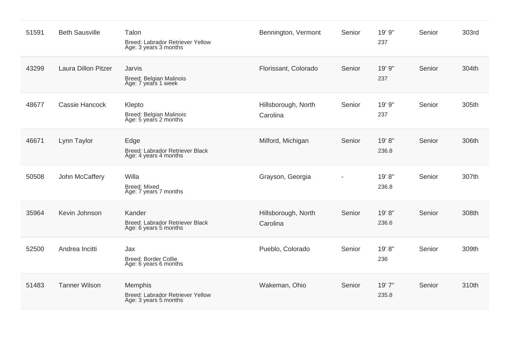| 51591 | <b>Beth Sausville</b>      | Talon<br>Breed: Labrador Retriever Yellow<br>Age: 3 years 3 months   | Bennington, Vermont             | Senior | 19' 9"<br>237   | Senior | 303rd |
|-------|----------------------------|----------------------------------------------------------------------|---------------------------------|--------|-----------------|--------|-------|
| 43299 | <b>Laura Dillon Pitzer</b> | Jarvis<br>Breed: Belgian Malinois<br>Age: 7 years 1 week             | Florissant, Colorado            | Senior | 19' 9"<br>237   | Senior | 304th |
| 48677 | Cassie Hancock             | Klepto<br>Breed: Belgian Malinois<br>Age: 5 years 2 months           | Hillsborough, North<br>Carolina | Senior | 19' 9"<br>237   | Senior | 305th |
| 46671 | Lynn Taylor                | Edge<br>Breed: Labrador Retriever Black<br>Age: 4 years 4 months     | Milford, Michigan               | Senior | 19'8"<br>236.8  | Senior | 306th |
| 50508 | John McCaffery             | Willa<br><b>Breed: Mixed</b><br>Age: 7 years 7 months                | Grayson, Georgia                |        | 19' 8"<br>236.8 | Senior | 307th |
| 35964 | Kevin Johnson              | Kander<br>Breed: Labrador Retriever Black<br>Age: 6 years 5 months   | Hillsborough, North<br>Carolina | Senior | 19'8"<br>236.6  | Senior | 308th |
| 52500 | Andrea Incitti             | Jax<br>Breed: Border Collie<br>Age: 6 years 6 months                 | Pueblo, Colorado                | Senior | 19' 8"<br>236   | Senior | 309th |
| 51483 | <b>Tanner Wilson</b>       | Memphis<br>Breed: Labrador Retriever Yellow<br>Age: 3 years 5 months | Wakeman, Ohio                   | Senior | 19'7"<br>235.8  | Senior | 310th |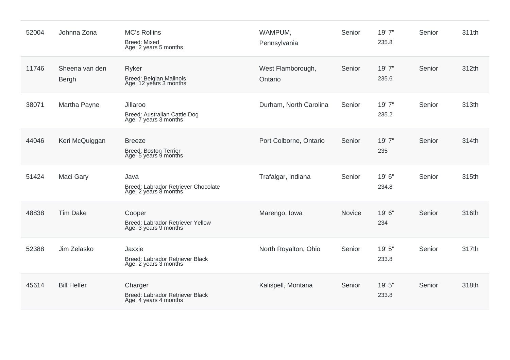| 52004 | Johnna Zona                    | <b>MC's Rollins</b><br><b>Breed: Mixed</b><br>Age: 2 years 5 months    | WAMPUM,<br>Pennsylvania      | Senior | 19' 7"<br>235.8 | Senior | 311th |
|-------|--------------------------------|------------------------------------------------------------------------|------------------------------|--------|-----------------|--------|-------|
| 11746 | Sheena van den<br><b>Bergh</b> | Ryker<br>Breed: Belgian Malinois<br>Age: 12 years 3 months             | West Flamborough,<br>Ontario | Senior | 19' 7"<br>235.6 | Senior | 312th |
| 38071 | Martha Payne                   | Jillaroo<br>Breed: Australian Cattle Dog<br>Age: 7 years 3 months      | Durham, North Carolina       | Senior | 19' 7"<br>235.2 | Senior | 313th |
| 44046 | Keri McQuiggan                 | <b>Breeze</b><br><b>Breed: Boston Terrier</b><br>Age: 5 years 9 months | Port Colborne, Ontario       | Senior | 19' 7"<br>235   | Senior | 314th |
| 51424 | Maci Gary                      | Java<br>Breed: Labrador Retriever Chocolate<br>Age: 2 years 8 months   | Trafalgar, Indiana           | Senior | 19' 6"<br>234.8 | Senior | 315th |
| 48838 | <b>Tim Dake</b>                | Cooper<br>Breed: Labrador Retriever Yellow<br>Age: 3 years 9 months    | Marengo, Iowa                | Novice | 19' 6"<br>234   | Senior | 316th |
| 52388 | Jim Zelasko                    | Jaxxie<br>Breed: Labrador Retriever Black<br>Age: 2 years 3 months     | North Royalton, Ohio         | Senior | 19' 5"<br>233.8 | Senior | 317th |
| 45614 | <b>Bill Helfer</b>             | Charger<br>Breed: Labrador Retriever Black<br>Age: 4 years 4 months    | Kalispell, Montana           | Senior | 19' 5"<br>233.8 | Senior | 318th |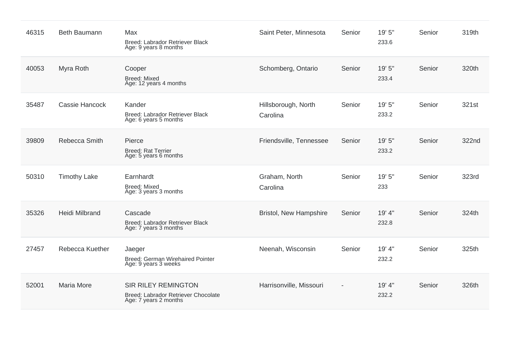| 46315 | <b>Beth Baumann</b>   | Max<br>Breed: Labrador Retriever Black<br>Age: 9 years 8 months                            | Saint Peter, Minnesota          | Senior                   | 19' 5"<br>233.6 | Senior | 319th |
|-------|-----------------------|--------------------------------------------------------------------------------------------|---------------------------------|--------------------------|-----------------|--------|-------|
| 40053 | Myra Roth             | Cooper<br><b>Breed: Mixed</b><br>Age: 12 years 4 months                                    | Schomberg, Ontario              | Senior                   | 19' 5"<br>233.4 | Senior | 320th |
| 35487 | Cassie Hancock        | Kander<br>Breed: Labrador Retriever Black<br>Age: 6 years 5 months                         | Hillsborough, North<br>Carolina | Senior                   | 19' 5"<br>233.2 | Senior | 321st |
| 39809 | Rebecca Smith         | Pierce<br><b>Breed: Rat Terrier</b><br>Age: 5 years 6 months                               | Friendsville, Tennessee         | Senior                   | 19' 5"<br>233.2 | Senior | 322nd |
| 50310 | <b>Timothy Lake</b>   | Earnhardt<br><b>Breed: Mixed</b><br>Age: 3 years 3 months                                  | Graham, North<br>Carolina       | Senior                   | 19' 5"<br>233   | Senior | 323rd |
| 35326 | <b>Heidi Milbrand</b> | Cascade<br>Breed: Labrador Retriever Black<br>Age: 7 years 3 months                        | <b>Bristol, New Hampshire</b>   | Senior                   | 19' 4"<br>232.8 | Senior | 324th |
| 27457 | Rebecca Kuether       | Jaeger<br>Breed: German Wirehaired Pointer<br>Age: 9 years 3 weeks                         | Neenah, Wisconsin               | Senior                   | 19' 4"<br>232.2 | Senior | 325th |
| 52001 | <b>Maria More</b>     | <b>SIR RILEY REMINGTON</b><br>Breed: Labrador Retriever Chocolate<br>Age: 7 years 2 months | Harrisonville, Missouri         | $\overline{\phantom{a}}$ | 19' 4"<br>232.2 | Senior | 326th |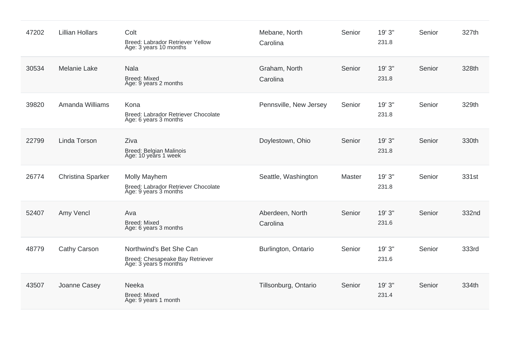| 47202 | <b>Lillian Hollars</b> | Colt<br>Breed: Labrador Retriever Yellow<br>Age: 3 years 10 months                  | Mebane, North<br>Carolina   | Senior | 19' 3"<br>231.8 | Senior | 327th |
|-------|------------------------|-------------------------------------------------------------------------------------|-----------------------------|--------|-----------------|--------|-------|
| 30534 | <b>Melanie Lake</b>    | <b>Nala</b><br><b>Breed: Mixed</b><br>Age: 9 years 2 months                         | Graham, North<br>Carolina   | Senior | 19' 3"<br>231.8 | Senior | 328th |
| 39820 | Amanda Williams        | Kona<br>Breed: Labrador Retriever Chocolate<br>Age: 6 years 3 months                | Pennsville, New Jersey      | Senior | 19' 3"<br>231.8 | Senior | 329th |
| 22799 | Linda Torson           | Ziva<br><b>Breed: Belgian Malinois</b><br>Age: 10 years 1 week                      | Doylestown, Ohio            | Senior | 19' 3"<br>231.8 | Senior | 330th |
| 26774 | Christina Sparker      | Molly Mayhem<br>Breed: Labrador Retriever Chocolate<br>Age: 9 years 3 months        | Seattle, Washington         | Master | 19' 3"<br>231.8 | Senior | 331st |
| 52407 | Amy Vencl              | Ava<br>Breed: Mixed<br>Age: 6 years 3 months                                        | Aberdeen, North<br>Carolina | Senior | 19' 3"<br>231.6 | Senior | 332nd |
| 48779 | Cathy Carson           | Northwind's Bet She Can<br>Breed: Chesapeake Bay Retriever<br>Age: 3 years 5 months | Burlington, Ontario         | Senior | 19' 3"<br>231.6 | Senior | 333rd |
| 43507 | Joanne Casey           | Neeka<br><b>Breed: Mixed</b><br>Age: 9 years 1 month                                | Tillsonburg, Ontario        | Senior | 19' 3"<br>231.4 | Senior | 334th |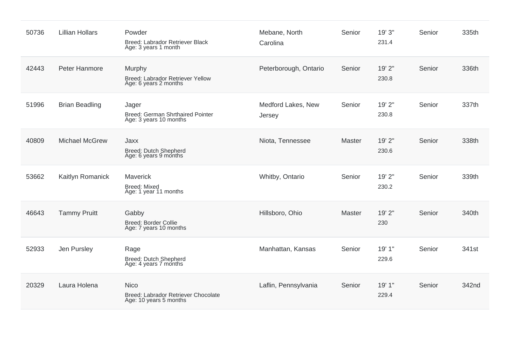| 50736 | <b>Lillian Hollars</b> | Powder<br>Breed: Labrador Retriever Black<br>Age: 3 years 1 month            | Mebane, North<br>Carolina    | Senior        | 19' 3"<br>231.4 | Senior | 335th |
|-------|------------------------|------------------------------------------------------------------------------|------------------------------|---------------|-----------------|--------|-------|
| 42443 | Peter Hanmore          | Murphy<br>Breed: Labrador Retriever Yellow<br>Age: 6 years 2 months          | Peterborough, Ontario        | Senior        | 19' 2"<br>230.8 | Senior | 336th |
| 51996 | <b>Brian Beadling</b>  | Jager<br>Breed: German Shrthaired Pointer<br>Age: 3 years 10 months          | Medford Lakes, New<br>Jersey | Senior        | 19' 2"<br>230.8 | Senior | 337th |
| 40809 | <b>Michael McGrew</b>  | Jaxx<br>Breed: Dutch Shepherd<br>Age: 6 years 9 months                       | Niota, Tennessee             | Master        | 19' 2"<br>230.6 | Senior | 338th |
| 53662 | Kaitlyn Romanick       | Maverick<br><b>Breed: Mixed</b><br>Age: 1 year 11 months                     | Whitby, Ontario              | Senior        | 19' 2"<br>230.2 | Senior | 339th |
| 46643 | <b>Tammy Pruitt</b>    | Gabby<br><b>Breed: Border Collie</b><br>Age: 7 years 10 months               | Hillsboro, Ohio              | <b>Master</b> | 19' 2"<br>230   | Senior | 340th |
| 52933 | Jen Pursley            | Rage<br><b>Breed: Dutch Shepherd</b><br>Age: 4 years 7 months                | Manhattan, Kansas            | Senior        | 19' 1"<br>229.6 | Senior | 341st |
| 20329 | Laura Holena           | <b>Nico</b><br>Breed: Labrador Retriever Chocolate<br>Age: 10 years 5 months | Laflin, Pennsylvania         | Senior        | 19'1"<br>229.4  | Senior | 342nd |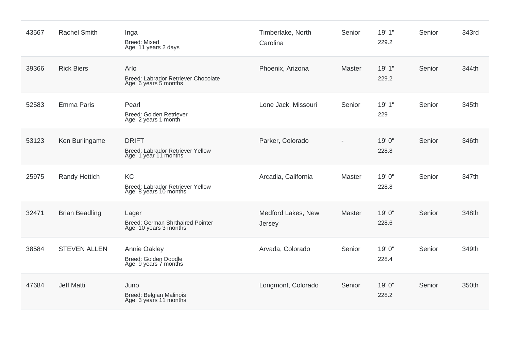| 43567 | <b>Rachel Smith</b>   | Inga<br><b>Breed: Mixed</b><br>Age: 11 years 2 days                       | Timberlake, North<br>Carolina | Senior | 19' 1"<br>229.2 | Senior | 343rd |
|-------|-----------------------|---------------------------------------------------------------------------|-------------------------------|--------|-----------------|--------|-------|
| 39366 | <b>Rick Biers</b>     | Arlo<br>Breed: Labrador Retriever Chocolate<br>Age: 6 years 5 months      | Phoenix, Arizona              | Master | 19' 1"<br>229.2 | Senior | 344th |
| 52583 | <b>Emma Paris</b>     | Pearl<br>Breed: Golden Retriever<br>Age: 2 years 1 month                  | Lone Jack, Missouri           | Senior | 19' 1"<br>229   | Senior | 345th |
| 53123 | Ken Burlingame        | <b>DRIFT</b><br>Breed: Labrador Retriever Yellow<br>Age: 1 year 11 months | Parker, Colorado              |        | 19' 0"<br>228.8 | Senior | 346th |
| 25975 | <b>Randy Hettich</b>  | KC<br>Breed: Labrador Retriever Yellow<br>Age: 8 years 10 months          | Arcadia, California           | Master | 19' 0"<br>228.8 | Senior | 347th |
| 32471 | <b>Brian Beadling</b> | Lager<br>Breed: German Shrthaired Pointer<br>Age: 10 years 3 months       | Medford Lakes, New<br>Jersey  | Master | 19' 0"<br>228.6 | Senior | 348th |
| 38584 | <b>STEVEN ALLEN</b>   | <b>Annie Oakley</b><br>Breed: Golden Doodle<br>Age: 9 years 7 months      | Arvada, Colorado              | Senior | 19' 0"<br>228.4 | Senior | 349th |
| 47684 | <b>Jeff Matti</b>     | Juno<br>Breed: Belgian Malinois<br>Age: 3 years 11 months                 | Longmont, Colorado            | Senior | 19' 0"<br>228.2 | Senior | 350th |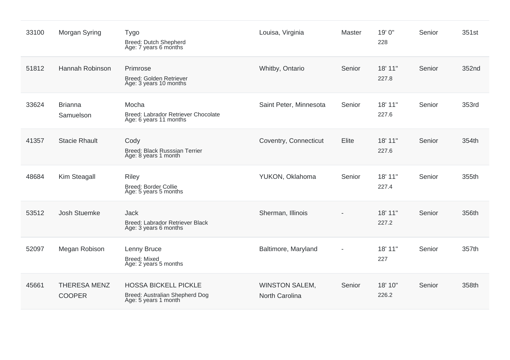| 33100 | Morgan Syring                        | <b>Tygo</b><br>Breed: Dutch Shepherd<br>Age: 7 years 6 months                         | Louisa, Virginia                        | Master | 19' 0"<br>228    | Senior | 351st |
|-------|--------------------------------------|---------------------------------------------------------------------------------------|-----------------------------------------|--------|------------------|--------|-------|
| 51812 | Hannah Robinson                      | Primrose<br>Breed: Golden Retriever<br>Age: 3 years 10 months                         | Whitby, Ontario                         | Senior | 18' 11"<br>227.8 | Senior | 352nd |
| 33624 | <b>Brianna</b><br>Samuelson          | Mocha<br>Breed: Labrador Retriever Chocolate<br>Age: 6 years 11 months                | Saint Peter, Minnesota                  | Senior | 18' 11"<br>227.6 | Senior | 353rd |
| 41357 | <b>Stacie Rhault</b>                 | Cody<br>Breed: Black Russsian Terrier<br>Age: 8 years 1 month                         | Coventry, Connecticut                   | Elite  | 18' 11"<br>227.6 | Senior | 354th |
| 48684 | Kim Steagall                         | <b>Riley</b><br>Breed: Border Collie<br>Age: 5 years 5 months                         | YUKON, Oklahoma                         | Senior | 18' 11"<br>227.4 | Senior | 355th |
| 53512 | <b>Josh Stuemke</b>                  | <b>Jack</b><br>Breed: Labrador Retriever Black<br>Age: 3 years 6 months               | Sherman, Illinois                       |        | 18' 11"<br>227.2 | Senior | 356th |
| 52097 | Megan Robison                        | Lenny Bruce<br>Breed: Mixed<br>Age: 2 years 5 months                                  | Baltimore, Maryland                     |        | 18' 11"<br>227   | Senior | 357th |
| 45661 | <b>THERESA MENZ</b><br><b>COOPER</b> | <b>HOSSA BICKELL PICKLE</b><br>Breed: Australian Shepherd Dog<br>Age: 5 years 1 month | <b>WINSTON SALEM,</b><br>North Carolina | Senior | 18' 10"<br>226.2 | Senior | 358th |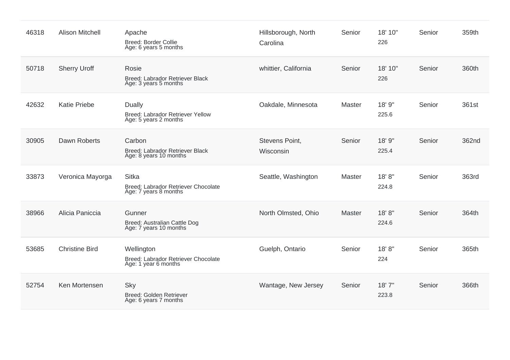| 46318 | <b>Alison Mitchell</b> | Apache<br><b>Breed: Border Collie</b><br>Age: 6 years 5 months               | Hillsborough, North<br>Carolina | Senior | 18' 10"<br>226   | Senior | 359th |
|-------|------------------------|------------------------------------------------------------------------------|---------------------------------|--------|------------------|--------|-------|
| 50718 | <b>Sherry Uroff</b>    | Rosie<br>Breed: Labrador Retriever Black<br>Age: 3 years 5 months            | whittier, California            | Senior | 18' 10"<br>226   | Senior | 360th |
| 42632 | <b>Katie Priebe</b>    | Dually<br>Breed: Labrador Retriever Yellow<br>Age: 5 years 2 months          | Oakdale, Minnesota              | Master | 18' 9"<br>225.6  | Senior | 361st |
| 30905 | Dawn Roberts           | Carbon<br>Breed: Labrador Retriever Black<br>Age: 8 years 10 months          | Stevens Point,<br>Wisconsin     | Senior | 18' 9"<br>225.4  | Senior | 362nd |
| 33873 | Veronica Mayorga       | <b>Sitka</b><br>Breed: Labrador Retriever Chocolate<br>Age: 7 years 8 months | Seattle, Washington             | Master | 18'8"<br>224.8   | Senior | 363rd |
| 38966 | Alicia Paniccia        | Gunner<br>Breed: Australian Cattle Dog<br>Age: 7 years 10 months             | North Olmsted, Ohio             | Master | 18' 8''<br>224.6 | Senior | 364th |
| 53685 | <b>Christine Bird</b>  | Wellington<br>Breed: Labrador Retriever Chocolate<br>Age: 1 year 6 months    | Guelph, Ontario                 | Senior | 18'8"<br>224     | Senior | 365th |
| 52754 | Ken Mortensen          | Sky<br>Breed: Golden Retriever<br>Age: 6 years 7 months                      | Wantage, New Jersey             | Senior | 18'7''<br>223.8  | Senior | 366th |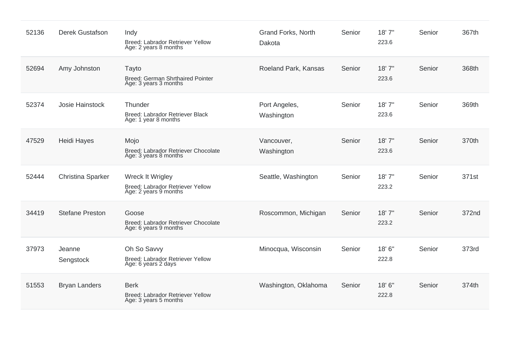| 52136 | <b>Derek Gustafson</b>   | Indy<br>Breed: Labrador Retriever Yellow<br>Age: 2 years 8 months             | Grand Forks, North<br>Dakota | Senior | 18'7"<br>223.6 | Senior | 367th |
|-------|--------------------------|-------------------------------------------------------------------------------|------------------------------|--------|----------------|--------|-------|
| 52694 | Amy Johnston             | Tayto<br><b>Breed: German Shrthaired Pointer</b><br>Age: 3 years 3 months     | Roeland Park, Kansas         | Senior | 18'7"<br>223.6 | Senior | 368th |
| 52374 | Josie Hainstock          | Thunder<br>Breed: Labrador Retriever Black<br>Age: 1 year 8 months            | Port Angeles,<br>Washington  | Senior | 18'7"<br>223.6 | Senior | 369th |
| 47529 | <b>Heidi Hayes</b>       | Mojo<br>Breed: Labrador Retriever Chocolate<br>Age: 3 years 8 months          | Vancouver,<br>Washington     | Senior | 18'7"<br>223.6 | Senior | 370th |
| 52444 | <b>Christina Sparker</b> | Wreck It Wrigley<br>Breed: Labrador Retriever Yellow<br>Age: 2 years 9 months | Seattle, Washington          | Senior | 18'7"<br>223.2 | Senior | 371st |
| 34419 | <b>Stefane Preston</b>   | Goose<br>Breed: Labrador Retriever Chocolate<br>Age: 6 years 9 months         | Roscommon, Michigan          | Senior | 18'7"<br>223.2 | Senior | 372nd |
| 37973 | Jeanne<br>Sengstock      | Oh So Savvy<br>Breed: Labrador Retriever Yellow<br>Age: 6 years 2 days        | Minocqua, Wisconsin          | Senior | 18'6"<br>222.8 | Senior | 373rd |
| 51553 | <b>Bryan Landers</b>     | <b>Berk</b><br>Breed: Labrador Retriever Yellow<br>Age: 3 years 5 months      | Washington, Oklahoma         | Senior | 18'6"<br>222.8 | Senior | 374th |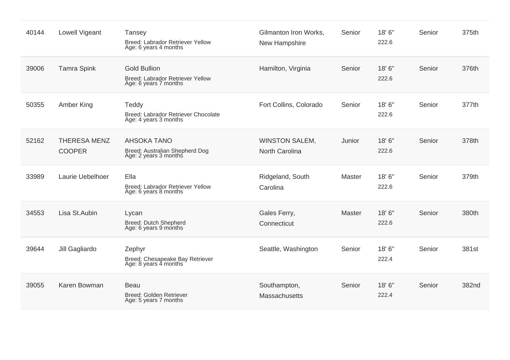| 40144 | Lowell Vigeant                       | Tansey<br>Breed: Labrador Retriever Yellow<br>Age: 6 years 4 months              | Gilmanton Iron Works,<br>New Hampshire  | Senior        | 18' 6"<br>222.6 | Senior | 375th |
|-------|--------------------------------------|----------------------------------------------------------------------------------|-----------------------------------------|---------------|-----------------|--------|-------|
| 39006 | <b>Tamra Spink</b>                   | <b>Gold Bullion</b><br>Breed: Labrador Retriever Yellow<br>Age: 6 years 7 months | Hamilton, Virginia                      | Senior        | 18'6"<br>222.6  | Senior | 376th |
| 50355 | Amber King                           | Teddy<br>Breed: Labrador Retriever Chocolate<br>Age: 4 years 3 months            | Fort Collins, Colorado                  | Senior        | 18' 6"<br>222.6 | Senior | 377th |
| 52162 | <b>THERESA MENZ</b><br><b>COOPER</b> | <b>AHSOKA TANO</b><br>Breed: Australian Shepherd Dog<br>Age: 2 years 3 months    | <b>WINSTON SALEM,</b><br>North Carolina | Junior        | 18'6"<br>222.6  | Senior | 378th |
| 33989 | Laurie Uebelhoer                     | Ella<br>Breed: Labrador Retriever Yellow<br>Age: 6 years 8 months                | Ridgeland, South<br>Carolina            | Master        | 18' 6"<br>222.6 | Senior | 379th |
| 34553 | Lisa St.Aubin                        | Lycan<br>Breed: Dutch Shepherd<br>Age: 6 years 9 months                          | Gales Ferry,<br>Connecticut             | <b>Master</b> | 18'6"<br>222.6  | Senior | 380th |
| 39644 | Jill Gagliardo                       | Zephyr<br>Breed: Chesapeake Bay Retriever<br>Age: 8 years 4 months               | Seattle, Washington                     | Senior        | 18' 6"<br>222.4 | Senior | 381st |
| 39055 | Karen Bowman                         | <b>Beau</b><br>Breed: Golden Retriever<br>Age: 5 years 7 months                  | Southampton,<br>Massachusetts           | Senior        | 18'6''<br>222.4 | Senior | 382nd |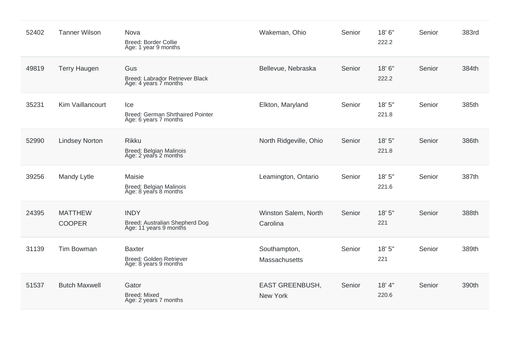| 52402 | <b>Tanner Wilson</b>            | Nova<br><b>Breed: Border Collie</b><br>Age: 1 year 9 months             | Wakeman, Ohio                        | Senior | 18'6"<br>222.2  | Senior | 383rd |
|-------|---------------------------------|-------------------------------------------------------------------------|--------------------------------------|--------|-----------------|--------|-------|
| 49819 | <b>Terry Haugen</b>             | Gus<br>Breed: Labrador Retriever Black<br>Age: 4 years 7 months         | Bellevue, Nebraska                   | Senior | 18'6"<br>222.2  | Senior | 384th |
| 35231 | Kim Vaillancourt                | Ice<br>Breed: German Shrthaired Pointer<br>Age: 6 years 7 months        | Elkton, Maryland                     | Senior | 18' 5"<br>221.8 | Senior | 385th |
| 52990 | <b>Lindsey Norton</b>           | <b>Rikku</b><br>Breed: Belgian Malinois<br>Age: 2 years 2 months        | North Ridgeville, Ohio               | Senior | 18' 5"<br>221.8 | Senior | 386th |
| 39256 | Mandy Lytle                     | Maisie<br>Breed: Belgian Malinois<br>Age: 8 years 8 months              | Leamington, Ontario                  | Senior | 18' 5"<br>221.6 | Senior | 387th |
| 24395 | <b>MATTHEW</b><br><b>COOPER</b> | <b>INDY</b><br>Breed: Australian Shepherd Dog<br>Age: 11 years 9 months | Winston Salem, North<br>Carolina     | Senior | 18' 5"<br>221   | Senior | 388th |
| 31139 | <b>Tim Bowman</b>               | <b>Baxter</b><br>Breed: Golden Retriever<br>Age: 8 years 9 months       | Southampton,<br><b>Massachusetts</b> | Senior | 18' 5"<br>221   | Senior | 389th |
| 51537 | <b>Butch Maxwell</b>            | Gator<br><b>Breed: Mixed</b><br>Age: 2 years 7 months                   | <b>EAST GREENBUSH,</b><br>New York   | Senior | 18' 4"<br>220.6 | Senior | 390th |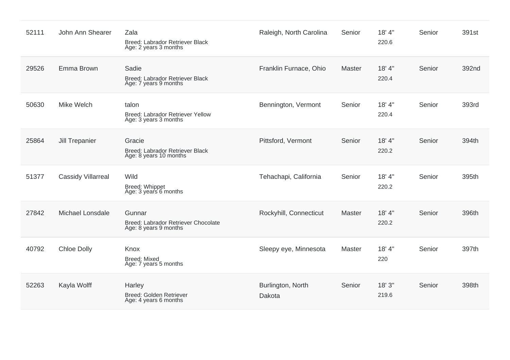| 52111 | John Ann Shearer          | Zala<br>Breed: Labrador Retriever Black<br>Age: 2 years 3 months       | Raleigh, North Carolina     | Senior | 18' 4"<br>220.6 | Senior | 391st |
|-------|---------------------------|------------------------------------------------------------------------|-----------------------------|--------|-----------------|--------|-------|
| 29526 | Emma Brown                | Sadie<br>Breed: Labrador Retriever Black<br>Age: 7 years 9 months      | Franklin Furnace, Ohio      | Master | 18' 4"<br>220.4 | Senior | 392nd |
| 50630 | Mike Welch                | talon<br>Breed: Labrador Retriever Yellow<br>Age: 3 years 3 months     | Bennington, Vermont         | Senior | 18' 4"<br>220.4 | Senior | 393rd |
| 25864 | <b>Jill Trepanier</b>     | Gracie<br>Breed: Labrador Retriever Black<br>Age: 8 years 10 months    | Pittsford, Vermont          | Senior | 18' 4"<br>220.2 | Senior | 394th |
| 51377 | <b>Cassidy Villarreal</b> | Wild<br>Breed: Whippet<br>Age: 3 years 6 months                        | Tehachapi, California       | Senior | 18' 4"<br>220.2 | Senior | 395th |
| 27842 | <b>Michael Lonsdale</b>   | Gunnar<br>Breed: Labrador Retriever Chocolate<br>Age: 8 years 9 months | Rockyhill, Connecticut      | Master | 18' 4"<br>220.2 | Senior | 396th |
| 40792 | <b>Chloe Dolly</b>        | Knox<br><b>Breed: Mixed</b><br>Age: 7 years 5 months                   | Sleepy eye, Minnesota       | Master | 18' 4"<br>220   | Senior | 397th |
| 52263 | Kayla Wolff               | Harley<br>Breed: Golden Retriever<br>Age: 4 years 6 months             | Burlington, North<br>Dakota | Senior | 18'3''<br>219.6 | Senior | 398th |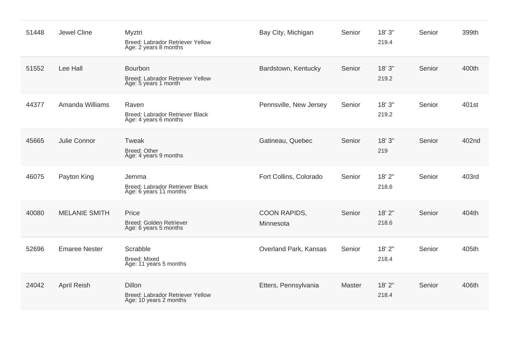| 51448 | Jewel Cline          | Myztri<br>Breed: Labrador Retriever Yellow<br>Age: 2 years 8 months         | Bay City, Michigan               | Senior | 18'3''<br>219.4 | Senior | 399th |
|-------|----------------------|-----------------------------------------------------------------------------|----------------------------------|--------|-----------------|--------|-------|
| 51552 | Lee Hall             | Bourbon<br>Breed: Labrador Retriever Yellow<br>Age: 5 years 1 month         | Bardstown, Kentucky              | Senior | 18'3''<br>219.2 | Senior | 400th |
| 44377 | Amanda Williams      | Raven<br>Breed: Labrador Retriever Black<br>Age: 4 years 6 months           | Pennsville, New Jersey           | Senior | 18'3''<br>219.2 | Senior | 401st |
| 45665 | Julie Connor         | Tweak<br><b>Breed: Other</b><br>Age: 4 years 9 months                       | Gatineau, Quebec                 | Senior | 18'3''<br>219   | Senior | 402nd |
| 46075 | Payton King          | Jemma<br>Breed: Labrador Retriever Black<br>Age: 6 years 11 months          | Fort Collins, Colorado           | Senior | 18' 2"<br>218.6 | Senior | 403rd |
| 40080 | <b>MELANIE SMITH</b> | Price<br>Breed: Golden Retriever<br>Age: 6 years 5 months                   | <b>COON RAPIDS,</b><br>Minnesota | Senior | 18' 2"<br>218.6 | Senior | 404th |
| 52696 | <b>Emaree Nester</b> | Scrabble<br>Breed: Mixed<br>Age: 11 years 5 months                          | Overland Park, Kansas            | Senior | 18' 2"<br>218.4 | Senior | 405th |
| 24042 | <b>April Reish</b>   | <b>Dillon</b><br>Breed: Labrador Retriever Yellow<br>Age: 10 years 2 months | Etters, Pennsylvania             | Master | 18' 2"<br>218.4 | Senior | 406th |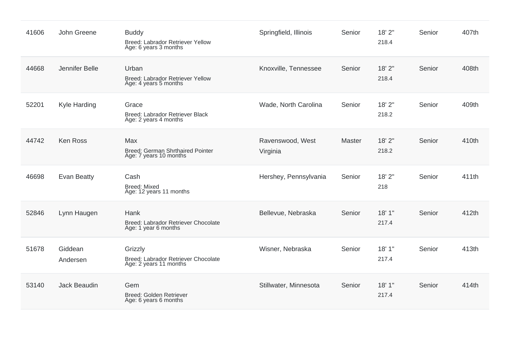| 41606 | John Greene         | <b>Buddy</b><br>Breed: Labrador Retriever Yellow<br>Age: 6 years 3 months | Springfield, Illinois        | Senior        | 18' 2"<br>218.4 | Senior | 407th |
|-------|---------------------|---------------------------------------------------------------------------|------------------------------|---------------|-----------------|--------|-------|
| 44668 | Jennifer Belle      | Urban<br>Breed: Labrador Retriever Yellow<br>Age: 4 years 5 months        | Knoxville, Tennessee         | Senior        | 18' 2"<br>218.4 | Senior | 408th |
| 52201 | Kyle Harding        | Grace<br>Breed: Labrador Retriever Black<br>Age: 2 years 4 months         | Wade, North Carolina         | Senior        | 18' 2"<br>218.2 | Senior | 409th |
| 44742 | <b>Ken Ross</b>     | Max<br><b>Breed: German Shrthaired Pointer</b><br>Age: 7 years 10 months  | Ravenswood, West<br>Virginia | <b>Master</b> | 18' 2"<br>218.2 | Senior | 410th |
| 46698 | Evan Beatty         | Cash<br><b>Breed: Mixed</b><br>Age: 12 years 11 months                    | Hershey, Pennsylvania        | Senior        | 18' 2"<br>218   | Senior | 411th |
| 52846 | Lynn Haugen         | Hank<br>Breed: Labrador Retriever Chocolate<br>Age: 1 year 6 months       | Bellevue, Nebraska           | Senior        | 18'1"<br>217.4  | Senior | 412th |
| 51678 | Giddean<br>Andersen | Grizzly<br>Breed: Labrador Retriever Chocolate<br>Age: 2 years 11 months  | Wisner, Nebraska             | Senior        | 18'1"<br>217.4  | Senior | 413th |
| 53140 | Jack Beaudin        | Gem<br>Breed: Golden Retriever<br>Age: 6 years 6 months                   | Stillwater, Minnesota        | Senior        | 18'1"<br>217.4  | Senior | 414th |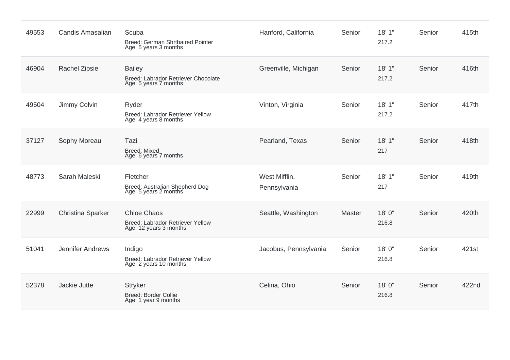| 49553 | <b>Candis Amasalian</b>  | Scuba<br><b>Breed: German Shrthaired Pointer</b><br>Age: 5 years 3 months        | Hanford, California           | Senior | 18'1"<br>217.2 | Senior | 415th |
|-------|--------------------------|----------------------------------------------------------------------------------|-------------------------------|--------|----------------|--------|-------|
| 46904 | <b>Rachel Zipsie</b>     | <b>Bailey</b><br>Breed: Labrador Retriever Chocolate<br>Age: 5 years 7 months    | Greenville, Michigan          | Senior | 18'1"<br>217.2 | Senior | 416th |
| 49504 | Jimmy Colvin             | Ryder<br>Breed: Labrador Retriever Yellow<br>Age: 4 years 8 months               | Vinton, Virginia              | Senior | 18'1"<br>217.2 | Senior | 417th |
| 37127 | Sophy Moreau             | Tazi<br><b>Breed: Mixed</b><br>Age: 6 years 7 months                             | Pearland, Texas               | Senior | 18'1"<br>217   | Senior | 418th |
| 48773 | Sarah Maleski            | Fletcher<br>Breed: Australian Shepherd Dog<br>Age: 5 years 2 months              | West Mifflin,<br>Pennsylvania | Senior | 18'1"<br>217   | Senior | 419th |
| 22999 | <b>Christina Sparker</b> | <b>Chloe Chaos</b><br>Breed: Labrador Retriever Yellow<br>Age: 12 years 3 months | Seattle, Washington           | Master | 18'0"<br>216.8 | Senior | 420th |
| 51041 | <b>Jennifer Andrews</b>  | Indigo<br>Breed: Labrador Retriever Yellow<br>Age: 2 years 10 months             | Jacobus, Pennsylvania         | Senior | 18'0"<br>216.8 | Senior | 421st |
| 52378 | Jackie Jutte             | <b>Stryker</b><br>Breed: Border Collie<br>Age: 1 year 9 months                   | Celina, Ohio                  | Senior | 18'0"<br>216.8 | Senior | 422nd |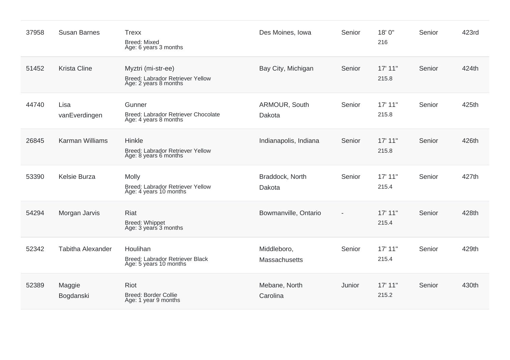| 37958 | <b>Susan Barnes</b>      | <b>Trexx</b><br><b>Breed: Mixed</b><br>Age: 6 years 3 months                    | Des Moines, Iowa             | Senior | 18'0"<br>216     | Senior | 423rd |
|-------|--------------------------|---------------------------------------------------------------------------------|------------------------------|--------|------------------|--------|-------|
| 51452 | <b>Krista Cline</b>      | Myztri (mi-str-ee)<br>Breed: Labrador Retriever Yellow<br>Age: 2 years 8 months | Bay City, Michigan           | Senior | 17' 11"<br>215.8 | Senior | 424th |
| 44740 | Lisa<br>vanEverdingen    | Gunner<br>Breed: Labrador Retriever Chocolate<br>Age: 4 years 8 months          | ARMOUR, South<br>Dakota      | Senior | 17' 11"<br>215.8 | Senior | 425th |
| 26845 | <b>Karman Williams</b>   | Hinkle<br>Breed: Labrador Retriever Yellow<br>Age: 8 years 6 months             | Indianapolis, Indiana        | Senior | 17' 11"<br>215.8 | Senior | 426th |
| 53390 | Kelsie Burza             | <b>Molly</b><br>Breed: Labrador Retriever Yellow<br>Age: 4 years 10 months      | Braddock, North<br>Dakota    | Senior | 17' 11"<br>215.4 | Senior | 427th |
| 54294 | Morgan Jarvis            | Riat<br>Breed: Whippet<br>Age: 3 years 3 months                                 | Bowmanville, Ontario         |        | 17' 11"<br>215.4 | Senior | 428th |
| 52342 | <b>Tabitha Alexander</b> | Houlihan<br>Breed: Labrador Retriever Black<br>Age: 5 years 10 months           | Middleboro,<br>Massachusetts | Senior | 17' 11"<br>215.4 | Senior | 429th |
| 52389 | Maggie<br>Bogdanski      | Riot<br><b>Breed: Border Collie</b><br>Age: 1 year 9 months                     | Mebane, North<br>Carolina    | Junior | 17' 11"<br>215.2 | Senior | 430th |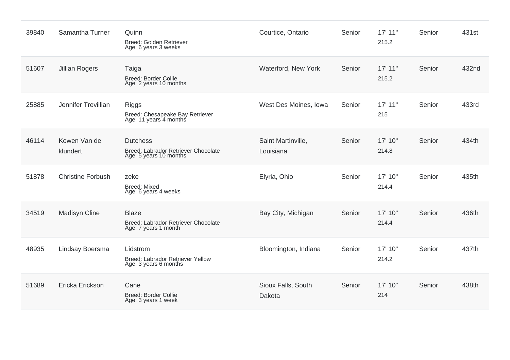| 39840 | Samantha Turner          | Quinn<br>Breed: Golden Retriever<br>Age: 6 years 3 weeks                         | Courtice, Ontario               | Senior | 17' 11"<br>215.2 | Senior | 431st |
|-------|--------------------------|----------------------------------------------------------------------------------|---------------------------------|--------|------------------|--------|-------|
| 51607 | <b>Jillian Rogers</b>    | Taiga<br>Breed: Border Collie<br>Age: 2 years 10 months                          | Waterford, New York             | Senior | 17' 11"<br>215.2 | Senior | 432nd |
| 25885 | Jennifer Trevillian      | <b>Riggs</b><br>Breed: Chesapeake Bay Retriever<br>Age: 11 years 4 months        | West Des Moines, Iowa           | Senior | 17' 11"<br>215   | Senior | 433rd |
| 46114 | Kowen Van de<br>klundert | <b>Dutchess</b><br>Breed: Labrador Retriever Chocolate<br>Age: 5 years 10 months | Saint Martinville,<br>Louisiana | Senior | 17' 10"<br>214.8 | Senior | 434th |
| 51878 | <b>Christine Forbush</b> | zeke<br><b>Breed: Mixed</b><br>Age: 6 years 4 weeks                              | Elyria, Ohio                    | Senior | 17' 10"<br>214.4 | Senior | 435th |
| 34519 | <b>Madisyn Cline</b>     | <b>Blaze</b><br>Breed: Labrador Retriever Chocolate<br>Age: 7 years 1 month      | Bay City, Michigan              | Senior | 17' 10"<br>214.4 | Senior | 436th |
| 48935 | Lindsay Boersma          | Lidstrom<br>Breed: Labrador Retriever Yellow<br>Age: 3 years 6 months            | Bloomington, Indiana            | Senior | 17' 10"<br>214.2 | Senior | 437th |
| 51689 | Ericka Erickson          | Cane<br><b>Breed: Border Collie</b><br>Age: 3 years 1 week                       | Sioux Falls, South<br>Dakota    | Senior | 17' 10"<br>214   | Senior | 438th |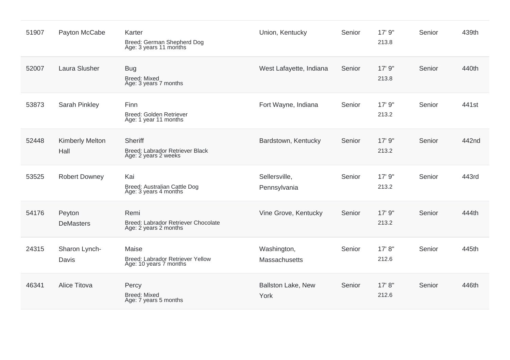| 51907 | Payton McCabe                  | Karter<br>Breed: German Shepherd Dog<br>Age: 3 years 11 months       | Union, Kentucky               | Senior | 17' 9"<br>213.8  | Senior | 439th             |
|-------|--------------------------------|----------------------------------------------------------------------|-------------------------------|--------|------------------|--------|-------------------|
| 52007 | Laura Slusher                  | <b>Bug</b><br><b>Breed: Mixed</b><br>Age: 3 years 7 months           | West Lafayette, Indiana       | Senior | 17' 9"<br>213.8  | Senior | 440th             |
| 53873 | Sarah Pinkley                  | Finn<br>Breed: Golden Retriever<br>Age: 1 year 11 months             | Fort Wayne, Indiana           | Senior | 17' 9"<br>213.2  | Senior | 441 <sub>st</sub> |
| 52448 | <b>Kimberly Melton</b><br>Hall | Sheriff<br>Breed: Labrador Retriever Black<br>Age: 2 years 2 weeks   | Bardstown, Kentucky           | Senior | 17' 9"<br>213.2  | Senior | 442nd             |
| 53525 | <b>Robert Downey</b>           | Kai<br>Breed: Australian Cattle Dog<br>Age: 3 years 4 months         | Sellersville,<br>Pennsylvania | Senior | 17' 9"<br>213.2  | Senior | 443rd             |
| 54176 | Peyton<br><b>DeMasters</b>     | Remi<br>Breed: Labrador Retriever Chocolate<br>Age: 2 years 2 months | Vine Grove, Kentucky          | Senior | 17' 9"<br>213.2  | Senior | 444th             |
| 24315 | Sharon Lynch-<br>Davis         | Maise<br>Breed: Labrador Retriever Yellow<br>Age: 10 years 7 months  | Washington,<br>Massachusetts  | Senior | 17' 8''<br>212.6 | Senior | 445th             |
| 46341 | <b>Alice Titova</b>            | Percy<br><b>Breed: Mixed</b><br>Age: 7 years 5 months                | Ballston Lake, New<br>York    | Senior | 17' 8"<br>212.6  | Senior | 446th             |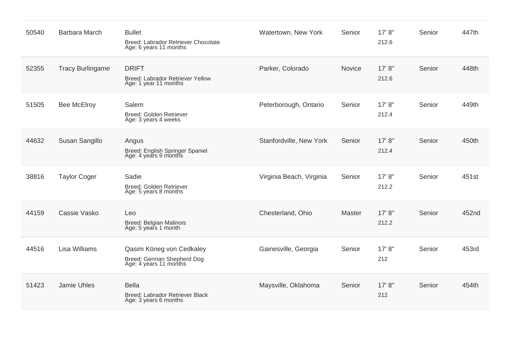| 50540 | Barbara March           | <b>Bullet</b><br>Breed: Labrador Retriever Chocolate<br>Age: 6 years 11 months   | Watertown, New York      | Senior        | 17' 8''<br>212.6 | Senior | 447th |
|-------|-------------------------|----------------------------------------------------------------------------------|--------------------------|---------------|------------------|--------|-------|
| 52355 | <b>Tracy Burlingame</b> | <b>DRIFT</b><br>Breed: Labrador Retriever Yellow<br>Age: 1 year 11 months        | Parker, Colorado         | Novice        | 17' 8"<br>212.6  | Senior | 448th |
| 51505 | <b>Bee McElroy</b>      | Salem<br>Breed: Golden Retriever<br>Age: 3 years 4 weeks                         | Peterborough, Ontario    | Senior        | 17' 8''<br>212.4 | Senior | 449th |
| 44632 | Susan Sangillo          | Angus<br>Breed: English Springer Spaniel<br>Age: 4 years 9 months                | Stanfordville, New York  | Senior        | 17' 8''<br>212.4 | Senior | 450th |
| 38816 | <b>Taylor Coger</b>     | Sadie<br>Breed: Golden Retriever<br>Age: 5 years 8 months                        | Virginia Beach, Virginia | Senior        | 17' 8''<br>212.2 | Senior | 451st |
| 44159 | Cassie Vasko            | Leo<br>Breed: Belgian Malinois<br>Age: 5 years 1 month                           | Chesterland, Ohio        | <b>Master</b> | 17' 8''<br>212.2 | Senior | 452nd |
| 44516 | <b>Lisa Williams</b>    | Qasim Köneg von Cedkaley<br>Breed: German Shepherd Dog<br>Age: 4 years 11 months | Gainesville, Georgia     | Senior        | 17' 8''<br>212   | Senior | 453rd |
| 51423 | Jamie Uhles             | <b>Bella</b><br>Breed: Labrador Retriever Black<br>Age: 3 years 6 months         | Maysville, Oklahoma      | Senior        | 17' 8"<br>212    | Senior | 454th |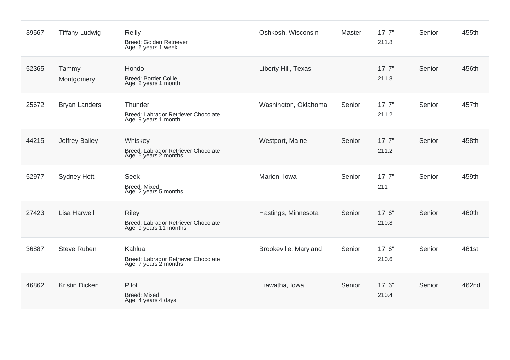| 39567 | <b>Tiffany Ludwig</b> | <b>Reilly</b><br>Breed: Golden Retriever<br>Age: 6 years 1 week               | Oshkosh, Wisconsin    | <b>Master</b> | 17'7''<br>211.8 | Senior | 455th |
|-------|-----------------------|-------------------------------------------------------------------------------|-----------------------|---------------|-----------------|--------|-------|
| 52365 | Tammy<br>Montgomery   | Hondo<br><b>Breed: Border Collie</b><br>Age: 2 years 1 month                  | Liberty Hill, Texas   |               | 17'7''<br>211.8 | Senior | 456th |
| 25672 | <b>Bryan Landers</b>  | Thunder<br>Breed: Labrador Retriever Chocolate<br>Age: 9 years 1 month        | Washington, Oklahoma  | Senior        | 17'7''<br>211.2 | Senior | 457th |
| 44215 | <b>Jeffrey Bailey</b> | Whiskey<br>Breed: Labrador Retriever Chocolate<br>Age: 5 years 2 months       | Westport, Maine       | Senior        | 17'7''<br>211.2 | Senior | 458th |
| 52977 | <b>Sydney Hott</b>    | <b>Seek</b><br><b>Breed: Mixed</b><br>Age: 2 years 5 months                   | Marion, Iowa          | Senior        | 17'7''<br>211   | Senior | 459th |
| 27423 | <b>Lisa Harwell</b>   | <b>Riley</b><br>Breed: Labrador Retriever Chocolate<br>Age: 9 years 11 months | Hastings, Minnesota   | Senior        | 17' 6"<br>210.8 | Senior | 460th |
| 36887 | <b>Steve Ruben</b>    | Kahlua<br>Breed: Labrador Retriever Chocolate<br>Age: 7 years 2 months        | Brookeville, Maryland | Senior        | 17' 6"<br>210.6 | Senior | 461st |
| 46862 | <b>Kristin Dicken</b> | Pilot<br><b>Breed: Mixed</b><br>Age: 4 years 4 days                           | Hiawatha, Iowa        | Senior        | 17' 6"<br>210.4 | Senior | 462nd |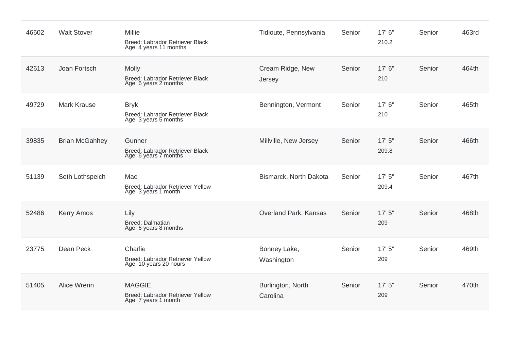| 46602 | <b>Walt Stover</b>    | <b>Millie</b><br>Breed: Labrador Retriever Black<br>Age: 4 years 11 months | Tidioute, Pennsylvania        | Senior | 17' 6"<br>210.2 | Senior | 463rd |
|-------|-----------------------|----------------------------------------------------------------------------|-------------------------------|--------|-----------------|--------|-------|
| 42613 | Joan Fortsch          | Molly<br>Breed: Labrador Retriever Black<br>Age: 6 years 2 months          | Cream Ridge, New<br>Jersey    | Senior | 17' 6"<br>210   | Senior | 464th |
| 49729 | <b>Mark Krause</b>    | <b>Bryk</b><br>Breed: Labrador Retriever Black<br>Age: 3 years 5 months    | Bennington, Vermont           | Senior | 17'6''<br>210   | Senior | 465th |
| 39835 | <b>Brian McGahhey</b> | Gunner<br>Breed: Labrador Retriever Black<br>Age: 6 years 7 months         | Millville, New Jersey         | Senior | 17'5''<br>209.8 | Senior | 466th |
| 51139 | Seth Lothspeich       | Mac<br>Breed: Labrador Retriever Yellow<br>Age: 3 years 1 month            | Bismarck, North Dakota        | Senior | 17'5''<br>209.4 | Senior | 467th |
| 52486 | <b>Kerry Amos</b>     | Lily<br>Breed: Dalmatian<br>Age: 6 years 8 months                          | Overland Park, Kansas         | Senior | 17'5''<br>209   | Senior | 468th |
| 23775 | Dean Peck             | Charlie<br>Breed: Labrador Retriever Yellow<br>Age: 10 years 20 hours      | Bonney Lake,<br>Washington    | Senior | 17'5''<br>209   | Senior | 469th |
| 51405 | Alice Wrenn           | <b>MAGGIE</b><br>Breed: Labrador Retriever Yellow<br>Age: 7 years 1 month  | Burlington, North<br>Carolina | Senior | 17'5''<br>209   | Senior | 470th |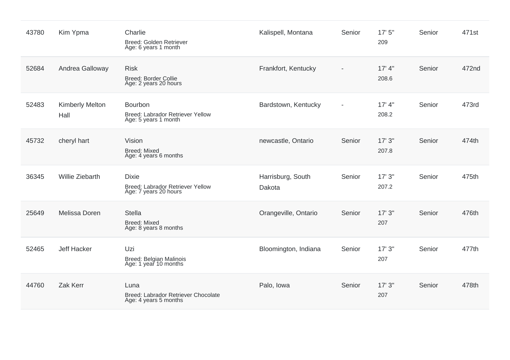| 43780 | Kim Ypma                       | Charlie<br>Breed: Golden Retriever<br>Age: 6 years 1 month                | Kalispell, Montana          | Senior                   | 17'5''<br>209    | Senior | 471st |
|-------|--------------------------------|---------------------------------------------------------------------------|-----------------------------|--------------------------|------------------|--------|-------|
| 52684 | Andrea Galloway                | <b>Risk</b><br>Breed: Border Collie<br>Age: 2 years 20 hours              | Frankfort, Kentucky         |                          | 17' 4''<br>208.6 | Senior | 472nd |
| 52483 | <b>Kimberly Melton</b><br>Hall | Bourbon<br>Breed: Labrador Retriever Yellow<br>Age: 5 years 1 month       | Bardstown, Kentucky         | $\overline{\phantom{0}}$ | 17' 4"<br>208.2  | Senior | 473rd |
| 45732 | cheryl hart                    | Vision<br><b>Breed: Mixed</b><br>Age: 4 years 6 months                    | newcastle, Ontario          | Senior                   | 17'3''<br>207.8  | Senior | 474th |
| 36345 | <b>Willie Ziebarth</b>         | <b>Dixie</b><br>Breed: Labrador Retriever Yellow<br>Age: 7 years 20 hours | Harrisburg, South<br>Dakota | Senior                   | 17'3''<br>207.2  | Senior | 475th |
| 25649 | Melissa Doren                  | <b>Stella</b><br><b>Breed: Mixed</b><br>Age: 8 years 8 months             | Orangeville, Ontario        | Senior                   | 17'3''<br>207    | Senior | 476th |
| 52465 | Jeff Hacker                    | Uzi<br>Breed: Belgian Malinois<br>Age: 1 year 10 months                   | Bloomington, Indiana        | Senior                   | 17'3''<br>207    | Senior | 477th |
| 44760 | Zak Kerr                       | Luna<br>Breed: Labrador Retriever Chocolate<br>Age: 4 years 5 months      | Palo, Iowa                  | Senior                   | 17'3''<br>207    | Senior | 478th |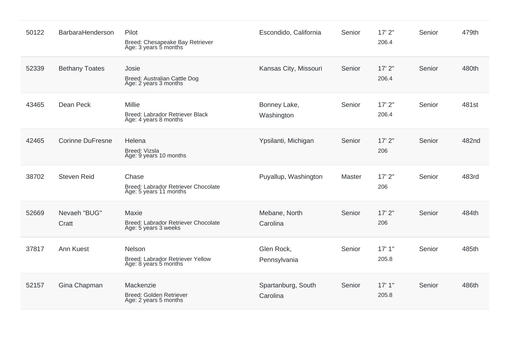| 50122 | BarbaraHenderson        | Pilot<br>Breed: Chesapeake Bay Retriever<br>Age: 3 years 5 months          | Escondido, California          | Senior | 17'2"<br>206.4    | Senior | 479th |
|-------|-------------------------|----------------------------------------------------------------------------|--------------------------------|--------|-------------------|--------|-------|
| 52339 | <b>Bethany Toates</b>   | Josie<br>Breed: Australian Cattle Dog<br>Age: 2 years 3 months             | Kansas City, Missouri          | Senior | $17'$ 2"<br>206.4 | Senior | 480th |
| 43465 | Dean Peck               | Millie<br>Breed: Labrador Retriever Black<br>Age: 4 years 8 months         | Bonney Lake,<br>Washington     | Senior | 17'2"<br>206.4    | Senior | 481st |
| 42465 | <b>Corinne DuFresne</b> | Helena<br>Breed: Vizsla<br>Age: 9 years 10 months                          | Ypsilanti, Michigan            | Senior | 17'2''<br>206     | Senior | 482nd |
| 38702 | <b>Steven Reid</b>      | Chase<br>Breed: Labrador Retriever Chocolate<br>Age: 5 years 11 months     | Puyallup, Washington           | Master | $17'$ 2"<br>206   | Senior | 483rd |
| 52669 | Nevaeh "BUG"<br>Cratt   | Maxie<br>Breed: Labrador Retriever Chocolate<br>Age: 5 years 3 weeks       | Mebane, North<br>Carolina      | Senior | $17'$ 2"<br>206   | Senior | 484th |
| 37817 | Ann Kuest               | <b>Nelson</b><br>Breed: Labrador Retriever Yellow<br>Age: 8 years 5 months | Glen Rock,<br>Pennsylvania     | Senior | 17'1"<br>205.8    | Senior | 485th |
| 52157 | Gina Chapman            | Mackenzie<br>Breed: Golden Retriever<br>Age: 2 years 5 months              | Spartanburg, South<br>Carolina | Senior | 17'1"<br>205.8    | Senior | 486th |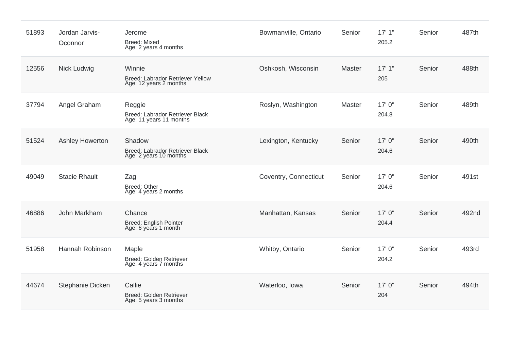| 51893 | Jordan Jarvis-<br>Oconnor | Jerome<br><b>Breed: Mixed</b><br>Age: 2 years 4 months               | Bowmanville, Ontario  | Senior | 17'1"<br>205.2  | Senior | 487th |
|-------|---------------------------|----------------------------------------------------------------------|-----------------------|--------|-----------------|--------|-------|
| 12556 | Nick Ludwig               | Winnie<br>Breed: Labrador Retriever Yellow<br>Age: 12 years 2 months | Oshkosh, Wisconsin    | Master | 17'1''<br>205   | Senior | 488th |
| 37794 | Angel Graham              | Reggie<br>Breed: Labrador Retriever Black<br>Age: 11 years 11 months | Roslyn, Washington    | Master | 17'0''<br>204.8 | Senior | 489th |
| 51524 | Ashley Howerton           | Shadow<br>Breed: Labrador Retriever Black<br>Age: 2 years 10 months  | Lexington, Kentucky   | Senior | 17'0''<br>204.6 | Senior | 490th |
| 49049 | <b>Stacie Rhault</b>      | Zag<br><b>Breed: Other</b><br>Age: 4 years 2 months                  | Coventry, Connecticut | Senior | 17'0''<br>204.6 | Senior | 491st |
| 46886 | John Markham              | Chance<br>Breed: English Pointer<br>Age: 6 years 1 month             | Manhattan, Kansas     | Senior | 17'0''<br>204.4 | Senior | 492nd |
| 51958 | Hannah Robinson           | Maple<br>Breed: Golden Retriever<br>Age: 4 years 7 months            | Whitby, Ontario       | Senior | 17'0''<br>204.2 | Senior | 493rd |
| 44674 | Stephanie Dicken          | Callie<br><b>Breed: Golden Retriever</b><br>Age: 5 years 3 months    | Waterloo, Iowa        | Senior | 17'0''<br>204   | Senior | 494th |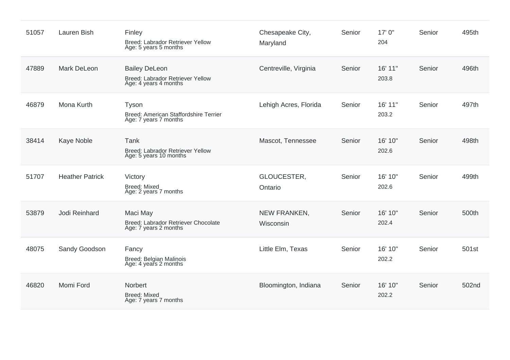| 51057 | Lauren Bish            | Finley<br>Breed: Labrador Retriever Yellow<br>Age: 5 years 5 months               | Chesapeake City,<br>Maryland | Senior | 17' 0"<br>204    | Senior | 495th |
|-------|------------------------|-----------------------------------------------------------------------------------|------------------------------|--------|------------------|--------|-------|
| 47889 | <b>Mark DeLeon</b>     | <b>Bailey DeLeon</b><br>Breed: Labrador Retriever Yellow<br>Age: 4 years 4 months | Centreville, Virginia        | Senior | 16' 11"<br>203.8 | Senior | 496th |
| 46879 | Mona Kurth             | Tyson<br>Breed: American Staffordshire Terrier<br>Age: 7 years 7 months           | Lehigh Acres, Florida        | Senior | 16' 11"<br>203.2 | Senior | 497th |
| 38414 | Kaye Noble             | Tank<br>Breed: Labrador Retriever Yellow<br>Age: 5 years 10 months                | Mascot, Tennessee            | Senior | 16' 10"<br>202.6 | Senior | 498th |
| 51707 | <b>Heather Patrick</b> | Victory<br><b>Breed: Mixed</b><br>Age: 2 years 7 months                           | GLOUCESTER,<br>Ontario       | Senior | 16' 10"<br>202.6 | Senior | 499th |
| 53879 | Jodi Reinhard          | Maci May<br>Breed: Labrador Retriever Chocolate<br>Age: 7 years 2 months          | NEW FRANKEN,<br>Wisconsin    | Senior | 16' 10"<br>202.4 | Senior | 500th |
| 48075 | Sandy Goodson          | Fancy<br>Breed: Belgian Malinois<br>Age: 4 years 2 months                         | Little Elm, Texas            | Senior | 16' 10"<br>202.2 | Senior | 501st |
| 46820 | Momi Ford              | Norbert<br><b>Breed: Mixed</b><br>Age: 7 years 7 months                           | Bloomington, Indiana         | Senior | 16' 10"<br>202.2 | Senior | 502nd |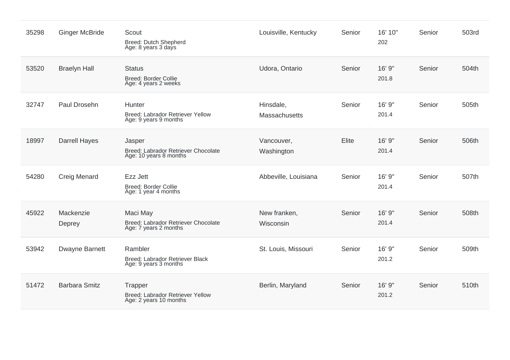| 35298 | <b>Ginger McBride</b> | Scout<br><b>Breed: Dutch Shepherd</b><br>Age: 8 years 3 days                   | Louisville, Kentucky              | Senior | 16' 10"<br>202  | Senior | 503rd |
|-------|-----------------------|--------------------------------------------------------------------------------|-----------------------------------|--------|-----------------|--------|-------|
| 53520 | <b>Braelyn Hall</b>   | <b>Status</b><br><b>Breed: Border Collie</b><br>Age: 4 years 2 weeks           | Udora, Ontario                    | Senior | 16' 9"<br>201.8 | Senior | 504th |
| 32747 | Paul Drosehn          | Hunter<br>Breed: Labrador Retriever Yellow<br>Age: 9 years 9 months            | Hinsdale,<br><b>Massachusetts</b> | Senior | 16' 9"<br>201.4 | Senior | 505th |
| 18997 | <b>Darrell Hayes</b>  | Jasper<br><b>Breed: Labrador Retriever Chocolate</b><br>Age: 10 years 8 months | Vancouver,<br>Washington          | Elite  | 16' 9"<br>201.4 | Senior | 506th |
| 54280 | <b>Creig Menard</b>   | Ezz Jett<br><b>Breed: Border Collie</b><br>Age: 1 year 4 months                | Abbeville, Louisiana              | Senior | 16' 9"<br>201.4 | Senior | 507th |
| 45922 | Mackenzie<br>Deprey   | Maci May<br>Breed: Labrador Retriever Chocolate<br>Age: 7 years 2 months       | New franken,<br>Wisconsin         | Senior | 16' 9"<br>201.4 | Senior | 508th |
| 53942 | Dwayne Barnett        | Rambler<br>Breed: Labrador Retriever Black<br>Age: 9 years 3 months            | St. Louis, Missouri               | Senior | 16' 9"<br>201.2 | Senior | 509th |
| 51472 | <b>Barbara Smitz</b>  | Trapper<br>Breed: Labrador Retriever Yellow<br>Age: 2 years 10 months          | Berlin, Maryland                  | Senior | 16' 9"<br>201.2 | Senior | 510th |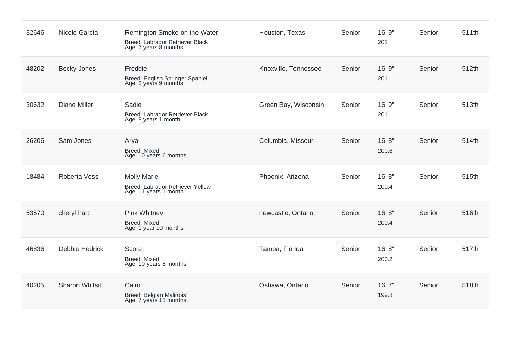| 32646 | Nicole Garcia          | Remington Smoke on the Water<br>Breed: Labrador Retriever Black<br>Age: 7 years 8 months | Houston, Texas       | Senior | 16' 9"<br>201   | Senior | 511th |
|-------|------------------------|------------------------------------------------------------------------------------------|----------------------|--------|-----------------|--------|-------|
| 48202 | <b>Becky Jones</b>     | Freddie<br>Breed: English Springer Spaniel<br>Age: 3 years 9 months                      | Knoxville, Tennessee | Senior | 16' 9"<br>201   | Senior | 512th |
| 30632 | <b>Diane Miller</b>    | Sadie<br>Breed: Labrador Retriever Black<br>Age: 8 years 1 month                         | Green Bay, Wisconsin | Senior | 16' 9"<br>201   | Senior | 513th |
| 26206 | Sam Jones              | Arya<br><b>Breed: Mixed</b><br>Age: 10 years 6 months                                    | Columbia, Missouri   | Senior | 16' 8"<br>200.8 | Senior | 514th |
| 18484 | Roberta Voss           | <b>Molly Marie</b><br>Breed: Labrador Retriever Yellow<br>Age: 11 years 1 month          | Phoenix, Arizona     | Senior | 16' 8"<br>200.4 | Senior | 515th |
| 53570 | cheryl hart            | <b>Pink Whitney</b><br><b>Breed: Mixed</b><br>Age: 1 year 10 months                      | newcastle, Ontario   | Senior | 16' 8"<br>200.4 | Senior | 516th |
| 46836 | Debbie Hedrick         | Score<br><b>Breed: Mixed</b><br>Age: 10 years 5 months                                   | Tampa, Florida       | Senior | 16' 8"<br>200.2 | Senior | 517th |
| 40205 | <b>Sharon Whitsitt</b> | Cairo<br>Breed: Belgian Malinois<br>Age: 7 years 11 months                               | Oshawa, Ontario      | Senior | 16' 7"<br>199.8 | Senior | 518th |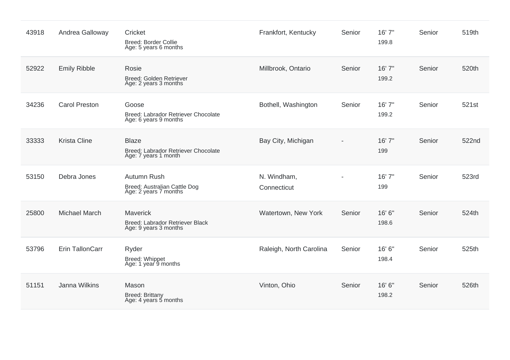| 43918 | Andrea Galloway      | Cricket<br><b>Breed: Border Collie</b><br>Age: 5 years 6 months             | Frankfort, Kentucky        | Senior | 16' 7"<br>199.8 | Senior | 519th |
|-------|----------------------|-----------------------------------------------------------------------------|----------------------------|--------|-----------------|--------|-------|
| 52922 | <b>Emily Ribble</b>  | Rosie<br>Breed: Golden Retriever<br>Age: 2 years 3 months                   | Millbrook, Ontario         | Senior | 16'7"<br>199.2  | Senior | 520th |
| 34236 | <b>Carol Preston</b> | Goose<br>Breed: Labrador Retriever Chocolate<br>Age: 6 years 9 months       | Bothell, Washington        | Senior | 16'7"<br>199.2  | Senior | 521st |
| 33333 | <b>Krista Cline</b>  | <b>Blaze</b><br>Breed: Labrador Retriever Chocolate<br>Age: 7 years 1 month | Bay City, Michigan         |        | 16'7''<br>199   | Senior | 522nd |
| 53150 | Debra Jones          | Autumn Rush<br>Breed: Australian Cattle Dog<br>Age: 2 years 7 months        | N. Windham,<br>Connecticut |        | 16' 7"<br>199   | Senior | 523rd |
| 25800 | <b>Michael March</b> | Maverick<br>Breed: Labrador Retriever Black<br>Age: 9 years 3 months        | Watertown, New York        | Senior | 16' 6"<br>198.6 | Senior | 524th |
| 53796 | Erin TallonCarr      | Ryder<br>Breed: Whippet<br>Age: 1 year 9 months                             | Raleigh, North Carolina    | Senior | 16' 6"<br>198.4 | Senior | 525th |
| 51151 | Janna Wilkins        | Mason<br>Breed: Brittany<br>Age: 4 years 5 months                           | Vinton, Ohio               | Senior | 16' 6"<br>198.2 | Senior | 526th |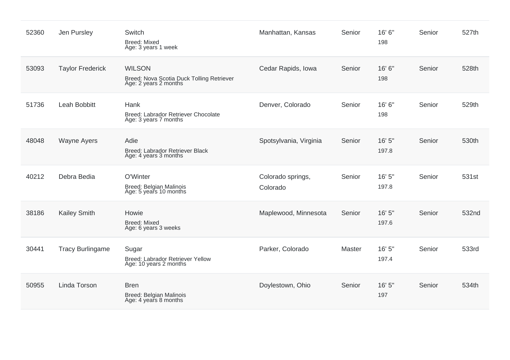| 52360 | Jen Pursley             | Switch<br><b>Breed: Mixed</b><br>Age: 3 years 1 week                                | Manhattan, Kansas             | Senior | 16' 6"<br>198   | Senior | 527th |
|-------|-------------------------|-------------------------------------------------------------------------------------|-------------------------------|--------|-----------------|--------|-------|
| 53093 | <b>Taylor Frederick</b> | <b>WILSON</b><br>Breed: Nova Scotia Duck Tolling Retriever<br>Age: 2 years 2 months | Cedar Rapids, Iowa            | Senior | 16' 6"<br>198   | Senior | 528th |
| 51736 | Leah Bobbitt            | Hank<br>Breed: Labrador Retriever Chocolate<br>Age: 3 years 7 months                | Denver, Colorado              | Senior | 16' 6"<br>198   | Senior | 529th |
| 48048 | <b>Wayne Ayers</b>      | Adie<br>Breed: Labrador Retriever Black<br>Age: 4 years 3 months                    | Spotsylvania, Virginia        | Senior | 16' 5"<br>197.8 | Senior | 530th |
| 40212 | Debra Bedia             | O'Winter<br>Breed: Belgian Malinois<br>Age: 5 years 10 months                       | Colorado springs,<br>Colorado | Senior | 16' 5"<br>197.8 | Senior | 531st |
| 38186 | <b>Kailey Smith</b>     | Howie<br><b>Breed: Mixed</b><br>Age: 6 years 3 weeks                                | Maplewood, Minnesota          | Senior | 16' 5"<br>197.6 | Senior | 532nd |
| 30441 | <b>Tracy Burlingame</b> | Sugar<br>Breed: Labrador Retriever Yellow<br>Age: 10 years 2 months                 | Parker, Colorado              | Master | 16' 5"<br>197.4 | Senior | 533rd |
| 50955 | Linda Torson            | <b>Bren</b><br>Breed: Belgian Malinois<br>Age: 4 years 8 months                     | Doylestown, Ohio              | Senior | 16' 5"<br>197   | Senior | 534th |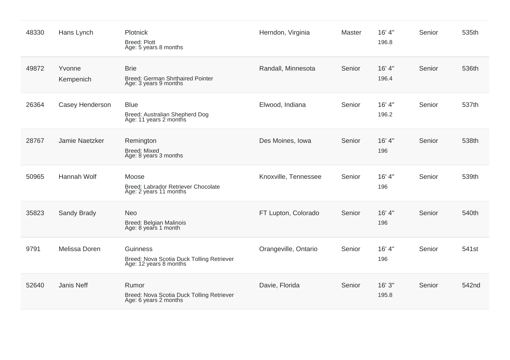| 48330 | Hans Lynch          | Plotnick<br><b>Breed: Plott</b><br>Age: 5 years 8 months                        | Herndon, Virginia    | Master | 16' 4"<br>196.8 | Senior | 535th |
|-------|---------------------|---------------------------------------------------------------------------------|----------------------|--------|-----------------|--------|-------|
| 49872 | Yvonne<br>Kempenich | <b>Brie</b><br>Breed: German Shrthaired Pointer<br>Age: 3 years 9 months        | Randall, Minnesota   | Senior | 16' 4"<br>196.4 | Senior | 536th |
| 26364 | Casey Henderson     | <b>Blue</b><br>Breed: Australian Shepherd Dog<br>Age: 11 years 2 months         | Elwood, Indiana      | Senior | 16' 4"<br>196.2 | Senior | 537th |
| 28767 | Jamie Naetzker      | Remington<br><b>Breed: Mixed</b><br>Age: 8 years 3 months                       | Des Moines, Iowa     | Senior | 16' 4"<br>196   | Senior | 538th |
| 50965 | Hannah Wolf         | Moose<br>Breed: Labrador Retriever Chocolate<br>Age: 2 years 11 months          | Knoxville, Tennessee | Senior | 16' 4"<br>196   | Senior | 539th |
| 35823 | Sandy Brady         | <b>Neo</b><br>Breed: Belgian Malinois<br>Age: 8 years 1 month                   | FT Lupton, Colorado  | Senior | 16' 4"<br>196   | Senior | 540th |
| 9791  | Melissa Doren       | Guinness<br>Breed: Nova Scotia Duck Tolling Retriever<br>Age: 12 years 8 months | Orangeville, Ontario | Senior | 16' 4"<br>196   | Senior | 541st |
| 52640 | Janis Neff          | Rumor<br>Breed: Nova Scotia Duck Tolling Retriever<br>Age: 6 years 2 months     | Davie, Florida       | Senior | 16' 3"<br>195.8 | Senior | 542nd |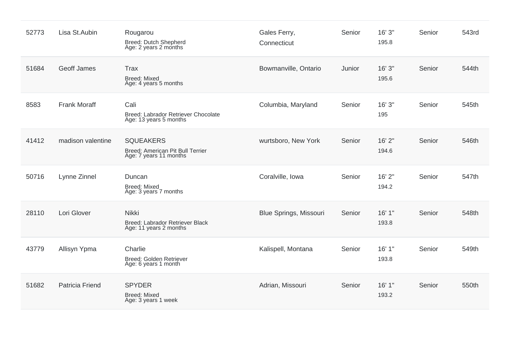| 52773 | Lisa St.Aubin          | Rougarou<br>Breed: Dutch Shepherd<br>Age: 2 years 2 months                     | Gales Ferry,<br>Connecticut   | Senior | 16' 3"<br>195.8 | Senior | 543rd |
|-------|------------------------|--------------------------------------------------------------------------------|-------------------------------|--------|-----------------|--------|-------|
| 51684 | Geoff James            | <b>Trax</b><br><b>Breed: Mixed</b><br>Age: 4 years 5 months                    | Bowmanville, Ontario          | Junior | 16'3''<br>195.6 | Senior | 544th |
| 8583  | <b>Frank Moraff</b>    | Cali<br>Breed: Labrador Retriever Chocolate<br>Age: 13 years 5 months          | Columbia, Maryland            | Senior | 16'3''<br>195   | Senior | 545th |
| 41412 | madison valentine      | <b>SQUEAKERS</b><br>Breed: American Pit Bull Terrier<br>Age: 7 years 11 months | wurtsboro, New York           | Senior | 16'2"<br>194.6  | Senior | 546th |
| 50716 | Lynne Zinnel           | Duncan<br><b>Breed: Mixed</b><br>Age: 3 years 7 months                         | Coralville, Iowa              | Senior | 16' 2"<br>194.2 | Senior | 547th |
| 28110 | Lori Glover            | <b>Nikki</b><br>Breed: Labrador Retriever Black<br>Age: 11 years 2 months      | <b>Blue Springs, Missouri</b> | Senior | 16'1''<br>193.8 | Senior | 548th |
| 43779 | Allisyn Ypma           | Charlie<br>Breed: Golden Retriever<br>Age: 6 years 1 month                     | Kalispell, Montana            | Senior | 16'1"<br>193.8  | Senior | 549th |
| 51682 | <b>Patricia Friend</b> | <b>SPYDER</b><br><b>Breed: Mixed</b><br>Age: 3 years 1 week                    | Adrian, Missouri              | Senior | 16'1"<br>193.2  | Senior | 550th |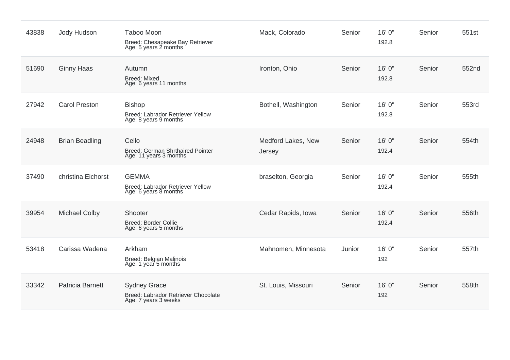| 43838 | Jody Hudson           | <b>Taboo Moon</b><br>Breed: Chesapeake Bay Retriever<br>Age: 5 years 2 months      | Mack, Colorado               | Senior | 16' 0"<br>192.8 | Senior | 551st |
|-------|-----------------------|------------------------------------------------------------------------------------|------------------------------|--------|-----------------|--------|-------|
| 51690 | <b>Ginny Haas</b>     | Autumn<br><b>Breed: Mixed</b><br>Age: 6 years 11 months                            | Ironton, Ohio                | Senior | 16' 0"<br>192.8 | Senior | 552nd |
| 27942 | <b>Carol Preston</b>  | <b>Bishop</b><br>Breed: Labrador Retriever Yellow<br>Age: 8 years 9 months         | Bothell, Washington          | Senior | 16' 0"<br>192.8 | Senior | 553rd |
| 24948 | <b>Brian Beadling</b> | Cello<br><b>Breed: German Shrthaired Pointer</b><br>Age: 11 years 3 months         | Medford Lakes, New<br>Jersey | Senior | 16' 0"<br>192.4 | Senior | 554th |
| 37490 | christina Eichorst    | <b>GEMMA</b><br>Breed: Labrador Retriever Yellow<br>Age: 6 years 8 months          | braselton, Georgia           | Senior | 16' 0"<br>192.4 | Senior | 555th |
| 39954 | <b>Michael Colby</b>  | Shooter<br>Breed: Border Collie<br>Age: 6 years 5 months                           | Cedar Rapids, Iowa           | Senior | 16' 0"<br>192.4 | Senior | 556th |
| 53418 | Carissa Wadena        | Arkham<br>Breed: Belgian Malinois<br>Age: 1 year 5 months                          | Mahnomen, Minnesota          | Junior | 16' 0"<br>192   | Senior | 557th |
| 33342 | Patricia Barnett      | <b>Sydney Grace</b><br>Breed: Labrador Retriever Chocolate<br>Age: 7 years 3 weeks | St. Louis, Missouri          | Senior | 16' 0"<br>192   | Senior | 558th |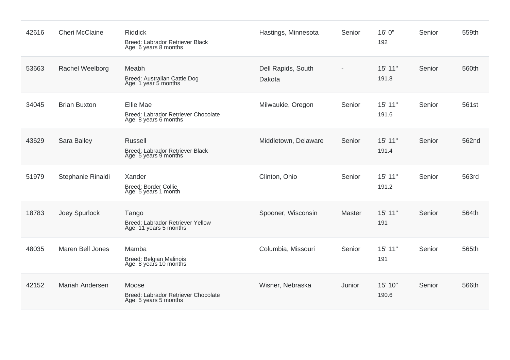| 42616 | <b>Cheri McClaine</b> | <b>Riddick</b><br>Breed: Labrador Retriever Black<br>Age: 6 years 8 months | Hastings, Minnesota          | Senior        | 16' 0"<br>192    | Senior | 559th |
|-------|-----------------------|----------------------------------------------------------------------------|------------------------------|---------------|------------------|--------|-------|
| 53663 | Rachel Weelborg       | Meabh<br>Breed: Australian Cattle Dog<br>Age: 1 year 5 months              | Dell Rapids, South<br>Dakota |               | 15' 11"<br>191.8 | Senior | 560th |
| 34045 | <b>Brian Buxton</b>   | Ellie Mae<br>Breed: Labrador Retriever Chocolate<br>Age: 8 years 6 months  | Milwaukie, Oregon            | Senior        | 15' 11"<br>191.6 | Senior | 561st |
| 43629 | <b>Sara Bailey</b>    | <b>Russell</b><br>Breed: Labrador Retriever Black<br>Age: 5 years 9 months | Middletown, Delaware         | Senior        | 15' 11"<br>191.4 | Senior | 562nd |
| 51979 | Stephanie Rinaldi     | Xander<br><b>Breed: Border Collie</b><br>Age: 5 years 1 month              | Clinton, Ohio                | Senior        | 15' 11"<br>191.2 | Senior | 563rd |
| 18783 | Joey Spurlock         | Tango<br>Breed: Labrador Retriever Yellow<br>Age: 11 years 5 months        | Spooner, Wisconsin           | <b>Master</b> | 15' 11"<br>191   | Senior | 564th |
| 48035 | Maren Bell Jones      | Mamba<br>Breed: Belgian Malinois<br>Age: 8 years 10 months                 | Columbia, Missouri           | Senior        | 15' 11"<br>191   | Senior | 565th |
| 42152 | Mariah Andersen       | Moose<br>Breed: Labrador Retriever Chocolate<br>Age: 5 years 5 months      | Wisner, Nebraska             | Junior        | 15' 10"<br>190.6 | Senior | 566th |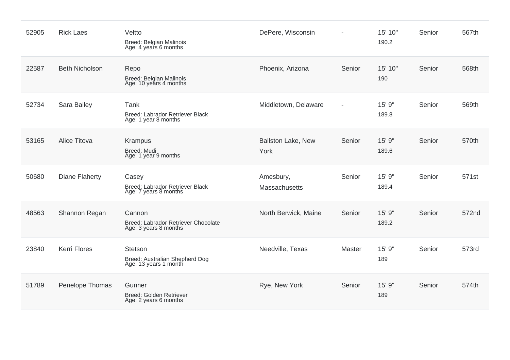| 52905 | <b>Rick Laes</b>      | Veltto<br>Breed: Belgian Malinois<br>Age: 4 years 6 months             | DePere, Wisconsin                 |                          | 15' 10"<br>190.2 | Senior | 567th |
|-------|-----------------------|------------------------------------------------------------------------|-----------------------------------|--------------------------|------------------|--------|-------|
| 22587 | <b>Beth Nicholson</b> | Repo<br>Breed: Belgian Malinois<br>Age: 10 years 4 months              | Phoenix, Arizona                  | Senior                   | 15' 10"<br>190   | Senior | 568th |
| 52734 | Sara Bailey           | Tank<br>Breed: Labrador Retriever Black<br>Age: 1 year 8 months        | Middletown, Delaware              | $\overline{\phantom{a}}$ | 15' 9"<br>189.8  | Senior | 569th |
| 53165 | Alice Titova          | <b>Krampus</b><br>Breed: Mudi<br>Age: 1 year 9 months                  | <b>Ballston Lake, New</b><br>York | Senior                   | 15' 9"<br>189.6  | Senior | 570th |
| 50680 | Diane Flaherty        | Casey<br>Breed: Labrador Retriever Black<br>Age: 7 years 8 months      | Amesbury,<br>Massachusetts        | Senior                   | 15' 9"<br>189.4  | Senior | 571st |
| 48563 | Shannon Regan         | Cannon<br>Breed: Labrador Retriever Chocolate<br>Age: 3 years 8 months | North Berwick, Maine              | Senior                   | 15' 9"<br>189.2  | Senior | 572nd |
| 23840 | <b>Kerri Flores</b>   | Stetson<br>Breed: Australian Shepherd Dog<br>Age: 13 years 1 month     | Needville, Texas                  | Master                   | 15' 9"<br>189    | Senior | 573rd |
| 51789 | Penelope Thomas       | Gunner<br>Breed: Golden Retriever<br>Age: 2 years 6 months             | Rye, New York                     | Senior                   | 15' 9"<br>189    | Senior | 574th |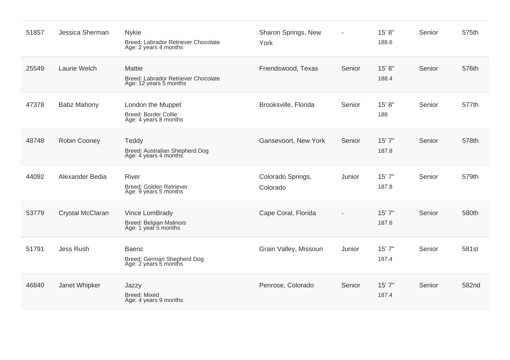| 51857 | Jessica Sherman     | <b>Nykie</b><br>Breed: Labrador Retriever Chocolate<br>Age: 2 years 4 months   | Sharon Springs, New<br>York   |        | 15' 8"<br>188.6 | Senior | 575th |
|-------|---------------------|--------------------------------------------------------------------------------|-------------------------------|--------|-----------------|--------|-------|
| 25549 | Laurie Welch        | <b>Mattie</b><br>Breed: Labrador Retriever Chocolate<br>Age: 12 years 5 months | Friendswood, Texas            | Senior | 15' 8"<br>188.4 | Senior | 576th |
| 47378 | <b>Babz Mahony</b>  | London the Muppet<br>Breed: Border Collie<br>Age: 4 years 8 months             | Brooksville, Florida          | Senior | 15' 8"<br>188   | Senior | 577th |
| 48748 | <b>Robin Cooney</b> | Teddy<br>Breed: Australian Shepherd Dog<br>Age: 4 years 4 months               | Gansevoort, New York          | Senior | 15'7''<br>187.8 | Senior | 578th |
| 44092 | Alexander Bedia     | <b>River</b><br>Breed: Golden Retriever<br>Age: 9 years 5 months               | Colorado Springs,<br>Colorado | Junior | 15' 7"<br>187.8 | Senior | 579th |
| 53779 | Crystal McClaran    | Vince LomBrady<br>Breed: Belgian Malinois<br>Age: 1 year 5 months              | Cape Coral, Florida           |        | 15'7''<br>187.6 | Senior | 580th |
| 51791 | <b>Jess Rush</b>    | <b>Baeric</b><br>Breed: German Shepherd Dog<br>Age: 2 years 5 months           | Grain Valley, Missouri        | Junior | 15' 7"<br>187.4 | Senior | 581st |
| 46840 | Janet Whipker       | Jazzy<br><b>Breed: Mixed</b><br>Age: 4 years 9 months                          | Penrose, Colorado             | Senior | 15'7''<br>187.4 | Senior | 582nd |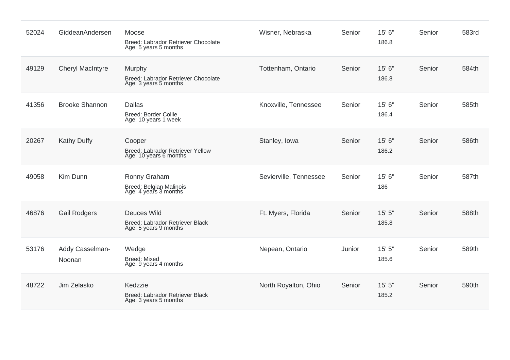| 52024 | GiddeanAndersen           | Moose<br>Breed: Labrador Retriever Chocolate<br>Age: 5 years 5 months          | Wisner, Nebraska       | Senior | 15' 6"<br>186.8   | Senior | 583rd |
|-------|---------------------------|--------------------------------------------------------------------------------|------------------------|--------|-------------------|--------|-------|
| 49129 | <b>Cheryl MacIntyre</b>   | Murphy<br>Breed: Labrador Retriever Chocolate<br>Age: 3 years 5 months         | Tottenham, Ontario     | Senior | 15' 6"<br>186.8   | Senior | 584th |
| 41356 | <b>Brooke Shannon</b>     | <b>Dallas</b><br><b>Breed: Border Collie</b><br>Age: 10 years 1 week           | Knoxville, Tennessee   | Senior | 15' 6"<br>186.4   | Senior | 585th |
| 20267 | <b>Kathy Duffy</b>        | Cooper<br>Breed: Labrador Retriever Yellow<br>Age: 10 years 6 months           | Stanley, Iowa          | Senior | 15' 6"<br>186.2   | Senior | 586th |
| 49058 | Kim Dunn                  | Ronny Graham<br>Breed: Belgian Malinois<br>Age: 4 years 3 months               | Sevierville, Tennessee | Senior | 15' 6"<br>186     | Senior | 587th |
| 46876 | <b>Gail Rodgers</b>       | <b>Deuces Wild</b><br>Breed: Labrador Retriever Black<br>Age: 5 years 9 months | Ft. Myers, Florida     | Senior | 15' 5"<br>185.8   | Senior | 588th |
| 53176 | Addy Casselman-<br>Noonan | Wedge<br><b>Breed: Mixed</b><br>Age: 9 years 4 months                          | Nepean, Ontario        | Junior | $15'$ 5"<br>185.6 | Senior | 589th |
| 48722 | Jim Zelasko               | Kedzzie<br>Breed: Labrador Retriever Black<br>Age: 3 years 5 months            | North Royalton, Ohio   | Senior | 15'5''<br>185.2   | Senior | 590th |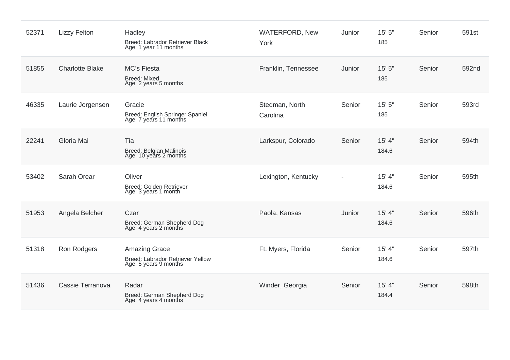| 52371 | <b>Lizzy Felton</b>    | Hadley<br>Breed: Labrador Retriever Black<br>Age: 1 year 11 months                | <b>WATERFORD, New</b><br>York | Junior | 15' 5"<br>185   | Senior | 591st |
|-------|------------------------|-----------------------------------------------------------------------------------|-------------------------------|--------|-----------------|--------|-------|
| 51855 | <b>Charlotte Blake</b> | <b>MC's Fiesta</b><br><b>Breed: Mixed</b><br>Age: 2 years 5 months                | Franklin, Tennessee           | Junior | 15'5''<br>185   | Senior | 592nd |
| 46335 | Laurie Jorgensen       | Gracie<br>Breed: English Springer Spaniel<br>Age: 7 years 11 months               | Stedman, North<br>Carolina    | Senior | 15'5''<br>185   | Senior | 593rd |
| 22241 | Gloria Mai             | Tia<br>Breed: Belgian Malinois<br>Age: 10 years 2 months                          | Larkspur, Colorado            | Senior | 15' 4"<br>184.6 | Senior | 594th |
| 53402 | Sarah Orear            | Oliver<br>Breed: Golden Retriever<br>Age: 3 years 1 month                         | Lexington, Kentucky           |        | 15' 4"<br>184.6 | Senior | 595th |
| 51953 | Angela Belcher         | Czar<br>Breed: German Shepherd Dog<br>Age: 4 years 2 months                       | Paola, Kansas                 | Junior | 15' 4"<br>184.6 | Senior | 596th |
| 51318 | Ron Rodgers            | <b>Amazing Grace</b><br>Breed: Labrador Retriever Yellow<br>Age: 5 years 9 months | Ft. Myers, Florida            | Senior | 15' 4"<br>184.6 | Senior | 597th |
| 51436 | Cassie Terranova       | Radar<br>Breed: German Shepherd Dog<br>Age: 4 years 4 months                      | Winder, Georgia               | Senior | 15' 4"<br>184.4 | Senior | 598th |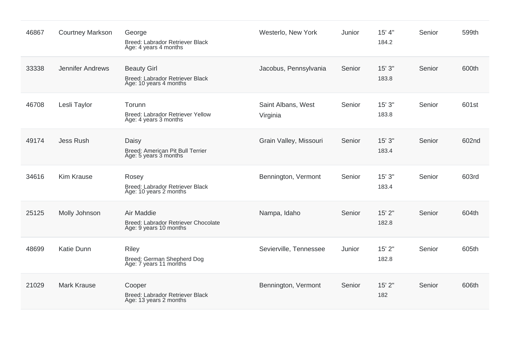| 46867 | <b>Courtney Markson</b> | George<br>Breed: Labrador Retriever Black<br>Age: 4 years 4 months              | Westerlo, New York             | Junior | 15' 4"<br>184.2 | Senior | 599th |
|-------|-------------------------|---------------------------------------------------------------------------------|--------------------------------|--------|-----------------|--------|-------|
| 33338 | <b>Jennifer Andrews</b> | <b>Beauty Girl</b><br>Breed: Labrador Retriever Black<br>Age: 10 years 4 months | Jacobus, Pennsylvania          | Senior | 15'3''<br>183.8 | Senior | 600th |
| 46708 | Lesli Taylor            | Torunn<br>Breed: Labrador Retriever Yellow<br>Age: 4 years 3 months             | Saint Albans, West<br>Virginia | Senior | 15'3''<br>183.8 | Senior | 601st |
| 49174 | <b>Jess Rush</b>        | Daisy<br>Breed: American Pit Bull Terrier<br>Age: 5 years 3 months              | Grain Valley, Missouri         | Senior | 15'3''<br>183.4 | Senior | 602nd |
| 34616 | <b>Kim Krause</b>       | Rosey<br>Breed: Labrador Retriever Black<br>Age: 10 years 2 months              | Bennington, Vermont            | Senior | 15'3''<br>183.4 | Senior | 603rd |
| 25125 | Molly Johnson           | Air Maddie<br>Breed: Labrador Retriever Chocolate<br>Age: 9 years 10 months     | Nampa, Idaho                   | Senior | 15' 2"<br>182.8 | Senior | 604th |
| 48699 | <b>Katie Dunn</b>       | <b>Riley</b><br>Breed: German Shepherd Dog<br>Age: 7 years 11 months            | Sevierville, Tennessee         | Junior | 15' 2"<br>182.8 | Senior | 605th |
| 21029 | <b>Mark Krause</b>      | Cooper<br>Breed: Labrador Retriever Black<br>Age: 13 years 2 months             | Bennington, Vermont            | Senior | 15' 2"<br>182   | Senior | 606th |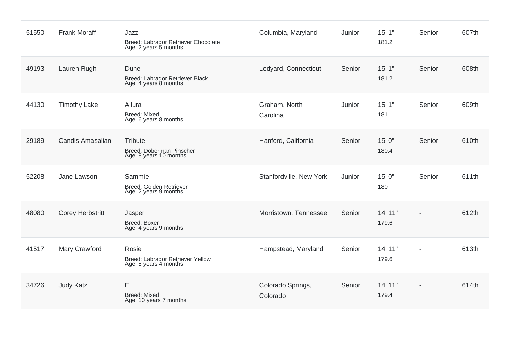| 51550 | <b>Frank Moraff</b>     | Jazz<br>Breed: Labrador Retriever Chocolate<br>Age: 2 years 5 months | Columbia, Maryland            | Junior | 15'1"<br>181.2   | Senior         | 607th |
|-------|-------------------------|----------------------------------------------------------------------|-------------------------------|--------|------------------|----------------|-------|
| 49193 | Lauren Rugh             | Dune<br>Breed: Labrador Retriever Black<br>Age: 4 years 8 months     | Ledyard, Connecticut          | Senior | 15'1"<br>181.2   | Senior         | 608th |
| 44130 | <b>Timothy Lake</b>     | Allura<br><b>Breed: Mixed</b><br>Age: 6 years 8 months               | Graham, North<br>Carolina     | Junior | 15'1"<br>181     | Senior         | 609th |
| 29189 | Candis Amasalian        | Tribute<br>Breed: Doberman Pinscher<br>Age: 8 years 10 months        | Hanford, California           | Senior | 15' 0"<br>180.4  | Senior         | 610th |
| 52208 | Jane Lawson             | Sammie<br>Breed: Golden Retriever<br>Age: 2 years 9 months           | Stanfordville, New York       | Junior | 15' 0"<br>180    | Senior         | 611th |
| 48080 | <b>Corey Herbstritt</b> | Jasper<br>Breed: Boxer<br>Age: 4 years 9 months                      | Morristown, Tennessee         | Senior | 14' 11"<br>179.6 | $\overline{a}$ | 612th |
| 41517 | Mary Crawford           | Rosie<br>Breed: Labrador Retriever Yellow<br>Age: 5 years 4 months   | Hampstead, Maryland           | Senior | 14' 11"<br>179.6 |                | 613th |
| 34726 | <b>Judy Katz</b>        | EI<br><b>Breed: Mixed</b><br>Age: 10 years 7 months                  | Colorado Springs,<br>Colorado | Senior | 14' 11"<br>179.4 |                | 614th |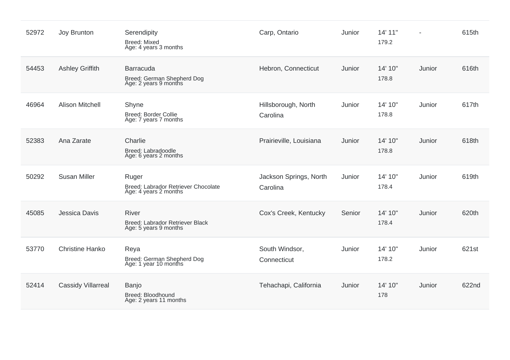| 52972 | Joy Brunton               | Serendipity<br><b>Breed: Mixed</b><br>Age: 4 years 3 months              | Carp, Ontario                      | Junior | 14' 11"<br>179.2 |        | 615th |
|-------|---------------------------|--------------------------------------------------------------------------|------------------------------------|--------|------------------|--------|-------|
| 54453 | <b>Ashley Griffith</b>    | Barracuda<br>Breed: German Shepherd Dog<br>Age: 2 years 9 months         | Hebron, Connecticut                | Junior | 14' 10"<br>178.8 | Junior | 616th |
| 46964 | <b>Alison Mitchell</b>    | Shyne<br>Breed: Border Collie<br>Age: 7 years 7 months                   | Hillsborough, North<br>Carolina    | Junior | 14' 10"<br>178.8 | Junior | 617th |
| 52383 | Ana Zarate                | Charlie<br>Breed: Labradoodle<br>Age: 6 years 2 months                   | Prairieville, Louisiana            | Junior | 14' 10"<br>178.8 | Junior | 618th |
| 50292 | <b>Susan Miller</b>       | Ruger<br>Breed: Labrador Retriever Chocolate<br>Age: 4 years 2 months    | Jackson Springs, North<br>Carolina | Junior | 14' 10"<br>178.4 | Junior | 619th |
| 45085 | Jessica Davis             | <b>River</b><br>Breed: Labrador Retriever Black<br>Age: 5 years 9 months | Cox's Creek, Kentucky              | Senior | 14' 10"<br>178.4 | Junior | 620th |
| 53770 | <b>Christine Hanko</b>    | Reya<br>Breed: German Shepherd Dog<br>Age: 1 year 10 months              | South Windsor,<br>Connecticut      | Junior | 14' 10"<br>178.2 | Junior | 621st |
| 52414 | <b>Cassidy Villarreal</b> | Banjo<br>Breed: Bloodhound<br>Age: 2 years 11 months                     | Tehachapi, California              | Junior | 14' 10"<br>178   | Junior | 622nd |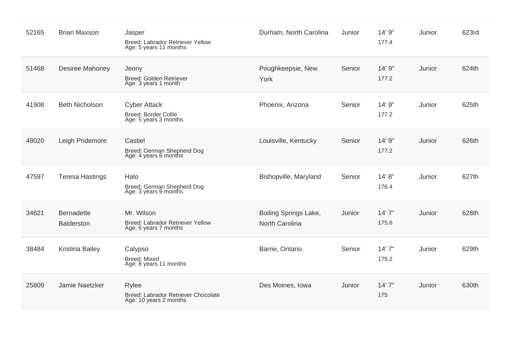| 52165 | <b>Brian Maxson</b>                    | Jasper<br>Breed: Labrador Retriever Yellow<br>Age: 5 years 11 months    | Durham, North Carolina                         | Junior | 14' 9"<br>177.4  | Junior | 623rd |
|-------|----------------------------------------|-------------------------------------------------------------------------|------------------------------------------------|--------|------------------|--------|-------|
| 51468 | Desiree Mahoney                        | Jenny<br>Breed: Golden Retriever<br>Age: 3 years 1 month                | Poughkeepsie, New<br>York                      | Senior | 14' 9"<br>177.2  | Junior | 624th |
| 41908 | <b>Beth Nicholson</b>                  | <b>Cyber Attack</b><br>Breed: Border Collie<br>Age: 5 years 3 months    | Phoenix, Arizona                               | Senior | 14' 9"<br>177.2  | Junior | 625th |
| 48020 | Leigh Pridemore                        | Castiel<br>Breed: German Shepherd Dog<br>Age: 4 years 6 months          | Louisville, Kentucky                           | Senior | 14' 9"<br>177.2  | Junior | 626th |
| 47597 | <b>Teresa Hastings</b>                 | Halo<br>Breed: German Shepherd Dog<br>Age: 3 years 9 months             | Bishopville, Maryland                          | Senior | 14' 8''<br>176.4 | Junior | 627th |
| 34621 | <b>Bernadette</b><br><b>Balderston</b> | Mr. Wilson<br>Breed: Labrador Retriever Yellow<br>Age: 6 years 7 months | Boiling Springs Lake,<br><b>North Carolina</b> | Junior | 14'7''<br>175.6  | Junior | 628th |
| 38484 | <b>Kristina Bailey</b>                 | Calypso<br><b>Breed: Mixed</b><br>Age: 8 years 11 months                | Barrie, Ontario                                | Senior | 14'7''<br>175.2  | Junior | 629th |
| 25809 | Jamie Naetzker                         | Rylee<br>Breed: Labrador Retriever Chocolate<br>Age: 10 years 2 months  | Des Moines, Iowa                               | Junior | 14'7''<br>175    | Junior | 630th |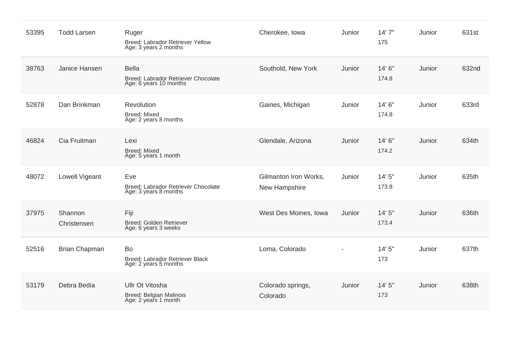| 53395 | <b>Todd Larsen</b>     | Ruger<br>Breed: Labrador Retriever Yellow<br>Age: 3 years 2 months            | Cherokee, Iowa                         | Junior         | 14'7''<br>175   | Junior | 631st |
|-------|------------------------|-------------------------------------------------------------------------------|----------------------------------------|----------------|-----------------|--------|-------|
| 38763 | Janice Hansen          | <b>Bella</b><br>Breed: Labrador Retriever Chocolate<br>Age: 6 years 10 months | Southold, New York                     | Junior         | 14' 6"<br>174.8 | Junior | 632nd |
| 52878 | Dan Brinkman           | Revolution<br><b>Breed: Mixed</b><br>Age: 2 years 8 months                    | Gaines, Michigan                       | Junior         | 14' 6"<br>174.8 | Junior | 633rd |
| 46824 | Cia Fruitman           | Lexi<br><b>Breed: Mixed</b><br>Age: 5 years 1 month                           | Glendale, Arizona                      | Junior         | 14' 6"<br>174.2 | Junior | 634th |
| 48072 | Lowell Vigeant         | Eve<br>Breed: Labrador Retriever Chocolate<br>Age: 3 years 8 months           | Gilmanton Iron Works,<br>New Hampshire | Junior         | 14'5''<br>173.8 | Junior | 635th |
| 37975 | Shannon<br>Christensen | Fiji<br>Breed: Golden Retriever<br>Age: 6 years 3 weeks                       | West Des Moines, Iowa                  | Junior         | 14'5''<br>173.4 | Junior | 636th |
| 52516 | <b>Brian Chapman</b>   | Bo<br>Breed: Labrador Retriever Black<br>Age: 2 years 5 months                | Loma, Colorado                         | $\blacksquare$ | 14' 5"<br>173   | Junior | 637th |
| 53179 | Debra Bedia            | Ullr Ot Vitosha<br>Breed: Belgian Malinois<br>Age: 2 years 1 month            | Colorado springs,<br>Colorado          | Junior         | 14' 5"<br>173   | Junior | 638th |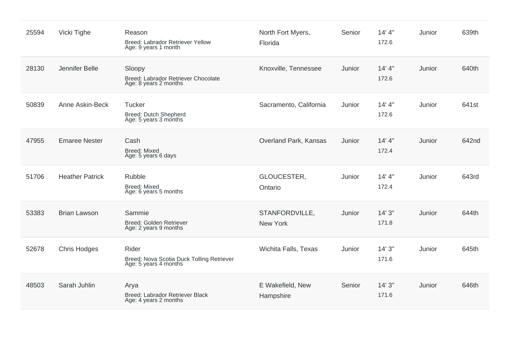| 25594 | Vicki Tighe            | Reason<br>Breed: Labrador Retriever Yellow<br>Age: 9 years 1 month          | North Fort Myers,<br>Florida  | Senior | 14' 4''<br>172.6 | Junior | 639th |
|-------|------------------------|-----------------------------------------------------------------------------|-------------------------------|--------|------------------|--------|-------|
| 28130 | Jennifer Belle         | Sloopy<br>Breed: Labrador Retriever Chocolate<br>Age: 8 years 2 months      | Knoxville, Tennessee          | Junior | 14' 4''<br>172.6 | Junior | 640th |
| 50839 | Anne Askin-Beck        | Tucker<br>Breed: Dutch Shepherd<br>Age: 5 years 3 months                    | Sacramento, California        | Junior | 14' 4''<br>172.6 | Junior | 641st |
| 47955 | <b>Emaree Nester</b>   | Cash<br><b>Breed: Mixed</b><br>Age: 5 years 6 days                          | Overland Park, Kansas         | Junior | 14' 4''<br>172.4 | Junior | 642nd |
| 51706 | <b>Heather Patrick</b> | Rubble<br><b>Breed: Mixed</b><br>Age: 6 years 5 months                      | GLOUCESTER,<br>Ontario        | Junior | 14' 4''<br>172.4 | Junior | 643rd |
| 53383 | <b>Brian Lawson</b>    | Sammie<br>Breed: Golden Retriever<br>Age: 2 years 9 months                  | STANFORDVILLE,<br>New York    | Junior | 14'3''<br>171.8  | Junior | 644th |
| 52678 | <b>Chris Hodges</b>    | Rider<br>Breed: Nova Scotia Duck Tolling Retriever<br>Age: 5 years 4 months | Wichita Falls, Texas          | Junior | 14'3''<br>171.6  | Junior | 645th |
| 48503 | Sarah Juhlin           | Arya<br>Breed: Labrador Retriever Black<br>Age: 4 years 2 months            | E Wakefield, New<br>Hampshire | Senior | 14'3''<br>171.6  | Junior | 646th |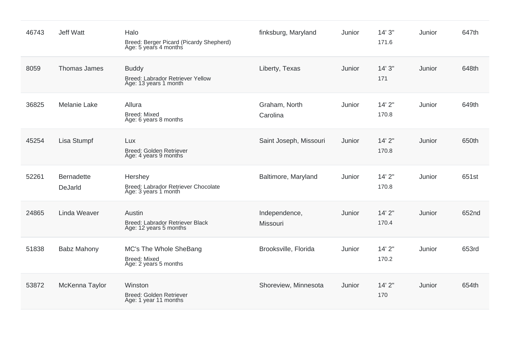| 46743 | <b>Jeff Watt</b>             | Halo<br>Breed: Berger Picard (Picardy Shepherd)<br>Age: 5 years 4 months  | finksburg, Maryland       | Junior | 14'3''<br>171.6 | Junior | 647th |
|-------|------------------------------|---------------------------------------------------------------------------|---------------------------|--------|-----------------|--------|-------|
| 8059  | Thomas James                 | <b>Buddy</b><br>Breed: Labrador Retriever Yellow<br>Age: 13 years 1 month | Liberty, Texas            | Junior | 14'3''<br>171   | Junior | 648th |
| 36825 | <b>Melanie Lake</b>          | Allura<br>Breed: Mixed<br>Age: 6 years 8 months                           | Graham, North<br>Carolina | Junior | 14'2"<br>170.8  | Junior | 649th |
| 45254 | Lisa Stumpf                  | Lux<br>Breed: Golden Retriever<br>Age: 4 years 9 months                   | Saint Joseph, Missouri    | Junior | 14' 2"<br>170.8 | Junior | 650th |
| 52261 | <b>Bernadette</b><br>DeJarld | Hershey<br>Breed: Labrador Retriever Chocolate<br>Age: 3 years 1 month    | Baltimore, Maryland       | Junior | 14'2"<br>170.8  | Junior | 651st |
| 24865 | Linda Weaver                 | Austin<br>Breed: Labrador Retriever Black<br>Age: 12 years 5 months       | Independence,<br>Missouri | Junior | 14'2''<br>170.4 | Junior | 652nd |
| 51838 | <b>Babz Mahony</b>           | MC's The Whole SheBang<br><b>Breed: Mixed</b><br>Age: 2 years 5 months    | Brooksville, Florida      | Junior | 14'2"<br>170.2  | Junior | 653rd |
| 53872 | McKenna Taylor               | Winston<br>Breed: Golden Retriever<br>Age: 1 year 11 months               | Shoreview, Minnesota      | Junior | 14'2''<br>170   | Junior | 654th |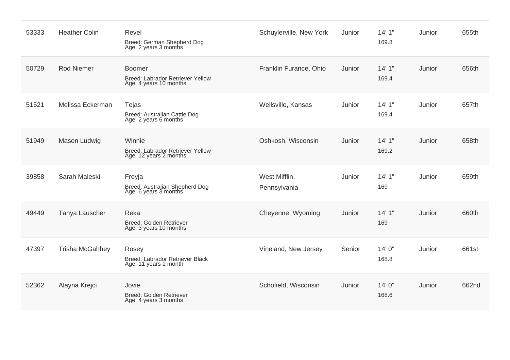| 53333 | <b>Heather Colin</b>   | Revel<br>Breed: German Shepherd Dog<br>Age: 2 years 3 months                | Schuylerville, New York       | Junior | 14'1''<br>169.8 | Junior | 655th |
|-------|------------------------|-----------------------------------------------------------------------------|-------------------------------|--------|-----------------|--------|-------|
| 50729 | <b>Rod Niemer</b>      | <b>Boomer</b><br>Breed: Labrador Retriever Yellow<br>Age: 4 years 10 months | Franklin Furance, Ohio        | Junior | 14'1''<br>169.4 | Junior | 656th |
| 51521 | Melissa Eckerman       | Tejas<br>Breed: Australian Cattle Dog<br>Age: 2 years 6 months              | Wellsville, Kansas            | Junior | 14'1''<br>169.4 | Junior | 657th |
| 51949 | Mason Ludwig           | Winnie<br>Breed: Labrador Retriever Yellow<br>Age: 12 years 2 months        | Oshkosh, Wisconsin            | Junior | 14'1''<br>169.2 | Junior | 658th |
| 39858 | Sarah Maleski          | Freyja<br>Breed: Australian Shepherd Dog<br>Age: 6 years 3 months           | West Mifflin,<br>Pennsylvania | Junior | 14'1''<br>169   | Junior | 659th |
| 49449 | Tanya Lauscher         | Reka<br>Breed: Golden Retriever<br>Age: 3 years 10 months                   | Cheyenne, Wyoming             | Junior | 14'1''<br>169   | Junior | 660th |
| 47397 | <b>Trisha McGahhey</b> | Rosey<br>Breed: Labrador Retriever Black<br>Age: 11 years 1 month           | Vineland, New Jersey          | Senior | 14' 0"<br>168.8 | Junior | 661st |
| 52362 | Alayna Krejci          | Jovie<br>Breed: Golden Retriever<br>Age: 4 years 3 months                   | Schofield, Wisconsin          | Junior | 14' 0"<br>168.6 | Junior | 662nd |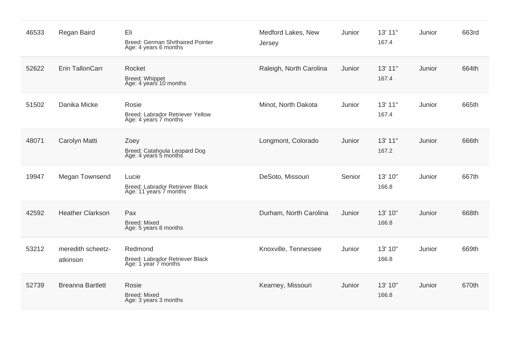| 46533 | Regan Baird                   | Eli<br>Breed: German Shrthaired Pointer<br>Age: 4 years 6 months   | Medford Lakes, New<br>Jersey | Junior | 13' 11"<br>167.4 | Junior | 663rd |
|-------|-------------------------------|--------------------------------------------------------------------|------------------------------|--------|------------------|--------|-------|
| 52622 | Erin TallonCarr               | Rocket<br><b>Breed: Whippet</b><br>Age: 4 years 10 months          | Raleigh, North Carolina      | Junior | 13' 11"<br>167.4 | Junior | 664th |
| 51502 | Danika Micke                  | Rosie<br>Breed: Labrador Retriever Yellow<br>Age: 4 years 7 months | Minot, North Dakota          | Junior | 13' 11"<br>167.4 | Junior | 665th |
| 48071 | Carolyn Matti                 | Zoey<br>Breed: Catahoula Leopard Dog<br>Age: 4 years 5 months      | Longmont, Colorado           | Junior | 13' 11"<br>167.2 | Junior | 666th |
| 19947 | Megan Townsend                | Lucie<br>Breed: Labrador Retriever Black<br>Age: 11 years 7 months | DeSoto, Missouri             | Senior | 13' 10"<br>166.8 | Junior | 667th |
| 42592 | <b>Heather Clarkson</b>       | Pax<br><b>Breed: Mixed</b><br>Age: 5 years 8 months                | Durham, North Carolina       | Junior | 13' 10"<br>166.8 | Junior | 668th |
| 53212 | meredith scheetz-<br>atkinson | Redmond<br>Breed: Labrador Retriever Black<br>Age: 1 year 7 months | Knoxville, Tennessee         | Junior | 13' 10"<br>166.8 | Junior | 669th |
| 52739 | <b>Breanna Bartlett</b>       | Rosie<br><b>Breed: Mixed</b><br>Age: 3 years 3 months              | Kearney, Missouri            | Junior | 13' 10"<br>166.8 | Junior | 670th |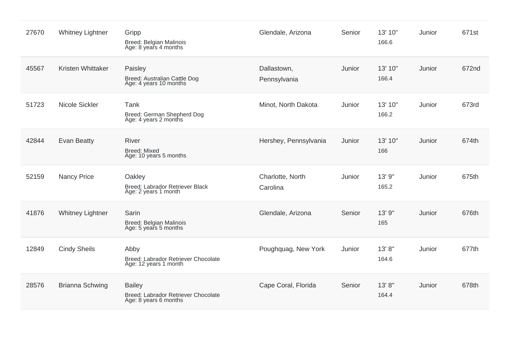| 27670 | <b>Whitney Lightner</b> | Gripp<br>Breed: Belgian Malinois<br>Age: 8 years 4 months                     | Glendale, Arizona            | Senior | 13' 10"<br>166.6 | Junior | 671st |
|-------|-------------------------|-------------------------------------------------------------------------------|------------------------------|--------|------------------|--------|-------|
| 45567 | Kristen Whittaker       | Paisley<br>Breed: Australian Cattle Dog<br>Age: 4 years 10 months             | Dallastown,<br>Pennsylvania  | Junior | 13' 10"<br>166.4 | Junior | 672nd |
| 51723 | Nicole Sickler          | Tank<br>Breed: German Shepherd Dog<br>Age: 4 years 2 months                   | Minot, North Dakota          | Junior | 13' 10"<br>166.2 | Junior | 673rd |
| 42844 | <b>Evan Beatty</b>      | <b>River</b><br><b>Breed: Mixed</b><br>Age: 10 years 5 months                 | Hershey, Pennsylvania        | Junior | 13' 10"<br>166   | Junior | 674th |
| 52159 | <b>Nancy Price</b>      | Oakley<br>Breed: Labrador Retriever Black<br>Age: 2 years 1 month             | Charlotte, North<br>Carolina | Junior | 13' 9"<br>165.2  | Junior | 675th |
| 41876 | <b>Whitney Lightner</b> | Sarin<br><b>Breed: Belgian Malinois</b><br>Age: 5 years 5 months              | Glendale, Arizona            | Senior | 13' 9"<br>165    | Junior | 676th |
| 12849 | <b>Cindy Sheils</b>     | Abby<br>Breed: Labrador Retriever Chocolate<br>Age: 12 years 1 month          | Poughquag, New York          | Junior | 13' 8"<br>164.6  | Junior | 677th |
| 28576 | <b>Brianna Schwing</b>  | <b>Bailey</b><br>Breed: Labrador Retriever Chocolate<br>Age: 8 years 6 months | Cape Coral, Florida          | Senior | 13'8"<br>164.4   | Junior | 678th |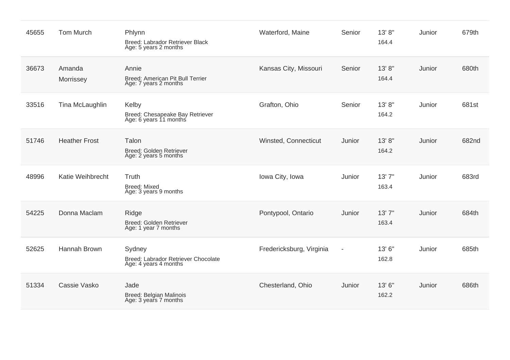| 45655 | <b>Tom Murch</b>     | Phlynn<br>Breed: Labrador Retriever Black<br>Age: 5 years 2 months     | Waterford, Maine         | Senior                   | 13' 8"<br>164.4 | Junior | 679th |
|-------|----------------------|------------------------------------------------------------------------|--------------------------|--------------------------|-----------------|--------|-------|
| 36673 | Amanda<br>Morrissey  | Annie<br>Breed: American Pit Bull Terrier<br>Age: 7 years 2 months     | Kansas City, Missouri    | Senior                   | 13'8"<br>164.4  | Junior | 680th |
| 33516 | Tina McLaughlin      | Kelby<br>Breed: Chesapeake Bay Retriever<br>Age: 6 years 11 months     | Grafton, Ohio            | Senior                   | 13' 8"<br>164.2 | Junior | 681st |
| 51746 | <b>Heather Frost</b> | Talon<br>Breed: Golden Retriever<br>Age: 2 years 5 months              | Winsted, Connecticut     | Junior                   | 13'8"<br>164.2  | Junior | 682nd |
| 48996 | Katie Weihbrecht     | Truth<br><b>Breed: Mixed</b><br>Age: 3 years 9 months                  | Iowa City, Iowa          | Junior                   | 13'7''<br>163.4 | Junior | 683rd |
| 54225 | Donna Maclam         | Ridge<br>Breed: Golden Retriever<br>Age: 1 year 7 months               | Pontypool, Ontario       | Junior                   | 13'7''<br>163.4 | Junior | 684th |
| 52625 | Hannah Brown         | Sydney<br>Breed: Labrador Retriever Chocolate<br>Age: 4 years 4 months | Fredericksburg, Virginia | $\overline{\phantom{a}}$ | 13'6"<br>162.8  | Junior | 685th |
| 51334 | Cassie Vasko         | Jade<br>Breed: Belgian Malinois<br>Age: 3 years 7 months               | Chesterland, Ohio        | Junior                   | 13' 6"<br>162.2 | Junior | 686th |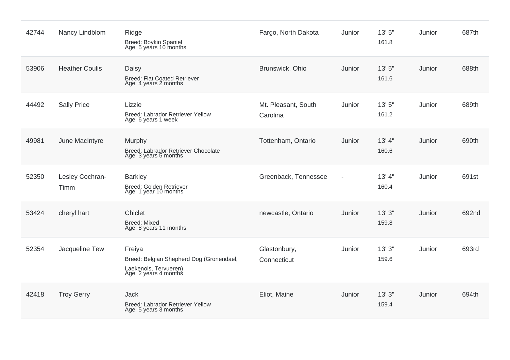| 42744 | Nancy Lindblom          | Ridge<br>Breed: Boykin Spaniel<br>Age: 5 years 10 months                                             | Fargo, North Dakota             | Junior                   | 13' 5"<br>161.8  | Junior | 687th |
|-------|-------------------------|------------------------------------------------------------------------------------------------------|---------------------------------|--------------------------|------------------|--------|-------|
| 53906 | <b>Heather Coulis</b>   | Daisy<br><b>Breed: Flat Coated Retriever</b><br>Age: 4 years 2 months                                | Brunswick, Ohio                 | Junior                   | 13' 5"<br>161.6  | Junior | 688th |
| 44492 | <b>Sally Price</b>      | Lizzie<br>Breed: Labrador Retriever Yellow<br>Age: 6 years 1 week                                    | Mt. Pleasant, South<br>Carolina | Junior                   | 13'5''<br>161.2  | Junior | 689th |
| 49981 | June MacIntyre          | Murphy<br>Breed: Labrador Retriever Chocolate<br>Age: 3 years 5 months                               | Tottenham, Ontario              | Junior                   | 13' 4''<br>160.6 | Junior | 690th |
| 52350 | Lesley Cochran-<br>Timm | <b>Barkley</b><br>Breed: Golden Retriever<br>Age: 1 year 10 months                                   | Greenback, Tennessee            | $\overline{\phantom{a}}$ | 13' 4''<br>160.4 | Junior | 691st |
| 53424 | cheryl hart             | Chiclet<br><b>Breed: Mixed</b><br>Age: 8 years 11 months                                             | newcastle, Ontario              | Junior                   | 13'3''<br>159.8  | Junior | 692nd |
| 52354 | Jacqueline Tew          | Freiya<br>Breed: Belgian Shepherd Dog (Gronendael,<br>Laekenois, Tervueren)<br>Age: 2 years 4 months | Glastonbury,<br>Connecticut     | Junior                   | 13'3''<br>159.6  | Junior | 693rd |
| 42418 | <b>Troy Gerry</b>       | Jack<br>Breed: Labrador Retriever Yellow<br>Age: 5 years 3 months                                    | Eliot, Maine                    | Junior                   | 13'3''<br>159.4  | Junior | 694th |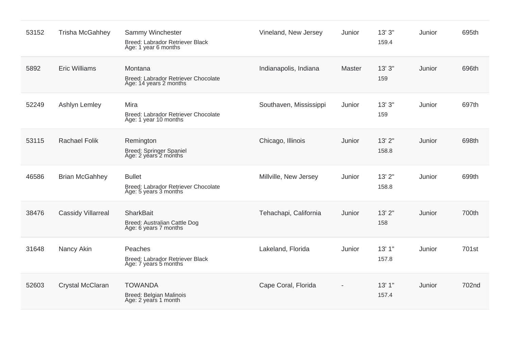| 53152 | Trisha McGahhey           | Sammy Winchester<br>Breed: Labrador Retriever Black<br>Age: 1 year 6 months   | Vineland, New Jersey   | Junior        | 13'3''<br>159.4 | Junior | 695th |
|-------|---------------------------|-------------------------------------------------------------------------------|------------------------|---------------|-----------------|--------|-------|
| 5892  | <b>Eric Williams</b>      | Montana<br>Breed: Labrador Retriever Chocolate<br>Age: 14 years 2 months      | Indianapolis, Indiana  | <b>Master</b> | 13'3''<br>159   | Junior | 696th |
| 52249 | Ashlyn Lemley             | Mira<br>Breed: Labrador Retriever Chocolate<br>Age: 1 year 10 months          | Southaven, Mississippi | Junior        | 13'3''<br>159   | Junior | 697th |
| 53115 | <b>Rachael Folik</b>      | Remington<br>Breed: Springer Spaniel<br>Age: 2 years 2 months                 | Chicago, Illinois      | Junior        | 13'2"<br>158.8  | Junior | 698th |
| 46586 | <b>Brian McGahhey</b>     | <b>Bullet</b><br>Breed: Labrador Retriever Chocolate<br>Age: 5 years 3 months | Millville, New Jersey  | Junior        | 13'2"<br>158.8  | Junior | 699th |
| 38476 | <b>Cassidy Villarreal</b> | <b>SharkBait</b><br>Breed: Australian Cattle Dog<br>Age: 6 years 7 months     | Tehachapi, California  | Junior        | 13'2"<br>158    | Junior | 700th |
| 31648 | Nancy Akin                | Peaches<br>Breed: Labrador Retriever Black<br>Age: 7 years 5 months           | Lakeland, Florida      | Junior        | 13'1"<br>157.8  | Junior | 701st |
| 52603 | Crystal McClaran          | <b>TOWANDA</b><br>Breed: Belgian Malinois<br>Age: 2 years 1 month             | Cape Coral, Florida    |               | 13'1''<br>157.4 | Junior | 702nd |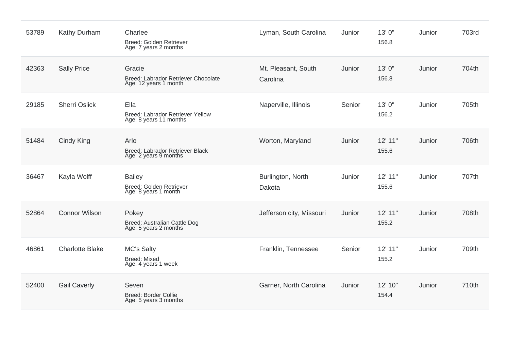| 53789 | Kathy Durham           | Charlee<br>Breed: Golden Retriever<br>Age: 7 years 2 months            | Lyman, South Carolina           | Junior | 13' 0"<br>156.8  | Junior | 703rd |
|-------|------------------------|------------------------------------------------------------------------|---------------------------------|--------|------------------|--------|-------|
| 42363 | <b>Sally Price</b>     | Gracie<br>Breed: Labrador Retriever Chocolate<br>Age: 12 years 1 month | Mt. Pleasant, South<br>Carolina | Junior | 13'0"<br>156.8   | Junior | 704th |
| 29185 | <b>Sherri Oslick</b>   | Ella<br>Breed: Labrador Retriever Yellow<br>Age: 8 years 11 months     | Naperville, Illinois            | Senior | 13' 0"<br>156.2  | Junior | 705th |
| 51484 | Cindy King             | Arlo<br>Breed: Labrador Retriever Black<br>Age: 2 years 9 months       | Worton, Maryland                | Junior | 12' 11"<br>155.6 | Junior | 706th |
| 36467 | Kayla Wolff            | <b>Bailey</b><br>Breed: Golden Retriever<br>Age: 8 years 1 month       | Burlington, North<br>Dakota     | Junior | 12' 11"<br>155.6 | Junior | 707th |
| 52864 | <b>Connor Wilson</b>   | Pokey<br>Breed: Australian Cattle Dog<br>Age: 5 years 2 months         | Jefferson city, Missouri        | Junior | 12' 11"<br>155.2 | Junior | 708th |
| 46861 | <b>Charlotte Blake</b> | <b>MC's Salty</b><br><b>Breed: Mixed</b><br>Age: 4 years 1 week        | Franklin, Tennessee             | Senior | 12' 11"<br>155.2 | Junior | 709th |
| 52400 | <b>Gail Caverly</b>    | Seven<br><b>Breed: Border Collie</b><br>Age: 5 years 3 months          | Garner, North Carolina          | Junior | 12' 10"<br>154.4 | Junior | 710th |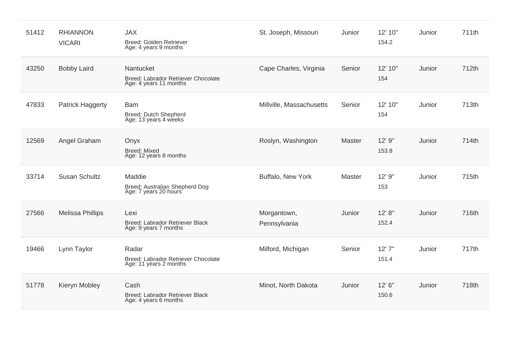| 51412 | <b>RHIANNON</b><br><b>VICARI</b> | <b>JAX</b><br>Breed: Golden Retriever<br>Age: 4 years 9 months             | St. Joseph, Missouri        | Junior | 12' 10"<br>154.2 | Junior | 711th |
|-------|----------------------------------|----------------------------------------------------------------------------|-----------------------------|--------|------------------|--------|-------|
| 43250 | <b>Bobby Laird</b>               | Nantucket<br>Breed: Labrador Retriever Chocolate<br>Age: 4 years 11 months | Cape Charles, Virginia      | Senior | 12' 10"<br>154   | Junior | 712th |
| 47833 | Patrick Haggerty                 | <b>Bam</b><br>Breed: Dutch Shepherd<br>Age: 13 years 4 weeks               | Millville, Massachusetts    | Senior | 12' 10"<br>154   | Junior | 713th |
| 12569 | Angel Graham                     | Onyx<br><b>Breed: Mixed</b><br>Age: 12 years 8 months                      | Roslyn, Washington          | Master | 12' 9"<br>153.8  | Junior | 714th |
| 33714 | <b>Susan Schultz</b>             | Maddie<br>Breed: Australian Shepherd Dog<br>Age: 7 years 20 hours          | Buffalo, New York           | Master | 12' 9"<br>153    | Junior | 715th |
| 27566 | <b>Melissa Phillips</b>          | Lexi<br>Breed: Labrador Retriever Black<br>Age: 9 years 7 months           | Morgantown,<br>Pennsylvania | Junior | 12' 8''<br>152.4 | Junior | 716th |
| 19466 | Lynn Taylor                      | Radar<br>Breed: Labrador Retriever Chocolate<br>Age: 11 years 2 months     | Milford, Michigan           | Senior | 12'7''<br>151.4  | Junior | 717th |
| 51778 | Kieryn Mobley                    | Cash<br>Breed: Labrador Retriever Black<br>Age: 4 years 6 months           | Minot, North Dakota         | Junior | 12' 6"<br>150.6  | Junior | 718th |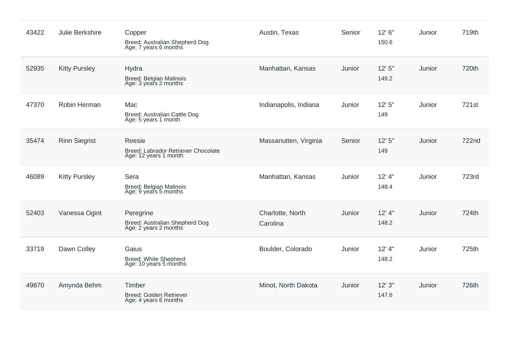| 43422 | Julie Berkshire      | Copper<br>Breed: Australian Shepherd Dog<br>Age: 7 years 6 months      | Austin, Texas                | Senior | 12' 6"<br>150.6   | Junior | 719th |
|-------|----------------------|------------------------------------------------------------------------|------------------------------|--------|-------------------|--------|-------|
| 52935 | <b>Kitty Pursley</b> | Hydra<br>Breed: Belgian Malinois<br>Age: 3 years 2 months              | Manhattan, Kansas            | Junior | 12'5''<br>149.2   | Junior | 720th |
| 47370 | Robin Herman         | Mac<br>Breed: Australian Cattle Dog<br>Age: 5 years 1 month            | Indianapolis, Indiana        | Junior | 12'5''<br>149     | Junior | 721st |
| 35474 | <b>Rinn Siegrist</b> | Reesie<br>Breed: Labrador Retriever Chocolate<br>Age: 12 years 1 month | Massanutten, Virginia        | Senior | 12'5''<br>149     | Junior | 722nd |
| 46089 | <b>Kitty Pursley</b> | Sera<br>Breed: Belgian Malinois<br>Age: 9 years 5 months               | Manhattan, Kansas            | Junior | $12'$ 4"<br>148.4 | Junior | 723rd |
| 52403 | Vanessa Ogint        | Peregrine<br>Breed: Australian Shepherd Dog<br>Age: 2 years 2 months   | Charlotte, North<br>Carolina | Junior | $12'$ 4"<br>148.2 | Junior | 724th |
| 33719 | Dawn Colley          | Gaius<br>Breed: White Shepherd<br>Age: 10 years 5 months               | Boulder, Colorado            | Junior | $12'$ 4"<br>148.2 | Junior | 725th |
| 49870 | Amynda Behm          | Timber<br>Breed: Golden Retriever<br>Age: 4 years 6 months             | Minot, North Dakota          | Junior | 12'3''<br>147.6   | Junior | 726th |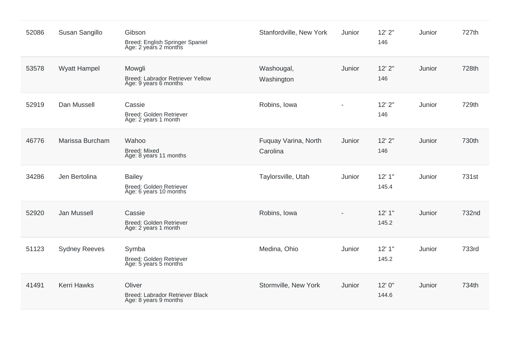| 52086 | Susan Sangillo       | Gibson<br>Breed: English Springer Spaniel<br>Age: 2 years 2 months  | Stanfordville, New York          | Junior                   | $12'$ $2"$<br>146 | Junior | 727th |
|-------|----------------------|---------------------------------------------------------------------|----------------------------------|--------------------------|-------------------|--------|-------|
| 53578 | <b>Wyatt Hampel</b>  | Mowgli<br>Breed: Labrador Retriever Yellow<br>Age: 9 years 6 months | Washougal,<br>Washington         | Junior                   | 12'2''<br>146     | Junior | 728th |
| 52919 | Dan Mussell          | Cassie<br>Breed: Golden Retriever<br>Age: 2 years 1 month           | Robins, Iowa                     | $\overline{\phantom{a}}$ | 12'2''<br>146     | Junior | 729th |
| 46776 | Marissa Burcham      | Wahoo<br><b>Breed: Mixed</b><br>Age: 8 years 11 months              | Fuquay Varina, North<br>Carolina | Junior                   | $12'$ $2"$<br>146 | Junior | 730th |
| 34286 | Jen Bertolina        | <b>Bailey</b><br>Breed: Golden Retriever<br>Age: 6 years 10 months  | Taylorsville, Utah               | Junior                   | 12'1''<br>145.4   | Junior | 731st |
| 52920 | Jan Mussell          | Cassie<br>Breed: Golden Retriever<br>Age: 2 years 1 month           | Robins, Iowa                     |                          | 12'1''<br>145.2   | Junior | 732nd |
| 51123 | <b>Sydney Reeves</b> | Symba<br>Breed: Golden Retriever<br>Age: 5 years 5 months           | Medina, Ohio                     | Junior                   | 12'1''<br>145.2   | Junior | 733rd |
| 41491 | <b>Kerri Hawks</b>   | Oliver<br>Breed: Labrador Retriever Black<br>Age: 8 years 9 months  | Stormville, New York             | Junior                   | 12' 0"<br>144.6   | Junior | 734th |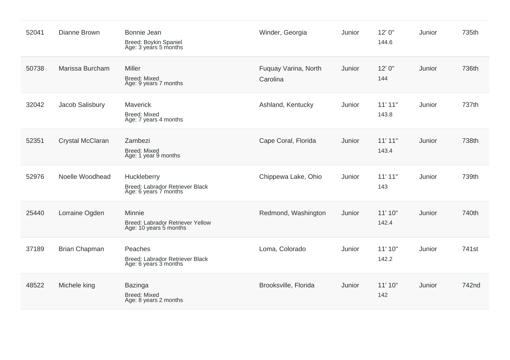| 52041 | Dianne Brown         | Bonnie Jean<br>Breed: Boykin Spaniel<br>Age: 3 years 5 months           | Winder, Georgia                  | Junior | 12' 0"<br>144.6  | Junior | 735th |
|-------|----------------------|-------------------------------------------------------------------------|----------------------------------|--------|------------------|--------|-------|
| 50738 | Marissa Burcham      | Miller<br><b>Breed: Mixed</b><br>Age: 9 years 7 months                  | Fuquay Varina, North<br>Carolina | Junior | 12'0''<br>144    | Junior | 736th |
| 32042 | Jacob Salisbury      | Maverick<br><b>Breed: Mixed</b><br>Age: 7 years 4 months                | Ashland, Kentucky                | Junior | 11'11"<br>143.8  | Junior | 737th |
| 52351 | Crystal McClaran     | Zambezi<br><b>Breed: Mixed</b><br>Age: 1 year 9 months                  | Cape Coral, Florida              | Junior | 11'11"<br>143.4  | Junior | 738th |
| 52976 | Noelle Woodhead      | Huckleberry<br>Breed: Labrador Retriever Black<br>Age: 6 years 7 months | Chippewa Lake, Ohio              | Junior | 11'11"<br>143    | Junior | 739th |
| 25440 | Lorraine Ogden       | Minnie<br>Breed: Labrador Retriever Yellow<br>Age: 10 years 5 months    | Redmond, Washington              | Junior | 11' 10"<br>142.4 | Junior | 740th |
| 37189 | <b>Brian Chapman</b> | Peaches<br>Breed: Labrador Retriever Black<br>Age: 6 years 3 months     | Loma, Colorado                   | Junior | 11' 10"<br>142.2 | Junior | 741st |
| 48522 | Michele king         | <b>Bazinga</b><br><b>Breed: Mixed</b><br>Age: 8 years 2 months          | Brooksville, Florida             | Junior | 11' 10"<br>142   | Junior | 742nd |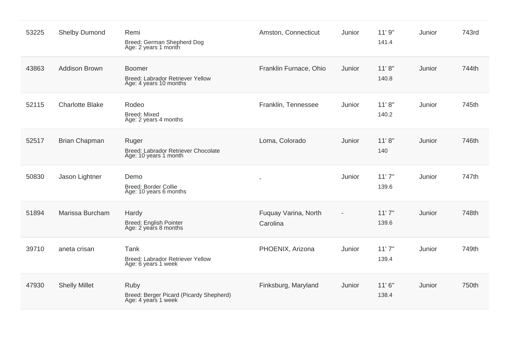| 53225 | <b>Shelby Dumond</b>   | Remi<br>Breed: German Shepherd Dog<br>Age: 2 years 1 month                  | Amston, Connecticut              | Junior | 11'9''<br>141.4  | Junior | 743rd |
|-------|------------------------|-----------------------------------------------------------------------------|----------------------------------|--------|------------------|--------|-------|
| 43863 | <b>Addison Brown</b>   | <b>Boomer</b><br>Breed: Labrador Retriever Yellow<br>Age: 4 years 10 months | Franklin Furnace, Ohio           | Junior | 11'8''<br>140.8  | Junior | 744th |
| 52115 | <b>Charlotte Blake</b> | Rodeo<br><b>Breed: Mixed</b><br>Age: 2 years 4 months                       | Franklin, Tennessee              | Junior | 11' 8''<br>140.2 | Junior | 745th |
| 52517 | <b>Brian Chapman</b>   | Ruger<br>Breed: Labrador Retriever Chocolate<br>Age: 10 years 1 month       | Loma, Colorado                   | Junior | 11'8''<br>140    | Junior | 746th |
| 50830 | Jason Lightner         | Demo<br><b>Breed: Border Collie</b><br>Age: 10 years 6 months               |                                  | Junior | 11'7''<br>139.6  | Junior | 747th |
| 51894 | Marissa Burcham        | Hardy<br><b>Breed: English Pointer</b><br>Age: 2 years 8 months             | Fuquay Varina, North<br>Carolina | ÷      | 11'7''<br>139.6  | Junior | 748th |
| 39710 | aneta crisan           | Tank<br>Breed: Labrador Retriever Yellow<br>Age: 6 years 1 week             | PHOENIX, Arizona                 | Junior | 11'7''<br>139.4  | Junior | 749th |
| 47930 | <b>Shelly Millet</b>   | Ruby<br>Breed: Berger Picard (Picardy Shepherd)<br>Age: 4 years 1 week      | Finksburg, Maryland              | Junior | 11'6''<br>138.4  | Junior | 750th |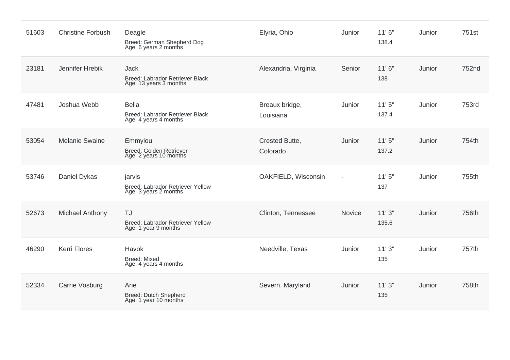| 51603 | <b>Christine Forbush</b> | Deagle<br>Breed: German Shepherd Dog<br>Age: 6 years 2 months            | Elyria, Ohio                | Junior         | 11'6''<br>138.4 | Junior | 751st |
|-------|--------------------------|--------------------------------------------------------------------------|-----------------------------|----------------|-----------------|--------|-------|
| 23181 | Jennifer Hrebik          | <b>Jack</b><br>Breed: Labrador Retriever Black<br>Age: 13 years 3 months | Alexandria, Virginia        | Senior         | 11'6''<br>138   | Junior | 752nd |
| 47481 | Joshua Webb              | <b>Bella</b><br>Breed: Labrador Retriever Black<br>Age: 4 years 4 months | Breaux bridge,<br>Louisiana | Junior         | 11'5''<br>137.4 | Junior | 753rd |
| 53054 | <b>Melanie Swaine</b>    | Emmylou<br>Breed: Golden Retriever<br>Age: 2 years 10 months             | Crested Butte,<br>Colorado  | Junior         | 11'5''<br>137.2 | Junior | 754th |
| 53746 | Daniel Dykas             | jarvis<br>Breed: Labrador Retriever Yellow<br>Age: 3 years 2 months      | OAKFIELD, Wisconsin         | $\blacksquare$ | 11'5''<br>137   | Junior | 755th |
| 52673 | <b>Michael Anthony</b>   | <b>TJ</b><br>Breed: Labrador Retriever Yellow<br>Age: 1 year 9 months    | Clinton, Tennessee          | Novice         | 11'3''<br>135.6 | Junior | 756th |
| 46290 | <b>Kerri Flores</b>      | Havok<br><b>Breed: Mixed</b><br>Age: 4 years 4 months                    | Needville, Texas            | Junior         | 11'3''<br>135   | Junior | 757th |
| 52334 | Carrie Vosburg           | Arie<br><b>Breed: Dutch Shepherd</b><br>Age: 1 year 10 months            | Severn, Maryland            | Junior         | 11'3''<br>135   | Junior | 758th |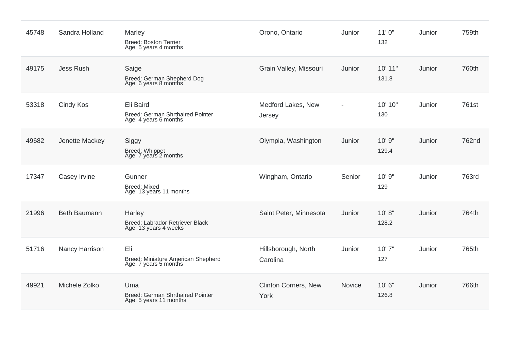| 45748 | Sandra Holland      | Marley<br><b>Breed: Boston Terrier</b><br>Age: 5 years 4 months               | Orono, Ontario                  | Junior         | 11'0''<br>132    | Junior | 759th |
|-------|---------------------|-------------------------------------------------------------------------------|---------------------------------|----------------|------------------|--------|-------|
| 49175 | <b>Jess Rush</b>    | Saige<br>Breed: German Shepherd Dog<br>Age: 6 years 8 months                  | Grain Valley, Missouri          | Junior         | 10' 11"<br>131.8 | Junior | 760th |
| 53318 | Cindy Kos           | Eli Baird<br><b>Breed: German Shrthaired Pointer</b><br>Age: 4 years 6 months | Medford Lakes, New<br>Jersey    | $\overline{a}$ | 10' 10"<br>130   | Junior | 761st |
| 49682 | Jenette Mackey      | Siggy<br>Breed: Whippet<br>Age: 7 years 2 months                              | Olympia, Washington             | Junior         | 10' 9"<br>129.4  | Junior | 762nd |
| 17347 | Casey Irvine        | Gunner<br><b>Breed: Mixed</b><br>Age: 13 years 11 months                      | Wingham, Ontario                | Senior         | 10' 9"<br>129    | Junior | 763rd |
| 21996 | <b>Beth Baumann</b> | Harley<br>Breed: Labrador Retriever Black<br>Age: 13 years 4 weeks            | Saint Peter, Minnesota          | Junior         | 10' 8''<br>128.2 | Junior | 764th |
| 51716 | Nancy Harrison      | Eli<br><b>Breed: Miniature American Shepherd</b><br>Age: 7 years 5 months     | Hillsborough, North<br>Carolina | Junior         | 10'7"<br>127     | Junior | 765th |
| 49921 | Michele Zolko       | Uma<br>Breed: German Shrthaired Pointer<br>Age: 5 years 11 months             | Clinton Corners, New<br>York    | <b>Novice</b>  | 10'6"<br>126.8   | Junior | 766th |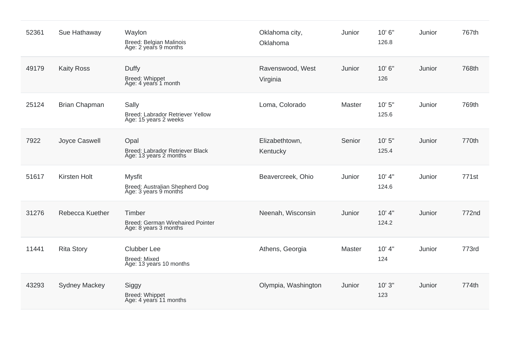| 52361 | Sue Hathaway         | Waylon<br><b>Breed: Belgian Malinois</b><br>Age: 2 years 9 months        | Oklahoma city,<br>Oklahoma   | Junior | 10'6"<br>126.8  | Junior | 767th |
|-------|----------------------|--------------------------------------------------------------------------|------------------------------|--------|-----------------|--------|-------|
| 49179 | <b>Kaity Ross</b>    | Duffy<br>Breed: Whippet<br>Age: 4 years 1 month                          | Ravenswood, West<br>Virginia | Junior | 10'6"<br>126    | Junior | 768th |
| 25124 | <b>Brian Chapman</b> | Sally<br>Breed: Labrador Retriever Yellow<br>Age: 15 years 2 weeks       | Loma, Colorado               | Master | 10'5''<br>125.6 | Junior | 769th |
| 7922  | Joyce Caswell        | Opal<br>Breed: Labrador Retriever Black<br>Age: 13 years 2 months        | Elizabethtown,<br>Kentucky   | Senior | 10'5''<br>125.4 | Junior | 770th |
| 51617 | <b>Kirsten Holt</b>  | <b>Mysfit</b><br>Breed: Australian Shepherd Dog<br>Age: 3 years 9 months | Beavercreek, Ohio            | Junior | 10' 4"<br>124.6 | Junior | 771st |
| 31276 | Rebecca Kuether      | Timber<br>Breed: German Wirehaired Pointer<br>Age: 8 years 3 months      | Neenah, Wisconsin            | Junior | 10' 4"<br>124.2 | Junior | 772nd |
| 11441 | <b>Rita Story</b>    | Clubber Lee<br><b>Breed: Mixed</b><br>Age: 13 years 10 months            | Athens, Georgia              | Master | 10' 4"<br>124   | Junior | 773rd |
| 43293 | <b>Sydney Mackey</b> | Siggy<br>Breed: Whippet<br>Age: 4 years 11 months                        | Olympia, Washington          | Junior | 10'3''<br>123   | Junior | 774th |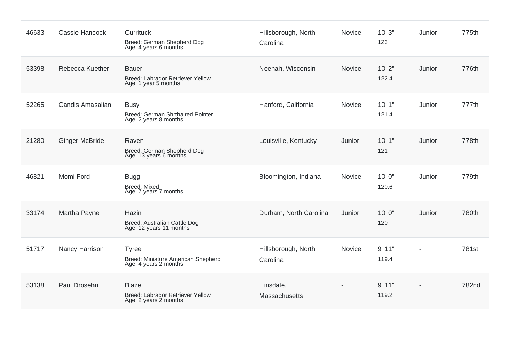| 46633 | Cassie Hancock        | Currituck<br>Breed: German Shepherd Dog<br>Age: 4 years 6 months            | Hillsborough, North<br>Carolina | Novice | 10'3''<br>123  | Junior | 775th |
|-------|-----------------------|-----------------------------------------------------------------------------|---------------------------------|--------|----------------|--------|-------|
| 53398 | Rebecca Kuether       | <b>Bauer</b><br>Breed: Labrador Retriever Yellow<br>Age: 1 year 5 months    | Neenah, Wisconsin               | Novice | 10'2"<br>122.4 | Junior | 776th |
| 52265 | Candis Amasalian      | <b>Busy</b><br>Breed: German Shrthaired Pointer<br>Age: 2 years 8 months    | Hanford, California             | Novice | 10'1"<br>121.4 | Junior | 777th |
| 21280 | <b>Ginger McBride</b> | Raven<br>Breed: German Shepherd Dog<br>Age: 13 years 6 months               | Louisville, Kentucky            | Junior | 10'1"<br>121   | Junior | 778th |
| 46821 | Momi Ford             | <b>Bugg</b><br><b>Breed: Mixed</b><br>Age: 7 years 7 months                 | Bloomington, Indiana            | Novice | 10'0"<br>120.6 | Junior | 779th |
| 33174 | Martha Payne          | Hazin<br>Breed: Australian Cattle Dog<br>Age: 12 years 11 months            | Durham, North Carolina          | Junior | 10'0"<br>120   | Junior | 780th |
| 51717 | Nancy Harrison        | <b>Tyree</b><br>Breed: Miniature American Shepherd<br>Age: 4 years 2 months | Hillsborough, North<br>Carolina | Novice | 9'11"<br>119.4 |        | 781st |
| 53138 | Paul Drosehn          | <b>Blaze</b><br>Breed: Labrador Retriever Yellow<br>Age: 2 years 2 months   | Hinsdale,<br>Massachusetts      |        | 9'11"<br>119.2 |        | 782nd |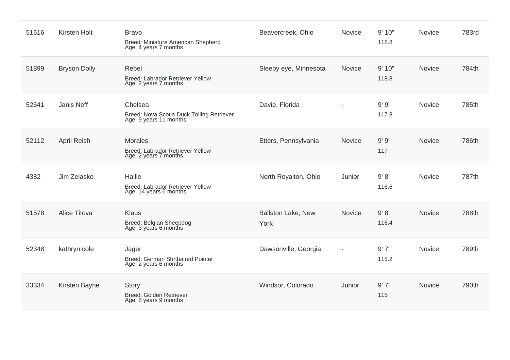| 51616 | <b>Kirsten Holt</b> | <b>Bravo</b><br>Breed: Miniature American Shepherd<br>Age: 4 years 7 months    | Beavercreek, Ohio                 | Novice                       | 9' 10"<br>118.8 | Novice        | 783rd |
|-------|---------------------|--------------------------------------------------------------------------------|-----------------------------------|------------------------------|-----------------|---------------|-------|
| 51899 | <b>Bryson Dolly</b> | Rebel<br>Breed: Labrador Retriever Yellow<br>Age: 2 years 7 months             | Sleepy eye, Minnesota             | <b>Novice</b>                | 9' 10"<br>118.8 | Novice        | 784th |
| 52641 | Janis Neff          | Chelsea<br>Breed: Nova Scotia Duck Tolling Retriever<br>Age: 9 years 11 months | Davie, Florida                    | $\overline{a}$               | 9'9''<br>117.8  | Novice        | 785th |
| 52112 | <b>April Reish</b>  | <b>Morales</b><br>Breed: Labrador Retriever Yellow<br>Age: 2 years 7 months    | Etters, Pennsylvania              | <b>Novice</b>                | 9'9''<br>117    | Novice        | 786th |
| 4382  | Jim Zelasko         | Hallie<br>Breed: Labrador Retriever Yellow<br>Age: 14 years 6 months           | North Royalton, Ohio              | Junior                       | 9' 8''<br>116.6 | Novice        | 787th |
| 51578 | Alice Titova        | <b>Klaus</b><br>Breed: Belgian Sheepdog<br>Age: 3 years 6 months               | <b>Ballston Lake, New</b><br>York | <b>Novice</b>                | 9' 8''<br>116.4 | Novice        | 788th |
| 52348 | kathryn cole        | Jäger<br><b>Breed: German Shrthaired Pointer</b><br>Age: 2 years 6 months      | Dawsonville, Georgia              | $\qquad \qquad \blacksquare$ | 9'7''<br>115.2  | <b>Novice</b> | 789th |
| 33334 | Kirsten Bayne       | Story<br>Breed: Golden Retriever<br>Age: 8 years 9 months                      | Windsor, Colorado                 | Junior                       | 9'7''<br>115    | <b>Novice</b> | 790th |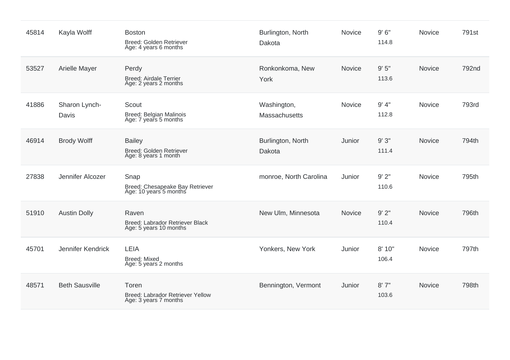| 45814 | Kayla Wolff            | <b>Boston</b><br>Breed: Golden Retriever<br>Age: 4 years 6 months  | Burlington, North<br>Dakota  | Novice | 9'6''<br>114.8  | Novice        | 791st |
|-------|------------------------|--------------------------------------------------------------------|------------------------------|--------|-----------------|---------------|-------|
| 53527 | Arielle Mayer          | Perdy<br><b>Breed: Airdale Terrier</b><br>Age: 2 years 2 months    | Ronkonkoma, New<br>York      | Novice | 9'5''<br>113.6  | <b>Novice</b> | 792nd |
| 41886 | Sharon Lynch-<br>Davis | Scout<br>Breed: Belgian Malinois<br>Age: 7 years 5 months          | Washington,<br>Massachusetts | Novice | 9' 4"<br>112.8  | <b>Novice</b> | 793rd |
| 46914 | <b>Brody Wolff</b>     | <b>Bailey</b><br>Breed: Golden Retriever<br>Age: 8 years 1 month   | Burlington, North<br>Dakota  | Junior | 9'3''<br>111.4  | Novice        | 794th |
| 27838 | Jennifer Alcozer       | Snap<br>Breed: Chesapeake Bay Retriever<br>Age: 10 years 5 months  | monroe, North Carolina       | Junior | 9'2"<br>110.6   | Novice        | 795th |
| 51910 | <b>Austin Dolly</b>    | Raven<br>Breed: Labrador Retriever Black<br>Age: 5 years 10 months | New Ulm, Minnesota           | Novice | 9'2"<br>110.4   | <b>Novice</b> | 796th |
| 45701 | Jennifer Kendrick      | LEIA<br><b>Breed: Mixed</b><br>Age: 5 years 2 months               | Yonkers, New York            | Junior | 8' 10"<br>106.4 | Novice        | 797th |
| 48571 | <b>Beth Sausville</b>  | Toren<br>Breed: Labrador Retriever Yellow<br>Age: 3 years 7 months | Bennington, Vermont          | Junior | 8'7''<br>103.6  | Novice        | 798th |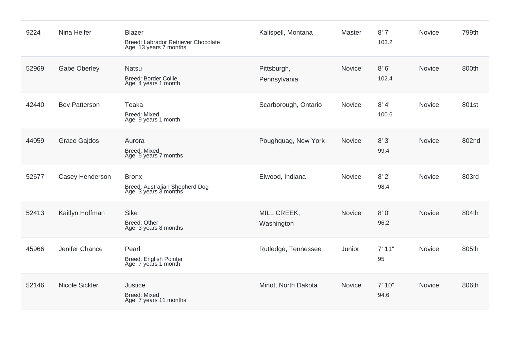| 9224  | Nina Helfer          | Blazer<br>Breed: Labrador Retriever Chocolate<br>Age: 13 years 7 months | Kalispell, Montana          | Master | 8'7''<br>103.2 | Novice        | 799th |
|-------|----------------------|-------------------------------------------------------------------------|-----------------------------|--------|----------------|---------------|-------|
| 52969 | <b>Gabe Oberley</b>  | <b>Natsu</b><br><b>Breed: Border Collie</b><br>Age: 4 years 1 month     | Pittsburgh,<br>Pennsylvania | Novice | 8'6''<br>102.4 | <b>Novice</b> | 800th |
| 42440 | <b>Bev Patterson</b> | Teaka<br><b>Breed: Mixed</b><br>Age: 9 years 1 month                    | Scarborough, Ontario        | Novice | 8' 4"<br>100.6 | Novice        | 801st |
| 44059 | <b>Grace Gajdos</b>  | Aurora<br><b>Breed: Mixed</b><br>Age: 5 years 7 months                  | Poughquag, New York         | Novice | 8'3''<br>99.4  | Novice        | 802nd |
| 52677 | Casey Henderson      | <b>Bronx</b><br>Breed: Australian Shepherd Dog<br>Age: 3 years 3 months | Elwood, Indiana             | Novice | 8'2"<br>98.4   | Novice        | 803rd |
| 52413 | Kaitlyn Hoffman      | <b>Sike</b><br>Breed: Other<br>Age: 3 years 8 months                    | MILL CREEK,<br>Washington   | Novice | 8'0''<br>96.2  | Novice        | 804th |
| 45966 | Jenifer Chance       | Pearl<br>Breed: English Pointer<br>Age: 7 years 1 month                 | Rutledge, Tennessee         | Junior | 7'11"<br>95    | Novice        | 805th |
| 52146 | Nicole Sickler       | Justice<br><b>Breed: Mixed</b><br>Age: 7 years 11 months                | Minot, North Dakota         | Novice | 7' 10"<br>94.6 | Novice        | 806th |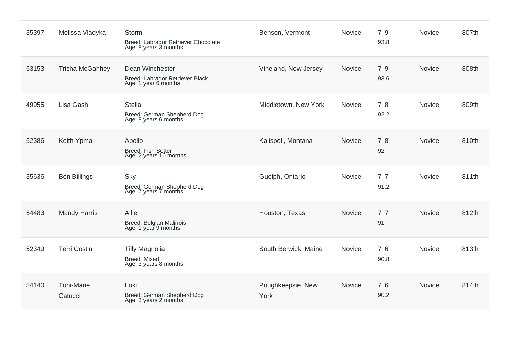| 35397 | Melissa Vladyka              | Storm<br>Breed: Labrador Retriever Chocolate<br>Age: 8 years 3 months      | Benson, Vermont           | Novice        | 7'9''<br>93.8  | Novice        | 807th |
|-------|------------------------------|----------------------------------------------------------------------------|---------------------------|---------------|----------------|---------------|-------|
| 53153 | <b>Trisha McGahhey</b>       | Dean Winchester<br>Breed: Labrador Retriever Black<br>Age: 1 year 6 months | Vineland, New Jersey      | Novice        | 7' 9"<br>93.6  | <b>Novice</b> | 808th |
| 49955 | Lisa Gash                    | <b>Stella</b><br>Breed: German Shepherd Dog<br>Age: 8 years 6 months       | Middletown, New York      | Novice        | 7' 8''<br>92.2 | <b>Novice</b> | 809th |
| 52386 | Keith Ypma                   | Apollo<br><b>Breed: Irish Setter</b><br>Age: 2 years 10 months             | Kalispell, Montana        | Novice        | 7' 8''<br>92   | Novice        | 810th |
| 35636 | <b>Ben Billings</b>          | Sky<br>Breed: German Shepherd Dog<br>Age: 7 years 7 months                 | Guelph, Ontario           | Novice        | 7'7''<br>91.2  | Novice        | 811th |
| 54483 | <b>Mandy Harris</b>          | Allie<br>Breed: Belgian Malinois<br>Age: 1 year 9 months                   | Houston, Texas            | Novice        | 7'7''<br>91    | <b>Novice</b> | 812th |
| 52349 | <b>Terri Costin</b>          | <b>Tilly Magnolia</b><br><b>Breed: Mixed</b><br>Age: 3 years 8 months      | South Berwick, Maine      | <b>Novice</b> | 7'6''<br>90.8  | Novice        | 813th |
| 54140 | <b>Toni-Marie</b><br>Catucci | Loki<br>Breed: German Shepherd Dog<br>Age: 3 years 2 months                | Poughkeepsie, New<br>York | <b>Novice</b> | 7'6''<br>90.2  | Novice        | 814th |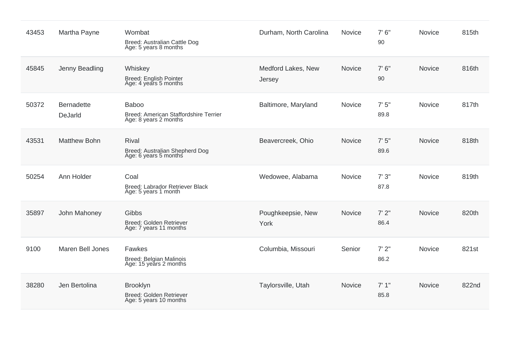| 43453 | Martha Payne                 | Wombat<br>Breed: Australian Cattle Dog<br>Age: 5 years 8 months                | Durham, North Carolina       | Novice        | 7'6''<br>90   | Novice        | 815th |
|-------|------------------------------|--------------------------------------------------------------------------------|------------------------------|---------------|---------------|---------------|-------|
| 45845 | Jenny Beadling               | Whiskey<br><b>Breed: English Pointer</b><br>Age: 4 years 5 months              | Medford Lakes, New<br>Jersey | Novice        | 7'6''<br>90   | Novice        | 816th |
| 50372 | <b>Bernadette</b><br>DeJarld | <b>Baboo</b><br>Breed: American Staffordshire Terrier<br>Age: 8 years 2 months | Baltimore, Maryland          | Novice        | 7'5''<br>89.8 | <b>Novice</b> | 817th |
| 43531 | <b>Matthew Bohn</b>          | <b>Rival</b><br>Breed: Australian Shepherd Dog<br>Age: 6 years 5 months        | Beavercreek, Ohio            | <b>Novice</b> | 7'5''<br>89.6 | Novice        | 818th |
| 50254 | Ann Holder                   | Coal<br>Breed: Labrador Retriever Black<br>Age: 5 years 1 month                | Wedowee, Alabama             | Novice        | 7'3''<br>87.8 | <b>Novice</b> | 819th |
| 35897 | John Mahoney                 | <b>Gibbs</b><br>Breed: Golden Retriever<br>Age: 7 years 11 months              | Poughkeepsie, New<br>York    | <b>Novice</b> | 7'2''<br>86.4 | <b>Novice</b> | 820th |
| 9100  | <b>Maren Bell Jones</b>      | Fawkes<br>Breed: Belgian Malinois<br>Age: 15 years 2 months                    | Columbia, Missouri           | Senior        | 7'2''<br>86.2 | <b>Novice</b> | 821st |
| 38280 | Jen Bertolina                | <b>Brooklyn</b><br>Breed: Golden Retriever<br>Age: 5 years 10 months           | Taylorsville, Utah           | <b>Novice</b> | 7'1''<br>85.8 | <b>Novice</b> | 822nd |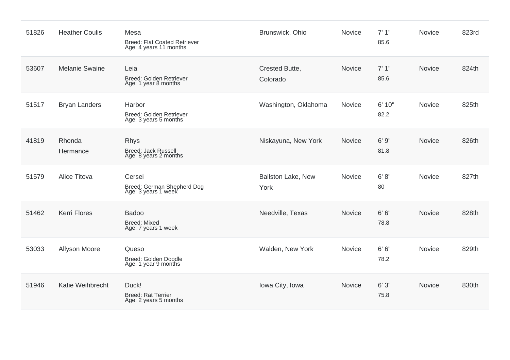| 51826 | <b>Heather Coulis</b> | Mesa<br><b>Breed: Flat Coated Retriever</b><br>Age: 4 years 11 months | Brunswick, Ohio                   | Novice        | 7'1''<br>85.6  | Novice        | 823rd |
|-------|-----------------------|-----------------------------------------------------------------------|-----------------------------------|---------------|----------------|---------------|-------|
| 53607 | <b>Melanie Swaine</b> | Leia<br>Breed: Golden Retriever<br>Age: 1 year 8 months               | Crested Butte,<br>Colorado        | Novice        | 7'1''<br>85.6  | Novice        | 824th |
| 51517 | <b>Bryan Landers</b>  | Harbor<br>Breed: Golden Retriever<br>Age: 3 years 5 months            | Washington, Oklahoma              | Novice        | 6' 10"<br>82.2 | Novice        | 825th |
| 41819 | Rhonda<br>Hermance    | <b>Rhys</b><br><b>Breed: Jack Russell</b><br>Age: 8 years 2 months    | Niskayuna, New York               | Novice        | 6'9''<br>81.8  | <b>Novice</b> | 826th |
| 51579 | Alice Titova          | Cersei<br>Breed: German Shepherd Dog<br>Age: 3 years 1 week           | <b>Ballston Lake, New</b><br>York | Novice        | 6' 8''<br>80   | Novice        | 827th |
| 51462 | <b>Kerri Flores</b>   | <b>Badoo</b><br><b>Breed: Mixed</b><br>Age: 7 years 1 week            | Needville, Texas                  | <b>Novice</b> | 6' 6''<br>78.8 | Novice        | 828th |
| 53033 | Allyson Moore         | Queso<br>Breed: Golden Doodle<br>Age: 1 year 9 months                 | Walden, New York                  | Novice        | 6' 6''<br>78.2 | Novice        | 829th |
| 51946 | Katie Weihbrecht      | Duck!<br><b>Breed: Rat Terrier</b><br>Age: 2 years 5 months           | Iowa City, Iowa                   | Novice        | 6'3''<br>75.8  | Novice        | 830th |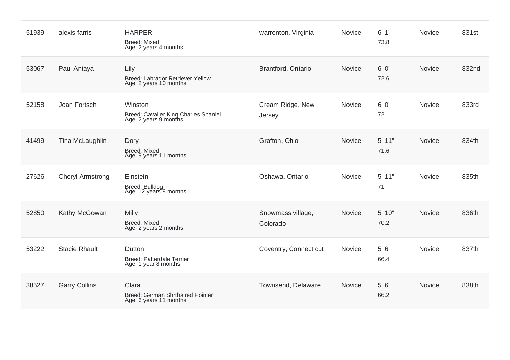| 51939 | alexis farris           | <b>HARPER</b><br><b>Breed: Mixed</b><br>Age: 2 years 4 months            | warrenton, Virginia           | Novice        | 6'1''<br>73.8    | Novice        | 831st |
|-------|-------------------------|--------------------------------------------------------------------------|-------------------------------|---------------|------------------|---------------|-------|
| 53067 | Paul Antaya             | Lily<br>Breed: Labrador Retriever Yellow<br>Age: 2 years 10 months       | Brantford, Ontario            | Novice        | 6' 0"<br>72.6    | <b>Novice</b> | 832nd |
| 52158 | Joan Fortsch            | Winston<br>Breed: Cavalier King Charles Spaniel<br>Age: 2 years 9 months | Cream Ridge, New<br>Jersey    | Novice        | 6'0''<br>72      | Novice        | 833rd |
| 41499 | Tina McLaughlin         | Dory<br><b>Breed: Mixed</b><br>Age: 9 years 11 months                    | Grafton, Ohio                 | Novice        | $5'$ 11"<br>71.6 | Novice        | 834th |
| 27626 | <b>Cheryl Armstrong</b> | Einstein<br>Breed: Bulldog<br>Age: 12 years 8 months                     | Oshawa, Ontario               | <b>Novice</b> | 5' 11"<br>71     | <b>Novice</b> | 835th |
| 52850 | Kathy McGowan           | Milly<br><b>Breed: Mixed</b><br>Age: 2 years 2 months                    | Snowmass village,<br>Colorado | Novice        | 5' 10"<br>70.2   | Novice        | 836th |
| 53222 | <b>Stacie Rhault</b>    | Dutton<br><b>Breed: Patterdale Terrier</b><br>Age: 1 year 8 months       | Coventry, Connecticut         | Novice        | 5' 6''<br>66.4   | Novice        | 837th |
| 38527 | <b>Garry Collins</b>    | Clara<br>Breed: German Shrthaired Pointer<br>Age: 6 years 11 months      | Townsend, Delaware            | Novice        | 5'6''<br>66.2    | Novice        | 838th |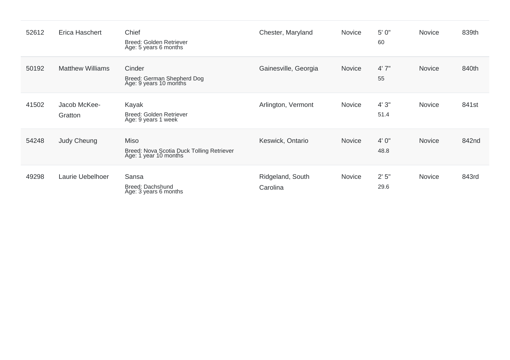| 52612 | Erica Haschert          | Chief<br>Breed: Golden Retriever<br>Age: 5 years 6 months                         | Chester, Maryland            | <b>Novice</b> | 5' 0"<br>60   | Novice        | 839th |
|-------|-------------------------|-----------------------------------------------------------------------------------|------------------------------|---------------|---------------|---------------|-------|
| 50192 | <b>Matthew Williams</b> | Cinder<br>Breed: German Shepherd Dog<br>Age: 9 years 10 months                    | Gainesville, Georgia         | Novice        | 4'7''<br>55   | Novice        | 840th |
| 41502 | Jacob McKee-<br>Gratton | Kayak<br>Breed: Golden Retriever<br>Age: 9 years 1 week                           | Arlington, Vermont           | Novice        | 4'3''<br>51.4 | <b>Novice</b> | 841st |
| 54248 | Judy Cheung             | <b>Miso</b><br>Breed: Nova Scotia Duck Tolling Retriever<br>Age: 1 year 10 months | Keswick, Ontario             | <b>Novice</b> | 4'0''<br>48.8 | Novice        | 842nd |
| 49298 | Laurie Uebelhoer        | Sansa<br>Breed: Dachshund<br>Age: 3 years 6 months                                | Ridgeland, South<br>Carolina | Novice        | 2'5"<br>29.6  | Novice        | 843rd |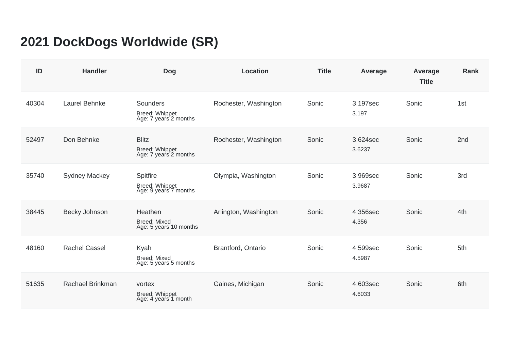## **2021 DockDogs Worldwide (SR)**

| ID    | <b>Handler</b>       | <b>Dog</b>                                                     | <b>Location</b>       | <b>Title</b> | Average            | Average<br><b>Title</b> | <b>Rank</b>     |
|-------|----------------------|----------------------------------------------------------------|-----------------------|--------------|--------------------|-------------------------|-----------------|
| 40304 | Laurel Behnke        | Sounders<br>Breed: Whippet<br>Age: 7 years 2 months            | Rochester, Washington | Sonic        | 3.197sec<br>3.197  | Sonic                   | 1st             |
| 52497 | Don Behnke           | <b>Blitz</b><br><b>Breed: Whippet</b><br>Age: 7 years 2 months | Rochester, Washington | Sonic        | 3.624sec<br>3.6237 | Sonic                   | 2 <sub>nd</sub> |
| 35740 | <b>Sydney Mackey</b> | Spitfire<br>Breed: Whippet<br>Age: 9 years 7 months            | Olympia, Washington   | Sonic        | 3.969sec<br>3.9687 | Sonic                   | 3rd             |
| 38445 | Becky Johnson        | Heathen<br><b>Breed: Mixed</b><br>Age: 5 years 10 months       | Arlington, Washington | Sonic        | 4.356sec<br>4.356  | Sonic                   | 4th             |
| 48160 | <b>Rachel Cassel</b> | Kyah<br><b>Breed: Mixed</b><br>Age: 5 years 5 months           | Brantford, Ontario    | Sonic        | 4.599sec<br>4.5987 | Sonic                   | 5th             |
| 51635 | Rachael Brinkman     | vortex<br>Breed: Whippet<br>Age: 4 years 1 month               | Gaines, Michigan      | Sonic        | 4.603sec<br>4.6033 | Sonic                   | 6th             |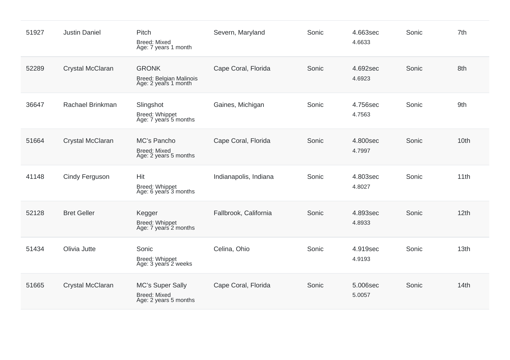| 51927 | <b>Justin Daniel</b>  | Pitch<br><b>Breed: Mixed</b><br>Age: 7 years 1 month             | Severn, Maryland      | Sonic | 4.663sec<br>4.6633 | Sonic | 7th  |
|-------|-----------------------|------------------------------------------------------------------|-----------------------|-------|--------------------|-------|------|
| 52289 | Crystal McClaran      | <b>GRONK</b><br>Breed: Belgian Malinois<br>Age: 2 years 1 month  | Cape Coral, Florida   | Sonic | 4.692sec<br>4.6923 | Sonic | 8th  |
| 36647 | Rachael Brinkman      | Slingshot<br>Breed: Whippet<br>Age: 7 years 5 months             | Gaines, Michigan      | Sonic | 4.756sec<br>4.7563 | Sonic | 9th  |
| 51664 | Crystal McClaran      | MC's Pancho<br><b>Breed: Mixed</b><br>Age: 2 years 5 months      | Cape Coral, Florida   | Sonic | 4.800sec<br>4.7997 | Sonic | 10th |
| 41148 | <b>Cindy Ferguson</b> | Hit<br>Breed: Whippet<br>Age: 6 years 3 months                   | Indianapolis, Indiana | Sonic | 4.803sec<br>4.8027 | Sonic | 11th |
| 52128 | <b>Bret Geller</b>    | Kegger<br>Breed: Whippet<br>Age: 7 years 2 months                | Fallbrook, California | Sonic | 4.893sec<br>4.8933 | Sonic | 12th |
| 51434 | Olivia Jutte          | Sonic<br>Breed: Whippet<br>Age: 3 years 2 weeks                  | Celina, Ohio          | Sonic | 4.919sec<br>4.9193 | Sonic | 13th |
| 51665 | Crystal McClaran      | MC's Super Sally<br><b>Breed: Mixed</b><br>Age: 2 years 5 months | Cape Coral, Florida   | Sonic | 5.006sec<br>5.0057 | Sonic | 14th |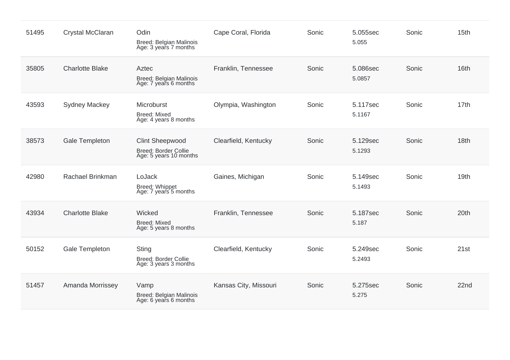| 51495 | Crystal McClaran       | Odin<br>Breed: Belgian Malinois<br>Age: 3 years 7 months                        | Cape Coral, Florida   | Sonic | 5.055sec<br>5.055  | Sonic | 15th |
|-------|------------------------|---------------------------------------------------------------------------------|-----------------------|-------|--------------------|-------|------|
| 35805 | <b>Charlotte Blake</b> | Aztec<br>Breed: Belgian Malinois<br>Age: 7 years 6 months                       | Franklin, Tennessee   | Sonic | 5.086sec<br>5.0857 | Sonic | 16th |
| 43593 | <b>Sydney Mackey</b>   | Microburst<br><b>Breed: Mixed</b><br>Age: 4 years 8 months                      | Olympia, Washington   | Sonic | 5.117sec<br>5.1167 | Sonic | 17th |
| 38573 | <b>Gale Templeton</b>  | <b>Clint Sheepwood</b><br><b>Breed: Border Collie</b><br>Age: 5 years 10 months | Clearfield, Kentucky  | Sonic | 5.129sec<br>5.1293 | Sonic | 18th |
| 42980 | Rachael Brinkman       | LoJack<br>Breed: Whippet<br>Age: 7 years 5 months                               | Gaines, Michigan      | Sonic | 5.149sec<br>5.1493 | Sonic | 19th |
| 43934 | <b>Charlotte Blake</b> | Wicked<br><b>Breed: Mixed</b><br>Age: 5 years 8 months                          | Franklin, Tennessee   | Sonic | 5.187sec<br>5.187  | Sonic | 20th |
| 50152 | Gale Templeton         | Sting<br>Breed: Border Collie<br>Age: 3 years 3 months                          | Clearfield, Kentucky  | Sonic | 5.249sec<br>5.2493 | Sonic | 21st |
| 51457 | Amanda Morrissey       | Vamp<br>Breed: Belgian Malinois<br>Age: 6 years 6 months                        | Kansas City, Missouri | Sonic | 5.275sec<br>5.275  | Sonic | 22nd |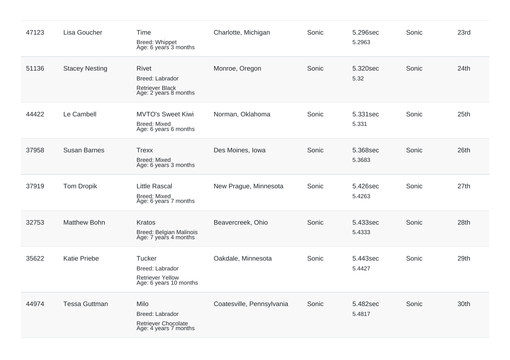| 47123 | Lisa Goucher          | Time<br>Breed: Whippet<br>Age: 6 years 3 months                                       | Charlotte, Michigan       | Sonic | 5.296sec<br>5.2963 | Sonic | 23rd |
|-------|-----------------------|---------------------------------------------------------------------------------------|---------------------------|-------|--------------------|-------|------|
| 51136 | <b>Stacey Nesting</b> | <b>Rivet</b><br>Breed: Labrador<br><b>Retriever Black</b><br>Age: 2 years 8 months    | Monroe, Oregon            | Sonic | 5.320sec<br>5.32   | Sonic | 24th |
| 44422 | Le Cambell            | <b>MVTO's Sweet Kiwi</b><br><b>Breed: Mixed</b><br>Age: 6 years 6 months              | Norman, Oklahoma          | Sonic | 5.331sec<br>5.331  | Sonic | 25th |
| 37958 | <b>Susan Barnes</b>   | <b>Trexx</b><br><b>Breed: Mixed</b><br>Age: 6 years 3 months                          | Des Moines, Iowa          | Sonic | 5.368sec<br>5.3683 | Sonic | 26th |
| 37919 | <b>Tom Dropik</b>     | <b>Little Rascal</b><br><b>Breed: Mixed</b><br>Age: 6 years 7 months                  | New Prague, Minnesota     | Sonic | 5.426sec<br>5.4263 | Sonic | 27th |
| 32753 | <b>Matthew Bohn</b>   | Kratos<br>Breed: Belgian Malinois<br>Age: 7 years 4 months                            | Beavercreek, Ohio         | Sonic | 5.433sec<br>5.4333 | Sonic | 28th |
| 35622 | <b>Katie Priebe</b>   | <b>Tucker</b><br>Breed: Labrador<br><b>Retriever Yellow</b><br>Age: 6 years 10 months | Oakdale, Minnesota        | Sonic | 5.443sec<br>5.4427 | Sonic | 29th |
| 44974 | <b>Tessa Guttman</b>  | Milo<br>Breed: Labrador<br>Retriever Chocolate<br>Age: 4 years 7 months               | Coatesville, Pennsylvania | Sonic | 5.482sec<br>5.4817 | Sonic | 30th |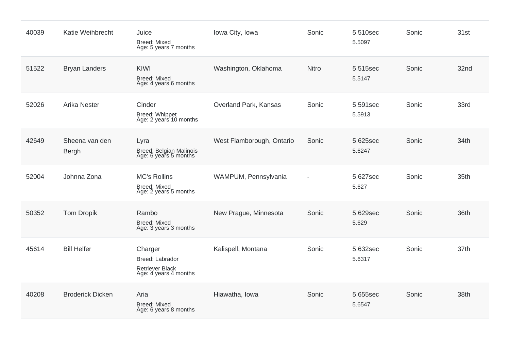| 40039 | Katie Weihbrecht        | Juice<br><b>Breed: Mixed</b><br>Age: 5 years 7 months                  | Iowa City, Iowa           | Sonic                    | 5.510sec<br>5.5097 | Sonic | 31st |
|-------|-------------------------|------------------------------------------------------------------------|---------------------------|--------------------------|--------------------|-------|------|
| 51522 | <b>Bryan Landers</b>    | <b>KIWI</b><br><b>Breed: Mixed</b><br>Age: 4 years 6 months            | Washington, Oklahoma      | <b>Nitro</b>             | 5.515sec<br>5.5147 | Sonic | 32nd |
| 52026 | <b>Arika Nester</b>     | Cinder<br>Breed: Whippet<br>Age: 2 years 10 months                     | Overland Park, Kansas     | Sonic                    | 5.591sec<br>5.5913 | Sonic | 33rd |
| 42649 | Sheena van den<br>Bergh | Lyra<br>Breed: Belgian Malinois<br>Age: 6 years 5 months               | West Flamborough, Ontario | Sonic                    | 5.625sec<br>5.6247 | Sonic | 34th |
| 52004 | Johnna Zona             | <b>MC's Rollins</b><br><b>Breed: Mixed</b><br>Age: 2 years 5 months    | WAMPUM, Pennsylvania      | $\overline{\phantom{a}}$ | 5.627sec<br>5.627  | Sonic | 35th |
| 50352 | <b>Tom Dropik</b>       | Rambo<br><b>Breed: Mixed</b><br>Age: 3 years 3 months                  | New Prague, Minnesota     | Sonic                    | 5.629sec<br>5.629  | Sonic | 36th |
| 45614 | <b>Bill Helfer</b>      | Charger<br>Breed: Labrador<br>Retriever Black<br>Age: 4 years 4 months | Kalispell, Montana        | Sonic                    | 5.632sec<br>5.6317 | Sonic | 37th |
| 40208 | <b>Broderick Dicken</b> | Aria<br><b>Breed: Mixed</b><br>Age: 6 years 8 months                   | Hiawatha, Iowa            | Sonic                    | 5.655sec<br>5.6547 | Sonic | 38th |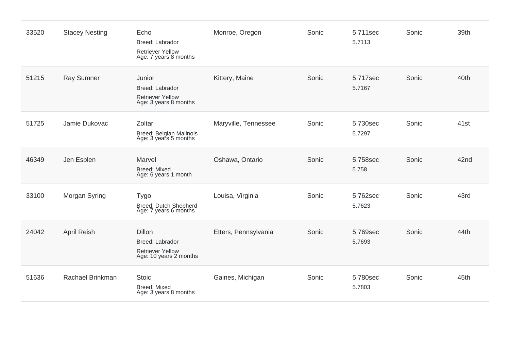| 33520 | <b>Stacey Nesting</b> | Echo<br>Breed: Labrador<br><b>Retriever Yellow</b><br>Age: 7 years 8 months           | Monroe, Oregon       | Sonic | 5.711sec<br>5.7113 | Sonic | 39th |
|-------|-----------------------|---------------------------------------------------------------------------------------|----------------------|-------|--------------------|-------|------|
| 51215 | <b>Ray Sumner</b>     | Junior<br>Breed: Labrador<br><b>Retriever Yellow</b><br>Age: 3 years 8 months         | Kittery, Maine       | Sonic | 5.717sec<br>5.7167 | Sonic | 40th |
| 51725 | Jamie Dukovac         | Zoltar<br>Breed: Belgian Malinois<br>Age: 3 years 5 months                            | Maryville, Tennessee | Sonic | 5.730sec<br>5.7297 | Sonic | 41st |
| 46349 | Jen Esplen            | Marvel<br><b>Breed: Mixed</b><br>Age: 6 years 1 month                                 | Oshawa, Ontario      | Sonic | 5.758sec<br>5.758  | Sonic | 42nd |
| 33100 | Morgan Syring         | Tygo<br>Breed: Dutch Shepherd<br>Age: 7 years 6 months                                | Louisa, Virginia     | Sonic | 5.762sec<br>5.7623 | Sonic | 43rd |
| 24042 | <b>April Reish</b>    | <b>Dillon</b><br>Breed: Labrador<br><b>Retriever Yellow</b><br>Age: 10 years 2 months | Etters, Pennsylvania | Sonic | 5.769sec<br>5.7693 | Sonic | 44th |
| 51636 | Rachael Brinkman      | <b>Stoic</b><br><b>Breed: Mixed</b><br>Age: 3 years 8 months                          | Gaines, Michigan     | Sonic | 5.780sec<br>5.7803 | Sonic | 45th |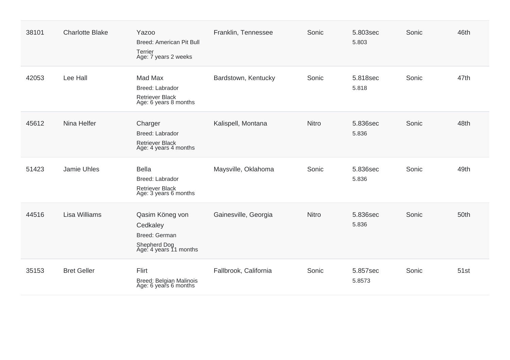| 38101 | <b>Charlotte Blake</b> | <b>Yazoo</b><br><b>Breed: American Pit Bull</b><br>Terrier<br>Age: 7 years 2 weeks     | Franklin, Tennessee   | Sonic        | 5.803sec<br>5.803  | Sonic | 46th |
|-------|------------------------|----------------------------------------------------------------------------------------|-----------------------|--------------|--------------------|-------|------|
| 42053 | Lee Hall               | Mad Max<br>Breed: Labrador<br><b>Retriever Black</b><br>Age: 6 years 8 months          | Bardstown, Kentucky   | Sonic        | 5.818sec<br>5.818  | Sonic | 47th |
| 45612 | Nina Helfer            | Charger<br>Breed: Labrador<br><b>Retriever Black</b><br>Age: 4 years 4 months          | Kalispell, Montana    | Nitro        | 5.836sec<br>5.836  | Sonic | 48th |
| 51423 | Jamie Uhles            | <b>Bella</b><br>Breed: Labrador<br><b>Retriever Black</b><br>Age: 3 years 6 months     | Maysville, Oklahoma   | Sonic        | 5.836sec<br>5.836  | Sonic | 49th |
| 44516 | Lisa Williams          | Qasim Köneg von<br>Cedkaley<br>Breed: German<br>Shepherd Dog<br>Age: 4 years 11 months | Gainesville, Georgia  | <b>Nitro</b> | 5.836sec<br>5.836  | Sonic | 50th |
| 35153 | <b>Bret Geller</b>     | Flirt<br>Breed: Belgian Malinois<br>Age: 6 years 6 months                              | Fallbrook, California | Sonic        | 5.857sec<br>5.8573 | Sonic | 51st |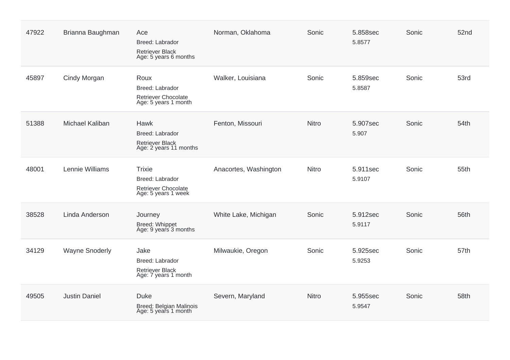| 47922 | Brianna Baughman      | Ace<br>Breed: Labrador<br><b>Retriever Black</b><br>Age: 5 years 6 months      | Norman, Oklahoma      | Sonic        | 5.858sec<br>5.8577 | Sonic | 52nd |
|-------|-----------------------|--------------------------------------------------------------------------------|-----------------------|--------------|--------------------|-------|------|
| 45897 | Cindy Morgan          | Roux<br>Breed: Labrador<br><b>Retriever Chocolate</b><br>Age: 5 years 1 month  | Walker, Louisiana     | Sonic        | 5.859sec<br>5.8587 | Sonic | 53rd |
| 51388 | Michael Kaliban       | Hawk<br>Breed: Labrador<br>Retriever Black<br>Age: 2 years 11 months           | Fenton, Missouri      | <b>Nitro</b> | 5.907sec<br>5.907  | Sonic | 54th |
| 48001 | Lennie Williams       | <b>Trixie</b><br>Breed: Labrador<br>Retriever Chocolate<br>Age: 5 years 1 week | Anacortes, Washington | Nitro        | 5.911sec<br>5.9107 | Sonic | 55th |
| 38528 | Linda Anderson        | Journey<br>Breed: Whippet<br>Age: 9 years 3 months                             | White Lake, Michigan  | Sonic        | 5.912sec<br>5.9117 | Sonic | 56th |
| 34129 | <b>Wayne Snoderly</b> | Jake<br>Breed: Labrador<br><b>Retriever Black</b><br>Age: 7 years 1 month      | Milwaukie, Oregon     | Sonic        | 5.925sec<br>5.9253 | Sonic | 57th |
| 49505 | <b>Justin Daniel</b>  | <b>Duke</b><br>Breed: Belgian Malinois<br>Age: 5 years 1 month                 | Severn, Maryland      | <b>Nitro</b> | 5.955sec<br>5.9547 | Sonic | 58th |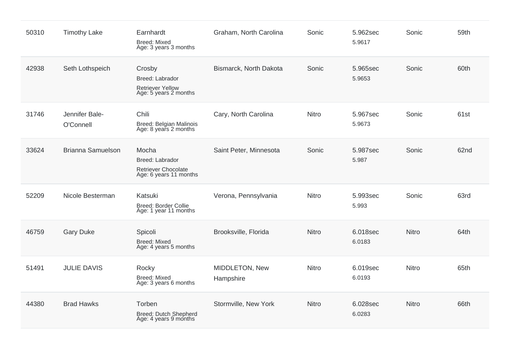| 50310 | <b>Timothy Lake</b>         | Earnhardt<br><b>Breed: Mixed</b><br>Age: 3 years 3 months                        | Graham, North Carolina      | Sonic        | 5.962sec<br>5.9617 | Sonic        | 59th |
|-------|-----------------------------|----------------------------------------------------------------------------------|-----------------------------|--------------|--------------------|--------------|------|
| 42938 | Seth Lothspeich             | Crosby<br>Breed: Labrador<br><b>Retriever Yellow</b><br>Age: 5 years 2 months    | Bismarck, North Dakota      | Sonic        | 5.965sec<br>5.9653 | Sonic        | 60th |
| 31746 | Jennifer Bale-<br>O'Connell | Chili<br>Breed: Belgian Malinois<br>Age: 8 years 2 months                        | Cary, North Carolina        | Nitro        | 5.967sec<br>5.9673 | Sonic        | 61st |
| 33624 | <b>Brianna Samuelson</b>    | Mocha<br>Breed: Labrador<br><b>Retriever Chocolate</b><br>Age: 6 years 11 months | Saint Peter, Minnesota      | Sonic        | 5.987sec<br>5.987  | Sonic        | 62nd |
| 52209 | Nicole Besterman            | Katsuki<br>Breed: Border Collie<br>Age: 1 year 11 months                         | Verona, Pennsylvania        | Nitro        | 5.993sec<br>5.993  | Sonic        | 63rd |
| 46759 | <b>Gary Duke</b>            | Spicoli<br>Breed: Mixed<br>Age: 4 years 5 months                                 | Brooksville, Florida        | <b>Nitro</b> | 6.018sec<br>6.0183 | Nitro        | 64th |
| 51491 | <b>JULIE DAVIS</b>          | Rocky<br><b>Breed: Mixed</b><br>Age: 3 years 6 months                            | MIDDLETON, New<br>Hampshire | Nitro        | 6.019sec<br>6.0193 | <b>Nitro</b> | 65th |
| 44380 | <b>Brad Hawks</b>           | Torben<br><b>Breed: Dutch Shepherd</b><br>Age: 4 years 9 months                  | Stormville, New York        | Nitro        | 6.028sec<br>6.0283 | Nitro        | 66th |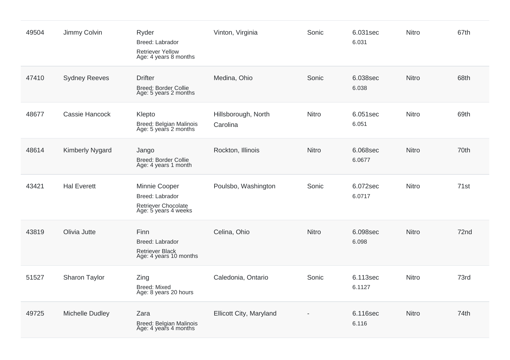| 49504 | Jimmy Colvin           | Ryder<br>Breed: Labrador<br><b>Retriever Yellow</b><br>Age: 4 years 8 months    | Vinton, Virginia                | Sonic        | 6.031sec<br>6.031  | <b>Nitro</b> | 67th |
|-------|------------------------|---------------------------------------------------------------------------------|---------------------------------|--------------|--------------------|--------------|------|
| 47410 | <b>Sydney Reeves</b>   | <b>Drifter</b><br><b>Breed: Border Collie</b><br>Age: 5 years 2 months          | Medina, Ohio                    | Sonic        | 6.038sec<br>6.038  | <b>Nitro</b> | 68th |
| 48677 | Cassie Hancock         | Klepto<br>Breed: Belgian Malinois<br>Age: 5 years 2 months                      | Hillsborough, North<br>Carolina | Nitro        | 6.051sec<br>6.051  | <b>Nitro</b> | 69th |
| 48614 | <b>Kimberly Nygard</b> | Jango<br>Breed: Border Collie<br>Age: 4 years 1 month                           | Rockton, Illinois               | <b>Nitro</b> | 6.068sec<br>6.0677 | <b>Nitro</b> | 70th |
| 43421 | <b>Hal Everett</b>     | Minnie Cooper<br>Breed: Labrador<br>Retriever Chocolate<br>Age: 5 years 4 weeks | Poulsbo, Washington             | Sonic        | 6.072sec<br>6.0717 | <b>Nitro</b> | 71st |
| 43819 | Olivia Jutte           | Finn<br>Breed: Labrador<br>Retriever Black<br>Age: 4 years 10 months            | Celina, Ohio                    | Nitro        | 6.098sec<br>6.098  | <b>Nitro</b> | 72nd |
| 51527 | Sharon Taylor          | Zing<br><b>Breed: Mixed</b><br>Age: 8 years 20 hours                            | Caledonia, Ontario              | Sonic        | 6.113sec<br>6.1127 | <b>Nitro</b> | 73rd |
| 49725 | Michelle Dudley        | Zara<br>Breed: Belgian Malinois<br>Age: 4 years 4 months                        | Ellicott City, Maryland         |              | 6.116sec<br>6.116  | <b>Nitro</b> | 74th |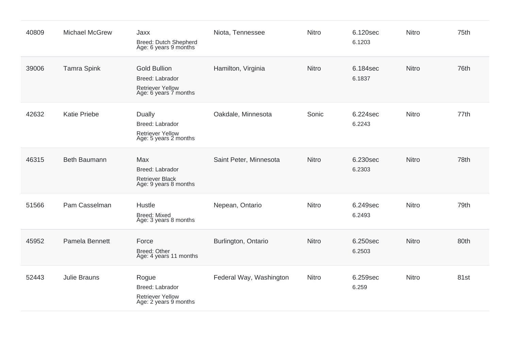| 40809 | <b>Michael McGrew</b> | Jaxx<br>Breed: Dutch Shepherd<br>Age: 6 years 9 months                                     | Niota, Tennessee        | Nitro | 6.120sec<br>6.1203 | Nitro        | 75th |
|-------|-----------------------|--------------------------------------------------------------------------------------------|-------------------------|-------|--------------------|--------------|------|
| 39006 | <b>Tamra Spink</b>    | <b>Gold Bullion</b><br>Breed: Labrador<br><b>Retriever Yellow</b><br>Age: 6 years 7 months | Hamilton, Virginia      | Nitro | 6.184sec<br>6.1837 | <b>Nitro</b> | 76th |
| 42632 | <b>Katie Priebe</b>   | Dually<br>Breed: Labrador<br><b>Retriever Yellow</b><br>Age: 5 years 2 months              | Oakdale, Minnesota      | Sonic | 6.224sec<br>6.2243 | Nitro        | 77th |
| 46315 | <b>Beth Baumann</b>   | Max<br><b>Breed: Labrador</b><br><b>Retriever Black</b><br>Age: 9 years 8 months           | Saint Peter, Minnesota  | Nitro | 6.230sec<br>6.2303 | Nitro        | 78th |
| 51566 | Pam Casselman         | Hustle<br><b>Breed: Mixed</b><br>Age: 3 years 8 months                                     | Nepean, Ontario         | Nitro | 6.249sec<br>6.2493 | Nitro        | 79th |
| 45952 | Pamela Bennett        | Force<br><b>Breed: Other</b><br>Age: 4 years 11 months                                     | Burlington, Ontario     | Nitro | 6.250sec<br>6.2503 | <b>Nitro</b> | 80th |
| 52443 | <b>Julie Brauns</b>   | Rogue<br>Breed: Labrador<br>Retriever Yellow<br>Age: 2 years 9 months                      | Federal Way, Washington | Nitro | 6.259sec<br>6.259  | Nitro        | 81st |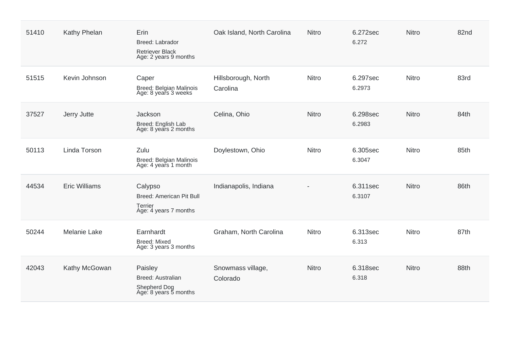| 51410 | Kathy Phelan         | Erin<br>Breed: Labrador<br>Retriever Black<br>Age: 2 years 9 months            | Oak Island, North Carolina      | <b>Nitro</b> | 6.272sec<br>6.272  | <b>Nitro</b> | 82nd |
|-------|----------------------|--------------------------------------------------------------------------------|---------------------------------|--------------|--------------------|--------------|------|
| 51515 | Kevin Johnson        | Caper<br>Breed: Belgian Malinois<br>Age: 8 years 3 weeks                       | Hillsborough, North<br>Carolina | Nitro        | 6.297sec<br>6.2973 | Nitro        | 83rd |
| 37527 | Jerry Jutte          | Jackson<br>Breed: English Lab<br>Age: 8 years 2 months                         | Celina, Ohio                    | Nitro        | 6.298sec<br>6.2983 | <b>Nitro</b> | 84th |
| 50113 | Linda Torson         | Zulu<br>Breed: Belgian Malinois<br>Age: 4 years 1 month                        | Doylestown, Ohio                | Nitro        | 6.305sec<br>6.3047 | Nitro        | 85th |
| 44534 | <b>Eric Williams</b> | Calypso<br>Breed: American Pit Bull<br><b>Terrier</b><br>Age: 4 years 7 months | Indianapolis, Indiana           |              | 6.311sec<br>6.3107 | <b>Nitro</b> | 86th |
| 50244 | <b>Melanie Lake</b>  | Earnhardt<br>Breed: Mixed<br>Age: 3 years 3 months                             | Graham, North Carolina          | Nitro        | 6.313sec<br>6.313  | Nitro        | 87th |
| 42043 | Kathy McGowan        | Paisley<br>Breed: Australian<br>Shepherd Dog<br>Age: 8 years 5 months          | Snowmass village,<br>Colorado   | Nitro        | 6.318sec<br>6.318  | <b>Nitro</b> | 88th |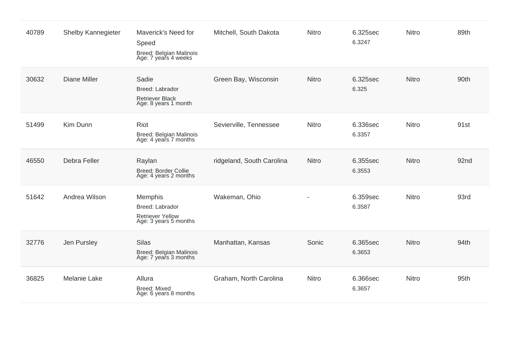| 40789 | Shelby Kannegieter  | Maverick's Need for<br>Speed<br>Breed: Belgian Malinois<br>Age: 7 years 4 weeks       | Mitchell, South Dakota    | Nitro        | 6.325sec<br>6.3247 | Nitro        | 89th |
|-------|---------------------|---------------------------------------------------------------------------------------|---------------------------|--------------|--------------------|--------------|------|
| 30632 | <b>Diane Miller</b> | Sadie<br>Breed: Labrador<br><b>Retriever Black</b><br>Age: 8 years 1 month            | Green Bay, Wisconsin      | <b>Nitro</b> | 6.325sec<br>6.325  | Nitro        | 90th |
| 51499 | Kim Dunn            | Riot<br>Breed: Belgian Malinois<br>Age: 4 years 7 months                              | Sevierville, Tennessee    | <b>Nitro</b> | 6.336sec<br>6.3357 | Nitro        | 91st |
| 46550 | <b>Debra Feller</b> | Raylan<br>Breed: Border Collie<br>Age: 4 years 2 months                               | ridgeland, South Carolina | <b>Nitro</b> | 6.355sec<br>6.3553 | <b>Nitro</b> | 92nd |
| 51642 | Andrea Wilson       | <b>Memphis</b><br>Breed: Labrador<br><b>Retriever Yellow</b><br>Age: 3 years 5 months | Wakeman, Ohio             |              | 6.359sec<br>6.3587 | Nitro        | 93rd |
| 32776 | Jen Pursley         | <b>Silas</b><br>Breed: Belgian Malinois<br>Age: 7 years 3 months                      | Manhattan, Kansas         | Sonic        | 6.365sec<br>6.3653 | Nitro        | 94th |
| 36825 | <b>Melanie Lake</b> | Allura<br><b>Breed: Mixed</b><br>Age: 6 years 8 months                                | Graham, North Carolina    | <b>Nitro</b> | 6.366sec<br>6.3657 | Nitro        | 95th |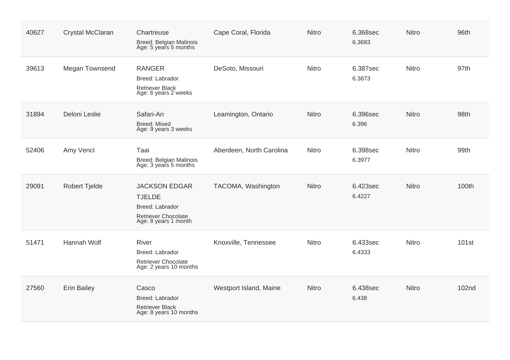| 40627 | Crystal McClaran     | Chartreuse<br>Breed: Belgian Malinois<br>Age: 5 years 5 months                                                 | Cape Coral, Florida      | <b>Nitro</b> | 6.368sec<br>6.3683 | <b>Nitro</b> | 96th              |
|-------|----------------------|----------------------------------------------------------------------------------------------------------------|--------------------------|--------------|--------------------|--------------|-------------------|
| 39613 | Megan Townsend       | <b>RANGER</b><br>Breed: Labrador<br><b>Retriever Black</b><br>Age: 6 years 2 weeks                             | DeSoto, Missouri         | Nitro        | 6.387sec<br>6.3873 | <b>Nitro</b> | 97th              |
| 31894 | Deloni Leslie        | Safari-Ari<br><b>Breed: Mixed</b><br>Age: 9 years 3 weeks                                                      | Leamington, Ontario      | Nitro        | 6.396sec<br>6.396  | <b>Nitro</b> | 98th              |
| 52406 | Amy Vencl            | Taai<br>Breed: Belgian Malinois<br>Age: 3 years 5 months                                                       | Aberdeen, North Carolina | Nitro        | 6.398sec<br>6.3977 | <b>Nitro</b> | 99th              |
| 29091 | <b>Robert Tjelde</b> | <b>JACKSON EDGAR</b><br><b>TJELDE</b><br>Breed: Labrador<br><b>Retriever Chocolate</b><br>Age: 8 years 1 month | TACOMA, Washington       | Nitro        | 6.423sec<br>6.4227 | <b>Nitro</b> | 100th             |
| 51471 | <b>Hannah Wolf</b>   | <b>River</b><br>Breed: Labrador<br><b>Retriever Chocolate</b><br>Age: 2 years 10 months                        | Knoxville, Tennessee     | Nitro        | 6.433sec<br>6.4333 | <b>Nitro</b> | 101 <sub>st</sub> |
| 27560 | <b>Erin Bailey</b>   | Casco<br>Breed: Labrador<br>Retriever Black<br>Age: 8 years 10 months                                          | Westport Island, Maine   | Nitro        | 6.438sec<br>6.438  | <b>Nitro</b> | 102nd             |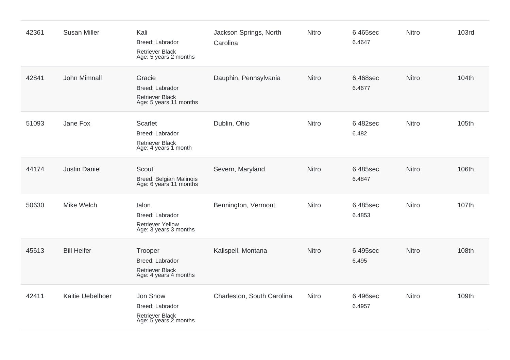| 42361 | <b>Susan Miller</b>  | Kali<br>Breed: Labrador<br>Retriever Black<br>Age: 5 years 2 months            | Jackson Springs, North<br>Carolina | <b>Nitro</b> | 6.465sec<br>6.4647 | Nitro | <b>103rd</b> |
|-------|----------------------|--------------------------------------------------------------------------------|------------------------------------|--------------|--------------------|-------|--------------|
| 42841 | John Mimnall         | Gracie<br>Breed: Labrador<br>Retriever Black<br>Age: 5 years 11 months         | Dauphin, Pennsylvania              | <b>Nitro</b> | 6.468sec<br>6.4677 | Nitro | 104th        |
| 51093 | Jane Fox             | Scarlet<br>Breed: Labrador<br><b>Retriever Black</b><br>Age: 4 years 1 month   | Dublin, Ohio                       | Nitro        | 6.482sec<br>6.482  | Nitro | 105th        |
| 44174 | <b>Justin Daniel</b> | Scout<br>Breed: Belgian Malinois<br>Age: 6 years 11 months                     | Severn, Maryland                   | <b>Nitro</b> | 6.485sec<br>6.4847 | Nitro | 106th        |
| 50630 | Mike Welch           | talon<br>Breed: Labrador<br>Retriever Yellow<br>Age: 3 years 3 months          | Bennington, Vermont                | <b>Nitro</b> | 6.485sec<br>6.4853 | Nitro | 107th        |
| 45613 | <b>Bill Helfer</b>   | Trooper<br>Breed: Labrador<br><b>Retriever Black</b><br>Age: 4 years 4 months  | Kalispell, Montana                 | <b>Nitro</b> | 6.495sec<br>6.495  | Nitro | 108th        |
| 42411 | Kaitie Uebelhoer     | Jon Snow<br>Breed: Labrador<br><b>Retriever Black</b><br>Age: 5 years 2 months | Charleston, South Carolina         | <b>Nitro</b> | 6.496sec<br>6.4957 | Nitro | 109th        |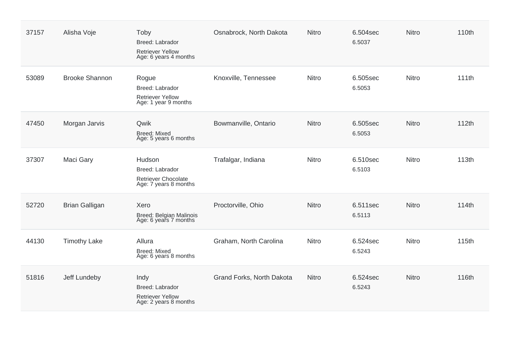| 37157 | Alisha Voje           | Toby<br>Breed: Labrador<br><b>Retriever Yellow</b><br>Age: 6 years 4 months      | Osnabrock, North Dakota   | <b>Nitro</b> | 6.504sec<br>6.5037 | <b>Nitro</b> | 110th |
|-------|-----------------------|----------------------------------------------------------------------------------|---------------------------|--------------|--------------------|--------------|-------|
| 53089 | <b>Brooke Shannon</b> | Rogue<br>Breed: Labrador<br><b>Retriever Yellow</b><br>Age: 1 year 9 months      | Knoxville, Tennessee      | Nitro        | 6.505sec<br>6.5053 | Nitro        | 111th |
| 47450 | Morgan Jarvis         | Qwik<br><b>Breed: Mixed</b><br>Age: 5 years 6 months                             | Bowmanville, Ontario      | <b>Nitro</b> | 6.505sec<br>6.5053 | <b>Nitro</b> | 112th |
| 37307 | Maci Gary             | Hudson<br>Breed: Labrador<br><b>Retriever Chocolate</b><br>Age: 7 years 8 months | Trafalgar, Indiana        | <b>Nitro</b> | 6.510sec<br>6.5103 | <b>Nitro</b> | 113th |
| 52720 | <b>Brian Galligan</b> | Xero<br>Breed: Belgian Malinois<br>Age: 6 years 7 months                         | Proctorville, Ohio        | <b>Nitro</b> | 6.511sec<br>6.5113 | <b>Nitro</b> | 114th |
| 44130 | <b>Timothy Lake</b>   | Allura<br><b>Breed: Mixed</b><br>Age: 6 years 8 months                           | Graham, North Carolina    | Nitro        | 6.524sec<br>6.5243 | Nitro        | 115th |
| 51816 | Jeff Lundeby          | Indy<br>Breed: Labrador<br><b>Retriever Yellow</b><br>Age: 2 years 8 months      | Grand Forks, North Dakota | <b>Nitro</b> | 6.524sec<br>6.5243 | <b>Nitro</b> | 116th |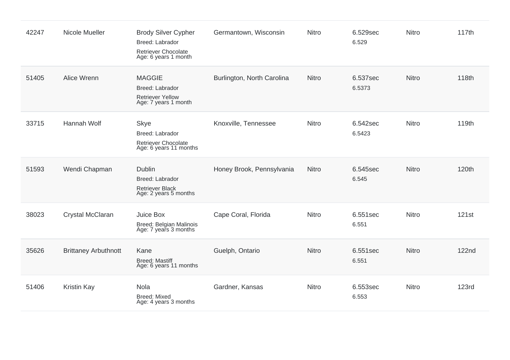| 42247 | Nicole Mueller              | <b>Brody Silver Cypher</b><br><b>Breed: Labrador</b><br>Retriever Chocolate<br>Age: 6 years 1 month | Germantown, Wisconsin      | Nitro        | 6.529sec<br>6.529  | <b>Nitro</b> | 117th        |
|-------|-----------------------------|-----------------------------------------------------------------------------------------------------|----------------------------|--------------|--------------------|--------------|--------------|
| 51405 | Alice Wrenn                 | <b>MAGGIE</b><br>Breed: Labrador<br><b>Retriever Yellow</b><br>Age: 7 years 1 month                 | Burlington, North Carolina | <b>Nitro</b> | 6.537sec<br>6.5373 | <b>Nitro</b> | 118th        |
| 33715 | Hannah Wolf                 | <b>Skye</b><br>Breed: Labrador<br>Retriever Chocolate<br>Age: 6 years 11 months                     | Knoxville, Tennessee       | Nitro        | 6.542sec<br>6.5423 | Nitro        | 119th        |
| 51593 | Wendi Chapman               | <b>Dublin</b><br>Breed: Labrador<br><b>Retriever Black</b><br>Age: 2 years 5 months                 | Honey Brook, Pennsylvania  | <b>Nitro</b> | 6.545sec<br>6.545  | <b>Nitro</b> | 120th        |
| 38023 | Crystal McClaran            | Juice Box<br>Breed: Belgian Malinois<br>Age: 7 years 3 months                                       | Cape Coral, Florida        | Nitro        | 6.551sec<br>6.551  | <b>Nitro</b> | 121st        |
| 35626 | <b>Brittaney Arbuthnott</b> | Kane<br><b>Breed: Mastiff</b><br>Age: 6 years 11 months                                             | Guelph, Ontario            | <b>Nitro</b> | 6.551sec<br>6.551  | <b>Nitro</b> | <b>122nd</b> |
| 51406 | Kristin Kay                 | Nola<br><b>Breed: Mixed</b><br>Age: 4 years 3 months                                                | Gardner, Kansas            | Nitro        | 6.553sec<br>6.553  | <b>Nitro</b> | <b>123rd</b> |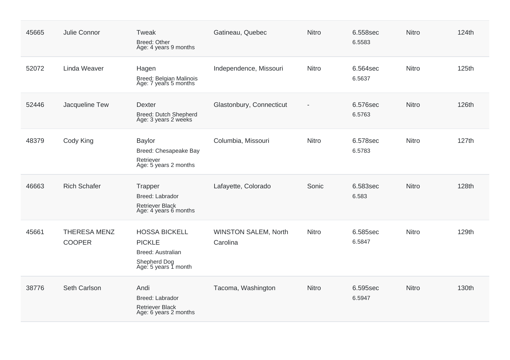| 45665 | Julie Connor                         | Tweak<br>Breed: Other<br>Age: 4 years 9 months                                                     | Gatineau, Quebec                        | <b>Nitro</b>             | 6.558sec<br>6.5583 | Nitro | 124th |
|-------|--------------------------------------|----------------------------------------------------------------------------------------------------|-----------------------------------------|--------------------------|--------------------|-------|-------|
| 52072 | Linda Weaver                         | Hagen<br>Breed: Belgian Malinois<br>Age: 7 years 5 months                                          | Independence, Missouri                  | Nitro                    | 6.564sec<br>6.5637 | Nitro | 125th |
| 52446 | Jacqueline Tew                       | <b>Dexter</b><br>Breed: Dutch Shepherd<br>Age: 3 years 2 weeks                                     | Glastonbury, Connecticut                | $\overline{\phantom{a}}$ | 6.576sec<br>6.5763 | Nitro | 126th |
| 48379 | Cody King                            | <b>Baylor</b><br>Breed: Chesapeake Bay<br>Retriever<br>Age: 5 years 2 months                       | Columbia, Missouri                      | Nitro                    | 6.578sec<br>6.5783 | Nitro | 127th |
| 46663 | <b>Rich Schafer</b>                  | Trapper<br><b>Breed: Labrador</b><br><b>Retriever Black</b><br>Age: 4 years 6 months               | Lafayette, Colorado                     | Sonic                    | 6.583sec<br>6.583  | Nitro | 128th |
| 45661 | <b>THERESA MENZ</b><br><b>COOPER</b> | <b>HOSSA BICKELL</b><br><b>PICKLE</b><br>Breed: Australian<br>Shepherd Dog<br>Age: 5 years 1 month | <b>WINSTON SALEM, North</b><br>Carolina | Nitro                    | 6.585sec<br>6.5847 | Nitro | 129th |
| 38776 | Seth Carlson                         | Andi<br><b>Breed: Labrador</b><br><b>Retriever Black</b><br>Age: 6 years 2 months                  | Tacoma, Washington                      | <b>Nitro</b>             | 6.595sec<br>6.5947 | Nitro | 130th |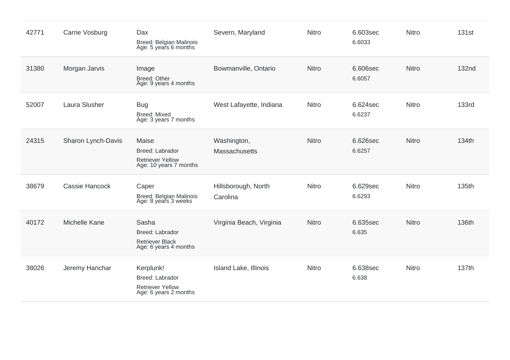| 42771 | Carrie Vosburg     | Dax<br>Breed: Belgian Malinois<br>Age: 5 years 6 months                          | Severn, Maryland                    | <b>Nitro</b> | 6.603sec<br>6.6033 | Nitro | 131 <sub>st</sub> |
|-------|--------------------|----------------------------------------------------------------------------------|-------------------------------------|--------------|--------------------|-------|-------------------|
| 31380 | Morgan Jarvis      | Image<br>Breed: Other<br>Age: 9 years 4 months                                   | Bowmanville, Ontario                | Nitro        | 6.606sec<br>6.6057 | Nitro | 132nd             |
| 52007 | Laura Slusher      | <b>Bug</b><br><b>Breed: Mixed</b><br>Age: 3 years 7 months                       | West Lafayette, Indiana             | <b>Nitro</b> | 6.624sec<br>6.6237 | Nitro | <b>133rd</b>      |
| 24315 | Sharon Lynch-Davis | Maise<br>Breed: Labrador<br><b>Retriever Yellow</b><br>Age: 10 years 7 months    | Washington,<br><b>Massachusetts</b> | <b>Nitro</b> | 6.626sec<br>6.6257 | Nitro | 134th             |
| 38679 | Cassie Hancock     | Caper<br>Breed: Belgian Malinois<br>Age: 8 years 3 weeks                         | Hillsborough, North<br>Carolina     | Nitro        | 6.629sec<br>6.6293 | Nitro | 135th             |
| 40172 | Michelle Kane      | Sasha<br>Breed: Labrador<br><b>Retriever Black</b><br>Age: 6 years 4 months      | Virginia Beach, Virginia            | Nitro        | 6.635sec<br>6.635  | Nitro | 136th             |
| 38026 | Jeremy Hanchar     | Kerplunk!<br>Breed: Labrador<br><b>Retriever Yellow</b><br>Age: 6 years 2 months | Island Lake, Illinois               | Nitro        | 6.638sec<br>6.638  | Nitro | 137th             |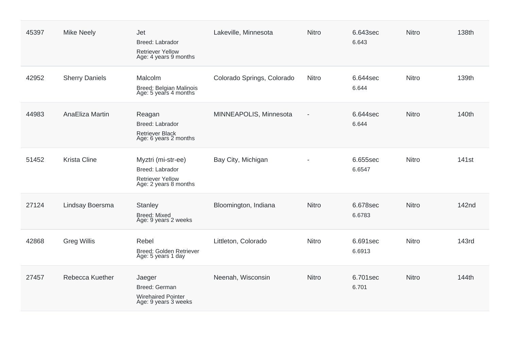| 45397 | <b>Mike Neely</b>     | Jet<br>Breed: Labrador<br><b>Retriever Yellow</b><br>Age: 4 years 9 months                | Lakeville, Minnesota       | <b>Nitro</b>             | 6.643sec<br>6.643  | <b>Nitro</b> | 138th             |
|-------|-----------------------|-------------------------------------------------------------------------------------------|----------------------------|--------------------------|--------------------|--------------|-------------------|
| 42952 | <b>Sherry Daniels</b> | Malcolm<br>Breed: Belgian Malinois<br>Age: 5 years 4 months                               | Colorado Springs, Colorado | Nitro                    | 6.644sec<br>6.644  | Nitro        | 139th             |
| 44983 | AnaEliza Martin       | Reagan<br>Breed: Labrador<br><b>Retriever Black</b><br>Age: 6 years 2 months              | MINNEAPOLIS, Minnesota     | $\overline{\phantom{a}}$ | 6.644sec<br>6.644  | <b>Nitro</b> | 140th             |
| 51452 | <b>Krista Cline</b>   | Myztri (mi-str-ee)<br>Breed: Labrador<br><b>Retriever Yellow</b><br>Age: 2 years 8 months | Bay City, Michigan         |                          | 6.655sec<br>6.6547 | Nitro        | 141 <sub>st</sub> |
| 27124 | Lindsay Boersma       | Stanley<br><b>Breed: Mixed</b><br>Age: 9 years 2 weeks                                    | Bloomington, Indiana       | Nitro                    | 6.678sec<br>6.6783 | Nitro        | 142nd             |
| 42868 | <b>Greg Willis</b>    | Rebel<br>Breed: Golden Retriever<br>Age: 5 years 1 day                                    | Littleton, Colorado        | <b>Nitro</b>             | 6.691sec<br>6.6913 | <b>Nitro</b> | <b>143rd</b>      |
| 27457 | Rebecca Kuether       | Jaeger<br><b>Breed: German</b><br><b>Wirehaired Pointer</b><br>Age: 9 years 3 weeks       | Neenah, Wisconsin          | Nitro                    | 6.701sec<br>6.701  | <b>Nitro</b> | 144th             |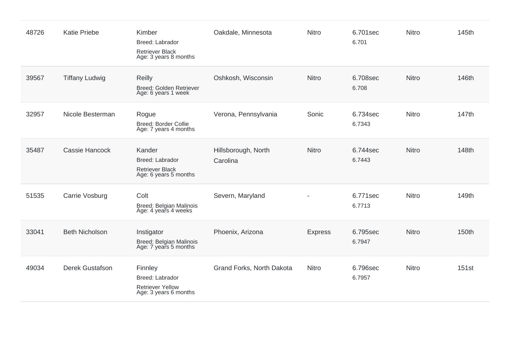| 48726 | <b>Katie Priebe</b>    | Kimber<br>Breed: Labrador<br><b>Retriever Black</b><br>Age: 3 years 8 months   | Oakdale, Minnesota              | Nitro          | 6.701sec<br>6.701  | Nitro        | 145th |
|-------|------------------------|--------------------------------------------------------------------------------|---------------------------------|----------------|--------------------|--------------|-------|
| 39567 | <b>Tiffany Ludwig</b>  | <b>Reilly</b><br>Breed: Golden Retriever<br>Age: 6 years 1 week                | Oshkosh, Wisconsin              | Nitro          | 6.708sec<br>6.708  | Nitro        | 146th |
| 32957 | Nicole Besterman       | Rogue<br><b>Breed: Border Collie</b><br>Age: 7 years 4 months                  | Verona, Pennsylvania            | Sonic          | 6.734sec<br>6.7343 | Nitro        | 147th |
| 35487 | <b>Cassie Hancock</b>  | Kander<br>Breed: Labrador<br><b>Retriever Black</b><br>Age: 6 years 5 months   | Hillsborough, North<br>Carolina | <b>Nitro</b>   | 6.744sec<br>6.7443 | Nitro        | 148th |
| 51535 | Carrie Vosburg         | Colt<br>Breed: Belgian Malinois<br>Age: 4 years 4 weeks                        | Severn, Maryland                |                | 6.771sec<br>6.7713 | Nitro        | 149th |
| 33041 | <b>Beth Nicholson</b>  | Instigator<br>Breed: Belgian Malinois<br>Age: 7 years 5 months                 | Phoenix, Arizona                | <b>Express</b> | 6.795sec<br>6.7947 | <b>Nitro</b> | 150th |
| 49034 | <b>Derek Gustafson</b> | Finnley<br>Breed: Labrador<br><b>Retriever Yellow</b><br>Age: 3 years 6 months | Grand Forks, North Dakota       | Nitro          | 6.796sec<br>6.7957 | Nitro        | 151st |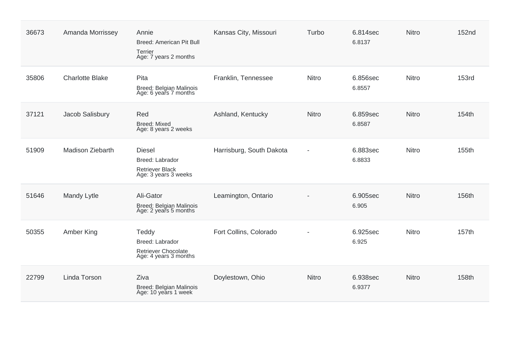| 36673 | Amanda Morrissey        | Annie<br>Breed: American Pit Bull<br>Terrier<br>Age: 7 years 2 months              | Kansas City, Missouri    | Turbo        | 6.814sec<br>6.8137 | <b>Nitro</b> | <b>152nd</b> |
|-------|-------------------------|------------------------------------------------------------------------------------|--------------------------|--------------|--------------------|--------------|--------------|
| 35806 | <b>Charlotte Blake</b>  | Pita<br>Breed: Belgian Malinois<br>Age: 6 years 7 months                           | Franklin, Tennessee      | <b>Nitro</b> | 6.856sec<br>6.8557 | <b>Nitro</b> | <b>153rd</b> |
| 37121 | Jacob Salisbury         | Red<br><b>Breed: Mixed</b><br>Age: 8 years 2 weeks                                 | Ashland, Kentucky        | Nitro        | 6.859sec<br>6.8587 | <b>Nitro</b> | 154th        |
| 51909 | <b>Madison Ziebarth</b> | <b>Diesel</b><br>Breed: Labrador<br><b>Retriever Black</b><br>Age: 3 years 3 weeks | Harrisburg, South Dakota |              | 6.883sec<br>6.8833 | <b>Nitro</b> | 155th        |
| 51646 | Mandy Lytle             | Ali-Gator<br>Breed: Belgian Malinois<br>Age: 2 years 5 months                      | Leamington, Ontario      |              | 6.905sec<br>6.905  | <b>Nitro</b> | 156th        |
| 50355 | Amber King              | Teddy<br>Breed: Labrador<br>Retriever Chocolate<br>Age: 4 years 3 months           | Fort Collins, Colorado   |              | 6.925sec<br>6.925  | <b>Nitro</b> | 157th        |
| 22799 | Linda Torson            | Ziva<br>Breed: Belgian Malinois<br>Age: 10 years 1 week                            | Doylestown, Ohio         | Nitro        | 6.938sec<br>6.9377 | <b>Nitro</b> | 158th        |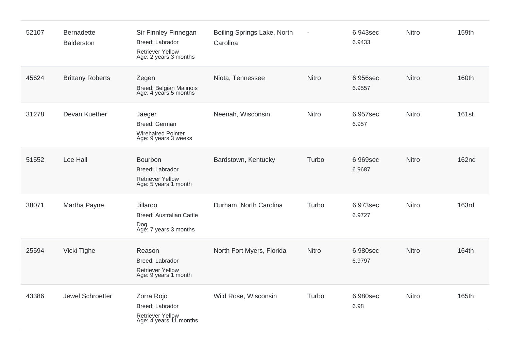| 52107 | <b>Bernadette</b><br>Balderston | Sir Finnley Finnegan<br>Breed: Labrador<br><b>Retriever Yellow</b><br>Age: 2 years 3 months | Boiling Springs Lake, North<br>Carolina | $\overline{\phantom{a}}$ | 6.943sec<br>6.9433 | Nitro        | 159th        |
|-------|---------------------------------|---------------------------------------------------------------------------------------------|-----------------------------------------|--------------------------|--------------------|--------------|--------------|
| 45624 | <b>Brittany Roberts</b>         | Zegen<br>Breed: Belgian Malinois<br>Age: 4 years 5 months                                   | Niota, Tennessee                        | <b>Nitro</b>             | 6.956sec<br>6.9557 | <b>Nitro</b> | 160th        |
| 31278 | Devan Kuether                   | Jaeger<br>Breed: German<br><b>Wirehaired Pointer</b><br>Age: 9 years 3 weeks                | Neenah, Wisconsin                       | Nitro                    | 6.957sec<br>6.957  | Nitro        | 161st        |
| 51552 | Lee Hall                        | Bourbon<br>Breed: Labrador<br><b>Retriever Yellow</b><br>Age: 5 years 1 month               | Bardstown, Kentucky                     | Turbo                    | 6.969sec<br>6.9687 | <b>Nitro</b> | 162nd        |
| 38071 | Martha Payne                    | Jillaroo<br><b>Breed: Australian Cattle</b><br>Dog<br>Age: 7 years 3 months                 | Durham, North Carolina                  | Turbo                    | 6.973sec<br>6.9727 | Nitro        | <b>163rd</b> |
| 25594 | Vicki Tighe                     | Reason<br>Breed: Labrador<br><b>Retriever Yellow</b><br>Age: 9 years 1 month                | North Fort Myers, Florida               | <b>Nitro</b>             | 6.980sec<br>6.9797 | <b>Nitro</b> | 164th        |
| 43386 | Jewel Schroetter                | Zorra Rojo<br>Breed: Labrador<br><b>Retriever Yellow</b><br>Age: 4 years 11 months          | Wild Rose, Wisconsin                    | Turbo                    | 6.980sec<br>6.98   | Nitro        | 165th        |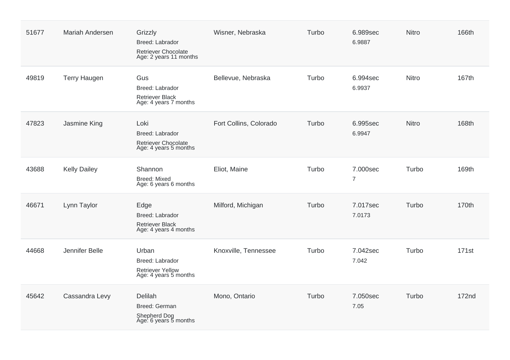| 51677 | <b>Mariah Andersen</b> | Grizzly<br>Breed: Labrador<br>Retriever Chocolate<br>Age: 2 years 11 months  | Wisner, Nebraska       | Turbo | 6.989sec<br>6.9887         | <b>Nitro</b> | 166th        |
|-------|------------------------|------------------------------------------------------------------------------|------------------------|-------|----------------------------|--------------|--------------|
| 49819 | <b>Terry Haugen</b>    | Gus<br>Breed: Labrador<br>Retriever Black<br>Age: 4 years 7 months           | Bellevue, Nebraska     | Turbo | 6.994sec<br>6.9937         | <b>Nitro</b> | 167th        |
| 47823 | Jasmine King           | Loki<br>Breed: Labrador<br>Retriever Chocolate<br>Age: 4 years 5 months      | Fort Collins, Colorado | Turbo | 6.995sec<br>6.9947         | <b>Nitro</b> | 168th        |
| 43688 | <b>Kelly Dailey</b>    | Shannon<br><b>Breed: Mixed</b><br>Age: 6 years 6 months                      | Eliot, Maine           | Turbo | 7.000sec<br>$\overline{7}$ | Turbo        | 169th        |
| 46671 | Lynn Taylor            | Edge<br>Breed: Labrador<br>Retriever Black<br>Age: 4 years 4 months          | Milford, Michigan      | Turbo | 7.017sec<br>7.0173         | Turbo        | 170th        |
| 44668 | Jennifer Belle         | Urban<br>Breed: Labrador<br><b>Retriever Yellow</b><br>Age: 4 years 5 months | Knoxville, Tennessee   | Turbo | 7.042sec<br>7.042          | Turbo        | 171st        |
| 45642 | Cassandra Levy         | Delilah<br>Breed: German<br>Shepherd Dog<br>Age: 6 years 5 months            | Mono, Ontario          | Turbo | 7.050sec<br>7.05           | Turbo        | <b>172nd</b> |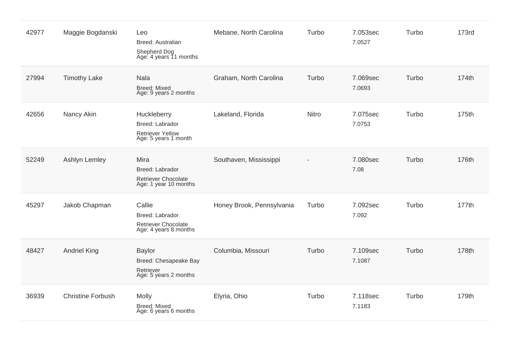| 42977 | Maggie Bogdanski         | Leo<br>Breed: Australian<br>Shepherd Dog<br>Age: 4 years 11 months                | Mebane, North Carolina    | Turbo | 7.053sec<br>7.0527 | Turbo | <b>173rd</b> |
|-------|--------------------------|-----------------------------------------------------------------------------------|---------------------------|-------|--------------------|-------|--------------|
| 27994 | <b>Timothy Lake</b>      | <b>Nala</b><br><b>Breed: Mixed</b><br>Age: 9 years 2 months                       | Graham, North Carolina    | Turbo | 7.069sec<br>7.0693 | Turbo | 174th        |
| 42656 | Nancy Akin               | Huckleberry<br>Breed: Labrador<br><b>Retriever Yellow</b><br>Age: 5 years 1 month | Lakeland, Florida         | Nitro | 7.075sec<br>7.0753 | Turbo | 175th        |
| 52249 | Ashlyn Lemley            | Mira<br>Breed: Labrador<br><b>Retriever Chocolate</b><br>Age: 1 year 10 months    | Southaven, Mississippi    |       | 7.080sec<br>7.08   | Turbo | 176th        |
| 45297 | Jakob Chapman            | Callie<br>Breed: Labrador<br><b>Retriever Chocolate</b><br>Age: 4 years 8 months  | Honey Brook, Pennsylvania | Turbo | 7.092sec<br>7.092  | Turbo | 177th        |
| 48427 | <b>Andriel King</b>      | <b>Baylor</b><br>Breed: Chesapeake Bay<br>Retriever<br>Age: 5 years 2 months      | Columbia, Missouri        | Turbo | 7.109sec<br>7.1087 | Turbo | 178th        |
| 36939 | <b>Christine Forbush</b> | <b>Molly</b><br><b>Breed: Mixed</b><br>Age: 6 years 6 months                      | Elyria, Ohio              | Turbo | 7.118sec<br>7.1183 | Turbo | 179th        |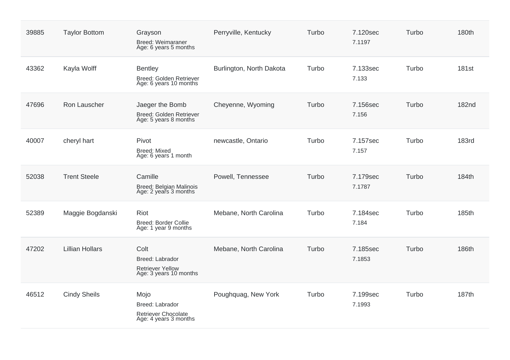| 39885 | <b>Taylor Bottom</b>   | Grayson<br>Breed: Weimaraner<br>Age: 6 years 5 months                        | Perryville, Kentucky     | Turbo | 7.120sec<br>7.1197 | Turbo | 180th        |
|-------|------------------------|------------------------------------------------------------------------------|--------------------------|-------|--------------------|-------|--------------|
| 43362 | Kayla Wolff            | <b>Bentley</b><br>Breed: Golden Retriever<br>Age: 6 years 10 months          | Burlington, North Dakota | Turbo | 7.133sec<br>7.133  | Turbo | <b>181st</b> |
| 47696 | Ron Lauscher           | Jaeger the Bomb<br>Breed: Golden Retriever<br>Age: 5 years 8 months          | Cheyenne, Wyoming        | Turbo | 7.156sec<br>7.156  | Turbo | <b>182nd</b> |
| 40007 | cheryl hart            | Pivot<br><b>Breed: Mixed</b><br>Age: 6 years 1 month                         | newcastle, Ontario       | Turbo | 7.157sec<br>7.157  | Turbo | <b>183rd</b> |
| 52038 | <b>Trent Steele</b>    | Camille<br>Breed: Belgian Malinois<br>Age: 2 years 3 months                  | Powell, Tennessee        | Turbo | 7.179sec<br>7.1787 | Turbo | 184th        |
| 52389 | Maggie Bogdanski       | Riot<br><b>Breed: Border Collie</b><br>Age: 1 year 9 months                  | Mebane, North Carolina   | Turbo | 7.184sec<br>7.184  | Turbo | 185th        |
| 47202 | <b>Lillian Hollars</b> | Colt<br>Breed: Labrador<br><b>Retriever Yellow</b><br>Age: 3 years 10 months | Mebane, North Carolina   | Turbo | 7.185sec<br>7.1853 | Turbo | 186th        |
| 46512 | <b>Cindy Sheils</b>    | Mojo<br>Breed: Labrador<br>Retriever Chocolate<br>Age: 4 years 3 months      | Poughquag, New York      | Turbo | 7.199sec<br>7.1993 | Turbo | 187th        |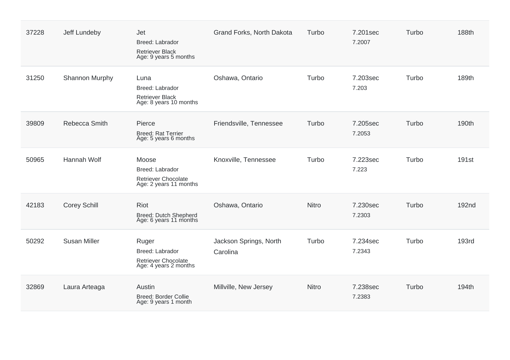| 37228 | Jeff Lundeby        | Jet<br>Breed: Labrador<br><b>Retriever Black</b><br>Age: 9 years 5 months       | Grand Forks, North Dakota          | Turbo        | 7.201sec<br>7.2007 | Turbo | 188th             |
|-------|---------------------|---------------------------------------------------------------------------------|------------------------------------|--------------|--------------------|-------|-------------------|
| 31250 | Shannon Murphy      | Luna<br>Breed: Labrador<br><b>Retriever Black</b><br>Age: 8 years 10 months     | Oshawa, Ontario                    | Turbo        | 7.203sec<br>7.203  | Turbo | 189th             |
| 39809 | Rebecca Smith       | Pierce<br><b>Breed: Rat Terrier</b><br>Age: 5 years 6 months                    | Friendsville, Tennessee            | Turbo        | 7.205sec<br>7.2053 | Turbo | 190th             |
| 50965 | Hannah Wolf         | Moose<br>Breed: Labrador<br>Retriever Chocolate<br>Age: 2 years 11 months       | Knoxville, Tennessee               | Turbo        | 7.223sec<br>7.223  | Turbo | 191st             |
| 42183 | <b>Corey Schill</b> | <b>Riot</b><br>Breed: Dutch Shepherd<br>Age: 6 years 11 months                  | Oshawa, Ontario                    | <b>Nitro</b> | 7.230sec<br>7.2303 | Turbo | 192 <sub>nd</sub> |
| 50292 | <b>Susan Miller</b> | Ruger<br>Breed: Labrador<br><b>Retriever Chocolate</b><br>Age: 4 years 2 months | Jackson Springs, North<br>Carolina | Turbo        | 7.234sec<br>7.2343 | Turbo | <b>193rd</b>      |
| 32869 | Laura Arteaga       | Austin<br>Breed: Border Collie<br>Age: 9 years 1 month                          | Millville, New Jersey              | Nitro        | 7.238sec<br>7.2383 | Turbo | 194th             |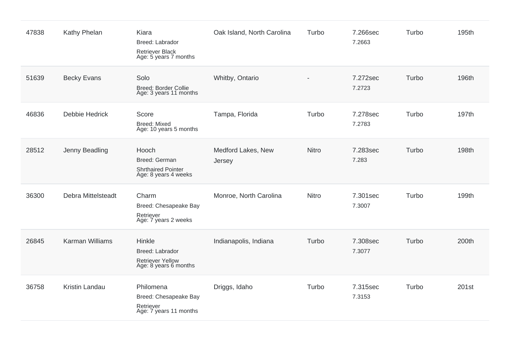| 47838 | Kathy Phelan           | Kiara<br>Breed: Labrador<br><b>Retriever Black</b><br>Age: 5 years 7 months   | Oak Island, North Carolina   | Turbo        | 7.266sec<br>7.2663 | Turbo | 195th |
|-------|------------------------|-------------------------------------------------------------------------------|------------------------------|--------------|--------------------|-------|-------|
| 51639 | <b>Becky Evans</b>     | Solo<br>Breed: Border Collie<br>Age: 3 years 11 months                        | Whitby, Ontario              |              | 7.272sec<br>7.2723 | Turbo | 196th |
| 46836 | <b>Debbie Hedrick</b>  | Score<br><b>Breed: Mixed</b><br>Age: 10 years 5 months                        | Tampa, Florida               | Turbo        | 7.278sec<br>7.2783 | Turbo | 197th |
| 28512 | Jenny Beadling         | Hooch<br>Breed: German<br><b>Shrthaired Pointer</b><br>Age: 8 years 4 weeks   | Medford Lakes, New<br>Jersey | <b>Nitro</b> | 7.283sec<br>7.283  | Turbo | 198th |
| 36300 | Debra Mittelsteadt     | Charm<br>Breed: Chesapeake Bay<br>Retriever<br>Age: 7 years 2 weeks           | Monroe, North Carolina       | <b>Nitro</b> | 7.301sec<br>7.3007 | Turbo | 199th |
| 26845 | <b>Karman Williams</b> | Hinkle<br>Breed: Labrador<br><b>Retriever Yellow</b><br>Age: 8 years 6 months | Indianapolis, Indiana        | Turbo        | 7.308sec<br>7.3077 | Turbo | 200th |
| 36758 | Kristin Landau         | Philomena<br>Breed: Chesapeake Bay<br>Retriever<br>Age: 7 years 11 months     | Driggs, Idaho                | Turbo        | 7.315sec<br>7.3153 | Turbo | 201st |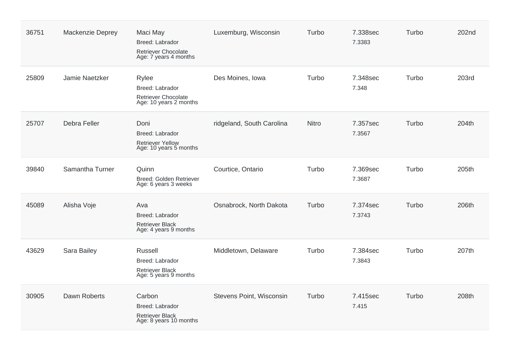| 36751 | Mackenzie Deprey | Maci May<br>Breed: Labrador<br>Retriever Chocolate<br>Age: 7 years 4 months   | Luxemburg, Wisconsin      | Turbo | 7.338sec<br>7.3383 | Turbo | 202 <sub>nd</sub> |
|-------|------------------|-------------------------------------------------------------------------------|---------------------------|-------|--------------------|-------|-------------------|
| 25809 | Jamie Naetzker   | Rylee<br>Breed: Labrador<br>Retriever Chocolate<br>Age: 10 years 2 months     | Des Moines, Iowa          | Turbo | 7.348sec<br>7.348  | Turbo | <b>203rd</b>      |
| 25707 | Debra Feller     | Doni<br>Breed: Labrador<br><b>Retriever Yellow</b><br>Age: 10 years 5 months  | ridgeland, South Carolina | Nitro | 7.357sec<br>7.3567 | Turbo | 204th             |
| 39840 | Samantha Turner  | Quinn<br>Breed: Golden Retriever<br>Age: 6 years 3 weeks                      | Courtice, Ontario         | Turbo | 7.369sec<br>7.3687 | Turbo | 205th             |
| 45089 | Alisha Voje      | Ava<br>Breed: Labrador<br><b>Retriever Black</b><br>Age: 4 years 9 months     | Osnabrock, North Dakota   | Turbo | 7.374sec<br>7.3743 | Turbo | 206th             |
| 43629 | Sara Bailey      | Russell<br>Breed: Labrador<br><b>Retriever Black</b><br>Age: 5 years 9 months | Middletown, Delaware      | Turbo | 7.384sec<br>7.3843 | Turbo | 207th             |
| 30905 | Dawn Roberts     | Carbon<br>Breed: Labrador<br>Retriever Black<br>Age: 8 years 10 months        | Stevens Point, Wisconsin  | Turbo | 7.415sec<br>7.415  | Turbo | 208th             |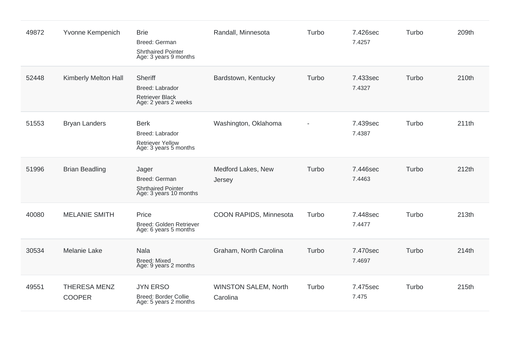| 49872 | Yvonne Kempenich                     | <b>Brie</b><br>Breed: German<br><b>Shrthaired Pointer</b><br>Age: 3 years 9 months | Randall, Minnesota                      | Turbo | 7.426sec<br>7.4257 | Turbo | 209th |
|-------|--------------------------------------|------------------------------------------------------------------------------------|-----------------------------------------|-------|--------------------|-------|-------|
| 52448 | Kimberly Melton Hall                 | Sheriff<br>Breed: Labrador<br>Retriever Black<br>Age: 2 years 2 weeks              | Bardstown, Kentucky                     | Turbo | 7.433sec<br>7.4327 | Turbo | 210th |
| 51553 | <b>Bryan Landers</b>                 | <b>Berk</b><br>Breed: Labrador<br><b>Retriever Yellow</b><br>Age: 3 years 5 months | Washington, Oklahoma                    |       | 7.439sec<br>7.4387 | Turbo | 211th |
| 51996 | <b>Brian Beadling</b>                | Jager<br>Breed: German<br><b>Shrthaired Pointer</b><br>Age: 3 years 10 months      | Medford Lakes, New<br>Jersey            | Turbo | 7.446sec<br>7.4463 | Turbo | 212th |
| 40080 | <b>MELANIE SMITH</b>                 | Price<br>Breed: Golden Retriever<br>Age: 6 years 5 months                          | COON RAPIDS, Minnesota                  | Turbo | 7.448sec<br>7.4477 | Turbo | 213th |
| 30534 | <b>Melanie Lake</b>                  | <b>Nala</b><br><b>Breed: Mixed</b><br>Age: 9 years 2 months                        | Graham, North Carolina                  | Turbo | 7.470sec<br>7.4697 | Turbo | 214th |
| 49551 | <b>THERESA MENZ</b><br><b>COOPER</b> | <b>JYN ERSO</b><br>Breed: Border Collie<br>Age: 5 years 2 months                   | <b>WINSTON SALEM, North</b><br>Carolina | Turbo | 7.475sec<br>7.475  | Turbo | 215th |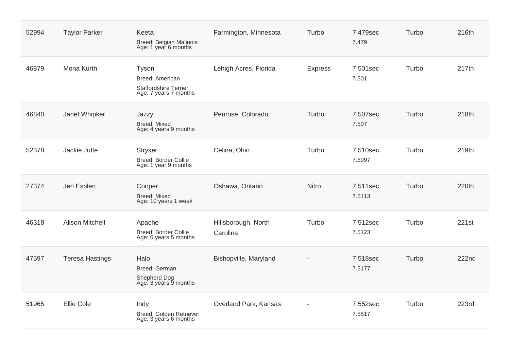| 52994 | <b>Taylor Parker</b>   | Keeta<br>Breed: Belgian Malinois<br>Age: 1 year 6 months                   | Farmington, Minnesota           | Turbo          | 7.479sec<br>7.479  | Turbo | 216th        |
|-------|------------------------|----------------------------------------------------------------------------|---------------------------------|----------------|--------------------|-------|--------------|
| 46879 | Mona Kurth             | Tyson<br>Breed: American<br>Staffordshire Terrier<br>Age: 7 years 7 months | Lehigh Acres, Florida           | <b>Express</b> | 7.501sec<br>7.501  | Turbo | 217th        |
| 46840 | Janet Whipker          | Jazzy<br><b>Breed: Mixed</b><br>Age: 4 years 9 months                      | Penrose, Colorado               | Turbo          | 7.507sec<br>7.507  | Turbo | 218th        |
| 52378 | Jackie Jutte           | <b>Stryker</b><br>Breed: Border Collie<br>Age: 1 year 9 months             | Celina, Ohio                    | Turbo          | 7.510sec<br>7.5097 | Turbo | 219th        |
| 27374 | Jen Esplen             | Cooper<br><b>Breed: Mixed</b><br>Age: 10 years 1 week                      | Oshawa, Ontario                 | <b>Nitro</b>   | 7.511sec<br>7.5113 | Turbo | 220th        |
| 46318 | <b>Alison Mitchell</b> | Apache<br><b>Breed: Border Collie</b><br>Age: 6 years 5 months             | Hillsborough, North<br>Carolina | Turbo          | 7.512sec<br>7.5123 | Turbo | 221st        |
| 47597 | <b>Teresa Hastings</b> | Halo<br>Breed: German<br>Shepherd Dog<br>Age: 3 years 9 months             | Bishopville, Maryland           |                | 7.518sec<br>7.5177 | Turbo | <b>222nd</b> |
| 51965 | <b>Ellie Cole</b>      | Indy<br>Breed: Golden Retriever<br>Age: 3 years 6 months                   | Overland Park, Kansas           |                | 7.552sec<br>7.5517 | Turbo | <b>223rd</b> |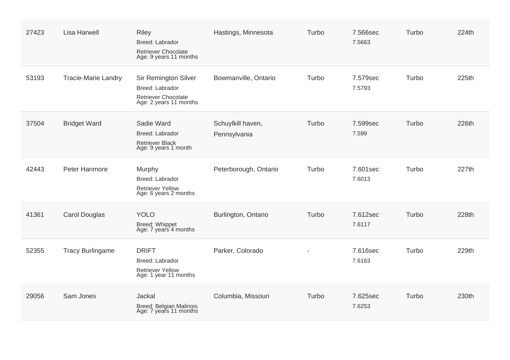| 27423 | <b>Lisa Harwell</b>        | <b>Riley</b><br>Breed: Labrador<br><b>Retriever Chocolate</b><br>Age: 9 years 11 months                | Hastings, Minnesota               | Turbo | 7.566sec<br>7.5663 | Turbo | 224th |
|-------|----------------------------|--------------------------------------------------------------------------------------------------------|-----------------------------------|-------|--------------------|-------|-------|
| 53193 | <b>Tracie-Marie Landry</b> | <b>Sir Remington Silver</b><br>Breed: Labrador<br><b>Retriever Chocolate</b><br>Age: 2 years 11 months | Bowmanville, Ontario              | Turbo | 7.579sec<br>7.5793 | Turbo | 225th |
| 37504 | <b>Bridget Ward</b>        | Sadie Ward<br>Breed: Labrador<br><b>Retriever Black</b><br>Age: 9 years 1 month                        | Schuylkill haven,<br>Pennsylvania | Turbo | 7.599sec<br>7.599  | Turbo | 226th |
| 42443 | Peter Hanmore              | Murphy<br>Breed: Labrador<br>Retriever Yellow<br>Age: 6 years 2 months                                 | Peterborough, Ontario             | Turbo | 7.601sec<br>7.6013 | Turbo | 227th |
| 41361 | <b>Carol Douglas</b>       | <b>YOLO</b><br>Breed: Whippet<br>Age: 7 years 4 months                                                 | Burlington, Ontario               | Turbo | 7.612sec<br>7.6117 | Turbo | 228th |
| 52355 | <b>Tracy Burlingame</b>    | <b>DRIFT</b><br>Breed: Labrador<br>Retriever Yellow<br>Age: 1 year 11 months                           | Parker, Colorado                  |       | 7.616sec<br>7.6163 | Turbo | 229th |
| 29056 | Sam Jones                  | Jackal<br>Breed: Belgian Malinois<br>Age: 7 years 11 months                                            | Columbia, Missouri                | Turbo | 7.625sec<br>7.6253 | Turbo | 230th |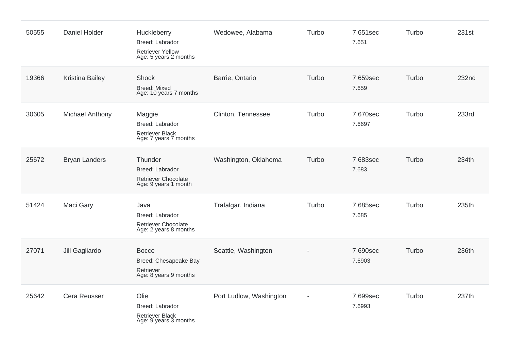| 50555 | Daniel Holder          | Huckleberry<br><b>Breed: Labrador</b><br><b>Retriever Yellow</b><br>Age: 5 years 2 months | Wedowee, Alabama        | Turbo | 7.651sec<br>7.651  | Turbo | 231st |
|-------|------------------------|-------------------------------------------------------------------------------------------|-------------------------|-------|--------------------|-------|-------|
| 19366 | Kristina Bailey        | Shock<br><b>Breed: Mixed</b><br>Age: 10 years 7 months                                    | Barrie, Ontario         | Turbo | 7.659sec<br>7.659  | Turbo | 232nd |
| 30605 | <b>Michael Anthony</b> | Maggie<br>Breed: Labrador<br><b>Retriever Black</b><br>Age: 7 years 7 months              | Clinton, Tennessee      | Turbo | 7.670sec<br>7.6697 | Turbo | 233rd |
| 25672 | <b>Bryan Landers</b>   | Thunder<br>Breed: Labrador<br>Retriever Chocolate<br>Age: 9 years 1 month                 | Washington, Oklahoma    | Turbo | 7.683sec<br>7.683  | Turbo | 234th |
| 51424 | Maci Gary              | Java<br>Breed: Labrador<br>Retriever Chocolate<br>Age: 2 years 8 months                   | Trafalgar, Indiana      | Turbo | 7.685sec<br>7.685  | Turbo | 235th |
| 27071 | Jill Gagliardo         | <b>Bocce</b><br>Breed: Chesapeake Bay<br>Retriever<br>Age: 8 years 9 months               | Seattle, Washington     |       | 7.690sec<br>7.6903 | Turbo | 236th |
| 25642 | Cera Reusser           | Olie<br>Breed: Labrador<br><b>Retriever Black</b><br>Age: 9 years 3 months                | Port Ludlow, Washington |       | 7.699sec<br>7.6993 | Turbo | 237th |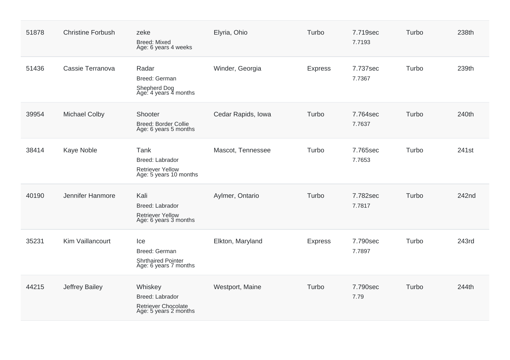| 51878 | <b>Christine Forbush</b> | zeke<br><b>Breed: Mixed</b><br>Age: 6 years 4 weeks                               | Elyria, Ohio       | Turbo          | 7.719sec<br>7.7193 | Turbo | 238th |
|-------|--------------------------|-----------------------------------------------------------------------------------|--------------------|----------------|--------------------|-------|-------|
| 51436 | Cassie Terranova         | Radar<br>Breed: German<br>Shepherd Dog<br>Age: 4 years 4 months                   | Winder, Georgia    | <b>Express</b> | 7.737sec<br>7.7367 | Turbo | 239th |
| 39954 | <b>Michael Colby</b>     | Shooter<br><b>Breed: Border Collie</b><br>Age: 6 years 5 months                   | Cedar Rapids, Iowa | Turbo          | 7.764sec<br>7.7637 | Turbo | 240th |
| 38414 | Kaye Noble               | Tank<br>Breed: Labrador<br><b>Retriever Yellow</b><br>Age: 5 years 10 months      | Mascot, Tennessee  | Turbo          | 7.765sec<br>7.7653 | Turbo | 241st |
| 40190 | Jennifer Hanmore         | Kali<br>Breed: Labrador<br><b>Retriever Yellow</b><br>Age: 6 years 3 months       | Aylmer, Ontario    | Turbo          | 7.782sec<br>7.7817 | Turbo | 242nd |
| 35231 | Kim Vaillancourt         | Ice<br>Breed: German<br><b>Shrthaired Pointer</b><br>Age: 6 years 7 months        | Elkton, Maryland   | <b>Express</b> | 7.790sec<br>7.7897 | Turbo | 243rd |
| 44215 | Jeffrey Bailey           | Whiskey<br><b>Breed: Labrador</b><br>Retriever Chocolate<br>Age: 5 years 2 months | Westport, Maine    | Turbo          | 7.790sec<br>7.79   | Turbo | 244th |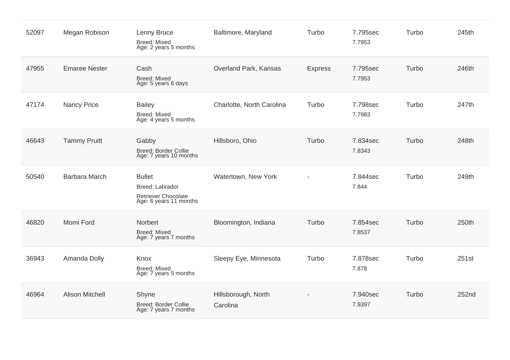| 52097 | Megan Robison          | Lenny Bruce<br><b>Breed: Mixed</b><br>Age: 2 years 5 months                              | Baltimore, Maryland             | Turbo          | 7.795sec<br>7.7953 | Turbo | 245th |
|-------|------------------------|------------------------------------------------------------------------------------------|---------------------------------|----------------|--------------------|-------|-------|
| 47955 | <b>Emaree Nester</b>   | Cash<br><b>Breed: Mixed</b><br>Age: 5 years 6 days                                       | Overland Park, Kansas           | <b>Express</b> | 7.795sec<br>7.7953 | Turbo | 246th |
| 47174 | <b>Nancy Price</b>     | <b>Bailey</b><br><b>Breed: Mixed</b><br>Age: 4 years 5 months                            | Charlotte, North Carolina       | Turbo          | 7.798sec<br>7.7983 | Turbo | 247th |
| 46643 | <b>Tammy Pruitt</b>    | Gabby<br><b>Breed: Border Collie</b><br>Age: 7 years 10 months                           | Hillsboro, Ohio                 | Turbo          | 7.834sec<br>7.8343 | Turbo | 248th |
| 50540 | <b>Barbara March</b>   | <b>Bullet</b><br>Breed: Labrador<br><b>Retriever Chocolate</b><br>Age: 6 years 11 months | Watertown, New York             |                | 7.844sec<br>7.844  | Turbo | 249th |
| 46820 | Momi Ford              | Norbert<br><b>Breed: Mixed</b><br>Age: 7 years 7 months                                  | Bloomington, Indiana            | Turbo          | 7.854sec<br>7.8537 | Turbo | 250th |
| 36943 | Amanda Dolly           | Knox<br><b>Breed: Mixed</b><br>Age: 7 years 5 months                                     | Sleepy Eye, Minnesota           | Turbo          | 7.878sec<br>7.878  | Turbo | 251st |
| 46964 | <b>Alison Mitchell</b> | Shyne<br>Breed: Border Collie<br>Age: 7 years 7 months                                   | Hillsborough, North<br>Carolina |                | 7.940sec<br>7.9397 | Turbo | 252nd |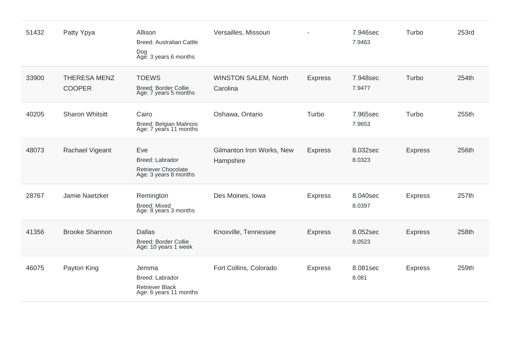| 51432 | Patty Ypya                           | Allison<br><b>Breed: Australian Cattle</b><br>Dog<br>Age: 3 years 6 months   | Versailles, Missouri                    |                | 7.946sec<br>7.9463 | Turbo          | 253rd |
|-------|--------------------------------------|------------------------------------------------------------------------------|-----------------------------------------|----------------|--------------------|----------------|-------|
| 33900 | <b>THERESA MENZ</b><br><b>COOPER</b> | <b>TOEWS</b><br><b>Breed: Border Collie</b><br>Age: 7 years 5 months         | <b>WINSTON SALEM, North</b><br>Carolina | <b>Express</b> | 7.948sec<br>7.9477 | Turbo          | 254th |
| 40205 | <b>Sharon Whitsitt</b>               | Cairo<br>Breed: Belgian Malinois<br>Age: 7 years 11 months                   | Oshawa, Ontario                         | Turbo          | 7.965sec<br>7.9653 | Turbo          | 255th |
| 48073 | Rachael Vigeant                      | Eve<br>Breed: Labrador<br>Retriever Chocolate<br>Age: 3 years 8 months       | Gilmanton Iron Works, New<br>Hampshire  | <b>Express</b> | 8.032sec<br>8.0323 | <b>Express</b> | 256th |
| 28767 | Jamie Naetzker                       | Remington<br><b>Breed: Mixed</b><br>Age: 8 years 3 months                    | Des Moines, Iowa                        | <b>Express</b> | 8.040sec<br>8.0397 | <b>Express</b> | 257th |
| 41356 | <b>Brooke Shannon</b>                | <b>Dallas</b><br><b>Breed: Border Collie</b><br>Age: 10 years 1 week         | Knoxville, Tennessee                    | <b>Express</b> | 8.052sec<br>8.0523 | <b>Express</b> | 258th |
| 46075 | Payton King                          | Jemma<br>Breed: Labrador<br><b>Retriever Black</b><br>Age: 6 years 11 months | Fort Collins, Colorado                  | <b>Express</b> | 8.081sec<br>8.081  | <b>Express</b> | 259th |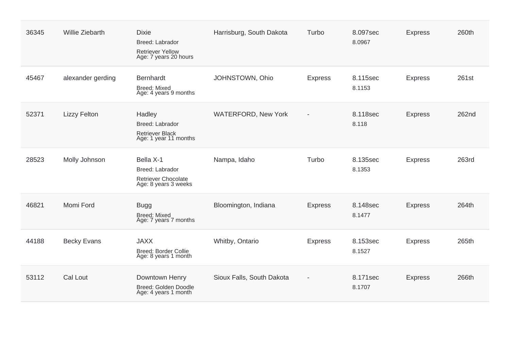| 36345 | <b>Willie Ziebarth</b> | <b>Dixie</b><br>Breed: Labrador<br><b>Retriever Yellow</b><br>Age: 7 years 20 hours | Harrisburg, South Dakota   | Turbo                    | 8.097sec<br>8.0967 | <b>Express</b> | 260th |
|-------|------------------------|-------------------------------------------------------------------------------------|----------------------------|--------------------------|--------------------|----------------|-------|
| 45467 | alexander gerding      | <b>Bernhardt</b><br><b>Breed: Mixed</b><br>Age: 4 years 9 months                    | JOHNSTOWN, Ohio            | <b>Express</b>           | 8.115sec<br>8.1153 | <b>Express</b> | 261st |
| 52371 | <b>Lizzy Felton</b>    | Hadley<br>Breed: Labrador<br><b>Retriever Black</b><br>Age: 1 year 11 months        | <b>WATERFORD, New York</b> | $\overline{\phantom{a}}$ | 8.118sec<br>8.118  | <b>Express</b> | 262nd |
| 28523 | Molly Johnson          | Bella X-1<br>Breed: Labrador<br><b>Retriever Chocolate</b><br>Age: 8 years 3 weeks  | Nampa, Idaho               | Turbo                    | 8.135sec<br>8.1353 | <b>Express</b> | 263rd |
| 46821 | Momi Ford              | <b>Bugg</b><br><b>Breed: Mixed</b><br>Age: 7 years 7 months                         | Bloomington, Indiana       | <b>Express</b>           | 8.148sec<br>8.1477 | <b>Express</b> | 264th |
| 44188 | <b>Becky Evans</b>     | <b>JAXX</b><br>Breed: Border Collie<br>Age: 8 years 1 month                         | Whitby, Ontario            | <b>Express</b>           | 8.153sec<br>8.1527 | <b>Express</b> | 265th |
| 53112 | Cal Lout               | Downtown Henry<br>Breed: Golden Doodle<br>Age: 4 years 1 month                      | Sioux Falls, South Dakota  |                          | 8.171sec<br>8.1707 | <b>Express</b> | 266th |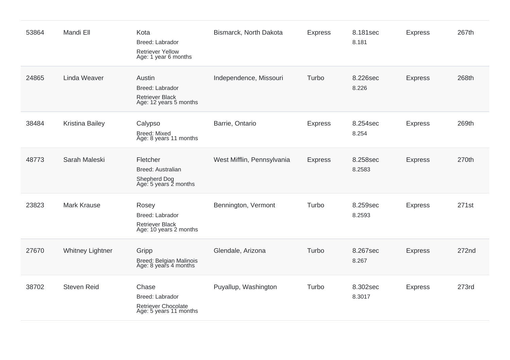| 53864 | Mandi Ell               | Kota<br>Breed: Labrador<br><b>Retriever Yellow</b><br>Age: 1 year 6 months       | Bismarck, North Dakota     | <b>Express</b> | 8.181sec<br>8.181  | <b>Express</b> | 267th |
|-------|-------------------------|----------------------------------------------------------------------------------|----------------------------|----------------|--------------------|----------------|-------|
| 24865 | Linda Weaver            | Austin<br>Breed: Labrador<br>Retriever Black<br>Age: 12 years 5 months           | Independence, Missouri     | Turbo          | 8.226sec<br>8.226  | <b>Express</b> | 268th |
| 38484 | Kristina Bailey         | Calypso<br><b>Breed: Mixed</b><br>Age: 8 years 11 months                         | Barrie, Ontario            | <b>Express</b> | 8.254sec<br>8.254  | <b>Express</b> | 269th |
| 48773 | Sarah Maleski           | Fletcher<br><b>Breed: Australian</b><br>Shepherd Dog<br>Age: 5 years 2 months    | West Mifflin, Pennsylvania | <b>Express</b> | 8.258sec<br>8.2583 | <b>Express</b> | 270th |
| 23823 | <b>Mark Krause</b>      | Rosey<br>Breed: Labrador<br><b>Retriever Black</b><br>Age: 10 years 2 months     | Bennington, Vermont        | Turbo          | 8.259sec<br>8.2593 | <b>Express</b> | 271st |
| 27670 | <b>Whitney Lightner</b> | Gripp<br>Breed: Belgian Malinois<br>Age: 8 years 4 months                        | Glendale, Arizona          | Turbo          | 8.267sec<br>8.267  | <b>Express</b> | 272nd |
| 38702 | <b>Steven Reid</b>      | Chase<br>Breed: Labrador<br><b>Retriever Chocolate</b><br>Age: 5 years 11 months | Puyallup, Washington       | Turbo          | 8.302sec<br>8.3017 | <b>Express</b> | 273rd |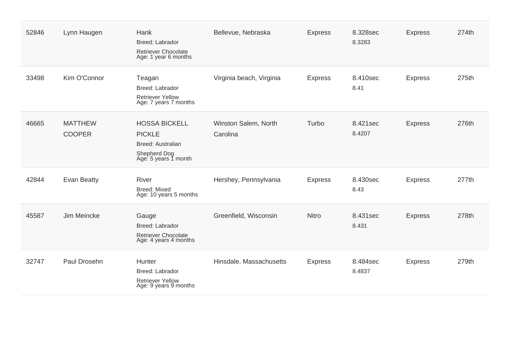| 52846 | Lynn Haugen                     | Hank<br>Breed: Labrador<br>Retriever Chocolate<br>Age: 1 year 6 months                             | Bellevue, Nebraska               | <b>Express</b> | 8.328sec<br>8.3283 | <b>Express</b> | 274th |
|-------|---------------------------------|----------------------------------------------------------------------------------------------------|----------------------------------|----------------|--------------------|----------------|-------|
| 33498 | Kim O'Connor                    | Teagan<br>Breed: Labrador<br><b>Retriever Yellow</b><br>Age: 7 years 7 months                      | Virginia beach, Virginia         | <b>Express</b> | 8.410sec<br>8.41   | <b>Express</b> | 275th |
| 46665 | <b>MATTHEW</b><br><b>COOPER</b> | <b>HOSSA BICKELL</b><br><b>PICKLE</b><br>Breed: Australian<br>Shepherd Dog<br>Age: 5 years 1 month | Winston Salem, North<br>Carolina | Turbo          | 8.421sec<br>8.4207 | <b>Express</b> | 276th |
| 42844 | Evan Beatty                     | <b>River</b><br>Breed: Mixed<br>Age: 10 years 5 months                                             | Hershey, Pennsylvania            | <b>Express</b> | 8.430sec<br>8.43   | <b>Express</b> | 277th |
| 45587 | Jim Meincke                     | Gauge<br>Breed: Labrador<br><b>Retriever Chocolate</b><br>Age: 4 years 4 months                    | Greenfield, Wisconsin            | Nitro          | 8.431sec<br>8.431  | <b>Express</b> | 278th |
| 32747 | Paul Drosehn                    | Hunter<br>Breed: Labrador<br><b>Retriever Yellow</b><br>Age: 9 years 9 months                      | Hinsdale, Massachusetts          | <b>Express</b> | 8.484sec<br>8.4837 | <b>Express</b> | 279th |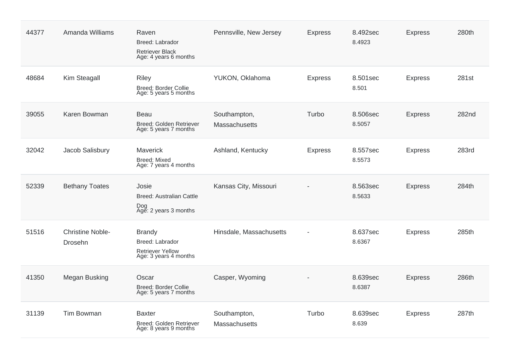| 44377 | Amanda Williams                    | Raven<br>Breed: Labrador<br><b>Retriever Black</b><br>Age: 4 years 6 months          | Pennsville, New Jersey        | <b>Express</b> | 8.492sec<br>8.4923 | <b>Express</b> | 280th |
|-------|------------------------------------|--------------------------------------------------------------------------------------|-------------------------------|----------------|--------------------|----------------|-------|
| 48684 | Kim Steagall                       | <b>Riley</b><br><b>Breed: Border Collie</b><br>Age: 5 years 5 months                 | YUKON, Oklahoma               | <b>Express</b> | 8.501sec<br>8.501  | <b>Express</b> | 281st |
| 39055 | Karen Bowman                       | <b>Beau</b><br>Breed: Golden Retriever<br>Age: 5 years 7 months                      | Southampton,<br>Massachusetts | Turbo          | 8.506sec<br>8.5057 | <b>Express</b> | 282nd |
| 32042 | Jacob Salisbury                    | Maverick<br><b>Breed: Mixed</b><br>Age: 7 years 4 months                             | Ashland, Kentucky             | <b>Express</b> | 8.557sec<br>8.5573 | <b>Express</b> | 283rd |
| 52339 | <b>Bethany Toates</b>              | Josie<br>Breed: Australian Cattle<br>Dog<br>Age: 2 years 3 months                    | Kansas City, Missouri         |                | 8.563sec<br>8.5633 | <b>Express</b> | 284th |
| 51516 | <b>Christine Noble-</b><br>Drosehn | <b>Brandy</b><br>Breed: Labrador<br><b>Retriever Yellow</b><br>Age: 3 years 4 months | Hinsdale, Massachusetts       |                | 8.637sec<br>8.6367 | <b>Express</b> | 285th |
| 41350 | Megan Busking                      | Oscar<br><b>Breed: Border Collie</b><br>Age: 5 years 7 months                        | Casper, Wyoming               |                | 8.639sec<br>8.6387 | <b>Express</b> | 286th |
| 31139 | <b>Tim Bowman</b>                  | <b>Baxter</b><br>Breed: Golden Retriever<br>Age: 8 years 9 months                    | Southampton,<br>Massachusetts | Turbo          | 8.639sec<br>8.639  | <b>Express</b> | 287th |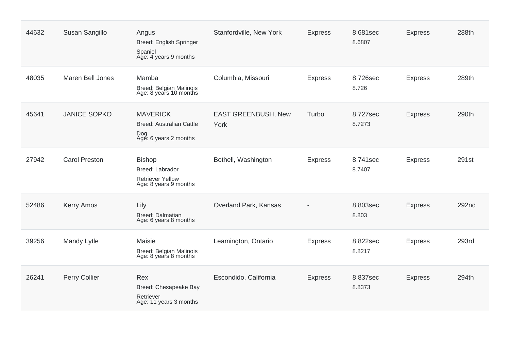| 44632 | Susan Sangillo       | Angus<br>Breed: English Springer<br>Spaniel<br>Age: 4 years 9 months                 | Stanfordville, New York     | <b>Express</b> | 8.681sec<br>8.6807 | <b>Express</b> | 288th        |
|-------|----------------------|--------------------------------------------------------------------------------------|-----------------------------|----------------|--------------------|----------------|--------------|
| 48035 | Maren Bell Jones     | Mamba<br>Breed: Belgian Malinois<br>Age: 8 years 10 months                           | Columbia, Missouri          | <b>Express</b> | 8.726sec<br>8.726  | <b>Express</b> | 289th        |
| 45641 | <b>JANICE SOPKO</b>  | <b>MAVERICK</b><br><b>Breed: Australian Cattle</b><br>Dog<br>Age: 6 years 2 months   | EAST GREENBUSH, New<br>York | Turbo          | 8.727sec<br>8.7273 | <b>Express</b> | 290th        |
| 27942 | <b>Carol Preston</b> | <b>Bishop</b><br>Breed: Labrador<br><b>Retriever Yellow</b><br>Age: 8 years 9 months | Bothell, Washington         | <b>Express</b> | 8.741sec<br>8.7407 | <b>Express</b> | 291st        |
| 52486 | <b>Kerry Amos</b>    | Lily<br>Breed: Dalmatian<br>Age: 6 years 8 months                                    | Overland Park, Kansas       |                | 8.803sec<br>8.803  | <b>Express</b> | 292nd        |
| 39256 | Mandy Lytle          | Maisie<br>Breed: Belgian Malinois<br>Age: 8 years 8 months                           | Leamington, Ontario         | <b>Express</b> | 8.822sec<br>8.8217 | <b>Express</b> | <b>293rd</b> |
| 26241 | Perry Collier        | Rex<br>Breed: Chesapeake Bay<br>Retriever<br>Age: 11 years 3 months                  | Escondido, California       | <b>Express</b> | 8.837sec<br>8.8373 | <b>Express</b> | 294th        |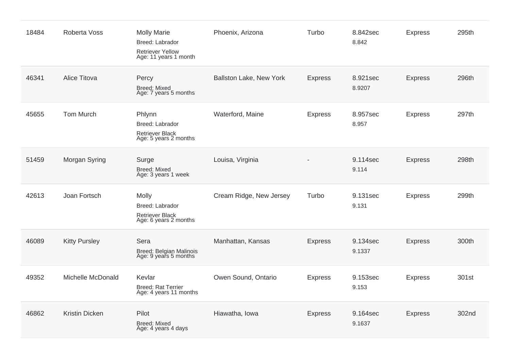| 18484 | Roberta Voss         | <b>Molly Marie</b><br>Breed: Labrador<br><b>Retriever Yellow</b><br>Age: 11 years 1 month | Phoenix, Arizona        | Turbo          | 8.842sec<br>8.842  | <b>Express</b> | 295th |
|-------|----------------------|-------------------------------------------------------------------------------------------|-------------------------|----------------|--------------------|----------------|-------|
| 46341 | <b>Alice Titova</b>  | Percy<br><b>Breed: Mixed</b><br>Age: 7 years 5 months                                     | Ballston Lake, New York | <b>Express</b> | 8.921sec<br>8.9207 | <b>Express</b> | 296th |
| 45655 | <b>Tom Murch</b>     | Phlynn<br>Breed: Labrador<br><b>Retriever Black</b><br>Age: 5 years 2 months              | Waterford, Maine        | <b>Express</b> | 8.957sec<br>8.957  | <b>Express</b> | 297th |
| 51459 | Morgan Syring        | Surge<br><b>Breed: Mixed</b><br>Age: 3 years 1 week                                       | Louisa, Virginia        |                | 9.114sec<br>9.114  | <b>Express</b> | 298th |
| 42613 | Joan Fortsch         | Molly<br>Breed: Labrador<br><b>Retriever Black</b><br>Age: 6 years 2 months               | Cream Ridge, New Jersey | Turbo          | 9.131sec<br>9.131  | <b>Express</b> | 299th |
| 46089 | <b>Kitty Pursley</b> | Sera<br>Breed: Belgian Malinois<br>Age: 9 years 5 months                                  | Manhattan, Kansas       | <b>Express</b> | 9.134sec<br>9.1337 | <b>Express</b> | 300th |
| 49352 | Michelle McDonald    | Kevlar<br><b>Breed: Rat Terrier</b><br>Age: 4 years 11 months                             | Owen Sound, Ontario     | <b>Express</b> | 9.153sec<br>9.153  | <b>Express</b> | 301st |
| 46862 | Kristin Dicken       | Pilot<br>Breed: Mixed<br>Age: 4 years 4 days                                              | Hiawatha, Iowa          | <b>Express</b> | 9.164sec<br>9.1637 | <b>Express</b> | 302nd |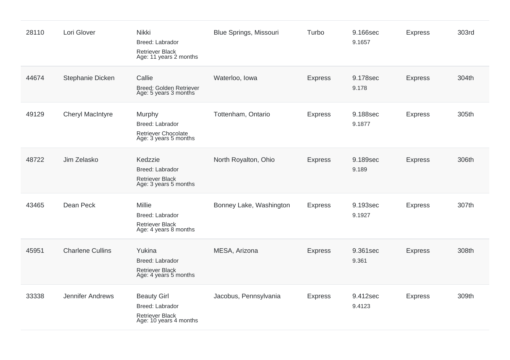| 28110 | Lori Glover             | Nikki<br>Breed: Labrador<br><b>Retriever Black</b><br>Age: 11 years 2 months              | <b>Blue Springs, Missouri</b> | Turbo          | 9.166sec<br>9.1657 | <b>Express</b> | 303rd |
|-------|-------------------------|-------------------------------------------------------------------------------------------|-------------------------------|----------------|--------------------|----------------|-------|
| 44674 | Stephanie Dicken        | Callie<br>Breed: Golden Retriever<br>Age: 5 years 3 months                                | Waterloo, Iowa                | <b>Express</b> | 9.178sec<br>9.178  | <b>Express</b> | 304th |
| 49129 | <b>Cheryl MacIntyre</b> | Murphy<br>Breed: Labrador<br><b>Retriever Chocolate</b><br>Age: 3 years 5 months          | Tottenham, Ontario            | <b>Express</b> | 9.188sec<br>9.1877 | <b>Express</b> | 305th |
| 48722 | Jim Zelasko             | Kedzzie<br>Breed: Labrador<br><b>Retriever Black</b><br>Age: 3 years 5 months             | North Royalton, Ohio          | <b>Express</b> | 9.189sec<br>9.189  | <b>Express</b> | 306th |
| 43465 | Dean Peck               | <b>Millie</b><br>Breed: Labrador<br><b>Retriever Black</b><br>Age: 4 years 8 months       | Bonney Lake, Washington       | <b>Express</b> | 9.193sec<br>9.1927 | <b>Express</b> | 307th |
| 45951 | <b>Charlene Cullins</b> | Yukina<br>Breed: Labrador<br><b>Retriever Black</b><br>Age: 4 years 5 months              | MESA, Arizona                 | <b>Express</b> | 9.361sec<br>9.361  | <b>Express</b> | 308th |
| 33338 | Jennifer Andrews        | <b>Beauty Girl</b><br>Breed: Labrador<br><b>Retriever Black</b><br>Age: 10 years 4 months | Jacobus, Pennsylvania         | <b>Express</b> | 9.412sec<br>9.4123 | <b>Express</b> | 309th |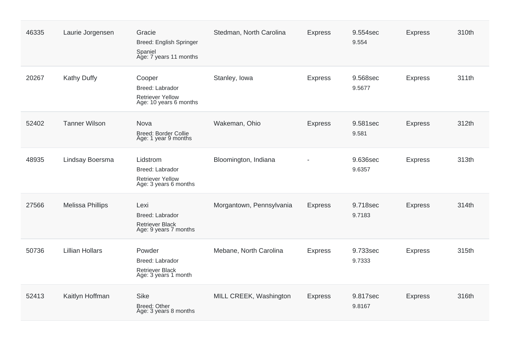| 46335 | Laurie Jorgensen        | Gracie<br>Breed: English Springer<br>Spaniel<br>Age: 7 years 11 months          | Stedman, North Carolina  | <b>Express</b> | 9.554sec<br>9.554  | <b>Express</b> | 310th |
|-------|-------------------------|---------------------------------------------------------------------------------|--------------------------|----------------|--------------------|----------------|-------|
| 20267 | <b>Kathy Duffy</b>      | Cooper<br>Breed: Labrador<br><b>Retriever Yellow</b><br>Age: 10 years 6 months  | Stanley, Iowa            | <b>Express</b> | 9.568sec<br>9.5677 | <b>Express</b> | 311th |
| 52402 | <b>Tanner Wilson</b>    | Nova<br><b>Breed: Border Collie</b><br>Age: 1 year 9 months                     | Wakeman, Ohio            | <b>Express</b> | 9.581sec<br>9.581  | <b>Express</b> | 312th |
| 48935 | Lindsay Boersma         | Lidstrom<br>Breed: Labrador<br><b>Retriever Yellow</b><br>Age: 3 years 6 months | Bloomington, Indiana     |                | 9.636sec<br>9.6357 | <b>Express</b> | 313th |
| 27566 | <b>Melissa Phillips</b> | Lexi<br>Breed: Labrador<br><b>Retriever Black</b><br>Age: 9 years 7 months      | Morgantown, Pennsylvania | <b>Express</b> | 9.718sec<br>9.7183 | <b>Express</b> | 314th |
| 50736 | <b>Lillian Hollars</b>  | Powder<br>Breed: Labrador<br><b>Retriever Black</b><br>Age: 3 years 1 month     | Mebane, North Carolina   | <b>Express</b> | 9.733sec<br>9.7333 | <b>Express</b> | 315th |
| 52413 | Kaitlyn Hoffman         | Sike<br>Breed: Other<br>Age: 3 years 8 months                                   | MILL CREEK, Washington   | <b>Express</b> | 9.817sec<br>9.8167 | <b>Express</b> | 316th |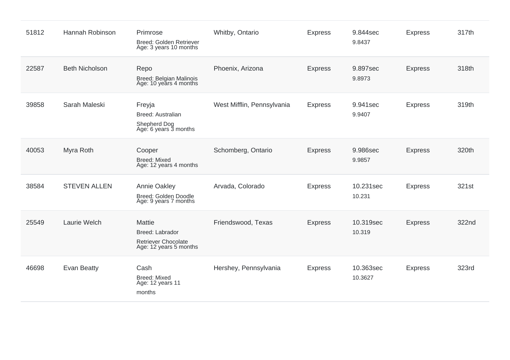| 51812 | Hannah Robinson       | Primrose<br>Breed: Golden Retriever<br>Age: 3 years 10 months                     | Whitby, Ontario            | <b>Express</b> | 9.844sec<br>9.8437   | <b>Express</b> | 317th |
|-------|-----------------------|-----------------------------------------------------------------------------------|----------------------------|----------------|----------------------|----------------|-------|
| 22587 | <b>Beth Nicholson</b> | Repo<br>Breed: Belgian Malinois<br>Age: 10 years 4 months                         | Phoenix, Arizona           | <b>Express</b> | 9.897sec<br>9.8973   | <b>Express</b> | 318th |
| 39858 | Sarah Maleski         | Freyja<br><b>Breed: Australian</b><br>Shepherd Dog<br>Age: 6 years 3 months       | West Mifflin, Pennsylvania | <b>Express</b> | 9.941sec<br>9.9407   | <b>Express</b> | 319th |
| 40053 | Myra Roth             | Cooper<br><b>Breed: Mixed</b><br>Age: 12 years 4 months                           | Schomberg, Ontario         | <b>Express</b> | 9.986sec<br>9.9857   | <b>Express</b> | 320th |
| 38584 | <b>STEVEN ALLEN</b>   | Annie Oakley<br>Breed: Golden Doodle<br>Age: 9 years 7 months                     | Arvada, Colorado           | <b>Express</b> | 10.231sec<br>10.231  | <b>Express</b> | 321st |
| 25549 | Laurie Welch          | Mattie<br>Breed: Labrador<br><b>Retriever Chocolate</b><br>Age: 12 years 5 months | Friendswood, Texas         | <b>Express</b> | 10.319sec<br>10.319  | <b>Express</b> | 322nd |
| 46698 | <b>Evan Beatty</b>    | Cash<br><b>Breed: Mixed</b><br>Age: 12 years 11<br>months                         | Hershey, Pennsylvania      | <b>Express</b> | 10.363sec<br>10.3627 | <b>Express</b> | 323rd |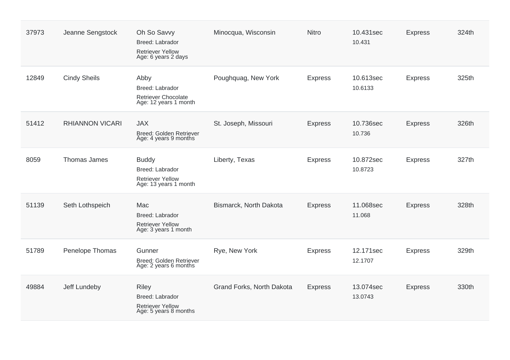| 37973 | Jeanne Sengstock       | Oh So Savvy<br>Breed: Labrador<br><b>Retriever Yellow</b><br>Age: 6 years 2 days    | Minocqua, Wisconsin       | <b>Nitro</b>   | 10.431sec<br>10.431  | <b>Express</b> | 324th |
|-------|------------------------|-------------------------------------------------------------------------------------|---------------------------|----------------|----------------------|----------------|-------|
| 12849 | <b>Cindy Sheils</b>    | Abby<br>Breed: Labrador<br><b>Retriever Chocolate</b><br>Age: 12 years 1 month      | Poughquag, New York       | <b>Express</b> | 10.613sec<br>10.6133 | <b>Express</b> | 325th |
| 51412 | <b>RHIANNON VICARI</b> | <b>JAX</b><br>Breed: Golden Retriever<br>Age: 4 years 9 months                      | St. Joseph, Missouri      | <b>Express</b> | 10.736sec<br>10.736  | <b>Express</b> | 326th |
| 8059  | Thomas James           | <b>Buddy</b><br>Breed: Labrador<br><b>Retriever Yellow</b><br>Age: 13 years 1 month | Liberty, Texas            | <b>Express</b> | 10.872sec<br>10.8723 | <b>Express</b> | 327th |
| 51139 | Seth Lothspeich        | Mac<br>Breed: Labrador<br><b>Retriever Yellow</b><br>Age: 3 years 1 month           | Bismarck, North Dakota    | <b>Express</b> | 11.068sec<br>11.068  | <b>Express</b> | 328th |
| 51789 | Penelope Thomas        | Gunner<br>Breed: Golden Retriever<br>Age: 2 years 6 months                          | Rye, New York             | <b>Express</b> | 12.171sec<br>12.1707 | <b>Express</b> | 329th |
| 49884 | Jeff Lundeby           | <b>Riley</b><br>Breed: Labrador<br><b>Retriever Yellow</b><br>Age: 5 years 8 months | Grand Forks, North Dakota | <b>Express</b> | 13.074sec<br>13.0743 | <b>Express</b> | 330th |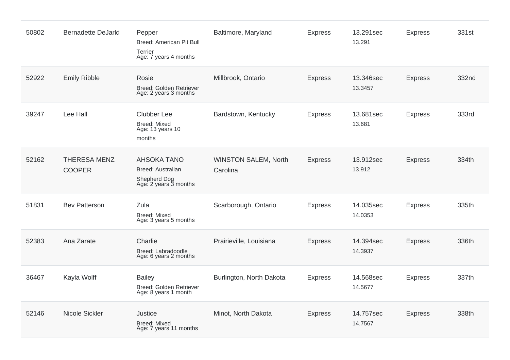| 50802 | <b>Bernadette DeJarld</b>            | Pepper<br>Breed: American Pit Bull<br>Terrier<br>Age: 7 years 4 months           | Baltimore, Maryland                     | <b>Express</b> | 13.291sec<br>13.291  | <b>Express</b> | 331st |
|-------|--------------------------------------|----------------------------------------------------------------------------------|-----------------------------------------|----------------|----------------------|----------------|-------|
| 52922 | <b>Emily Ribble</b>                  | Rosie<br>Breed: Golden Retriever<br>Age: 2 years 3 months                        | Millbrook, Ontario                      | <b>Express</b> | 13.346sec<br>13.3457 | <b>Express</b> | 332nd |
| 39247 | Lee Hall                             | <b>Clubber Lee</b><br><b>Breed: Mixed</b><br>Age: 13 years 10<br>months          | Bardstown, Kentucky                     | <b>Express</b> | 13.681sec<br>13.681  | <b>Express</b> | 333rd |
| 52162 | <b>THERESA MENZ</b><br><b>COOPER</b> | <b>AHSOKA TANO</b><br>Breed: Australian<br>Shepherd Dog<br>Age: 2 years 3 months | <b>WINSTON SALEM, North</b><br>Carolina | <b>Express</b> | 13.912sec<br>13.912  | <b>Express</b> | 334th |
| 51831 | <b>Bev Patterson</b>                 | Zula<br>Breed: Mixed<br>Age: 3 years 5 months                                    | Scarborough, Ontario                    | <b>Express</b> | 14.035sec<br>14.0353 | <b>Express</b> | 335th |
| 52383 | Ana Zarate                           | Charlie<br>Breed: Labradoodle<br>Age: 6 years 2 months                           | Prairieville, Louisiana                 | <b>Express</b> | 14.394sec<br>14.3937 | <b>Express</b> | 336th |
| 36467 | Kayla Wolff                          | <b>Bailey</b><br>Breed: Golden Retriever<br>Age: 8 years 1 month                 | Burlington, North Dakota                | <b>Express</b> | 14.568sec<br>14.5677 | <b>Express</b> | 337th |
| 52146 | Nicole Sickler                       | Justice<br><b>Breed: Mixed</b><br>Age: 7 years 11 months                         | Minot, North Dakota                     | <b>Express</b> | 14.757sec<br>14.7567 | <b>Express</b> | 338th |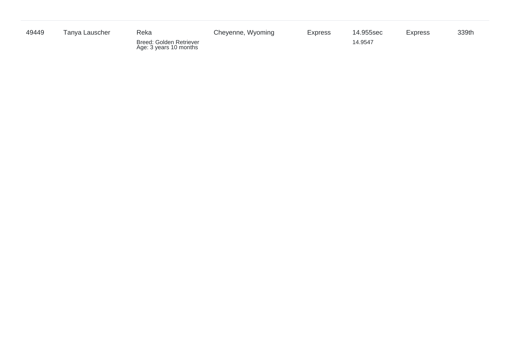| 49449 | Tanva Lauscher | Reka                                              | Cheyenne, Wyoming | <b>Express</b> | 14.955sec | <b>Express</b> | 339th |
|-------|----------------|---------------------------------------------------|-------------------|----------------|-----------|----------------|-------|
|       |                | Breed: Golden Retriever<br>Age: 3 years 10 months |                   |                | 14.9547   |                |       |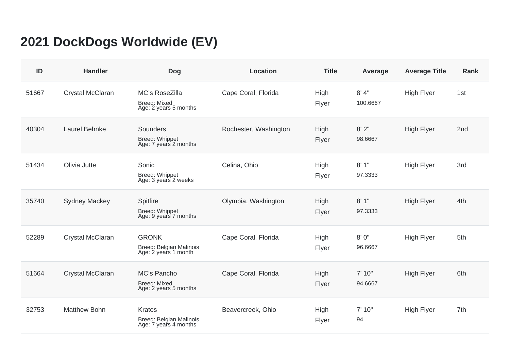## **2021 DockDogs Worldwide (EV)**

| ID    | <b>Handler</b>          | <b>Dog</b>                                                        | <b>Location</b>       | <b>Title</b>  | Average           | <b>Average Title</b> | <b>Rank</b> |
|-------|-------------------------|-------------------------------------------------------------------|-----------------------|---------------|-------------------|----------------------|-------------|
| 51667 | Crystal McClaran        | MC's RoseZilla<br><b>Breed: Mixed</b><br>Age: 2 years 5 months    | Cape Coral, Florida   | High<br>Flyer | 8' 4"<br>100.6667 | <b>High Flyer</b>    | 1st         |
| 40304 | Laurel Behnke           | <b>Sounders</b><br><b>Breed: Whippet</b><br>Age: 7 years 2 months | Rochester, Washington | High<br>Flyer | 8'2''<br>98.6667  | <b>High Flyer</b>    | 2nd         |
| 51434 | Olivia Jutte            | Sonic<br>Breed: Whippet<br>Age: 3 years 2 weeks                   | Celina, Ohio          | High<br>Flyer | 8'1"<br>97.3333   | <b>High Flyer</b>    | 3rd         |
| 35740 | <b>Sydney Mackey</b>    | Spitfire<br>Breed: Whippet<br>Age: 9 years 7 months               | Olympia, Washington   | High<br>Flyer | 8'1"<br>97.3333   | <b>High Flyer</b>    | 4th         |
| 52289 | Crystal McClaran        | <b>GRONK</b><br>Breed: Belgian Malinois<br>Age: 2 years 1 month   | Cape Coral, Florida   | High<br>Flyer | 8'0''<br>96.6667  | <b>High Flyer</b>    | 5th         |
| 51664 | <b>Crystal McClaran</b> | MC's Pancho<br><b>Breed: Mixed</b><br>Age: 2 years 5 months       | Cape Coral, Florida   | High<br>Flyer | 7' 10"<br>94.6667 | <b>High Flyer</b>    | 6th         |
| 32753 | <b>Matthew Bohn</b>     | Kratos<br>Breed: Belgian Malinois<br>Age: 7 years 4 months        | Beavercreek, Ohio     | High<br>Flyer | 7' 10"<br>94      | <b>High Flyer</b>    | 7th         |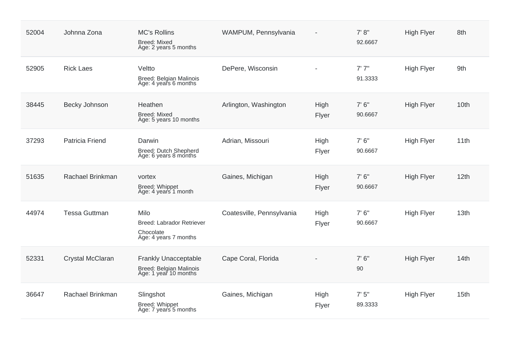| 52004 | Johnna Zona             | <b>MC's Rollins</b><br><b>Breed: Mixed</b><br>Age: 2 years 5 months             | WAMPUM, Pennsylvania      |               | 7' 8''<br>92.6667 | <b>High Flyer</b> | 8th              |
|-------|-------------------------|---------------------------------------------------------------------------------|---------------------------|---------------|-------------------|-------------------|------------------|
| 52905 | <b>Rick Laes</b>        | Veltto<br>Breed: Belgian Malinois<br>Age: 4 years 6 months                      | DePere, Wisconsin         |               | 7'7''<br>91.3333  | <b>High Flyer</b> | 9th              |
| 38445 | Becky Johnson           | Heathen<br><b>Breed: Mixed</b><br>Age: 5 years 10 months                        | Arlington, Washington     | High<br>Flyer | 7' 6''<br>90.6667 | <b>High Flyer</b> | 10th             |
| 37293 | Patricia Friend         | Darwin<br>Breed: Dutch Shepherd<br>Age: 6 years 8 months                        | Adrian, Missouri          | High<br>Flyer | 7' 6''<br>90.6667 | <b>High Flyer</b> | 11th             |
| 51635 | Rachael Brinkman        | vortex<br>Breed: Whippet<br>Age: 4 years 1 month                                | Gaines, Michigan          | High<br>Flyer | 7' 6''<br>90.6667 | <b>High Flyer</b> | 12 <sub>th</sub> |
| 44974 | <b>Tessa Guttman</b>    | Milo<br><b>Breed: Labrador Retriever</b><br>Chocolate<br>Age: 4 years 7 months  | Coatesville, Pennsylvania | High<br>Flyer | 7' 6''<br>90.6667 | <b>High Flyer</b> | 13th             |
| 52331 | <b>Crystal McClaran</b> | <b>Frankly Unacceptable</b><br>Breed: Belgian Malinois<br>Age: 1 year 10 months | Cape Coral, Florida       |               | 7'6''<br>90       | <b>High Flyer</b> | 14th             |
| 36647 | Rachael Brinkman        | Slingshot<br>Breed: Whippet<br>Age: 7 years 5 months                            | Gaines, Michigan          | High<br>Flyer | 7' 5''<br>89.3333 | <b>High Flyer</b> | 15th             |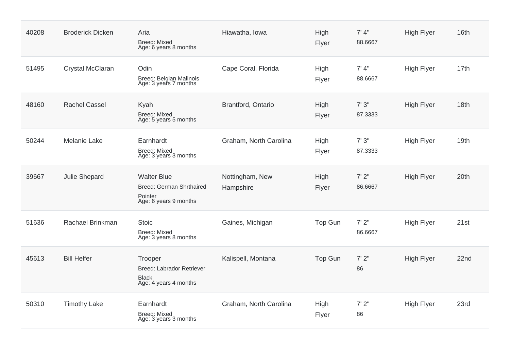| 40208 | <b>Broderick Dicken</b> | Aria<br><b>Breed: Mixed</b><br>Age: 6 years 8 months                               | Hiawatha, Iowa               | High<br>Flyer | 7' 4''<br>88.6667 | <b>High Flyer</b> | 16th |
|-------|-------------------------|------------------------------------------------------------------------------------|------------------------------|---------------|-------------------|-------------------|------|
| 51495 | Crystal McClaran        | Odin<br>Breed: Belgian Malinois<br>Age: 3 years 7 months                           | Cape Coral, Florida          | High<br>Flyer | 7' 4''<br>88.6667 | <b>High Flyer</b> | 17th |
| 48160 | <b>Rachel Cassel</b>    | Kyah<br><b>Breed: Mixed</b><br>Age: 5 years 5 months                               | Brantford, Ontario           | High<br>Flyer | 7'3''<br>87.3333  | <b>High Flyer</b> | 18th |
| 50244 | Melanie Lake            | Earnhardt<br><b>Breed: Mixed</b><br>Age: 3 years 3 months                          | Graham, North Carolina       | High<br>Flyer | 7'3''<br>87.3333  | <b>High Flyer</b> | 19th |
| 39667 | Julie Shepard           | <b>Walter Blue</b><br>Breed: German Shrthaired<br>Pointer<br>Age: 6 years 9 months | Nottingham, New<br>Hampshire | High<br>Flyer | 7' 2''<br>86.6667 | <b>High Flyer</b> | 20th |
| 51636 | Rachael Brinkman        | <b>Stoic</b><br><b>Breed: Mixed</b><br>Age: 3 years 8 months                       | Gaines, Michigan             | Top Gun       | 7'2''<br>86.6667  | <b>High Flyer</b> | 21st |
| 45613 | <b>Bill Helfer</b>      | Trooper<br>Breed: Labrador Retriever<br><b>Black</b><br>Age: 4 years 4 months      | Kalispell, Montana           | Top Gun       | 7'2''<br>86       | <b>High Flyer</b> | 22nd |
| 50310 | <b>Timothy Lake</b>     | Earnhardt<br><b>Breed: Mixed</b><br>Age: 3 years 3 months                          | Graham, North Carolina       | High<br>Flyer | 7'2"<br>86        | <b>High Flyer</b> | 23rd |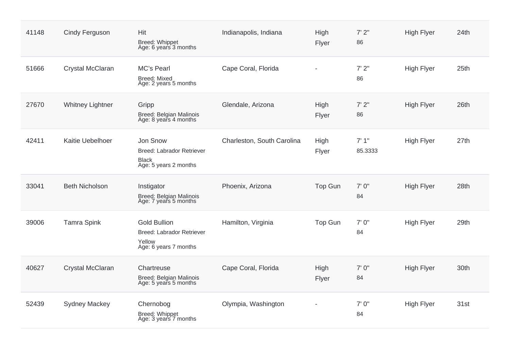| 41148 | Cindy Ferguson          | Hit<br>Breed: Whippet<br>Age: 6 years 3 months                                             | Indianapolis, Indiana      | High<br>Flyer  | 7'2''<br>86      | <b>High Flyer</b> | 24th |
|-------|-------------------------|--------------------------------------------------------------------------------------------|----------------------------|----------------|------------------|-------------------|------|
| 51666 | Crystal McClaran        | MC's Pearl<br><b>Breed: Mixed</b><br>Age: 2 years 5 months                                 | Cape Coral, Florida        |                | 7'2"<br>86       | <b>High Flyer</b> | 25th |
| 27670 | <b>Whitney Lightner</b> | Gripp<br><b>Breed: Belgian Malinois</b><br>Age: 8 years 4 months                           | Glendale, Arizona          | High<br>Flyer  | 7'2"<br>86       | <b>High Flyer</b> | 26th |
| 42411 | Kaitie Uebelhoer        | Jon Snow<br>Breed: Labrador Retriever<br><b>Black</b><br>Age: 5 years 2 months             | Charleston, South Carolina | High<br>Flyer  | 7'1''<br>85.3333 | <b>High Flyer</b> | 27th |
| 33041 | <b>Beth Nicholson</b>   | Instigator<br>Breed: Belgian Malinois<br>Age: 7 years 5 months                             | Phoenix, Arizona           | Top Gun        | 7'0''<br>84      | <b>High Flyer</b> | 28th |
| 39006 | <b>Tamra Spink</b>      | <b>Gold Bullion</b><br><b>Breed: Labrador Retriever</b><br>Yellow<br>Age: 6 years 7 months | Hamilton, Virginia         | <b>Top Gun</b> | 7'0''<br>84      | <b>High Flyer</b> | 29th |
| 40627 | Crystal McClaran        | Chartreuse<br>Breed: Belgian Malinois<br>Age: 5 years 5 months                             | Cape Coral, Florida        | High<br>Flyer  | 7'0''<br>84      | <b>High Flyer</b> | 30th |
| 52439 | <b>Sydney Mackey</b>    | Chernobog<br>Breed: Whippet<br>Age: 3 years 7 months                                       | Olympia, Washington        |                | 7'0''<br>84      | <b>High Flyer</b> | 31st |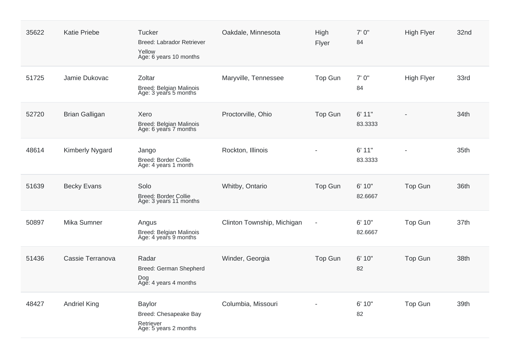| 35622 | <b>Katie Priebe</b>    | <b>Tucker</b><br><b>Breed: Labrador Retriever</b><br>Yellow<br>Age: 6 years 10 months | Oakdale, Minnesota         | High<br>Flyer            | 7' 0"<br>84       | <b>High Flyer</b> | 32nd |
|-------|------------------------|---------------------------------------------------------------------------------------|----------------------------|--------------------------|-------------------|-------------------|------|
| 51725 | Jamie Dukovac          | Zoltar<br><b>Breed: Belgian Malinois</b><br>Age: 3 years 5 months                     | Maryville, Tennessee       | <b>Top Gun</b>           | 7'0''<br>84       | <b>High Flyer</b> | 33rd |
| 52720 | <b>Brian Galligan</b>  | Xero<br>Breed: Belgian Malinois<br>Age: 6 years 7 months                              | Proctorville, Ohio         | <b>Top Gun</b>           | 6' 11"<br>83.3333 |                   | 34th |
| 48614 | <b>Kimberly Nygard</b> | Jango<br><b>Breed: Border Collie</b><br>Age: 4 years 1 month                          | Rockton, Illinois          |                          | 6' 11"<br>83.3333 |                   | 35th |
| 51639 | <b>Becky Evans</b>     | Solo<br><b>Breed: Border Collie</b><br>Age: 3 years 11 months                         | Whitby, Ontario            | <b>Top Gun</b>           | 6' 10"<br>82.6667 | <b>Top Gun</b>    | 36th |
| 50897 | Mika Sumner            | Angus<br>Breed: Belgian Malinois<br>Age: 4 years 9 months                             | Clinton Township, Michigan | $\overline{\phantom{a}}$ | 6' 10"<br>82.6667 | Top Gun           | 37th |
| 51436 | Cassie Terranova       | Radar<br>Breed: German Shepherd<br>Dog<br>Age: 4 years 4 months                       | Winder, Georgia            | Top Gun                  | 6' 10"<br>82      | <b>Top Gun</b>    | 38th |
| 48427 | <b>Andriel King</b>    | <b>Baylor</b><br>Breed: Chesapeake Bay<br>Retriever<br>Age: 5 years 2 months          | Columbia, Missouri         |                          | 6' 10"<br>82      | Top Gun           | 39th |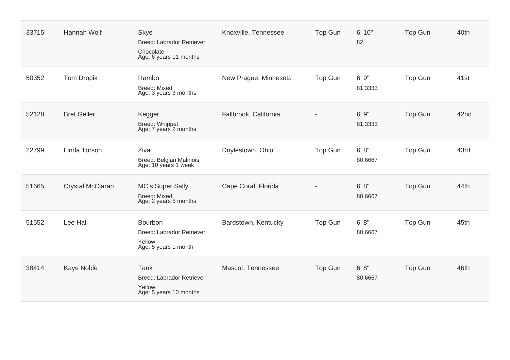| 33715 | Hannah Wolf        | <b>Skye</b><br><b>Breed: Labrador Retriever</b><br>Chocolate<br>Age: 6 years 11 months | Knoxville, Tennessee  | Top Gun        | 6' 10"<br>82      | Top Gun        | 40th |
|-------|--------------------|----------------------------------------------------------------------------------------|-----------------------|----------------|-------------------|----------------|------|
| 50352 | <b>Tom Dropik</b>  | Rambo<br><b>Breed: Mixed</b><br>Age: 3 years 3 months                                  | New Prague, Minnesota | <b>Top Gun</b> | 6'9''<br>81.3333  | <b>Top Gun</b> | 41st |
| 52128 | <b>Bret Geller</b> | Kegger<br>Breed: Whippet<br>Age: 7 years 2 months                                      | Fallbrook, California |                | 6'9''<br>81.3333  | Top Gun        | 42nd |
| 22799 | Linda Torson       | Ziva<br>Breed: Belgian Malinois<br>Age: 10 years 1 week                                | Doylestown, Ohio      | Top Gun        | 6' 8''<br>80.6667 | <b>Top Gun</b> | 43rd |
| 51665 | Crystal McClaran   | <b>MC's Super Sally</b><br><b>Breed: Mixed</b><br>Age: 2 years 5 months                | Cape Coral, Florida   |                | 6' 8''<br>80.6667 | <b>Top Gun</b> | 44th |
| 51552 | Lee Hall           | Bourbon<br>Breed: Labrador Retriever<br>Yellow<br>Age: 5 years 1 month                 | Bardstown, Kentucky   | <b>Top Gun</b> | 6' 8''<br>80.6667 | Top Gun        | 45th |
| 38414 | Kaye Noble         | Tank<br><b>Breed: Labrador Retriever</b><br>Yellow<br>Age: 5 years 10 months           | Mascot, Tennessee     | <b>Top Gun</b> | 6' 8''<br>80.6667 | Top Gun        | 46th |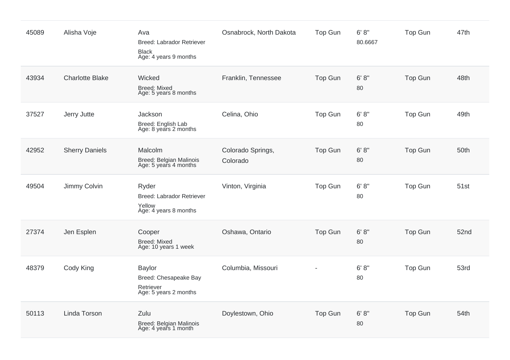| 45089 | Alisha Voje            | Ava<br><b>Breed: Labrador Retriever</b><br><b>Black</b><br>Age: 4 years 9 months | Osnabrock, North Dakota       | <b>Top Gun</b> | 6' 8''<br>80.6667 | <b>Top Gun</b> | 47th |
|-------|------------------------|----------------------------------------------------------------------------------|-------------------------------|----------------|-------------------|----------------|------|
| 43934 | <b>Charlotte Blake</b> | Wicked<br><b>Breed: Mixed</b><br>Age: 5 years 8 months                           | Franklin, Tennessee           | Top Gun        | 6' 8''<br>80      | <b>Top Gun</b> | 48th |
| 37527 | Jerry Jutte            | Jackson<br>Breed: English Lab<br>Age: 8 years 2 months                           | Celina, Ohio                  | <b>Top Gun</b> | 6' 8''<br>80      | <b>Top Gun</b> | 49th |
| 42952 | <b>Sherry Daniels</b>  | Malcolm<br>Breed: Belgian Malinois<br>Age: 5 years 4 months                      | Colorado Springs,<br>Colorado | <b>Top Gun</b> | 6' 8''<br>80      | <b>Top Gun</b> | 50th |
| 49504 | Jimmy Colvin           | Ryder<br><b>Breed: Labrador Retriever</b><br>Yellow<br>Age: 4 years 8 months     | Vinton, Virginia              | Top Gun        | 6' 8''<br>80      | <b>Top Gun</b> | 51st |
| 27374 | Jen Esplen             | Cooper<br><b>Breed: Mixed</b><br>Age: 10 years 1 week                            | Oshawa, Ontario               | <b>Top Gun</b> | 6' 8''<br>80      | <b>Top Gun</b> | 52nd |
| 48379 | Cody King              | <b>Baylor</b><br>Breed: Chesapeake Bay<br>Retriever<br>Age: 5 years 2 months     | Columbia, Missouri            |                | 6' 8''<br>80      | Top Gun        | 53rd |
| 50113 | Linda Torson           | Zulu<br>Breed: Belgian Malinois<br>Age: 4 years 1 month                          | Doylestown, Ohio              | <b>Top Gun</b> | 6' 8''<br>80      | <b>Top Gun</b> | 54th |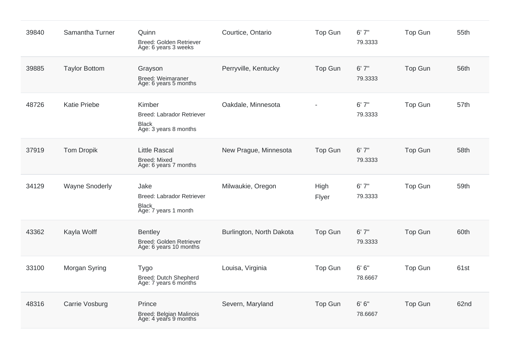| 39840 | Samantha Turner       | Quinn<br>Breed: Golden Retriever<br>Age: 6 years 3 weeks                            | Courtice, Ontario        | Top Gun        | 6'7''<br>79.3333  | <b>Top Gun</b> | 55th |
|-------|-----------------------|-------------------------------------------------------------------------------------|--------------------------|----------------|-------------------|----------------|------|
| 39885 | <b>Taylor Bottom</b>  | Grayson<br>Breed: Weimaraner<br>Age: 6 years 5 months                               | Perryville, Kentucky     | <b>Top Gun</b> | 6'7''<br>79.3333  | <b>Top Gun</b> | 56th |
| 48726 | <b>Katie Priebe</b>   | Kimber<br><b>Breed: Labrador Retriever</b><br><b>Black</b><br>Age: 3 years 8 months | Oakdale, Minnesota       |                | 6'7''<br>79.3333  | <b>Top Gun</b> | 57th |
| 37919 | <b>Tom Dropik</b>     | <b>Little Rascal</b><br><b>Breed: Mixed</b><br>Age: 6 years 7 months                | New Prague, Minnesota    | Top Gun        | 6'7''<br>79.3333  | <b>Top Gun</b> | 58th |
| 34129 | <b>Wayne Snoderly</b> | Jake<br>Breed: Labrador Retriever<br><b>Black</b><br>Age: 7 years 1 month           | Milwaukie, Oregon        | High<br>Flyer  | 6'7''<br>79.3333  | <b>Top Gun</b> | 59th |
| 43362 | Kayla Wolff           | <b>Bentley</b><br>Breed: Golden Retriever<br>Age: 6 years 10 months                 | Burlington, North Dakota | Top Gun        | 6'7''<br>79.3333  | <b>Top Gun</b> | 60th |
| 33100 | Morgan Syring         | <b>Tygo</b><br>Breed: Dutch Shepherd<br>Age: 7 years 6 months                       | Louisa, Virginia         | Top Gun        | 6' 6''<br>78.6667 | <b>Top Gun</b> | 61st |
| 48316 | Carrie Vosburg        | Prince<br>Breed: Belgian Malinois<br>Age: 4 years 9 months                          | Severn, Maryland         | Top Gun        | 6' 6''<br>78.6667 | <b>Top Gun</b> | 62nd |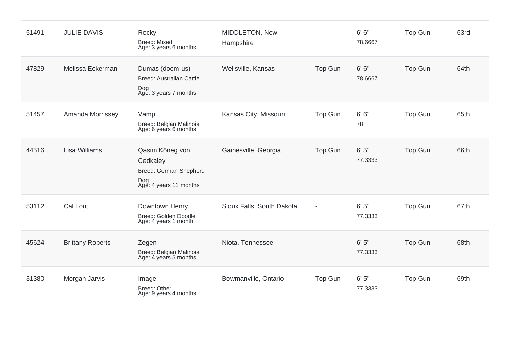| 51491 | <b>JULIE DAVIS</b>      | Rocky<br><b>Breed: Mixed</b><br>Age: 3 years 6 months                                  | MIDDLETON, New<br>Hampshire |         | 6' 6''<br>78.6667 | Top Gun        | 63rd |
|-------|-------------------------|----------------------------------------------------------------------------------------|-----------------------------|---------|-------------------|----------------|------|
| 47829 | Melissa Eckerman        | Dumas (doom-us)<br><b>Breed: Australian Cattle</b><br>Dog<br>Age: 3 years 7 months     | Wellsville, Kansas          | Top Gun | 6' 6''<br>78.6667 | Top Gun        | 64th |
| 51457 | Amanda Morrissey        | Vamp<br>Breed: Belgian Malinois<br>Age: 6 years 6 months                               | Kansas City, Missouri       | Top Gun | 6' 6''<br>78      | <b>Top Gun</b> | 65th |
| 44516 | <b>Lisa Williams</b>    | Qasim Köneg von<br>Cedkaley<br>Breed: German Shepherd<br>Dog<br>Age: 4 years 11 months | Gainesville, Georgia        | Top Gun | 6'5''<br>77.3333  | Top Gun        | 66th |
| 53112 | Cal Lout                | Downtown Henry<br>Breed: Golden Doodle<br>Age: 4 years 1 month                         | Sioux Falls, South Dakota   |         | 6'5''<br>77.3333  | Top Gun        | 67th |
| 45624 | <b>Brittany Roberts</b> | Zegen<br>Breed: Belgian Malinois<br>Age: 4 years 5 months                              | Niota, Tennessee            |         | 6'5''<br>77.3333  | <b>Top Gun</b> | 68th |
| 31380 | Morgan Jarvis           | Image<br>Breed: Other<br>Age: 9 years 4 months                                         | Bowmanville, Ontario        | Top Gun | 6'5''<br>77.3333  | Top Gun        | 69th |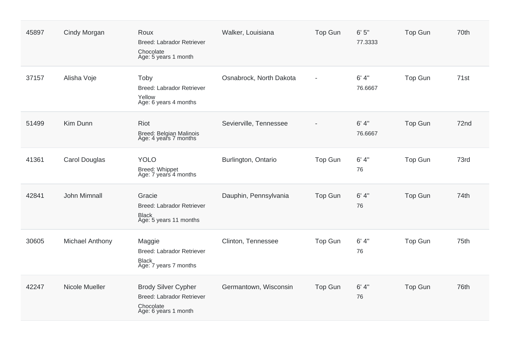| 45897 | Cindy Morgan           | Roux<br><b>Breed: Labrador Retriever</b><br>Chocolate<br>Age: 5 years 1 month                | Walker, Louisiana       | <b>Top Gun</b> | 6'5''<br>77.3333  | <b>Top Gun</b> | 70th |
|-------|------------------------|----------------------------------------------------------------------------------------------|-------------------------|----------------|-------------------|----------------|------|
| 37157 | Alisha Voje            | Toby<br><b>Breed: Labrador Retriever</b><br>Yellow<br>Age: 6 years 4 months                  | Osnabrock, North Dakota |                | 6' 4''<br>76.6667 | <b>Top Gun</b> | 71st |
| 51499 | Kim Dunn               | Riot<br>Breed: Belgian Malinois<br>Age: 4 years 7 months                                     | Sevierville, Tennessee  |                | 6' 4''<br>76.6667 | <b>Top Gun</b> | 72nd |
| 41361 | <b>Carol Douglas</b>   | <b>YOLO</b><br>Breed: Whippet<br>Age: 7 years 4 months                                       | Burlington, Ontario     | Top Gun        | 6' 4''<br>76      | <b>Top Gun</b> | 73rd |
| 42841 | John Mimnall           | Gracie<br><b>Breed: Labrador Retriever</b><br><b>Black</b><br>Age: 5 years 11 months         | Dauphin, Pennsylvania   | Top Gun        | 6' 4''<br>76      | <b>Top Gun</b> | 74th |
| 30605 | <b>Michael Anthony</b> | Maggie<br><b>Breed: Labrador Retriever</b><br><b>Black</b><br>Age: 7 years 7 months          | Clinton, Tennessee      | Top Gun        | 6' 4''<br>76      | Top Gun        | 75th |
| 42247 | Nicole Mueller         | <b>Brody Silver Cypher</b><br>Breed: Labrador Retriever<br>Chocolate<br>Age: 6 years 1 month | Germantown, Wisconsin   | Top Gun        | 6' 4''<br>76      | <b>Top Gun</b> | 76th |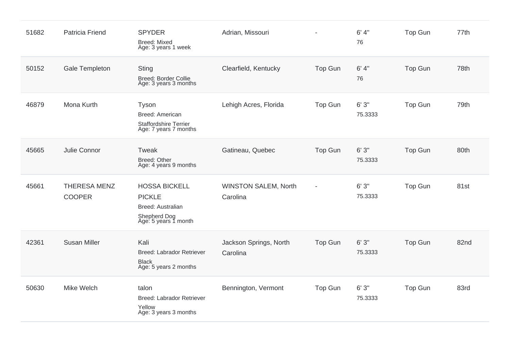| 51682 | Patricia Friend                      | <b>SPYDER</b><br><b>Breed: Mixed</b><br>Age: 3 years 1 week                                        | Adrian, Missouri                        |                | 6' 4''<br>76     | <b>Top Gun</b> | 77th |
|-------|--------------------------------------|----------------------------------------------------------------------------------------------------|-----------------------------------------|----------------|------------------|----------------|------|
| 50152 | Gale Templeton                       | <b>Sting</b><br><b>Breed: Border Collie</b><br>Age: 3 years 3 months                               | Clearfield, Kentucky                    | <b>Top Gun</b> | 6' 4''<br>76     | <b>Top Gun</b> | 78th |
| 46879 | Mona Kurth                           | Tyson<br>Breed: American<br><b>Staffordshire Terrier</b><br>Age: 7 years 7 months                  | Lehigh Acres, Florida                   | Top Gun        | 6'3''<br>75.3333 | <b>Top Gun</b> | 79th |
| 45665 | Julie Connor                         | Tweak<br>Breed: Other<br>Age: 4 years 9 months                                                     | Gatineau, Quebec                        | <b>Top Gun</b> | 6'3''<br>75.3333 | <b>Top Gun</b> | 80th |
| 45661 | <b>THERESA MENZ</b><br><b>COOPER</b> | <b>HOSSA BICKELL</b><br><b>PICKLE</b><br>Breed: Australian<br>Shepherd Dog<br>Age: 5 years 1 month | <b>WINSTON SALEM, North</b><br>Carolina |                | 6'3''<br>75.3333 | <b>Top Gun</b> | 81st |
| 42361 | <b>Susan Miller</b>                  | Kali<br><b>Breed: Labrador Retriever</b><br><b>Black</b><br>Age: 5 years 2 months                  | Jackson Springs, North<br>Carolina      | <b>Top Gun</b> | 6'3''<br>75.3333 | <b>Top Gun</b> | 82nd |
| 50630 | Mike Welch                           | talon<br>Breed: Labrador Retriever<br>Yellow<br>Age: 3 years 3 months                              | Bennington, Vermont                     | Top Gun        | 6'3''<br>75.3333 | <b>Top Gun</b> | 83rd |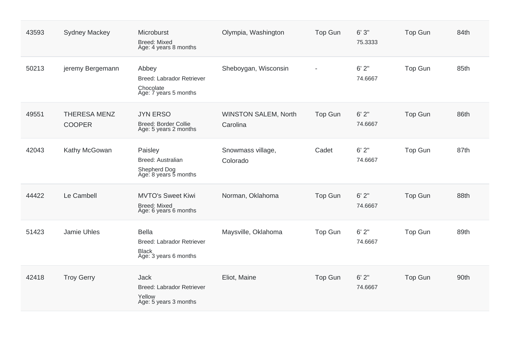| 43593 | <b>Sydney Mackey</b>                 | Microburst<br><b>Breed: Mixed</b><br>Age: 4 years 8 months                                | Olympia, Washington                     | <b>Top Gun</b> | 6'3''<br>75.3333 | <b>Top Gun</b> | 84th |
|-------|--------------------------------------|-------------------------------------------------------------------------------------------|-----------------------------------------|----------------|------------------|----------------|------|
| 50213 | jeremy Bergemann                     | Abbey<br><b>Breed: Labrador Retriever</b><br>Chocolate<br>Age: 7 years 5 months           | Sheboygan, Wisconsin                    |                | 6'2''<br>74.6667 | <b>Top Gun</b> | 85th |
| 49551 | <b>THERESA MENZ</b><br><b>COOPER</b> | <b>JYN ERSO</b><br><b>Breed: Border Collie</b><br>Age: 5 years 2 months                   | <b>WINSTON SALEM, North</b><br>Carolina | <b>Top Gun</b> | 6'2''<br>74.6667 | <b>Top Gun</b> | 86th |
| 42043 | Kathy McGowan                        | Paisley<br>Breed: Australian<br>Shepherd Dog<br>Age: 8 years 5 months                     | Snowmass village,<br>Colorado           | Cadet          | 6'2''<br>74.6667 | Top Gun        | 87th |
| 44422 | Le Cambell                           | <b>MVTO's Sweet Kiwi</b><br><b>Breed: Mixed</b><br>Age: 6 years 6 months                  | Norman, Oklahoma                        | Top Gun        | 6'2''<br>74.6667 | <b>Top Gun</b> | 88th |
| 51423 | <b>Jamie Uhles</b>                   | <b>Bella</b><br><b>Breed: Labrador Retriever</b><br><b>Black</b><br>Age: 3 years 6 months | Maysville, Oklahoma                     | Top Gun        | 6'2''<br>74.6667 | <b>Top Gun</b> | 89th |
| 42418 | <b>Troy Gerry</b>                    | <b>Jack</b><br><b>Breed: Labrador Retriever</b><br>Yellow<br>Age: 5 years 3 months        | Eliot, Maine                            | <b>Top Gun</b> | 6'2''<br>74.6667 | <b>Top Gun</b> | 90th |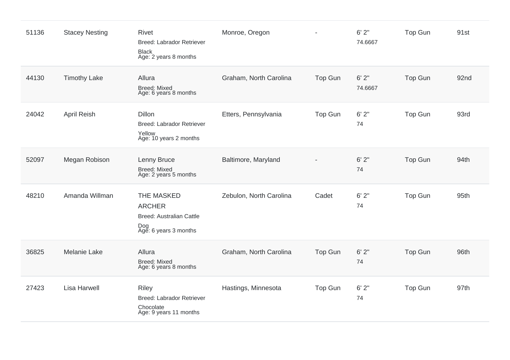| 51136 | <b>Stacey Nesting</b> | <b>Rivet</b><br><b>Breed: Labrador Retriever</b><br><b>Black</b><br>Age: 2 years 8 months      | Monroe, Oregon          |                | 6'2''<br>74.6667 | <b>Top Gun</b> | 91st |
|-------|-----------------------|------------------------------------------------------------------------------------------------|-------------------------|----------------|------------------|----------------|------|
| 44130 | <b>Timothy Lake</b>   | Allura<br><b>Breed: Mixed</b><br>Age: 6 years 8 months                                         | Graham, North Carolina  | Top Gun        | 6'2''<br>74.6667 | <b>Top Gun</b> | 92nd |
| 24042 | April Reish           | <b>Dillon</b><br><b>Breed: Labrador Retriever</b><br>Yellow<br>Age: 10 years 2 months          | Etters, Pennsylvania    | Top Gun        | 6'2''<br>74      | Top Gun        | 93rd |
| 52097 | Megan Robison         | Lenny Bruce<br><b>Breed: Mixed</b><br>Age: 2 years 5 months                                    | Baltimore, Maryland     |                | 6'2''<br>74      | <b>Top Gun</b> | 94th |
| 48210 | Amanda Willman        | THE MASKED<br><b>ARCHER</b><br><b>Breed: Australian Cattle</b><br>Dog<br>Age: 6 years 3 months | Zebulon, North Carolina | Cadet          | 6'2''<br>74      | <b>Top Gun</b> | 95th |
| 36825 | <b>Melanie Lake</b>   | Allura<br><b>Breed: Mixed</b><br>Age: 6 years 8 months                                         | Graham, North Carolina  | Top Gun        | 6'2''<br>74      | <b>Top Gun</b> | 96th |
| 27423 | <b>Lisa Harwell</b>   | <b>Riley</b><br><b>Breed: Labrador Retriever</b><br>Chocolate<br>Age: 9 years 11 months        | Hastings, Minnesota     | <b>Top Gun</b> | 6'2''<br>74      | <b>Top Gun</b> | 97th |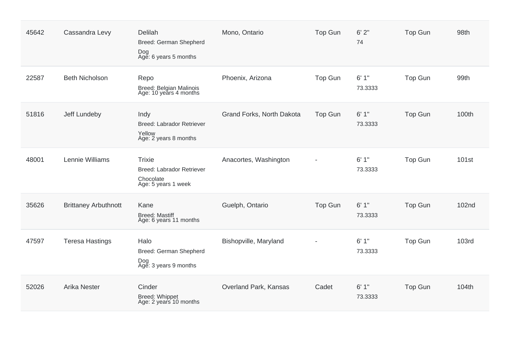| 45642 | Cassandra Levy              | Delilah<br>Breed: German Shepherd<br>Dog<br>Age: 6 years 5 months                     | Mono, Ontario             | <b>Top Gun</b> | 6'2''<br>74      | Top Gun        | 98th         |
|-------|-----------------------------|---------------------------------------------------------------------------------------|---------------------------|----------------|------------------|----------------|--------------|
| 22587 | <b>Beth Nicholson</b>       | Repo<br>Breed: Belgian Malinois<br>Age: 10 years 4 months                             | Phoenix, Arizona          | Top Gun        | 6'1''<br>73.3333 | Top Gun        | 99th         |
| 51816 | Jeff Lundeby                | Indy<br>Breed: Labrador Retriever<br>Yellow<br>Age: 2 years 8 months                  | Grand Forks, North Dakota | Top Gun        | 6'1''<br>73.3333 | Top Gun        | 100th        |
| 48001 | Lennie Williams             | <b>Trixie</b><br><b>Breed: Labrador Retriever</b><br>Chocolate<br>Age: 5 years 1 week | Anacortes, Washington     |                | 6'1''<br>73.3333 | <b>Top Gun</b> | 101st        |
| 35626 | <b>Brittaney Arbuthnott</b> | Kane<br><b>Breed: Mastiff</b><br>Age: 6 years 11 months                               | Guelph, Ontario           | Top Gun        | 6'1''<br>73.3333 | Top Gun        | 102nd        |
| 47597 | <b>Teresa Hastings</b>      | Halo<br>Breed: German Shepherd<br>Dog<br>Age: 3 years 9 months                        | Bishopville, Maryland     |                | 6'1''<br>73.3333 | Top Gun        | <b>103rd</b> |
| 52026 | <b>Arika Nester</b>         | Cinder<br>Breed: Whippet<br>Age: 2 years 10 months                                    | Overland Park, Kansas     | Cadet          | 6'1''<br>73.3333 | <b>Top Gun</b> | 104th        |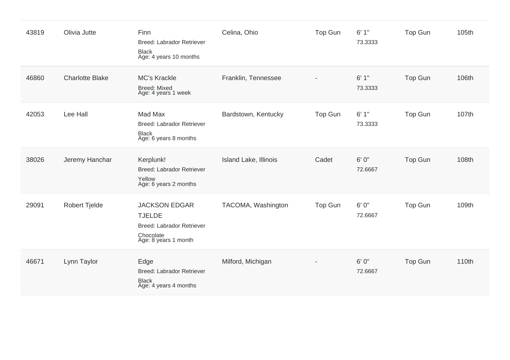| 43819 | Olivia Jutte           | Finn<br><b>Breed: Labrador Retriever</b><br><b>Black</b><br>Age: 4 years 10 months                      | Celina, Ohio                 | Top Gun | 6'1''<br>73.3333 | Top Gun        | 105th |
|-------|------------------------|---------------------------------------------------------------------------------------------------------|------------------------------|---------|------------------|----------------|-------|
| 46860 | <b>Charlotte Blake</b> | <b>MC's Krackle</b><br><b>Breed: Mixed</b><br>Age: 4 years 1 week                                       | Franklin, Tennessee          |         | 6'1''<br>73.3333 | <b>Top Gun</b> | 106th |
| 42053 | Lee Hall               | Mad Max<br><b>Breed: Labrador Retriever</b><br><b>Black</b><br>Age: 6 years 8 months                    | Bardstown, Kentucky          | Top Gun | 6'1''<br>73.3333 | <b>Top Gun</b> | 107th |
| 38026 | Jeremy Hanchar         | Kerplunk!<br>Breed: Labrador Retriever<br>Yellow<br>Age: 6 years 2 months                               | <b>Island Lake, Illinois</b> | Cadet   | 6'0''<br>72.6667 | <b>Top Gun</b> | 108th |
| 29091 | <b>Robert Tjelde</b>   | <b>JACKSON EDGAR</b><br><b>TJELDE</b><br>Breed: Labrador Retriever<br>Chocolate<br>Age: 8 years 1 month | TACOMA, Washington           | Top Gun | 6'0''<br>72.6667 | <b>Top Gun</b> | 109th |
| 46671 | Lynn Taylor            | Edge<br><b>Breed: Labrador Retriever</b><br><b>Black</b><br>Age: 4 years 4 months                       | Milford, Michigan            |         | 6' 0"<br>72.6667 | <b>Top Gun</b> | 110th |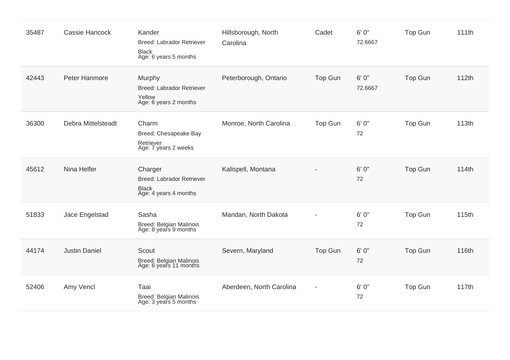| 35487 | Cassie Hancock       | Kander<br>Breed: Labrador Retriever<br><b>Black</b><br>Age: 6 years 5 months  | Hillsborough, North<br>Carolina | Cadet   | 6' 0"<br>72.6667 | <b>Top Gun</b> | 111th |
|-------|----------------------|-------------------------------------------------------------------------------|---------------------------------|---------|------------------|----------------|-------|
| 42443 | Peter Hanmore        | Murphy<br><b>Breed: Labrador Retriever</b><br>Yellow<br>Age: 6 years 2 months | Peterborough, Ontario           | Top Gun | 6' 0"<br>72.6667 | <b>Top Gun</b> | 112th |
| 36300 | Debra Mittelsteadt   | Charm<br>Breed: Chesapeake Bay<br>Retriever<br>Age: 7 years 2 weeks           | Monroe, North Carolina          | Top Gun | 6'0''<br>72      | <b>Top Gun</b> | 113th |
| 45612 | Nina Helfer          | Charger<br>Breed: Labrador Retriever<br><b>Black</b><br>Age: 4 years 4 months | Kalispell, Montana              |         | 6'0''<br>72      | <b>Top Gun</b> | 114th |
| 51833 | Jace Engelstad       | Sasha<br>Breed: Belgian Malinois<br>Age: 8 years 9 months                     | Mandan, North Dakota            |         | 6'0''<br>72      | <b>Top Gun</b> | 115th |
| 44174 | <b>Justin Daniel</b> | Scout<br>Breed: Belgian Malinois<br>Age: 6 years 11 months                    | Severn, Maryland                | Top Gun | 6'0''<br>72      | <b>Top Gun</b> | 116th |
| 52406 | Amy Vencl            | Taai<br>Breed: Belgian Malinois<br>Age: 3 years 5 months                      | Aberdeen, North Carolina        |         | 6'0''<br>72      | <b>Top Gun</b> | 117th |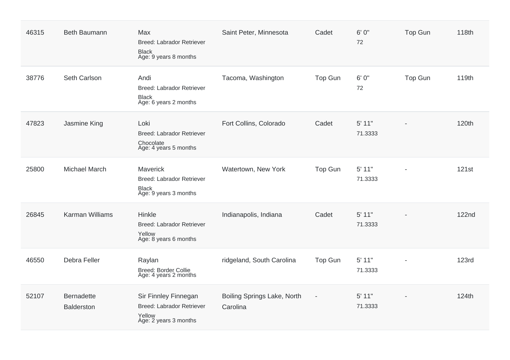| 46315 | <b>Beth Baumann</b>                    | Max<br>Breed: Labrador Retriever<br><b>Black</b><br>Age: 9 years 8 months                   | Saint Peter, Minnesota                  | Cadet                    | 6' 0"<br>72         | <b>Top Gun</b> | 118th        |
|-------|----------------------------------------|---------------------------------------------------------------------------------------------|-----------------------------------------|--------------------------|---------------------|----------------|--------------|
| 38776 | Seth Carlson                           | Andi<br>Breed: Labrador Retriever<br><b>Black</b><br>Age: 6 years 2 months                  | Tacoma, Washington                      | <b>Top Gun</b>           | 6'0''<br>72         | Top Gun        | 119th        |
| 47823 | Jasmine King                           | Loki<br>Breed: Labrador Retriever<br>Chocolate<br>Age: 4 years 5 months                     | Fort Collins, Colorado                  | Cadet                    | 5' 11"<br>71.3333   |                | 120th        |
| 25800 | <b>Michael March</b>                   | Maverick<br>Breed: Labrador Retriever<br><b>Black</b><br>Age: 9 years 3 months              | Watertown, New York                     | Top Gun                  | 5' 11"<br>71.3333   | $\overline{a}$ | 121st        |
| 26845 | <b>Karman Williams</b>                 | Hinkle<br><b>Breed: Labrador Retriever</b><br>Yellow<br>Age: 8 years 6 months               | Indianapolis, Indiana                   | Cadet                    | 5' 11"<br>71.3333   |                | <b>122nd</b> |
| 46550 | Debra Feller                           | Raylan<br>Breed: Border Collie<br>Age: 4 years 2 months                                     | ridgeland, South Carolina               | Top Gun                  | 5' 11"<br>71.3333   |                | <b>123rd</b> |
| 52107 | <b>Bernadette</b><br><b>Balderston</b> | Sir Finnley Finnegan<br><b>Breed: Labrador Retriever</b><br>Yellow<br>Age: 2 years 3 months | Boiling Springs Lake, North<br>Carolina | $\overline{\phantom{a}}$ | $5'$ 11"<br>71.3333 |                | 124th        |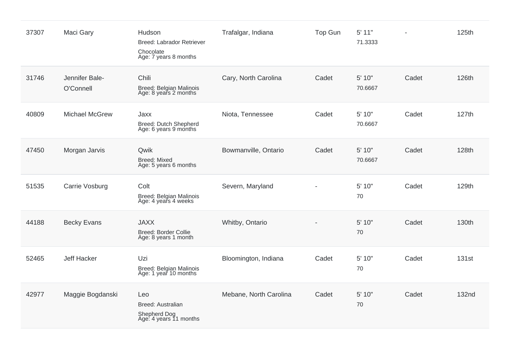| 37307 | Maci Gary                   | Hudson<br><b>Breed: Labrador Retriever</b><br>Chocolate<br>Age: 7 years 8 months | Trafalgar, Indiana     | Top Gun | 5' 11"<br>71.3333 |       | 125th        |
|-------|-----------------------------|----------------------------------------------------------------------------------|------------------------|---------|-------------------|-------|--------------|
| 31746 | Jennifer Bale-<br>O'Connell | Chili<br><b>Breed: Belgian Malinois</b><br>Age: 8 years 2 months                 | Cary, North Carolina   | Cadet   | 5' 10"<br>70.6667 | Cadet | 126th        |
| 40809 | Michael McGrew              | Jaxx<br>Breed: Dutch Shepherd<br>Age: 6 years 9 months                           | Niota, Tennessee       | Cadet   | 5' 10"<br>70.6667 | Cadet | 127th        |
| 47450 | Morgan Jarvis               | Qwik<br><b>Breed: Mixed</b><br>Age: 5 years 6 months                             | Bowmanville, Ontario   | Cadet   | 5' 10"<br>70.6667 | Cadet | 128th        |
| 51535 | Carrie Vosburg              | Colt<br>Breed: Belgian Malinois<br>Age: 4 years 4 weeks                          | Severn, Maryland       |         | 5' 10"<br>70      | Cadet | 129th        |
| 44188 | <b>Becky Evans</b>          | <b>JAXX</b><br><b>Breed: Border Collie</b><br>Age: 8 years 1 month               | Whitby, Ontario        |         | 5' 10"<br>70      | Cadet | 130th        |
| 52465 | <b>Jeff Hacker</b>          | Uzi<br>Breed: Belgian Malinois<br>Age: 1 year 10 months                          | Bloomington, Indiana   | Cadet   | 5' 10"<br>70      | Cadet | <b>131st</b> |
| 42977 | Maggie Bogdanski            | Leo<br>Breed: Australian<br>Shepherd Dog<br>Age: 4 years 11 months               | Mebane, North Carolina | Cadet   | 5' 10"<br>70      | Cadet | <b>132nd</b> |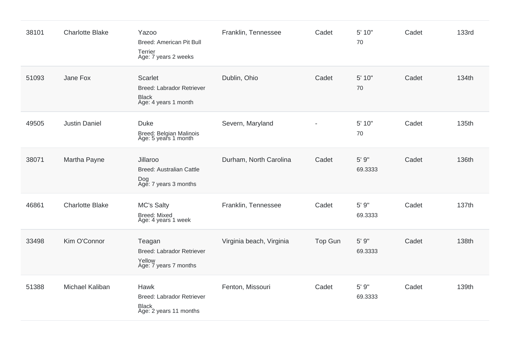| 38101 | <b>Charlotte Blake</b> | Yazoo<br><b>Breed: American Pit Bull</b><br>Terrier<br>Age: 7 years 2 weeks                | Franklin, Tennessee      | Cadet   | 5' 10"<br>70     | Cadet | <b>133rd</b> |
|-------|------------------------|--------------------------------------------------------------------------------------------|--------------------------|---------|------------------|-------|--------------|
| 51093 | Jane Fox               | <b>Scarlet</b><br><b>Breed: Labrador Retriever</b><br><b>Black</b><br>Age: 4 years 1 month | Dublin, Ohio             | Cadet   | 5' 10"<br>70     | Cadet | 134th        |
| 49505 | <b>Justin Daniel</b>   | <b>Duke</b><br>Breed: Belgian Malinois<br>Age: 5 years 1 month                             | Severn, Maryland         |         | 5' 10"<br>70     | Cadet | 135th        |
| 38071 | Martha Payne           | Jillaroo<br><b>Breed: Australian Cattle</b><br>Dog<br>Age: 7 years 3 months                | Durham, North Carolina   | Cadet   | 5' 9"<br>69.3333 | Cadet | 136th        |
| 46861 | <b>Charlotte Blake</b> | <b>MC's Salty</b><br><b>Breed: Mixed</b><br>Age: 4 years 1 week                            | Franklin, Tennessee      | Cadet   | 5' 9"<br>69.3333 | Cadet | 137th        |
| 33498 | Kim O'Connor           | Teagan<br><b>Breed: Labrador Retriever</b><br>Yellow<br>Age: 7 years 7 months              | Virginia beach, Virginia | Top Gun | 5' 9"<br>69.3333 | Cadet | 138th        |
| 51388 | Michael Kaliban        | Hawk<br><b>Breed: Labrador Retriever</b><br><b>Black</b><br>Age: 2 years 11 months         | Fenton, Missouri         | Cadet   | 5' 9"<br>69.3333 | Cadet | 139th        |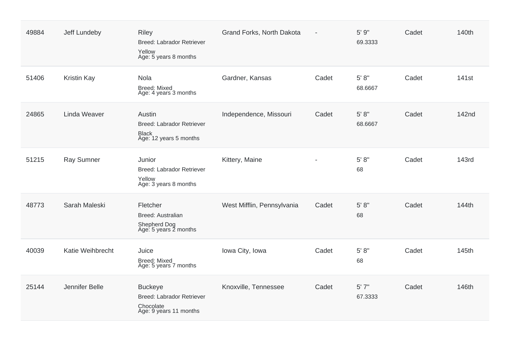| 49884 | Jeff Lundeby        | <b>Riley</b><br><b>Breed: Labrador Retriever</b><br>Yellow<br>Age: 5 years 8 months | Grand Forks, North Dakota  | $\overline{\phantom{a}}$ | 5' 9"<br>69.3333  | Cadet | 140th             |
|-------|---------------------|-------------------------------------------------------------------------------------|----------------------------|--------------------------|-------------------|-------|-------------------|
| 51406 | <b>Kristin Kay</b>  | Nola<br><b>Breed: Mixed</b><br>Age: 4 years 3 months                                | Gardner, Kansas            | Cadet                    | 5' 8''<br>68.6667 | Cadet | 141 <sub>st</sub> |
| 24865 | <b>Linda Weaver</b> | Austin<br><b>Breed: Labrador Retriever</b><br>Black<br>Age: 12 years 5 months       | Independence, Missouri     | Cadet                    | 5' 8''<br>68.6667 | Cadet | 142nd             |
| 51215 | <b>Ray Sumner</b>   | Junior<br><b>Breed: Labrador Retriever</b><br>Yellow<br>Age: 3 years 8 months       | Kittery, Maine             | $\overline{\phantom{0}}$ | 5' 8''<br>68      | Cadet | <b>143rd</b>      |
| 48773 | Sarah Maleski       | Fletcher<br>Breed: Australian<br>Shepherd Dog<br>Age: 5 years 2 months              | West Mifflin, Pennsylvania | Cadet                    | 5' 8''<br>68      | Cadet | 144th             |
| 40039 | Katie Weihbrecht    | Juice<br><b>Breed: Mixed</b><br>Age: 5 years 7 months                               | Iowa City, Iowa            | Cadet                    | 5' 8''<br>68      | Cadet | 145th             |
| 25144 | Jennifer Belle      | <b>Buckeye</b><br>Breed: Labrador Retriever<br>Chocolate<br>Age: 9 years 11 months  | Knoxville, Tennessee       | Cadet                    | 5'7''<br>67.3333  | Cadet | 146th             |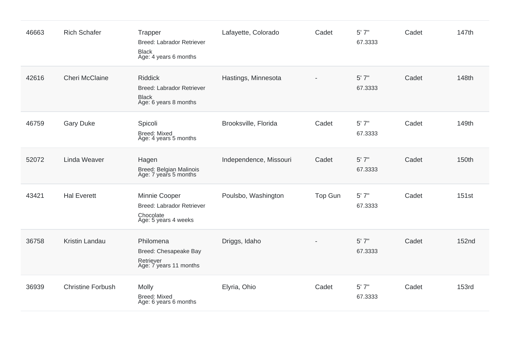| 46663 | <b>Rich Schafer</b>      | Trapper<br><b>Breed: Labrador Retriever</b><br><b>Black</b><br>Age: 4 years 6 months        | Lafayette, Colorado    | Cadet   | 5'7''<br>67.3333 | Cadet | 147th        |
|-------|--------------------------|---------------------------------------------------------------------------------------------|------------------------|---------|------------------|-------|--------------|
| 42616 | <b>Cheri McClaine</b>    | <b>Riddick</b><br><b>Breed: Labrador Retriever</b><br><b>Black</b><br>Age: 6 years 8 months | Hastings, Minnesota    |         | 5'7''<br>67.3333 | Cadet | 148th        |
| 46759 | <b>Gary Duke</b>         | Spicoli<br><b>Breed: Mixed</b><br>Age: 4 years 5 months                                     | Brooksville, Florida   | Cadet   | 5'7''<br>67.3333 | Cadet | 149th        |
| 52072 | Linda Weaver             | Hagen<br>Breed: Belgian Malinois<br>Age: 7 years 5 months                                   | Independence, Missouri | Cadet   | 5'7''<br>67.3333 | Cadet | 150th        |
| 43421 | <b>Hal Everett</b>       | Minnie Cooper<br><b>Breed: Labrador Retriever</b><br>Chocolate<br>Age: 5 years 4 weeks      | Poulsbo, Washington    | Top Gun | 5'7''<br>67.3333 | Cadet | 151st        |
| 36758 | Kristin Landau           | Philomena<br>Breed: Chesapeake Bay<br>Retriever<br>Age: 7 years 11 months                   | Driggs, Idaho          |         | 5'7''<br>67.3333 | Cadet | <b>152nd</b> |
| 36939 | <b>Christine Forbush</b> | Molly<br>Breed: Mixed<br>Age: 6 years 6 months                                              | Elyria, Ohio           | Cadet   | 5'7''<br>67.3333 | Cadet | <b>153rd</b> |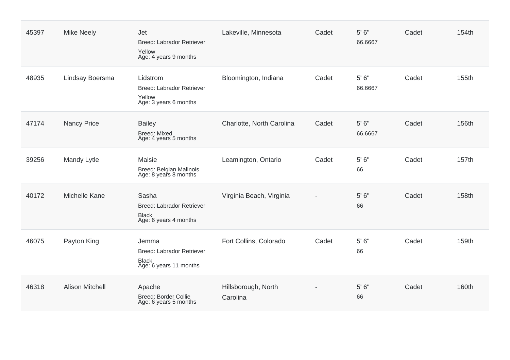| 45397 | <b>Mike Neely</b>      | Jet<br><b>Breed: Labrador Retriever</b><br>Yellow<br>Age: 4 years 9 months          | Lakeville, Minnesota            | Cadet | 5' 6''<br>66.6667  | Cadet | 154th |
|-------|------------------------|-------------------------------------------------------------------------------------|---------------------------------|-------|--------------------|-------|-------|
| 48935 | Lindsay Boersma        | Lidstrom<br><b>Breed: Labrador Retriever</b><br>Yellow<br>Age: 3 years 6 months     | Bloomington, Indiana            | Cadet | 5'6''<br>66.6667   | Cadet | 155th |
| 47174 | <b>Nancy Price</b>     | <b>Bailey</b><br><b>Breed: Mixed</b><br>Age: 4 years 5 months                       | Charlotte, North Carolina       | Cadet | $5'6''$<br>66.6667 | Cadet | 156th |
| 39256 | Mandy Lytle            | Maisie<br>Breed: Belgian Malinois<br>Age: 8 years 8 months                          | Leamington, Ontario             | Cadet | 5'6''<br>66        | Cadet | 157th |
| 40172 | Michelle Kane          | Sasha<br><b>Breed: Labrador Retriever</b><br><b>Black</b><br>Age: 6 years 4 months  | Virginia Beach, Virginia        |       | 5' 6"<br>66        | Cadet | 158th |
| 46075 | Payton King            | Jemma<br><b>Breed: Labrador Retriever</b><br><b>Black</b><br>Age: 6 years 11 months | Fort Collins, Colorado          | Cadet | 5'6''<br>66        | Cadet | 159th |
| 46318 | <b>Alison Mitchell</b> | Apache<br>Breed: Border Collie<br>Age: 6 years 5 months                             | Hillsborough, North<br>Carolina |       | 5' 6''<br>66       | Cadet | 160th |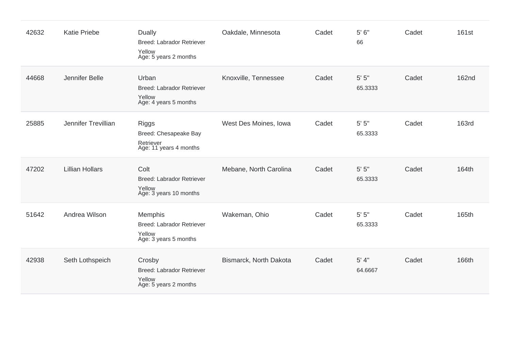| 42632 | <b>Katie Priebe</b>    | Dually<br><b>Breed: Labrador Retriever</b><br>Yellow<br>Age: 5 years 2 months  | Oakdale, Minnesota     | Cadet | 5' 6''<br>66         | Cadet | 161st        |
|-------|------------------------|--------------------------------------------------------------------------------|------------------------|-------|----------------------|-------|--------------|
| 44668 | Jennifer Belle         | Urban<br>Breed: Labrador Retriever<br>Yellow<br>Age: 4 years 5 months          | Knoxville, Tennessee   | Cadet | $5'$ $5"$<br>65.3333 | Cadet | <b>162nd</b> |
| 25885 | Jennifer Trevillian    | <b>Riggs</b><br>Breed: Chesapeake Bay<br>Retriever<br>Age: 11 years 4 months   | West Des Moines, Iowa  | Cadet | $5'$ $5"$<br>65.3333 | Cadet | <b>163rd</b> |
| 47202 | <b>Lillian Hollars</b> | Colt<br><b>Breed: Labrador Retriever</b><br>Yellow<br>Age: 3 years 10 months   | Mebane, North Carolina | Cadet | $5'$ $5"$<br>65.3333 | Cadet | 164th        |
| 51642 | Andrea Wilson          | Memphis<br><b>Breed: Labrador Retriever</b><br>Yellow<br>Age: 3 years 5 months | Wakeman, Ohio          | Cadet | $5'$ $5"$<br>65.3333 | Cadet | 165th        |
| 42938 | Seth Lothspeich        | Crosby<br><b>Breed: Labrador Retriever</b><br>Yellow<br>Age: 5 years 2 months  | Bismarck, North Dakota | Cadet | 5' 4"<br>64.6667     | Cadet | 166th        |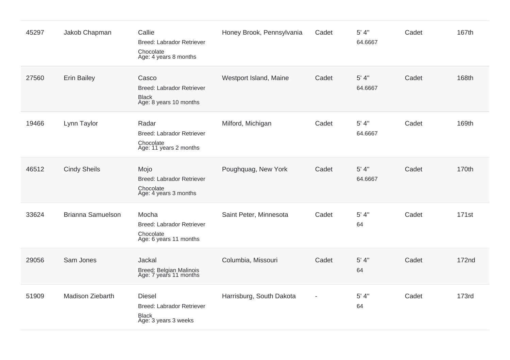| 45297 | Jakob Chapman            | Callie<br><b>Breed: Labrador Retriever</b><br>Chocolate<br>Age: 4 years 8 months   | Honey Brook, Pennsylvania | Cadet | 5' 4''<br>64.6667 | Cadet | 167th             |
|-------|--------------------------|------------------------------------------------------------------------------------|---------------------------|-------|-------------------|-------|-------------------|
| 27560 | <b>Erin Bailey</b>       | Casco<br><b>Breed: Labrador Retriever</b><br>Black<br>Age: 8 years 10 months       | Westport Island, Maine    | Cadet | 5' 4''<br>64.6667 | Cadet | 168th             |
| 19466 | Lynn Taylor              | Radar<br>Breed: Labrador Retriever<br>Chocolate<br>Age: 11 years 2 months          | Milford, Michigan         | Cadet | 5' 4''<br>64.6667 | Cadet | 169th             |
| 46512 | <b>Cindy Sheils</b>      | Mojo<br><b>Breed: Labrador Retriever</b><br>Chocolate<br>Age: 4 years 3 months     | Poughquag, New York       | Cadet | 5' 4''<br>64.6667 | Cadet | 170th             |
| 33624 | <b>Brianna Samuelson</b> | Mocha<br><b>Breed: Labrador Retriever</b><br>Chocolate<br>Age: 6 years 11 months   | Saint Peter, Minnesota    | Cadet | 5' 4''<br>64      | Cadet | 171 <sub>st</sub> |
| 29056 | Sam Jones                | Jackal<br>Breed: Belgian Malinois<br>Age: 7 years 11 months                        | Columbia, Missouri        | Cadet | 5' 4"<br>64       | Cadet | <b>172nd</b>      |
| 51909 | <b>Madison Ziebarth</b>  | <b>Diesel</b><br>Breed: Labrador Retriever<br><b>Black</b><br>Age: 3 years 3 weeks | Harrisburg, South Dakota  |       | 5' 4''<br>64      | Cadet | <b>173rd</b>      |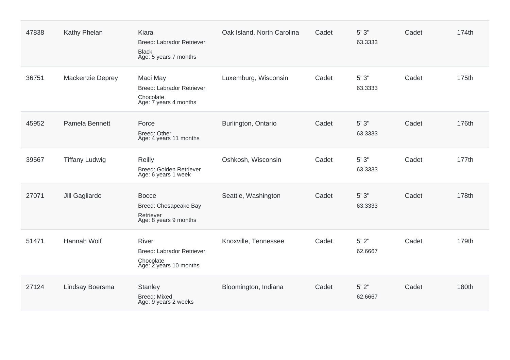| 47838 | Kathy Phelan          | Kiara<br><b>Breed: Labrador Retriever</b><br><b>Black</b><br>Age: 5 years 7 months      | Oak Island, North Carolina | Cadet | 5'3''<br>63.3333     | Cadet | 174th |
|-------|-----------------------|-----------------------------------------------------------------------------------------|----------------------------|-------|----------------------|-------|-------|
| 36751 | Mackenzie Deprey      | Maci May<br><b>Breed: Labrador Retriever</b><br>Chocolate<br>Age: 7 years 4 months      | Luxemburg, Wisconsin       | Cadet | 5'3''<br>63.3333     | Cadet | 175th |
| 45952 | Pamela Bennett        | Force<br><b>Breed: Other</b><br>Age: 4 years 11 months                                  | Burlington, Ontario        | Cadet | 5'3''<br>63.3333     | Cadet | 176th |
| 39567 | <b>Tiffany Ludwig</b> | <b>Reilly</b><br>Breed: Golden Retriever<br>Age: 6 years 1 week                         | Oshkosh, Wisconsin         | Cadet | 5'3''<br>63.3333     | Cadet | 177th |
| 27071 | Jill Gagliardo        | <b>Bocce</b><br>Breed: Chesapeake Bay<br>Retriever<br>Age: 8 years 9 months             | Seattle, Washington        | Cadet | $5'3"$<br>63.3333    | Cadet | 178th |
| 51471 | Hannah Wolf           | <b>River</b><br><b>Breed: Labrador Retriever</b><br>Chocolate<br>Age: 2 years 10 months | Knoxville, Tennessee       | Cadet | $5'$ $2"$<br>62.6667 | Cadet | 179th |
| 27124 | Lindsay Boersma       | <b>Stanley</b><br>Breed: Mixed<br>Age: 9 years 2 weeks                                  | Bloomington, Indiana       | Cadet | $5'$ 2"<br>62.6667   | Cadet | 180th |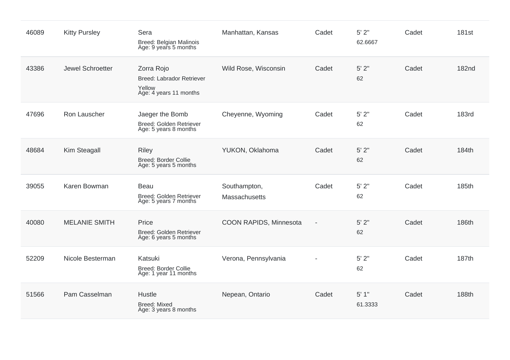| 46089 | <b>Kitty Pursley</b> | Sera<br><b>Breed: Belgian Malinois</b><br>Age: 9 years 5 months                    | Manhattan, Kansas             | Cadet          | 5' 2"<br>62.6667 | Cadet | 181st        |
|-------|----------------------|------------------------------------------------------------------------------------|-------------------------------|----------------|------------------|-------|--------------|
| 43386 | Jewel Schroetter     | Zorra Rojo<br><b>Breed: Labrador Retriever</b><br>Yellow<br>Age: 4 years 11 months | Wild Rose, Wisconsin          | Cadet          | 5' 2"<br>62      | Cadet | <b>182nd</b> |
| 47696 | Ron Lauscher         | Jaeger the Bomb<br>Breed: Golden Retriever<br>Age: 5 years 8 months                | Cheyenne, Wyoming             | Cadet          | $5'$ $2"$<br>62  | Cadet | <b>183rd</b> |
| 48684 | Kim Steagall         | <b>Riley</b><br>Breed: Border Collie<br>Age: 5 years 5 months                      | YUKON, Oklahoma               | Cadet          | 5' 2"<br>62      | Cadet | 184th        |
| 39055 | Karen Bowman         | Beau<br><b>Breed: Golden Retriever</b><br>Age: 5 years 7 months                    | Southampton,<br>Massachusetts | Cadet          | $5'$ 2"<br>62    | Cadet | 185th        |
| 40080 | <b>MELANIE SMITH</b> | Price<br>Breed: Golden Retriever<br>Age: 6 years 5 months                          | COON RAPIDS, Minnesota        | $\blacksquare$ | $5'$ 2"<br>62    | Cadet | 186th        |
| 52209 | Nicole Besterman     | Katsuki<br><b>Breed: Border Collie</b><br>Age: 1 year 11 months                    | Verona, Pennsylvania          |                | $5'$ 2"<br>62    | Cadet | 187th        |
| 51566 | Pam Casselman        | Hustle<br><b>Breed: Mixed</b><br>Age: 3 years 8 months                             | Nepean, Ontario               | Cadet          | 5'1"<br>61.3333  | Cadet | 188th        |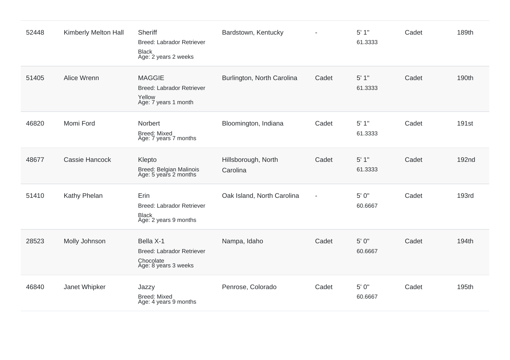| 52448 | Kimberly Melton Hall | Sheriff<br>Breed: Labrador Retriever<br><b>Black</b><br>Age: 2 years 2 weeks       | Bardstown, Kentucky             |                | 5'1"<br>61.3333  | Cadet | 189th             |
|-------|----------------------|------------------------------------------------------------------------------------|---------------------------------|----------------|------------------|-------|-------------------|
| 51405 | Alice Wrenn          | <b>MAGGIE</b><br>Breed: Labrador Retriever<br>Yellow<br>Age: 7 years 1 month       | Burlington, North Carolina      | Cadet          | 5'1"<br>61.3333  | Cadet | 190th             |
| 46820 | Momi Ford            | Norbert<br><b>Breed: Mixed</b><br>Age: 7 years 7 months                            | Bloomington, Indiana            | Cadet          | 5'1"<br>61.3333  | Cadet | 191 <sub>st</sub> |
| 48677 | Cassie Hancock       | Klepto<br>Breed: Belgian Malinois<br>Age: 5 years 2 months                         | Hillsborough, North<br>Carolina | Cadet          | 5'1"<br>61.3333  | Cadet | <b>192nd</b>      |
| 51410 | Kathy Phelan         | Erin<br>Breed: Labrador Retriever<br><b>Black</b><br>Age: 2 years 9 months         | Oak Island, North Carolina      | $\blacksquare$ | 5' 0"<br>60.6667 | Cadet | <b>193rd</b>      |
| 28523 | Molly Johnson        | Bella X-1<br><b>Breed: Labrador Retriever</b><br>Chocolate<br>Age: 8 years 3 weeks | Nampa, Idaho                    | Cadet          | 5' 0"<br>60.6667 | Cadet | 194th             |
| 46840 | Janet Whipker        | Jazzy<br>Breed: Mixed<br>Age: 4 years 9 months                                     | Penrose, Colorado               | Cadet          | 5' 0"<br>60.6667 | Cadet | 195th             |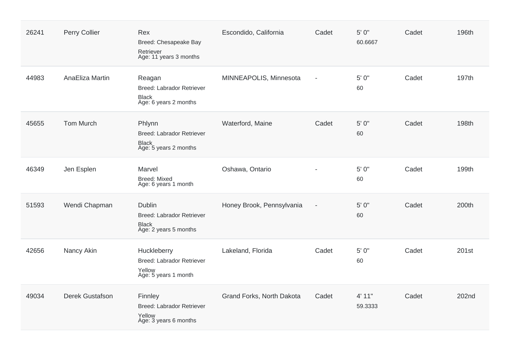| 26241 | Perry Collier          | Rex<br>Breed: Chesapeake Bay<br>Retriever<br>Age: 11 years 3 months                        | Escondido, California     | Cadet                    | 5' 0"<br>60.6667  | Cadet | 196th |
|-------|------------------------|--------------------------------------------------------------------------------------------|---------------------------|--------------------------|-------------------|-------|-------|
| 44983 | AnaEliza Martin        | Reagan<br><b>Breed: Labrador Retriever</b><br>Black<br>Age: 6 years 2 months               | MINNEAPOLIS, Minnesota    |                          | 5' 0"<br>60       | Cadet | 197th |
| 45655 | <b>Tom Murch</b>       | Phlynn<br><b>Breed: Labrador Retriever</b><br><b>Black</b><br>Age: 5 years 2 months        | Waterford, Maine          | Cadet                    | 5' 0"<br>60       | Cadet | 198th |
| 46349 | Jen Esplen             | Marvel<br><b>Breed: Mixed</b><br>Age: 6 years 1 month                                      | Oshawa, Ontario           |                          | 5' 0"<br>60       | Cadet | 199th |
| 51593 | Wendi Chapman          | <b>Dublin</b><br><b>Breed: Labrador Retriever</b><br><b>Black</b><br>Age: 2 years 5 months | Honey Brook, Pennsylvania | $\overline{\phantom{a}}$ | 5' 0"<br>60       | Cadet | 200th |
| 42656 | Nancy Akin             | Huckleberry<br><b>Breed: Labrador Retriever</b><br>Yellow<br>Age: 5 years 1 month          | Lakeland, Florida         | Cadet                    | 5' 0"<br>60       | Cadet | 201st |
| 49034 | <b>Derek Gustafson</b> | Finnley<br><b>Breed: Labrador Retriever</b><br>Yellow<br>Age: 3 years 6 months             | Grand Forks, North Dakota | Cadet                    | 4' 11"<br>59.3333 | Cadet | 202nd |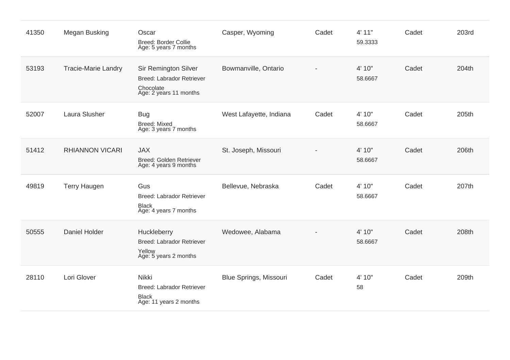| 41350 | Megan Busking              | Oscar<br><b>Breed: Border Collie</b><br>Age: 5 years 7 months                                   | Casper, Wyoming         | Cadet | 4' 11"<br>59.3333 | Cadet | <b>203rd</b> |
|-------|----------------------------|-------------------------------------------------------------------------------------------------|-------------------------|-------|-------------------|-------|--------------|
| 53193 | <b>Tracie-Marie Landry</b> | Sir Remington Silver<br><b>Breed: Labrador Retriever</b><br>Chocolate<br>Age: 2 years 11 months | Bowmanville, Ontario    |       | 4' 10"<br>58.6667 | Cadet | 204th        |
| 52007 | Laura Slusher              | <b>Bug</b><br><b>Breed: Mixed</b><br>Age: 3 years 7 months                                      | West Lafayette, Indiana | Cadet | 4' 10"<br>58.6667 | Cadet | 205th        |
| 51412 | <b>RHIANNON VICARI</b>     | <b>JAX</b><br>Breed: Golden Retriever<br>Age: 4 years 9 months                                  | St. Joseph, Missouri    |       | 4' 10"<br>58.6667 | Cadet | 206th        |
| 49819 | <b>Terry Haugen</b>        | Gus<br><b>Breed: Labrador Retriever</b><br><b>Black</b><br>Age: 4 years 7 months                | Bellevue, Nebraska      | Cadet | 4' 10"<br>58.6667 | Cadet | 207th        |
| 50555 | Daniel Holder              | Huckleberry<br><b>Breed: Labrador Retriever</b><br>Yellow<br>Age: 5 years 2 months              | Wedowee, Alabama        |       | 4' 10"<br>58.6667 | Cadet | 208th        |
| 28110 | Lori Glover                | <b>Nikki</b><br><b>Breed: Labrador Retriever</b><br><b>Black</b><br>Age: 11 years 2 months      | Blue Springs, Missouri  | Cadet | 4' 10"<br>58      | Cadet | 209th        |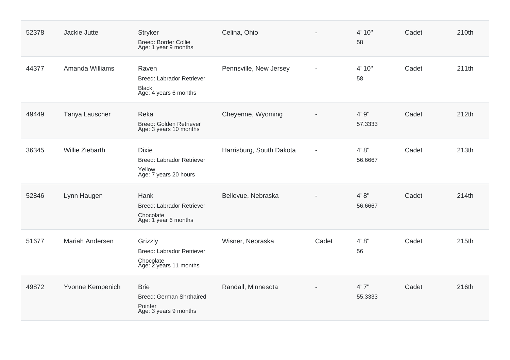| 52378 | Jackie Jutte           | <b>Stryker</b><br><b>Breed: Border Collie</b><br>Age: 1 year 9 months               | Celina, Ohio             |                | 4' 10"<br>58      | Cadet | 210th |
|-------|------------------------|-------------------------------------------------------------------------------------|--------------------------|----------------|-------------------|-------|-------|
| 44377 | Amanda Williams        | Raven<br><b>Breed: Labrador Retriever</b><br><b>Black</b><br>Age: 4 years 6 months  | Pennsville, New Jersey   | $\blacksquare$ | 4' 10"<br>58      | Cadet | 211th |
| 49449 | Tanya Lauscher         | Reka<br>Breed: Golden Retriever<br>Age: 3 years 10 months                           | Cheyenne, Wyoming        |                | 4' 9"<br>57.3333  | Cadet | 212th |
| 36345 | <b>Willie Ziebarth</b> | <b>Dixie</b><br><b>Breed: Labrador Retriever</b><br>Yellow<br>Age: 7 years 20 hours | Harrisburg, South Dakota |                | 4' 8''<br>56.6667 | Cadet | 213th |
| 52846 | Lynn Haugen            | Hank<br><b>Breed: Labrador Retriever</b><br>Chocolate<br>Age: 1 year 6 months       | Bellevue, Nebraska       |                | 4' 8''<br>56.6667 | Cadet | 214th |
| 51677 | Mariah Andersen        | Grizzly<br><b>Breed: Labrador Retriever</b><br>Chocolate<br>Age: 2 years 11 months  | Wisner, Nebraska         | Cadet          | 4' 8''<br>56      | Cadet | 215th |
| 49872 | Yvonne Kempenich       | <b>Brie</b><br>Breed: German Shrthaired<br>Pointer<br>Age: 3 years 9 months         | Randall, Minnesota       |                | 4'7''<br>55.3333  | Cadet | 216th |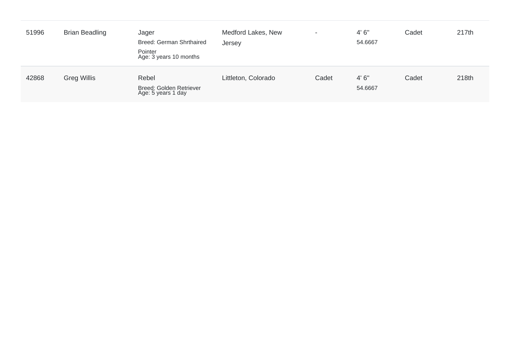| 51996 | <b>Brian Beadling</b> | Jager<br>Breed: German Shrthaired<br>Pointer<br>Age: 3 years 10 months | Medford Lakes, New<br>Jersey | $\blacksquare$ | 4'6''<br>54.6667 | Cadet | 217th |
|-------|-----------------------|------------------------------------------------------------------------|------------------------------|----------------|------------------|-------|-------|
| 42868 | <b>Greg Willis</b>    | Rebel<br>Breed: Golden Retriever<br>Age: 5 years 1 day                 | Littleton, Colorado          | Cadet          | 4'6''<br>54.6667 | Cadet | 218th |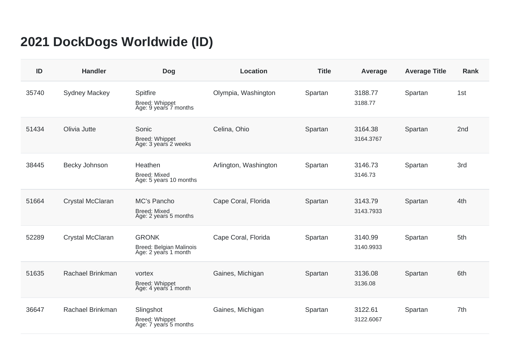## **2021 DockDogs Worldwide (ID)**

| ID    | <b>Handler</b>          | <b>Dog</b>                                                      | <b>Location</b>       | <b>Title</b> | Average              | <b>Average Title</b> | <b>Rank</b> |
|-------|-------------------------|-----------------------------------------------------------------|-----------------------|--------------|----------------------|----------------------|-------------|
| 35740 | <b>Sydney Mackey</b>    | Spitfire<br>Breed: Whippet<br>Age: 9 years 7 months             | Olympia, Washington   | Spartan      | 3188.77<br>3188.77   | Spartan              | 1st         |
| 51434 | Olivia Jutte            | Sonic<br><b>Breed: Whippet</b><br>Age: 3 years 2 weeks          | Celina, Ohio          | Spartan      | 3164.38<br>3164.3767 | Spartan              | 2nd         |
| 38445 | Becky Johnson           | Heathen<br><b>Breed: Mixed</b><br>Age: 5 years 10 months        | Arlington, Washington | Spartan      | 3146.73<br>3146.73   | Spartan              | 3rd         |
| 51664 | <b>Crystal McClaran</b> | MC's Pancho<br><b>Breed: Mixed</b><br>Age: 2 years 5 months     | Cape Coral, Florida   | Spartan      | 3143.79<br>3143.7933 | Spartan              | 4th         |
| 52289 | Crystal McClaran        | <b>GRONK</b><br>Breed: Belgian Malinois<br>Age: 2 years 1 month | Cape Coral, Florida   | Spartan      | 3140.99<br>3140.9933 | Spartan              | 5th         |
| 51635 | Rachael Brinkman        | vortex<br>Breed: Whippet<br>Age: 4 years 1 month                | Gaines, Michigan      | Spartan      | 3136.08<br>3136.08   | Spartan              | 6th         |
| 36647 | Rachael Brinkman        | Slingshot<br>Breed: Whippet<br>Age: 7 years 5 months            | Gaines, Michigan      | Spartan      | 3122.61<br>3122.6067 | Spartan              | 7th         |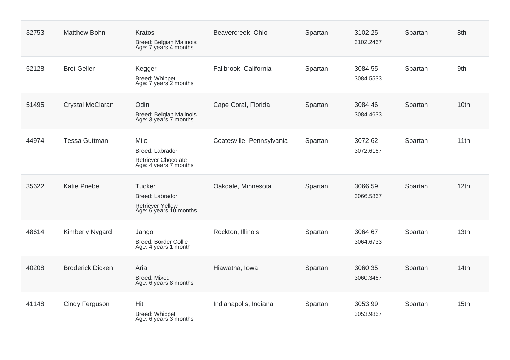| 32753 | <b>Matthew Bohn</b>     | Kratos<br><b>Breed: Belgian Malinois</b><br>Age: 7 years 4 months                     | Beavercreek, Ohio         | Spartan | 3102.25<br>3102.2467 | Spartan | 8th              |
|-------|-------------------------|---------------------------------------------------------------------------------------|---------------------------|---------|----------------------|---------|------------------|
| 52128 | <b>Bret Geller</b>      | Kegger<br>Breed: Whippet<br>Age: 7 years 2 months                                     | Fallbrook, California     | Spartan | 3084.55<br>3084.5533 | Spartan | 9th              |
| 51495 | Crystal McClaran        | Odin<br>Breed: Belgian Malinois<br>Age: 3 years 7 months                              | Cape Coral, Florida       | Spartan | 3084.46<br>3084.4633 | Spartan | 10th             |
| 44974 | <b>Tessa Guttman</b>    | Milo<br>Breed: Labrador<br>Retriever Chocolate<br>Age: 4 years 7 months               | Coatesville, Pennsylvania | Spartan | 3072.62<br>3072.6167 | Spartan | 11th             |
| 35622 | <b>Katie Priebe</b>     | <b>Tucker</b><br>Breed: Labrador<br><b>Retriever Yellow</b><br>Age: 6 years 10 months | Oakdale, Minnesota        | Spartan | 3066.59<br>3066.5867 | Spartan | 12th             |
| 48614 | <b>Kimberly Nygard</b>  | Jango<br><b>Breed: Border Collie</b><br>Age: 4 years 1 month                          | Rockton, Illinois         | Spartan | 3064.67<br>3064.6733 | Spartan | 13th             |
| 40208 | <b>Broderick Dicken</b> | Aria<br><b>Breed: Mixed</b><br>Age: 6 years 8 months                                  | Hiawatha, Iowa            | Spartan | 3060.35<br>3060.3467 | Spartan | 14th             |
| 41148 | Cindy Ferguson          | Hit<br>Breed: Whippet<br>Age: 6 years 3 months                                        | Indianapolis, Indiana     | Spartan | 3053.99<br>3053.9867 | Spartan | 15 <sub>th</sub> |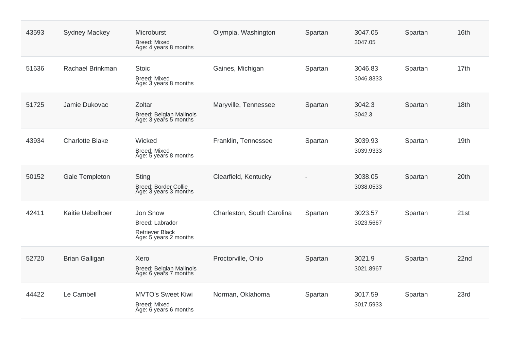| 43593 | <b>Sydney Mackey</b>   | Microburst<br><b>Breed: Mixed</b><br>Age: 4 years 8 months                     | Olympia, Washington        | Spartan | 3047.05<br>3047.05   | Spartan | 16th |
|-------|------------------------|--------------------------------------------------------------------------------|----------------------------|---------|----------------------|---------|------|
| 51636 | Rachael Brinkman       | <b>Stoic</b><br><b>Breed: Mixed</b><br>Age: 3 years 8 months                   | Gaines, Michigan           | Spartan | 3046.83<br>3046.8333 | Spartan | 17th |
| 51725 | Jamie Dukovac          | Zoltar<br>Breed: Belgian Malinois<br>Age: 3 years 5 months                     | Maryville, Tennessee       | Spartan | 3042.3<br>3042.3     | Spartan | 18th |
| 43934 | <b>Charlotte Blake</b> | Wicked<br><b>Breed: Mixed</b><br>Age: 5 years 8 months                         | Franklin, Tennessee        | Spartan | 3039.93<br>3039.9333 | Spartan | 19th |
| 50152 | Gale Templeton         | Sting<br><b>Breed: Border Collie</b><br>Age: 3 years 3 months                  | Clearfield, Kentucky       |         | 3038.05<br>3038.0533 | Spartan | 20th |
| 42411 | Kaitie Uebelhoer       | Jon Snow<br>Breed: Labrador<br><b>Retriever Black</b><br>Age: 5 years 2 months | Charleston, South Carolina | Spartan | 3023.57<br>3023.5667 | Spartan | 21st |
| 52720 | <b>Brian Galligan</b>  | Xero<br>Breed: Belgian Malinois<br>Age: 6 years 7 months                       | Proctorville, Ohio         | Spartan | 3021.9<br>3021.8967  | Spartan | 22nd |
| 44422 | Le Cambell             | <b>MVTO's Sweet Kiwi</b><br><b>Breed: Mixed</b><br>Age: 6 years 6 months       | Norman, Oklahoma           | Spartan | 3017.59<br>3017.5933 | Spartan | 23rd |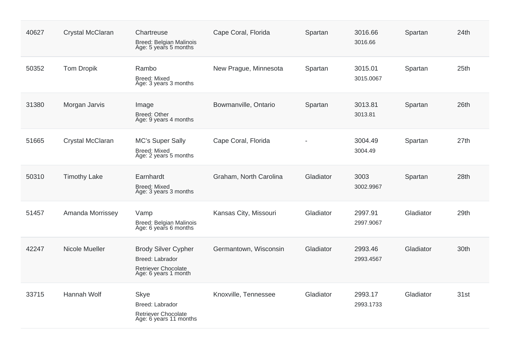| 40627 | Crystal McClaran    | Chartreuse<br>Breed: Belgian Malinois<br>Age: 5 years 5 months                                | Cape Coral, Florida    | Spartan   | 3016.66<br>3016.66   | Spartan   | 24th |
|-------|---------------------|-----------------------------------------------------------------------------------------------|------------------------|-----------|----------------------|-----------|------|
| 50352 | <b>Tom Dropik</b>   | Rambo<br>Breed: Mixed<br>Age: 3 years 3 months                                                | New Prague, Minnesota  | Spartan   | 3015.01<br>3015.0067 | Spartan   | 25th |
| 31380 | Morgan Jarvis       | Image<br><b>Breed: Other</b><br>Age: 9 years 4 months                                         | Bowmanville, Ontario   | Spartan   | 3013.81<br>3013.81   | Spartan   | 26th |
| 51665 | Crystal McClaran    | <b>MC's Super Sally</b><br>Breed: Mixed<br>Age: 2 years 5 months                              | Cape Coral, Florida    |           | 3004.49<br>3004.49   | Spartan   | 27th |
| 50310 | <b>Timothy Lake</b> | Earnhardt<br><b>Breed: Mixed</b><br>Age: 3 years 3 months                                     | Graham, North Carolina | Gladiator | 3003<br>3002.9967    | Spartan   | 28th |
| 51457 | Amanda Morrissey    | Vamp<br>Breed: Belgian Malinois<br>Age: 6 years 6 months                                      | Kansas City, Missouri  | Gladiator | 2997.91<br>2997.9067 | Gladiator | 29th |
| 42247 | Nicole Mueller      | <b>Brody Silver Cypher</b><br>Breed: Labrador<br>Retriever Chocolate<br>Age: 6 years 1 month  | Germantown, Wisconsin  | Gladiator | 2993.46<br>2993.4567 | Gladiator | 30th |
| 33715 | Hannah Wolf         | <b>Skye</b><br><b>Breed: Labrador</b><br><b>Retriever Chocolate</b><br>Age: 6 years 11 months | Knoxville, Tennessee   | Gladiator | 2993.17<br>2993.1733 | Gladiator | 31st |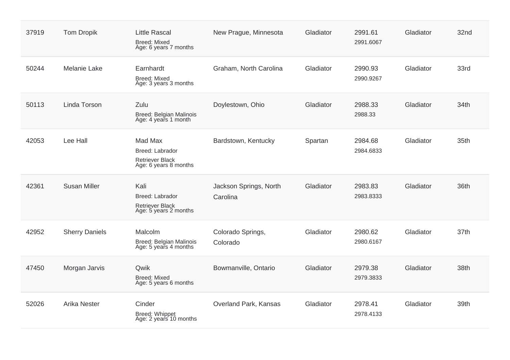| 37919 | <b>Tom Dropik</b>     | <b>Little Rascal</b><br>Breed: Mixed<br>Age: 6 years 7 months                 | New Prague, Minnesota              | Gladiator | 2991.61<br>2991.6067 | Gladiator | 32nd |
|-------|-----------------------|-------------------------------------------------------------------------------|------------------------------------|-----------|----------------------|-----------|------|
| 50244 | Melanie Lake          | Earnhardt<br><b>Breed: Mixed</b><br>Age: 3 years 3 months                     | Graham, North Carolina             | Gladiator | 2990.93<br>2990.9267 | Gladiator | 33rd |
| 50113 | Linda Torson          | Zulu<br>Breed: Belgian Malinois<br>Age: 4 years 1 month                       | Doylestown, Ohio                   | Gladiator | 2988.33<br>2988.33   | Gladiator | 34th |
| 42053 | Lee Hall              | Mad Max<br><b>Breed: Labrador</b><br>Retriever Black<br>Age: 6 years 8 months | Bardstown, Kentucky                | Spartan   | 2984.68<br>2984.6833 | Gladiator | 35th |
| 42361 | <b>Susan Miller</b>   | Kali<br>Breed: Labrador<br><b>Retriever Black</b><br>Age: 5 years 2 months    | Jackson Springs, North<br>Carolina | Gladiator | 2983.83<br>2983.8333 | Gladiator | 36th |
| 42952 | <b>Sherry Daniels</b> | Malcolm<br>Breed: Belgian Malinois<br>Age: 5 years 4 months                   | Colorado Springs,<br>Colorado      | Gladiator | 2980.62<br>2980.6167 | Gladiator | 37th |
| 47450 | Morgan Jarvis         | Qwik<br><b>Breed: Mixed</b><br>Age: 5 years 6 months                          | Bowmanville, Ontario               | Gladiator | 2979.38<br>2979.3833 | Gladiator | 38th |
| 52026 | Arika Nester          | Cinder<br><b>Breed: Whippet</b><br>Age: 2 years 10 months                     | Overland Park, Kansas              | Gladiator | 2978.41<br>2978.4133 | Gladiator | 39th |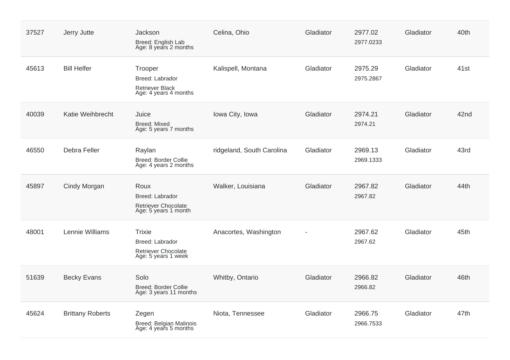| 37527 | Jerry Jutte             | Jackson<br>Breed: English Lab<br>Age: 8 years 2 months                         | Celina, Ohio              | Gladiator | 2977.02<br>2977.0233 | Gladiator | 40th |
|-------|-------------------------|--------------------------------------------------------------------------------|---------------------------|-----------|----------------------|-----------|------|
| 45613 | <b>Bill Helfer</b>      | Trooper<br>Breed: Labrador<br><b>Retriever Black</b><br>Age: 4 years 4 months  | Kalispell, Montana        | Gladiator | 2975.29<br>2975.2867 | Gladiator | 41st |
| 40039 | Katie Weihbrecht        | Juice<br><b>Breed: Mixed</b><br>Age: 5 years 7 months                          | Iowa City, Iowa           | Gladiator | 2974.21<br>2974.21   | Gladiator | 42nd |
| 46550 | Debra Feller            | Raylan<br>Breed: Border Collie<br>Age: 4 years 2 months                        | ridgeland, South Carolina | Gladiator | 2969.13<br>2969.1333 | Gladiator | 43rd |
| 45897 | Cindy Morgan            | Roux<br>Breed: Labrador<br>Retriever Chocolate<br>Age: 5 years 1 month         | Walker, Louisiana         | Gladiator | 2967.82<br>2967.82   | Gladiator | 44th |
| 48001 | Lennie Williams         | <b>Trixie</b><br>Breed: Labrador<br>Retriever Chocolate<br>Age: 5 years 1 week | Anacortes, Washington     |           | 2967.62<br>2967.62   | Gladiator | 45th |
| 51639 | <b>Becky Evans</b>      | Solo<br><b>Breed: Border Collie</b><br>Age: 3 years 11 months                  | Whitby, Ontario           | Gladiator | 2966.82<br>2966.82   | Gladiator | 46th |
| 45624 | <b>Brittany Roberts</b> | Zegen<br>Breed: Belgian Malinois<br>Age: 4 years 5 months                      | Niota, Tennessee          | Gladiator | 2966.75<br>2966.7533 | Gladiator | 47th |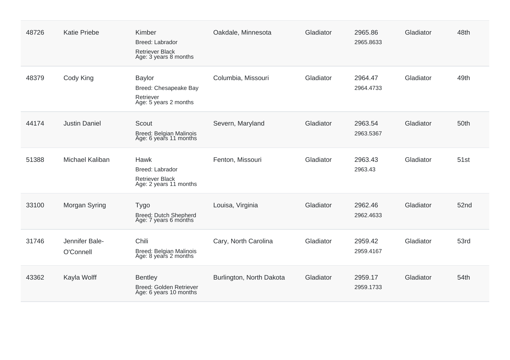| 48726 | <b>Katie Priebe</b>         | Kimber<br><b>Breed: Labrador</b><br><b>Retriever Black</b><br>Age: 3 years 8 months | Oakdale, Minnesota       | Gladiator | 2965.86<br>2965.8633 | Gladiator | 48th |
|-------|-----------------------------|-------------------------------------------------------------------------------------|--------------------------|-----------|----------------------|-----------|------|
| 48379 | Cody King                   | <b>Baylor</b><br>Breed: Chesapeake Bay<br>Retriever<br>Age: 5 years 2 months        | Columbia, Missouri       | Gladiator | 2964.47<br>2964.4733 | Gladiator | 49th |
| 44174 | <b>Justin Daniel</b>        | Scout<br>Breed: Belgian Malinois<br>Age: 6 years 11 months                          | Severn, Maryland         | Gladiator | 2963.54<br>2963.5367 | Gladiator | 50th |
| 51388 | Michael Kaliban             | Hawk<br>Breed: Labrador<br><b>Retriever Black</b><br>Age: 2 years 11 months         | Fenton, Missouri         | Gladiator | 2963.43<br>2963.43   | Gladiator | 51st |
| 33100 | Morgan Syring               | <b>Tygo</b><br>Breed: Dutch Shepherd<br>Age: 7 years 6 months                       | Louisa, Virginia         | Gladiator | 2962.46<br>2962.4633 | Gladiator | 52nd |
| 31746 | Jennifer Bale-<br>O'Connell | Chili<br>Breed: Belgian Malinois<br>Age: 8 years 2 months                           | Cary, North Carolina     | Gladiator | 2959.42<br>2959.4167 | Gladiator | 53rd |
| 43362 | Kayla Wolff                 | <b>Bentley</b><br>Breed: Golden Retriever<br>Age: 6 years 10 months                 | Burlington, North Dakota | Gladiator | 2959.17<br>2959.1733 | Gladiator | 54th |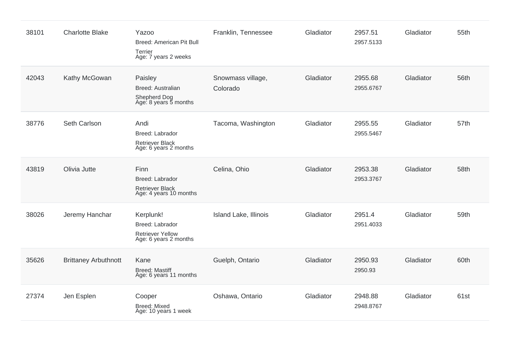| 38101 | <b>Charlotte Blake</b>      | <b>Yazoo</b><br>Breed: American Pit Bull<br>Terrier<br>Age: 7 years 2 weeks      | Franklin, Tennessee           | Gladiator | 2957.51<br>2957.5133 | Gladiator | 55th |
|-------|-----------------------------|----------------------------------------------------------------------------------|-------------------------------|-----------|----------------------|-----------|------|
| 42043 | Kathy McGowan               | Paisley<br><b>Breed: Australian</b><br>Shepherd Dog<br>Age: 8 years 5 months     | Snowmass village,<br>Colorado | Gladiator | 2955.68<br>2955.6767 | Gladiator | 56th |
| 38776 | Seth Carlson                | Andi<br>Breed: Labrador<br><b>Retriever Black</b><br>Age: 6 years 2 months       | Tacoma, Washington            | Gladiator | 2955.55<br>2955.5467 | Gladiator | 57th |
| 43819 | Olivia Jutte                | Finn<br>Breed: Labrador<br><b>Retriever Black</b><br>Age: 4 years 10 months      | Celina, Ohio                  | Gladiator | 2953.38<br>2953.3767 | Gladiator | 58th |
| 38026 | Jeremy Hanchar              | Kerplunk!<br>Breed: Labrador<br><b>Retriever Yellow</b><br>Age: 6 years 2 months | Island Lake, Illinois         | Gladiator | 2951.4<br>2951.4033  | Gladiator | 59th |
| 35626 | <b>Brittaney Arbuthnott</b> | Kane<br><b>Breed: Mastiff</b><br>Age: 6 years 11 months                          | Guelph, Ontario               | Gladiator | 2950.93<br>2950.93   | Gladiator | 60th |
| 27374 | Jen Esplen                  | Cooper<br><b>Breed: Mixed</b><br>Age: 10 years 1 week                            | Oshawa, Ontario               | Gladiator | 2948.88<br>2948.8767 | Gladiator | 61st |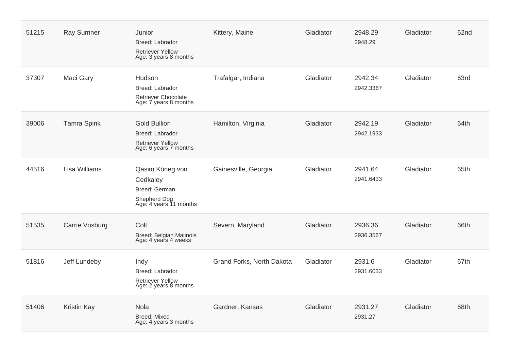| 51215 | <b>Ray Sumner</b>  | Junior<br>Breed: Labrador<br><b>Retriever Yellow</b><br>Age: 3 years 8 months                     | Kittery, Maine            | Gladiator | 2948.29<br>2948.29   | Gladiator | 62nd |
|-------|--------------------|---------------------------------------------------------------------------------------------------|---------------------------|-----------|----------------------|-----------|------|
| 37307 | Maci Gary          | Hudson<br>Breed: Labrador<br>Retriever Chocolate<br>Age: 7 years 8 months                         | Trafalgar, Indiana        | Gladiator | 2942.34<br>2942.3367 | Gladiator | 63rd |
| 39006 | <b>Tamra Spink</b> | <b>Gold Bullion</b><br><b>Breed: Labrador</b><br><b>Retriever Yellow</b><br>Age: 6 years 7 months | Hamilton, Virginia        | Gladiator | 2942.19<br>2942.1933 | Gladiator | 64th |
| 44516 | Lisa Williams      | Qasim Köneg von<br>Cedkaley<br><b>Breed: German</b><br>Shepherd Dog<br>Age: 4 years 11 months     | Gainesville, Georgia      | Gladiator | 2941.64<br>2941.6433 | Gladiator | 65th |
| 51535 | Carrie Vosburg     | Colt<br>Breed: Belgian Malinois<br>Age: 4 years 4 weeks                                           | Severn, Maryland          | Gladiator | 2936.36<br>2936.3567 | Gladiator | 66th |
| 51816 | Jeff Lundeby       | Indy<br>Breed: Labrador<br><b>Retriever Yellow</b><br>Age: 2 years 8 months                       | Grand Forks, North Dakota | Gladiator | 2931.6<br>2931.6033  | Gladiator | 67th |
| 51406 | <b>Kristin Kay</b> | Nola<br><b>Breed: Mixed</b><br>Age: 4 years 3 months                                              | Gardner, Kansas           | Gladiator | 2931.27<br>2931.27   | Gladiator | 68th |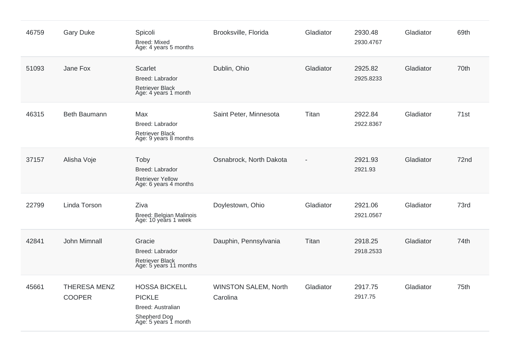| 46759 | <b>Gary Duke</b>                     | Spicoli<br><b>Breed: Mixed</b><br>Age: 4 years 5 months                                            | Brooksville, Florida                    | Gladiator | 2930.48<br>2930.4767 | Gladiator | 69th |
|-------|--------------------------------------|----------------------------------------------------------------------------------------------------|-----------------------------------------|-----------|----------------------|-----------|------|
| 51093 | Jane Fox                             | Scarlet<br>Breed: Labrador<br><b>Retriever Black</b><br>Age: 4 years 1 month                       | Dublin, Ohio                            | Gladiator | 2925.82<br>2925.8233 | Gladiator | 70th |
| 46315 | Beth Baumann                         | Max<br>Breed: Labrador<br><b>Retriever Black</b><br>Age: 9 years 8 months                          | Saint Peter, Minnesota                  | Titan     | 2922.84<br>2922.8367 | Gladiator | 71st |
| 37157 | Alisha Voje                          | Toby<br><b>Breed: Labrador</b><br><b>Retriever Yellow</b><br>Age: 6 years 4 months                 | Osnabrock, North Dakota                 |           | 2921.93<br>2921.93   | Gladiator | 72nd |
| 22799 | Linda Torson                         | Ziva<br>Breed: Belgian Malinois<br>Age: 10 years 1 week                                            | Doylestown, Ohio                        | Gladiator | 2921.06<br>2921.0567 | Gladiator | 73rd |
| 42841 | John Mimnall                         | Gracie<br><b>Breed: Labrador</b><br><b>Retriever Black</b><br>Age: 5 years 11 months               | Dauphin, Pennsylvania                   | Titan     | 2918.25<br>2918.2533 | Gladiator | 74th |
| 45661 | <b>THERESA MENZ</b><br><b>COOPER</b> | <b>HOSSA BICKELL</b><br><b>PICKLE</b><br>Breed: Australian<br>Shepherd Dog<br>Age: 5 years 1 month | <b>WINSTON SALEM, North</b><br>Carolina | Gladiator | 2917.75<br>2917.75   | Gladiator | 75th |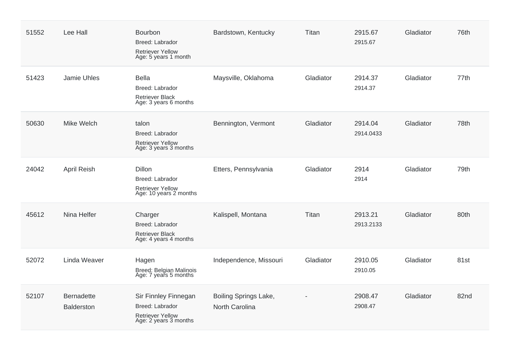| 51552 | Lee Hall                               | Bourbon<br>Breed: Labrador<br><b>Retriever Yellow</b><br>Age: 5 years 1 month        | Bardstown, Kentucky                            | Titan     | 2915.67<br>2915.67   | Gladiator | 76th |
|-------|----------------------------------------|--------------------------------------------------------------------------------------|------------------------------------------------|-----------|----------------------|-----------|------|
| 51423 | Jamie Uhles                            | <b>Bella</b><br>Breed: Labrador<br><b>Retriever Black</b><br>Age: 3 years 6 months   | Maysville, Oklahoma                            | Gladiator | 2914.37<br>2914.37   | Gladiator | 77th |
| 50630 | Mike Welch                             | talon<br>Breed: Labrador<br><b>Retriever Yellow</b><br>Age: 3 years 3 months         | Bennington, Vermont                            | Gladiator | 2914.04<br>2914.0433 | Gladiator | 78th |
| 24042 | April Reish                            | Dillon<br>Breed: Labrador<br>Retriever Yellow<br>Age: 10 years 2 months              | Etters, Pennsylvania                           | Gladiator | 2914<br>2914         | Gladiator | 79th |
| 45612 | Nina Helfer                            | Charger<br>Breed: Labrador<br><b>Retriever Black</b><br>Age: 4 years 4 months        | Kalispell, Montana                             | Titan     | 2913.21<br>2913.2133 | Gladiator | 80th |
| 52072 | Linda Weaver                           | Hagen<br>Breed: Belgian Malinois<br>Age: 7 years 5 months                            | Independence, Missouri                         | Gladiator | 2910.05<br>2910.05   | Gladiator | 81st |
| 52107 | <b>Bernadette</b><br><b>Balderston</b> | Sir Finnley Finnegan<br>Breed: Labrador<br>Retriever Yellow<br>Age: 2 years 3 months | <b>Boiling Springs Lake,</b><br>North Carolina |           | 2908.47<br>2908.47   | Gladiator | 82nd |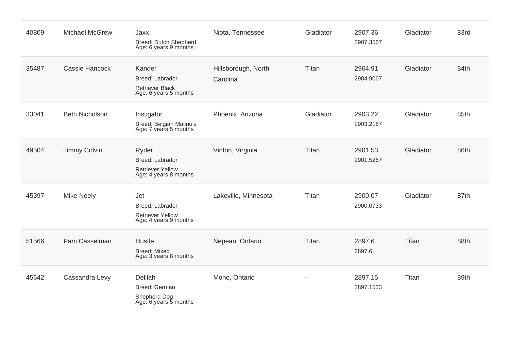| 40809 | <b>Michael McGrew</b> | Jaxx<br>Breed: Dutch Shepherd<br>Age: 6 years 9 months                              | Niota, Tennessee                | Gladiator | 2907.36<br>2907.3567 | Gladiator | 83rd |
|-------|-----------------------|-------------------------------------------------------------------------------------|---------------------------------|-----------|----------------------|-----------|------|
| 35487 | Cassie Hancock        | Kander<br><b>Breed: Labrador</b><br><b>Retriever Black</b><br>Age: 6 years 5 months | Hillsborough, North<br>Carolina | Titan     | 2904.91<br>2904.9067 | Gladiator | 84th |
| 33041 | <b>Beth Nicholson</b> | Instigator<br>Breed: Belgian Malinois<br>Age: 7 years 5 months                      | Phoenix, Arizona                | Gladiator | 2903.22<br>2903.2167 | Gladiator | 85th |
| 49504 | Jimmy Colvin          | Ryder<br>Breed: Labrador<br><b>Retriever Yellow</b><br>Age: 4 years 8 months        | Vinton, Virginia                | Titan     | 2901.53<br>2901.5267 | Gladiator | 86th |
| 45397 | <b>Mike Neely</b>     | Jet<br>Breed: Labrador<br><b>Retriever Yellow</b><br>Age: 4 years 9 months          | Lakeville, Minnesota            | Titan     | 2900.07<br>2900.0733 | Gladiator | 87th |
| 51566 | Pam Casselman         | Hustle<br>Breed: Mixed<br>Age: 3 years 8 months                                     | Nepean, Ontario                 | Titan     | 2897.6<br>2897.6     | Titan     | 88th |
| 45642 | Cassandra Levy        | Delilah<br>Breed: German<br>Shepherd Dog<br>Age: 6 years 5 months                   | Mono, Ontario                   |           | 2897.15<br>2897.1533 | Titan     | 89th |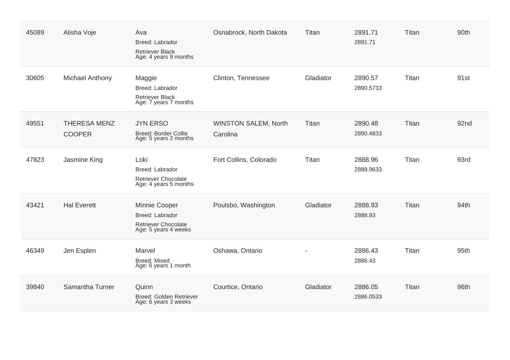| 45089 | Alisha Voje                          | Ava<br><b>Breed: Labrador</b><br><b>Retriever Black</b><br>Age: 4 years 9 months       | Osnabrock, North Dakota                 | Titan     | 2891.71<br>2891.71   | Titan | 90th |
|-------|--------------------------------------|----------------------------------------------------------------------------------------|-----------------------------------------|-----------|----------------------|-------|------|
| 30605 | Michael Anthony                      | Maggie<br>Breed: Labrador<br><b>Retriever Black</b><br>Age: 7 years 7 months           | Clinton, Tennessee                      | Gladiator | 2890.57<br>2890.5733 | Titan | 91st |
| 49551 | <b>THERESA MENZ</b><br><b>COOPER</b> | <b>JYN ERSO</b><br><b>Breed: Border Collie</b><br>Age: 5 years 2 months                | <b>WINSTON SALEM, North</b><br>Carolina | Titan     | 2890.48<br>2890.4833 | Titan | 92nd |
| 47823 | Jasmine King                         | Loki<br>Breed: Labrador<br><b>Retriever Chocolate</b><br>Age: 4 years 5 months         | Fort Collins, Colorado                  | Titan     | 2888.96<br>2888.9633 | Titan | 93rd |
| 43421 | <b>Hal Everett</b>                   | Minnie Cooper<br>Breed: Labrador<br><b>Retriever Chocolate</b><br>Age: 5 years 4 weeks | Poulsbo, Washington                     | Gladiator | 2888.93<br>2888.93   | Titan | 94th |
| 46349 | Jen Esplen                           | Marvel<br><b>Breed: Mixed</b><br>Age: 6 years 1 month                                  | Oshawa, Ontario                         |           | 2886.43<br>2886.43   | Titan | 95th |
| 39840 | Samantha Turner                      | Quinn<br>Breed: Golden Retriever<br>Age: 6 years 3 weeks                               | Courtice, Ontario                       | Gladiator | 2886.05<br>2886.0533 | Titan | 96th |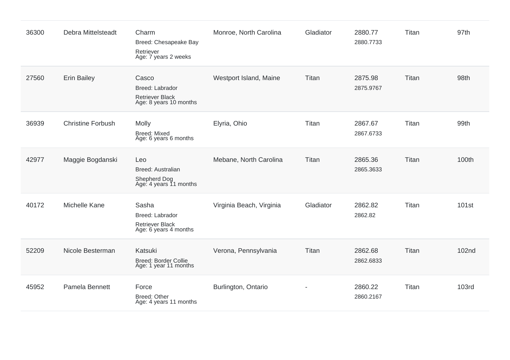| 36300 | <b>Debra Mittelsteadt</b> | Charm<br>Breed: Chesapeake Bay<br>Retriever<br>Age: 7 years 2 weeks                 | Monroe, North Carolina   | Gladiator      | 2880.77<br>2880.7733 | Titan | 97th              |
|-------|---------------------------|-------------------------------------------------------------------------------------|--------------------------|----------------|----------------------|-------|-------------------|
| 27560 | <b>Erin Bailey</b>        | Casco<br><b>Breed: Labrador</b><br><b>Retriever Black</b><br>Age: 8 years 10 months | Westport Island, Maine   | Titan          | 2875.98<br>2875.9767 | Titan | 98th              |
| 36939 | <b>Christine Forbush</b>  | Molly<br><b>Breed: Mixed</b><br>Age: 6 years 6 months                               | Elyria, Ohio             | Titan          | 2867.67<br>2867.6733 | Titan | 99th              |
| 42977 | Maggie Bogdanski          | Leo<br><b>Breed: Australian</b><br>Shepherd Dog<br>Age: 4 years 11 months           | Mebane, North Carolina   | Titan          | 2865.36<br>2865.3633 | Titan | 100th             |
| 40172 | Michelle Kane             | Sasha<br>Breed: Labrador<br><b>Retriever Black</b><br>Age: 6 years 4 months         | Virginia Beach, Virginia | Gladiator      | 2862.82<br>2862.82   | Titan | 101 <sub>st</sub> |
| 52209 | Nicole Besterman          | Katsuki<br><b>Breed: Border Collie</b><br>Age: 1 year 11 months                     | Verona, Pennsylvania     | Titan          | 2862.68<br>2862.6833 | Titan | 102 <sub>nd</sub> |
| 45952 | Pamela Bennett            | Force<br>Breed: Other<br>Age: 4 years 11 months                                     | Burlington, Ontario      | $\blacksquare$ | 2860.22<br>2860.2167 | Titan | 103rd             |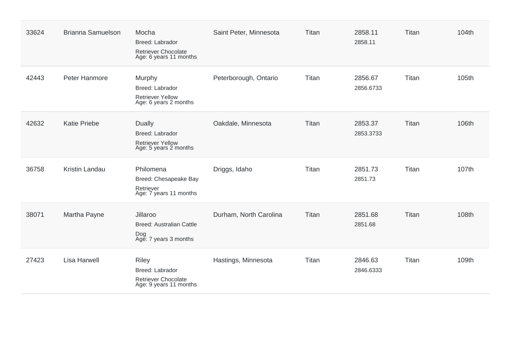| 33624 | <b>Brianna Samuelson</b> | Mocha<br><b>Breed: Labrador</b><br>Retriever Chocolate<br>Age: 6 years 11 months     | Saint Peter, Minnesota | Titan | 2858.11<br>2858.11   | Titan | 104th |
|-------|--------------------------|--------------------------------------------------------------------------------------|------------------------|-------|----------------------|-------|-------|
| 42443 | Peter Hanmore            | Murphy<br>Breed: Labrador<br><b>Retriever Yellow</b><br>Age: 6 years 2 months        | Peterborough, Ontario  | Titan | 2856.67<br>2856.6733 | Titan | 105th |
| 42632 | <b>Katie Priebe</b>      | <b>Dually</b><br>Breed: Labrador<br><b>Retriever Yellow</b><br>Age: 5 years 2 months | Oakdale, Minnesota     | Titan | 2853.37<br>2853.3733 | Titan | 106th |
| 36758 | <b>Kristin Landau</b>    | Philomena<br>Breed: Chesapeake Bay<br>Retriever<br>Age: 7 years 11 months            | Driggs, Idaho          | Titan | 2851.73<br>2851.73   | Titan | 107th |
| 38071 | Martha Payne             | Jillaroo<br><b>Breed: Australian Cattle</b><br>Dog<br>Age: 7 years 3 months          | Durham, North Carolina | Titan | 2851.68<br>2851.68   | Titan | 108th |
| 27423 | <b>Lisa Harwell</b>      | <b>Riley</b><br>Breed: Labrador<br>Retriever Chocolate<br>Age: 9 years 11 months     | Hastings, Minnesota    | Titan | 2846.63<br>2846.6333 | Titan | 109th |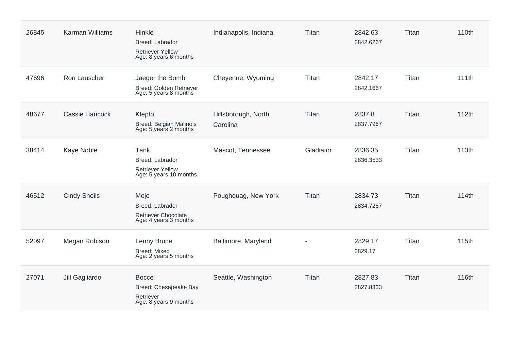| 26845 | <b>Karman Williams</b> | Hinkle<br>Breed: Labrador<br><b>Retriever Yellow</b><br>Age: 8 years 6 months | Indianapolis, Indiana           | Titan     | 2842.63<br>2842.6267 | Titan | 110th |
|-------|------------------------|-------------------------------------------------------------------------------|---------------------------------|-----------|----------------------|-------|-------|
| 47696 | Ron Lauscher           | Jaeger the Bomb<br>Breed: Golden Retriever<br>Age: 5 years 8 months           | Cheyenne, Wyoming               | Titan     | 2842.17<br>2842.1667 | Titan | 111th |
| 48677 | Cassie Hancock         | Klepto<br>Breed: Belgian Malinois<br>Age: 5 years 2 months                    | Hillsborough, North<br>Carolina | Titan     | 2837.8<br>2837.7967  | Titan | 112th |
| 38414 | Kaye Noble             | Tank<br>Breed: Labrador<br><b>Retriever Yellow</b><br>Age: 5 years 10 months  | Mascot, Tennessee               | Gladiator | 2836.35<br>2836.3533 | Titan | 113th |
| 46512 | <b>Cindy Sheils</b>    | Mojo<br>Breed: Labrador<br>Retriever Chocolate<br>Age: 4 years 3 months       | Poughquag, New York             | Titan     | 2834.73<br>2834.7267 | Titan | 114th |
| 52097 | Megan Robison          | Lenny Bruce<br>Breed: Mixed<br>Age: 2 years 5 months                          | Baltimore, Maryland             |           | 2829.17<br>2829.17   | Titan | 115th |
| 27071 | Jill Gagliardo         | <b>Bocce</b><br>Breed: Chesapeake Bay<br>Retriever<br>Age: 8 years 9 months   | Seattle, Washington             | Titan     | 2827.83<br>2827.8333 | Titan | 116th |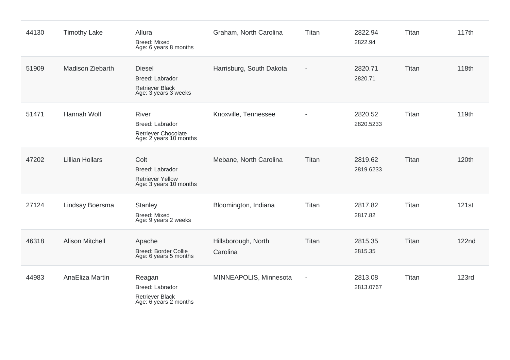| 44130 | <b>Timothy Lake</b>    | Allura<br><b>Breed: Mixed</b><br>Age: 6 years 8 months                                    | Graham, North Carolina          | Titan                    | 2822.94<br>2822.94   | Titan | 117th        |
|-------|------------------------|-------------------------------------------------------------------------------------------|---------------------------------|--------------------------|----------------------|-------|--------------|
| 51909 | Madison Ziebarth       | <b>Diesel</b><br><b>Breed: Labrador</b><br><b>Retriever Black</b><br>Age: 3 years 3 weeks | Harrisburg, South Dakota        | $\blacksquare$           | 2820.71<br>2820.71   | Titan | 118th        |
| 51471 | <b>Hannah Wolf</b>     | <b>River</b><br>Breed: Labrador<br>Retriever Chocolate<br>Age: 2 years 10 months          | Knoxville, Tennessee            |                          | 2820.52<br>2820.5233 | Titan | 119th        |
| 47202 | <b>Lillian Hollars</b> | Colt<br>Breed: Labrador<br><b>Retriever Yellow</b><br>Age: 3 years 10 months              | Mebane, North Carolina          | Titan                    | 2819.62<br>2819.6233 | Titan | 120th        |
| 27124 | Lindsay Boersma        | Stanley<br><b>Breed: Mixed</b><br>Age: 9 years 2 weeks                                    | Bloomington, Indiana            | Titan                    | 2817.82<br>2817.82   | Titan | 121st        |
| 46318 | <b>Alison Mitchell</b> | Apache<br>Breed: Border Collie<br>Age: 6 years 5 months                                   | Hillsborough, North<br>Carolina | Titan                    | 2815.35<br>2815.35   | Titan | <b>122nd</b> |
| 44983 | AnaEliza Martin        | Reagan<br>Breed: Labrador<br><b>Retriever Black</b><br>Age: 6 years 2 months              | MINNEAPOLIS, Minnesota          | $\overline{\phantom{a}}$ | 2813.08<br>2813.0767 | Titan | <b>123rd</b> |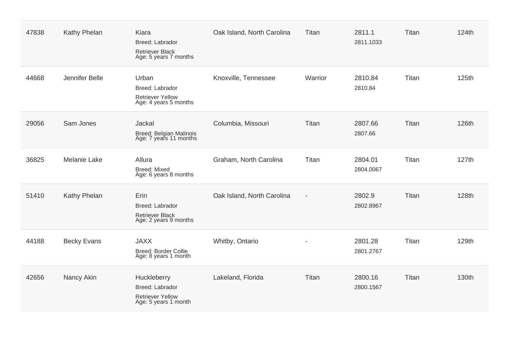| 47838 | Kathy Phelan        | Kiara<br>Breed: Labrador<br><b>Retriever Black</b><br>Age: 5 years 7 months       | Oak Island, North Carolina | Titan                    | 2811.1<br>2811.1033  | Titan | 124th |
|-------|---------------------|-----------------------------------------------------------------------------------|----------------------------|--------------------------|----------------------|-------|-------|
| 44668 | Jennifer Belle      | Urban<br>Breed: Labrador<br><b>Retriever Yellow</b><br>Age: 4 years 5 months      | Knoxville, Tennessee       | Warrior                  | 2810.84<br>2810.84   | Titan | 125th |
| 29056 | Sam Jones           | Jackal<br>Breed: Belgian Malinois<br>Age: 7 years 11 months                       | Columbia, Missouri         | Titan                    | 2807.66<br>2807.66   | Titan | 126th |
| 36825 | <b>Melanie Lake</b> | Allura<br><b>Breed: Mixed</b><br>Age: 6 years 8 months                            | Graham, North Carolina     | Titan                    | 2804.01<br>2804.0067 | Titan | 127th |
| 51410 | Kathy Phelan        | Erin<br>Breed: Labrador<br><b>Retriever Black</b><br>Age: 2 years 9 months        | Oak Island, North Carolina | $\overline{\phantom{a}}$ | 2802.9<br>2802.8967  | Titan | 128th |
| 44188 | <b>Becky Evans</b>  | <b>JAXX</b><br>Breed: Border Collie<br>Age: 8 years 1 month                       | Whitby, Ontario            | $\overline{\phantom{a}}$ | 2801.28<br>2801.2767 | Titan | 129th |
| 42656 | Nancy Akin          | Huckleberry<br>Breed: Labrador<br><b>Retriever Yellow</b><br>Age: 5 years 1 month | Lakeland, Florida          | Titan                    | 2800.16<br>2800.1567 | Titan | 130th |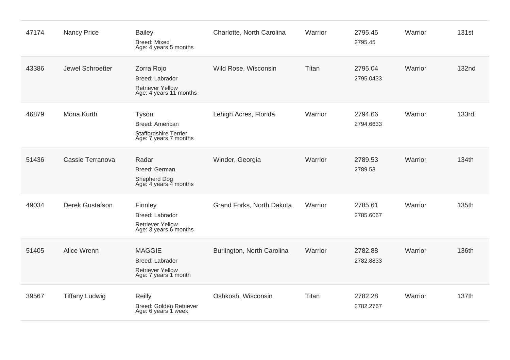| 47174 | <b>Nancy Price</b>    | <b>Bailey</b><br><b>Breed: Mixed</b><br>Age: 4 years 5 months                              | Charlotte, North Carolina  | Warrior | 2795.45<br>2795.45   | Warrior | 131st        |
|-------|-----------------------|--------------------------------------------------------------------------------------------|----------------------------|---------|----------------------|---------|--------------|
| 43386 | Jewel Schroetter      | Zorra Rojo<br><b>Breed: Labrador</b><br><b>Retriever Yellow</b><br>Age: 4 years 11 months  | Wild Rose, Wisconsin       | Titan   | 2795.04<br>2795.0433 | Warrior | <b>132nd</b> |
| 46879 | Mona Kurth            | Tyson<br>Breed: American<br><b>Staffordshire Terrier</b><br>Age: 7 years 7 months          | Lehigh Acres, Florida      | Warrior | 2794.66<br>2794.6633 | Warrior | <b>133rd</b> |
| 51436 | Cassie Terranova      | Radar<br>Breed: German<br>Shepherd Dog<br>Age: 4 years 4 months                            | Winder, Georgia            | Warrior | 2789.53<br>2789.53   | Warrior | 134th        |
| 49034 | Derek Gustafson       | Finnley<br><b>Breed: Labrador</b><br><b>Retriever Yellow</b><br>Age: 3 years 6 months      | Grand Forks, North Dakota  | Warrior | 2785.61<br>2785.6067 | Warrior | 135th        |
| 51405 | Alice Wrenn           | <b>MAGGIE</b><br><b>Breed: Labrador</b><br><b>Retriever Yellow</b><br>Age: 7 years 1 month | Burlington, North Carolina | Warrior | 2782.88<br>2782.8833 | Warrior | 136th        |
| 39567 | <b>Tiffany Ludwig</b> | Reilly<br>Breed: Golden Retriever<br>Age: 6 years 1 week                                   | Oshkosh, Wisconsin         | Titan   | 2782.28<br>2782.2767 | Warrior | 137th        |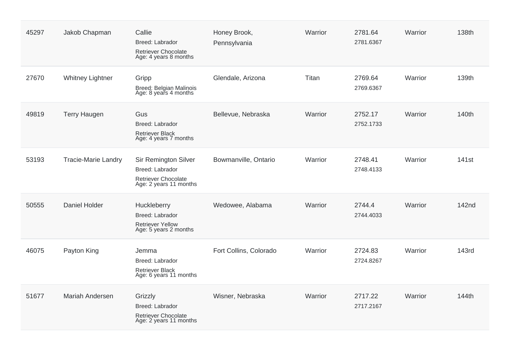| 45297 | Jakob Chapman              | Callie<br>Breed: Labrador<br>Retriever Chocolate<br>Age: 4 years 8 months                              | Honey Brook,<br>Pennsylvania | Warrior | 2781.64<br>2781.6367 | Warrior | 138th             |
|-------|----------------------------|--------------------------------------------------------------------------------------------------------|------------------------------|---------|----------------------|---------|-------------------|
| 27670 | <b>Whitney Lightner</b>    | Gripp<br>Breed: Belgian Malinois<br>Age: 8 years 4 months                                              | Glendale, Arizona            | Titan   | 2769.64<br>2769.6367 | Warrior | 139th             |
| 49819 | <b>Terry Haugen</b>        | Gus<br>Breed: Labrador<br><b>Retriever Black</b><br>Age: 4 years 7 months                              | Bellevue, Nebraska           | Warrior | 2752.17<br>2752.1733 | Warrior | 140th             |
| 53193 | <b>Tracie-Marie Landry</b> | <b>Sir Remington Silver</b><br>Breed: Labrador<br><b>Retriever Chocolate</b><br>Age: 2 years 11 months | Bowmanville, Ontario         | Warrior | 2748.41<br>2748.4133 | Warrior | 141 <sub>st</sub> |
| 50555 | <b>Daniel Holder</b>       | Huckleberry<br>Breed: Labrador<br><b>Retriever Yellow</b><br>Age: 5 years 2 months                     | Wedowee, Alabama             | Warrior | 2744.4<br>2744.4033  | Warrior | 142nd             |
| 46075 | Payton King                | Jemma<br>Breed: Labrador<br><b>Retriever Black</b><br>Age: 6 years 11 months                           | Fort Collins, Colorado       | Warrior | 2724.83<br>2724.8267 | Warrior | 143rd             |
| 51677 | Mariah Andersen            | Grizzly<br>Breed: Labrador<br>Retriever Chocolate<br>Age: 2 years 11 months                            | Wisner, Nebraska             | Warrior | 2717.22<br>2717.2167 | Warrior | 144th             |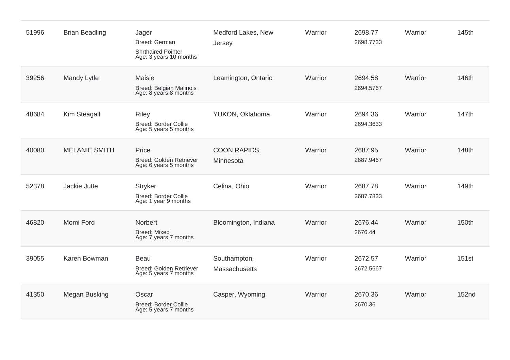| 51996 | <b>Brian Beadling</b> | Jager<br>Breed: German<br><b>Shrthaired Pointer</b><br>Age: 3 years 10 months | Medford Lakes, New<br>Jersey  | Warrior | 2698.77<br>2698.7733 | Warrior | 145th        |
|-------|-----------------------|-------------------------------------------------------------------------------|-------------------------------|---------|----------------------|---------|--------------|
| 39256 | <b>Mandy Lytle</b>    | Maisie<br>Breed: Belgian Malinois<br>Age: 8 years 8 months                    | Leamington, Ontario           | Warrior | 2694.58<br>2694.5767 | Warrior | 146th        |
| 48684 | Kim Steagall          | <b>Riley</b><br><b>Breed: Border Collie</b><br>Age: 5 years 5 months          | YUKON, Oklahoma               | Warrior | 2694.36<br>2694.3633 | Warrior | 147th        |
| 40080 | <b>MELANIE SMITH</b>  | Price<br>Breed: Golden Retriever<br>Age: 6 years 5 months                     | COON RAPIDS,<br>Minnesota     | Warrior | 2687.95<br>2687.9467 | Warrior | 148th        |
| 52378 | Jackie Jutte          | <b>Stryker</b><br><b>Breed: Border Collie</b><br>Age: 1 year 9 months         | Celina, Ohio                  | Warrior | 2687.78<br>2687.7833 | Warrior | 149th        |
| 46820 | Momi Ford             | Norbert<br><b>Breed: Mixed</b><br>Age: 7 years 7 months                       | Bloomington, Indiana          | Warrior | 2676.44<br>2676.44   | Warrior | 150th        |
| 39055 | Karen Bowman          | Beau<br>Breed: Golden Retriever<br>Age: 5 years 7 months                      | Southampton,<br>Massachusetts | Warrior | 2672.57<br>2672.5667 | Warrior | 151st        |
| 41350 | Megan Busking         | Oscar<br>Breed: Border Collie<br>Age: 5 years 7 months                        | Casper, Wyoming               | Warrior | 2670.36<br>2670.36   | Warrior | <b>152nd</b> |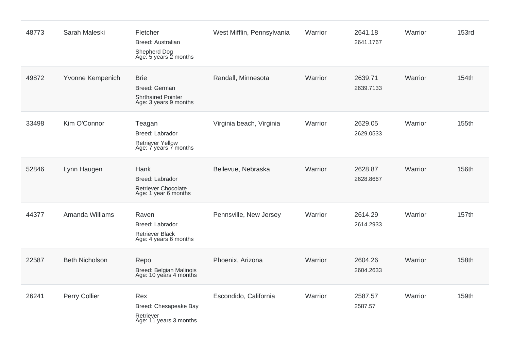| 48773 | Sarah Maleski         | Fletcher<br><b>Breed: Australian</b><br>Shepherd Dog<br>Age: 5 years 2 months        | West Mifflin, Pennsylvania | Warrior | 2641.18<br>2641.1767 | Warrior | <b>153rd</b> |
|-------|-----------------------|--------------------------------------------------------------------------------------|----------------------------|---------|----------------------|---------|--------------|
| 49872 | Yvonne Kempenich      | <b>Brie</b><br>Breed: German<br><b>Shrthaired Pointer</b><br>Age: 3 years 9 months   | Randall, Minnesota         | Warrior | 2639.71<br>2639.7133 | Warrior | 154th        |
| 33498 | Kim O'Connor          | Teagan<br><b>Breed: Labrador</b><br><b>Retriever Yellow</b><br>Age: 7 years 7 months | Virginia beach, Virginia   | Warrior | 2629.05<br>2629.0533 | Warrior | 155th        |
| 52846 | Lynn Haugen           | Hank<br><b>Breed: Labrador</b><br>Retriever Chocolate<br>Age: 1 year 6 months        | Bellevue, Nebraska         | Warrior | 2628.87<br>2628.8667 | Warrior | 156th        |
| 44377 | Amanda Williams       | Raven<br>Breed: Labrador<br><b>Retriever Black</b><br>Age: 4 years 6 months          | Pennsville, New Jersey     | Warrior | 2614.29<br>2614.2933 | Warrior | 157th        |
| 22587 | <b>Beth Nicholson</b> | Repo<br>Breed: Belgian Malinois<br>Age: 10 years 4 months                            | Phoenix, Arizona           | Warrior | 2604.26<br>2604.2633 | Warrior | 158th        |
| 26241 | Perry Collier         | Rex<br>Breed: Chesapeake Bay<br>Retriever<br>Age: 11 years 3 months                  | Escondido, California      | Warrior | 2587.57<br>2587.57   | Warrior | 159th        |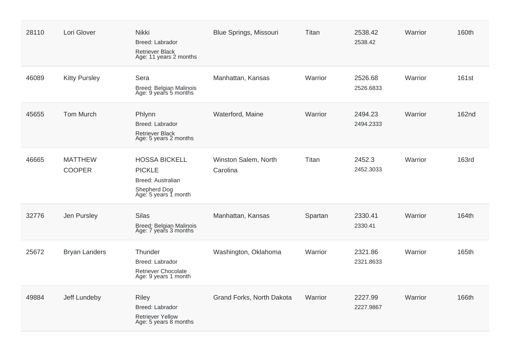| 28110 | Lori Glover                     | Nikki<br>Breed: Labrador<br>Retriever Black<br>Age: 11 years 2 months                              | <b>Blue Springs, Missouri</b>    | Titan   | 2538.42<br>2538.42   | Warrior | 160th        |
|-------|---------------------------------|----------------------------------------------------------------------------------------------------|----------------------------------|---------|----------------------|---------|--------------|
| 46089 | <b>Kitty Pursley</b>            | Sera<br>Breed: Belgian Malinois<br>Age: 9 years 5 months                                           | Manhattan, Kansas                | Warrior | 2526.68<br>2526.6833 | Warrior | 161st        |
| 45655 | <b>Tom Murch</b>                | Phlynn<br>Breed: Labrador<br><b>Retriever Black</b><br>Age: 5 years 2 months                       | Waterford, Maine                 | Warrior | 2494.23<br>2494.2333 | Warrior | <b>162nd</b> |
| 46665 | <b>MATTHEW</b><br><b>COOPER</b> | <b>HOSSA BICKELL</b><br><b>PICKLE</b><br>Breed: Australian<br>Shepherd Dog<br>Age: 5 years 1 month | Winston Salem, North<br>Carolina | Titan   | 2452.3<br>2452.3033  | Warrior | <b>163rd</b> |
| 32776 | Jen Pursley                     | <b>Silas</b><br>Breed: Belgian Malinois<br>Age: 7 years 3 months                                   | Manhattan, Kansas                | Spartan | 2330.41<br>2330.41   | Warrior | 164th        |
| 25672 | <b>Bryan Landers</b>            | Thunder<br>Breed: Labrador<br><b>Retriever Chocolate</b><br>Age: 9 years 1 month                   | Washington, Oklahoma             | Warrior | 2321.86<br>2321.8633 | Warrior | 165th        |
| 49884 | Jeff Lundeby                    | <b>Riley</b><br>Breed: Labrador<br><b>Retriever Yellow</b><br>Age: 5 years 8 months                | Grand Forks, North Dakota        | Warrior | 2227.99<br>2227.9867 | Warrior | 166th        |